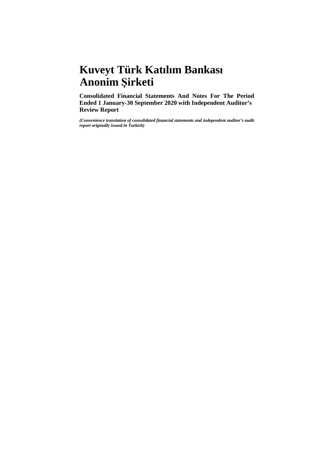# **Kuveyt Türk Katılım Bankası Anonim Şirketi**

**Consolidated Financial Statements And Notes For The Period Ended 1 January-30 September 2020 with Independent Auditor's Review Report**

*(Convenience translation of consolidated financial statements and independent auditor's audit report originally issued in Turkish)*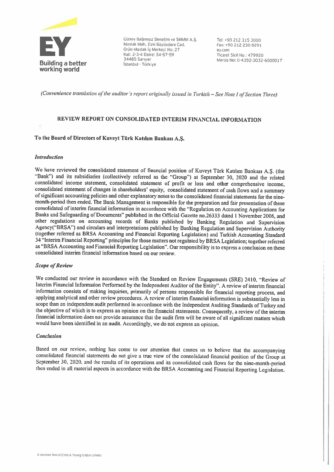

Eüney Bağımsız Denetim ve SMMM A.Ş. Tel: +90 212 315 3000<br>Maslak Mah. Eski Büyükdere Cad. Fax: +90 212 230 8291<br>Orjin Maslak iş Merkezi No: 27 ey.com<br>Kat: 2-3-4 Daire: 54-57-59 Ticaret Sicil No: 479920

(Convenience translation of the auditor's report originally issued in Turkish ~ See Note I of Section Three)

## REVIEW REPORT ON CONSOLIDATED INTERIM flNANCIAL İNFORMATİON

#### Ta the Board of Direelors of Kuveyt Türk Katılım Bankası A.Ş.

#### lntroduction

We have reviewed the consolidated statement of financial position of Kuveyt Türk Katılım Bankası A.Ş. (the "Bank") and its subsidiaries (collcctively refened as the "Group") at September 30, <sup>2020</sup> and the related consolidated income statement, consolidated statement of profit or loss and other comprehensive income, consolidated statement of changes in shareholders' equity, consolidated statement of cash flows and a summary<br>of significant accounting policies and other explanatory notes to the consolidated financial statements for the month-period then ended. The Bank Management is responsible for the preparation and fair presentation of these consolidated of interim financial intbrmation in aceordance with the "Regulation on Accounting Applications for Banks and Safeguarding of Documents" published in the Official Gazette no.26333 dated 1 November 2006, and other regulations on accounting records of Banks published by Banking Regulation and Supervision<br>Agency("BRSA") and circulars and interpretations published by Banking Regulation and Supervision Authority (together referred as BRSA Accounting and Financial Reporting Legislation) and Turkish Accounting Standard 34 "Interim Financial Reporting" principles for those matters not regulated by BRSA Legislation; together referred as "BRSA Accounting and Financial Reporting Legislation". Our responsibility is to express a conclusion on these consolidated interim financial information based on our review.

#### **Scope of Review**

We conducted our review in accordance with the Standard on Review Engagements (SRE) 2410. "Review of Interim Financial Information Performed by the Independent Auditor of the Entity". A review of interim financial information consists of making inquiries, primariiy of persons responsible for financial reporting process, and applying analytical and other review procedures. A review of interim financial information is substantially less in<br>scope than an independent audit performed in accordance with the Independent Auditing Standards of Turkey the objective of which is to express an opinion on the financial statements. Consequently, a review of the interim financial information does not provide assurance that the audit firm will be aware of all significant matters which would have been identified in an audit. Accordingly, we do not express an opinion.

#### Conclusion

Based on our review, nothing has come to our attention that causes us to believe that the accompanying consolidated financial statements do not give a true view of the consolidated financial position of the Group at Septem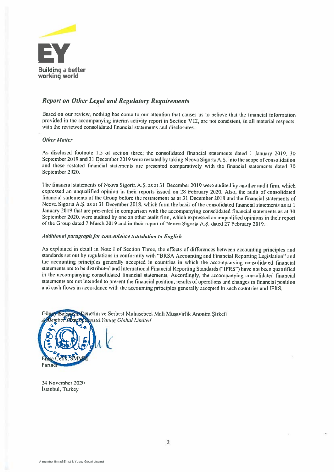

## **Report on Other Legal and Regulatory Requirements**

Based on our review, nothing has come to our attention that causes us to believe that the financial information provided in the accompanying interim activity report in Section VIII, are not consistent, in all material respects, with the reviewed consolıdated financial staternents and disclosures,

#### **Other Matter**

As disclosed footnote 1.5 of section three: the consolidated financial statements dated 1 January 2019, 30 September 2019 and 31 December 2019 were restated by taking Neova Sigorta A.Ş. into the scope of consolidation and these restated ünancial statemenıs are presented compamtively wıth the fınancial statements dated <sup>30</sup> Septemher 2020.

The financial statements of Neova Sigorta A.Ş. as at 31 December 2019 were audited by another audit firm, which expressed an unqualified opinion in their reports issued on 28 February 2020. Also, the audit of consolidated financial statements of the Group before the restatement as at 31 December 2018 and the financial statements of Neova Sigorta A.Ş. as at 31 December 2018, which form the basis of the consolidated financial statements as at 1 January 2019 that are presented in comparison with the accompanying consolidated financial statements as at 30 September 2020, were audited by one an other audit firm, which expressed an unqualified opinions in their report of the Group dated 7 March 2019 and in their report of Neova Sigorta A.S. dated 27 February 2019.

#### Additional paragraph for convenience translation to English

As explained in detail in Note I of Section Three, the effects of differences between accounting principles and standards set out by regulations in conformity with "BRSA Accounting and Financial Reporting Legislation" and the accounting princıples generaliy accepted in countries in which the accornpanving consolidated ünancial statements are to be distributed and International Financial Reporting Standards ("IFRS") have not been quantified in the accompanying consolidated financial statements. Accordingly, the accompanying consolidated financial statements are not intended to present the financial position, results of operations and changes in financial position and cash flows in accordance with the accounting principles generally accepted in such countries and IFRS.



24 November 2020 Istanbul, Turkey

Partne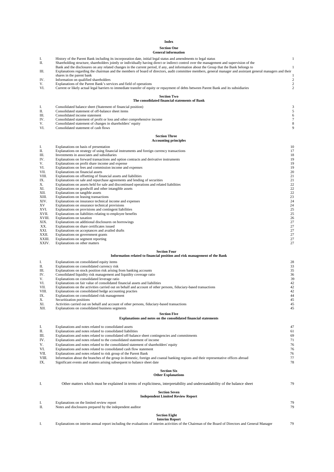#### **Index**

## **Section One General information**

|                 | General information                                                                                                                                                                                                                                                                                                                                                                                                                                                                                                                                                      |          |                                           |
|-----------------|--------------------------------------------------------------------------------------------------------------------------------------------------------------------------------------------------------------------------------------------------------------------------------------------------------------------------------------------------------------------------------------------------------------------------------------------------------------------------------------------------------------------------------------------------------------------------|----------|-------------------------------------------|
| I.<br>П.<br>Ш.  | History of the Parent Bank including its incorporation date, initial legal status and amendments to legal status<br>Shareholding structure, shareholders jointly or individually having direct or indirect control over the management and supervision of the<br>Bank and the disclosures on any related changes in the current period, if any, and information about the Group that the Bank belongs to<br>Explanations regarding the chairman and the members of board of directors, audit committee members, general manager and assistant general managers and their |          | 1<br>1                                    |
| IV.             | shares in the parent bank<br>Information on qualified shareholders                                                                                                                                                                                                                                                                                                                                                                                                                                                                                                       |          |                                           |
| V.<br>VI.       | Explanations of the Parent Bank's services and field of operations<br>Current or likely actual legal barriers to immediate transfer of equity or repayment of debts between Parent Bank and its subsidiaries                                                                                                                                                                                                                                                                                                                                                             |          | $\overline{\mathbf{c}}$<br>$\overline{c}$ |
|                 | <b>Section Two</b><br>The consolidated financial statements of Bank                                                                                                                                                                                                                                                                                                                                                                                                                                                                                                      |          |                                           |
| Ι.              | Consolidated balance sheet (Statement of financial position)                                                                                                                                                                                                                                                                                                                                                                                                                                                                                                             |          | 3                                         |
| П.<br>Ш.        | Consolidated statement of off-balance sheet items<br>Consolidated income statement                                                                                                                                                                                                                                                                                                                                                                                                                                                                                       |          | 5<br>6                                    |
| IV.<br>V.       | Consolidated statement of profit or loss and other comprehensive income<br>Consolidated statement of changes in shareholders' equity                                                                                                                                                                                                                                                                                                                                                                                                                                     |          | 7<br>8                                    |
| VI.             | Consolidated statement of cash flows                                                                                                                                                                                                                                                                                                                                                                                                                                                                                                                                     |          | 9                                         |
|                 | <b>Section Three</b><br><b>Accounting principles</b>                                                                                                                                                                                                                                                                                                                                                                                                                                                                                                                     |          |                                           |
| I.<br>П.        | Explanations on basis of presentation<br>Explanations on strategy of using financial instruments and foreign currency transactions                                                                                                                                                                                                                                                                                                                                                                                                                                       | 10<br>17 |                                           |
| Ш.              | Investments in associates and subsidiaries                                                                                                                                                                                                                                                                                                                                                                                                                                                                                                                               | 18       |                                           |
| IV.<br>V.       | Explanations on forward transactions and option contracts and derivative instruments<br>Explanations on profit share income and expense                                                                                                                                                                                                                                                                                                                                                                                                                                  | 19<br>19 |                                           |
| VI.             | Explanations on fees and commission income and expenses                                                                                                                                                                                                                                                                                                                                                                                                                                                                                                                  | 19       |                                           |
| VII.<br>VIII.   | Explanations on financial assets<br>Explanations on offsetting of financial assets and liabilities                                                                                                                                                                                                                                                                                                                                                                                                                                                                       | 20<br>21 |                                           |
| IX.             | Explanations on sale and repurchase agreements and lending of securities                                                                                                                                                                                                                                                                                                                                                                                                                                                                                                 | 21       |                                           |
| Х.<br>XI.       | Explanations on assets held for sale and discontinued operations and related liabilities<br>Explanations on goodwill and other intangible assets                                                                                                                                                                                                                                                                                                                                                                                                                         | 22<br>22 |                                           |
| XII.            | Explanations on tangible assets                                                                                                                                                                                                                                                                                                                                                                                                                                                                                                                                          | 22       |                                           |
| XIII.<br>XIV.   | Explanations on leasing transactions<br>Explanations on insurance technical income and expenses                                                                                                                                                                                                                                                                                                                                                                                                                                                                          | 23<br>24 |                                           |
| XV              | Explanations on insurance technical provisions                                                                                                                                                                                                                                                                                                                                                                                                                                                                                                                           | 24       |                                           |
| XVI.<br>XVII.   | Explanations on provisions and contingent liabilities<br>Explanations on liabilities relating to employee benefits                                                                                                                                                                                                                                                                                                                                                                                                                                                       | 25<br>25 |                                           |
| XVIII.          | Explanations on taxation<br>Explanations on additional disclosures on borrowings                                                                                                                                                                                                                                                                                                                                                                                                                                                                                         | 26<br>27 |                                           |
| XIX.<br>XX.     | Explanations on share certificates issued                                                                                                                                                                                                                                                                                                                                                                                                                                                                                                                                | 27       |                                           |
| XXI.<br>XXII.   | Explanations on acceptances and availed drafts<br>Explanations on government grants                                                                                                                                                                                                                                                                                                                                                                                                                                                                                      | 27<br>27 |                                           |
| XXIII.<br>XXIV. | Explanations on segment reporting<br>Explanations on other matters                                                                                                                                                                                                                                                                                                                                                                                                                                                                                                       | 27<br>27 |                                           |
|                 | <b>Section Four</b>                                                                                                                                                                                                                                                                                                                                                                                                                                                                                                                                                      |          |                                           |
|                 | Information related to financial position and risk management of the Bank                                                                                                                                                                                                                                                                                                                                                                                                                                                                                                |          |                                           |
| I.<br>П.        | Explanations on consolidated equity items<br>Explanations on consolidated currency risk                                                                                                                                                                                                                                                                                                                                                                                                                                                                                  | 28<br>33 |                                           |
| Ш.              | Explanations on stock position risk arising from banking accounts                                                                                                                                                                                                                                                                                                                                                                                                                                                                                                        | 35       |                                           |
| IV.<br>V.       | Consolidated liquidity risk management and liquidity coverage ratio<br>Explanations on consolidated leverage ratio                                                                                                                                                                                                                                                                                                                                                                                                                                                       | 36<br>39 |                                           |
| VI.             | Explanations on fair value of consolidated financial assets and liabilities<br>Explanations on the activities carried out on behalf and account of other persons, fiduciary-based transactions                                                                                                                                                                                                                                                                                                                                                                           | 42       |                                           |
| VII.<br>VIII.   | Explanations on consolidated hedge accounting practies                                                                                                                                                                                                                                                                                                                                                                                                                                                                                                                   | 42<br>42 |                                           |
| IX.             | Explanations on consolidated risk management                                                                                                                                                                                                                                                                                                                                                                                                                                                                                                                             | 44<br>45 |                                           |
| Х.<br>XI.       | Securitization positions<br>Activities carried out on behalf and account of other persons, fiduciary-based transactions                                                                                                                                                                                                                                                                                                                                                                                                                                                  | 45       |                                           |
| XII.            | Explanations on consolidated business segments<br><b>Section Five</b>                                                                                                                                                                                                                                                                                                                                                                                                                                                                                                    | 45       |                                           |
|                 | Explanations and notes on the consolidated financial statements                                                                                                                                                                                                                                                                                                                                                                                                                                                                                                          |          |                                           |
| I.<br>П.        | Explanations and notes related to consolidated assets<br>Explanations and notes related to consolidated liabilities                                                                                                                                                                                                                                                                                                                                                                                                                                                      | 47<br>61 |                                           |
| Ш.              | Explanations and notes related to consolidated off-balance sheet contingencies and commitments                                                                                                                                                                                                                                                                                                                                                                                                                                                                           | 69       |                                           |
| IV.             | Explanations and notes related to the consolidated statement of income                                                                                                                                                                                                                                                                                                                                                                                                                                                                                                   | 71       |                                           |
| V.<br>VI.       | Explanations and notes related to the consolidated statement of shareholders' equity<br>Explanations and notes related to consolidated cash flow statement                                                                                                                                                                                                                                                                                                                                                                                                               | 76<br>76 |                                           |
| VII.            | Explanations and notes related to risk group of the Parent Bank                                                                                                                                                                                                                                                                                                                                                                                                                                                                                                          | 76       |                                           |
| VIII.<br>IX.    | Information about the branches of the group in domestic, foreign and coastal banking regions and their representative offices abroad<br>Significant events and matters arising subsequent to balance sheet date                                                                                                                                                                                                                                                                                                                                                          | 77<br>78 |                                           |
|                 | <b>Section Six</b><br><b>Other Explanations</b>                                                                                                                                                                                                                                                                                                                                                                                                                                                                                                                          |          |                                           |
| I.              | Other matters which must be explained in terms of explicitness, interpretability and understandability of the balance sheet                                                                                                                                                                                                                                                                                                                                                                                                                                              | 79       |                                           |
|                 | <b>Section Seven</b><br><b>Independent Limited Review Report</b>                                                                                                                                                                                                                                                                                                                                                                                                                                                                                                         |          |                                           |
| I.<br>П.        | Explanations on the limited review report<br>Notes and disclosures prepared by the independent auditor                                                                                                                                                                                                                                                                                                                                                                                                                                                                   | 79<br>79 |                                           |
|                 |                                                                                                                                                                                                                                                                                                                                                                                                                                                                                                                                                                          |          |                                           |
|                 | <b>Section Eight</b><br><b>Interim Report</b>                                                                                                                                                                                                                                                                                                                                                                                                                                                                                                                            |          |                                           |
| Ι.              | Explanations on interim annual report including the evaluations of interim activities of the Chairman of the Board of Directors and General Manager                                                                                                                                                                                                                                                                                                                                                                                                                      | 79       |                                           |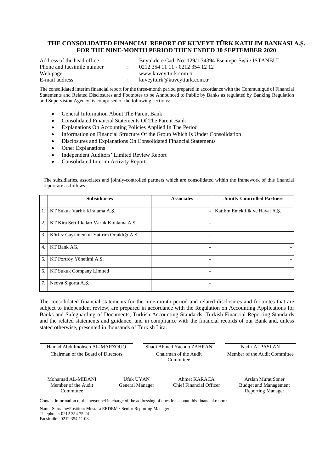## **THE CONSOLIDATED FINANCIAL REPORT OF KUVEYT TÜRK KATILIM BANKASI A.Ş. FOR THE NINE-MONTH PERIOD THEN ENDED 30 SEPTEMBER 2020**

| Address of the head office | Büyükdere Cad. No: 129/1 34394 Esentepe-Sisli / ISTANBUL |
|----------------------------|----------------------------------------------------------|
| Phone and facsimile number | 0212 354 11 11 - 0212 354 12 12                          |
| Web page                   | www.kuveytturk.com.tr                                    |
| E-mail address             | kuveytturk@kuveytturk.com.tr                             |

The consolidated interim financial report for the three-month period prepared in accordance with the Communiqué of Financial Statements and Related Disclosures and Footnotes to be Announced to Public by Banks as regulated by Banking Regulation and Supervision Agency, is comprised of the following sections:

- General Information About The Parent Bank
- Consolidated Financial Statements Of The Parent Bank
- Explanations On Accounting Policies Applied In The Period
- Information on Financial Structure Of the Group Which Is Under Consolidation
- Disclosures and Explanations On Consolidated Financial Statements
- Other Explanations
- Independent Auditors' Limited Review Report
- Consolidated Interim Activity Report

The subsidiaries, associates and jointly-controlled partners which are consolidated within the framework of this financial report are as follows:

|    | <b>Subsidiaries</b>                        | <b>Associates</b> | <b>Jointly-Controlled Partners</b> |
|----|--------------------------------------------|-------------------|------------------------------------|
| 1. | KT Sukuk Varlık Kiralama A.Ş.              |                   | Katılım Emeklilik ve Hayat A.Ş.    |
| 2. | KT Kira Sertifikaları Varlık Kiralama A.Ş. |                   |                                    |
| 3. | Körfez Gayrimenkul Yatırım Ortaklığı A.Ş.  |                   |                                    |
| 4. | KT Bank AG.                                |                   |                                    |
| 5. | KT Portföy Yönetimi A.S.                   |                   |                                    |
| 6. | KT Sukuk Company Limited                   |                   |                                    |
| 7. | Neova Sigorta A.S.                         |                   |                                    |

The consolidated financial statements for the nine-month period and related disclosures and footnotes that are subject to independent review, are prepared in accordance with the Regulation on Accounting Applications for Banks and Safeguarding of Documents, Turkish Accounting Standards, Turkish Financial Reporting Standards and the related statements and guidance, and in compliance with the financial records of our Bank and, unless stated otherwise, presented in thousands of Turkish Lira.

| Hamad Abdulmohsen AL-MARZOUQ                          |                              | Shadi Ahmed Yacoub ZAHRAN               | Nadir ALPASLAN                                                                 |
|-------------------------------------------------------|------------------------------|-----------------------------------------|--------------------------------------------------------------------------------|
| Chairman of the Board of Directors                    |                              | Chairman of the Audit<br>Committee      | Member of the Audit Committee                                                  |
| Mohamad AL-MIDANI<br>Member of the Audit<br>Committee | Ufuk UYAN<br>General Manager | Ahmet KARACA<br>Chief Financial Officer | Arslan Murat Soner<br><b>Budget and Management</b><br><b>Reporting Manager</b> |

Contact information of the personnel in charge of the addressing of questions about this financial report:

Name-Surname/Position: Mustafa ERDEM / Senior Reporting Manager

Telephone: 0212 354 75 24 Facsimile: 0212 354 11 03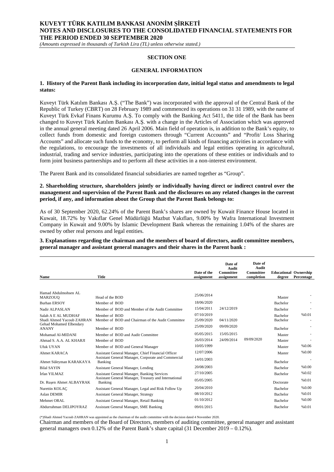*(Amounts expressed in thousands of Turkish Lira (TL) unless otherwise stated.)*

#### **SECTION ONE**

#### **GENERAL INFORMATION**

#### **1. History of the Parent Bank including its incorporation date, initial legal status and amendments to legal status:**

Kuveyt Türk Katılım Bankası A.Ş. ("The Bank") was incorporated with the approval of the Central Bank of the Republic of Turkey (CBRT) on 28 February 1989 and commenced its operations on 31 31 1989, with the name of Kuveyt Türk Evkaf Finans Kurumu A.Ş. To comply with the Banking Act 5411, the title of the Bank has been changed to Kuveyt Türk Katılım Bankası A.Ş. with a change in the Articles of Association which was approved in the annual general meeting dated 26 April 2006. Main field of operation is, in addition to the Bank's equity, to collect funds from domestic and foreign customers through "Current Accounts" and "Profit/ Loss Sharing Accounts" and allocate such funds to the economy, to perform all kinds of financing activities in accordance with the regulations, to encourage the investments of all individuals and legal entities operating in agricultural, industrial, trading and service industries, participating into the operations of these entities or individuals and to form joint business partnerships and to perform all these activities in a non-interest environment.

The Parent Bank and its consolidated financial subsidiaries are named together as "Group".

**2. Shareholding structure, shareholders jointly or individually having direct or indirect control over the management and supervision of the Parent Bank and the disclosures on any related changes in the current period, if any, and information about the Group that the Parent Bank belongs to:**

As of 30 September 2020, 62.24% of the Parent Bank's shares are owned by Kuwait Finance House located in Kuwait, 18.72% by Vakıflar Genel Müdürlüğü Mazbut Vakıfları, 9.00% by Wafra International Investment Company in Kuwait and 9.00% by Islamic Development Bank whereas the remaining 1.04% of the shares are owned by other real persons and legal entities.

**3. Explanations regarding the chairman and the members of board of directors, audit committee members, general manager and assistant general managers and their shares in the Parent bank :**

| <b>Name</b>                             | <b>Title</b>                                                     | Date of the<br>assignment | Date of<br>Audit<br>Committee<br>assignment | Date of<br>Audit<br>Committee<br>completion | <b>Educational Ownership</b><br>degree | Percentage |
|-----------------------------------------|------------------------------------------------------------------|---------------------------|---------------------------------------------|---------------------------------------------|----------------------------------------|------------|
| Hamad Abdulmohsen AL                    |                                                                  | 25/06/2014                |                                             |                                             |                                        |            |
| <b>MARZOUO</b>                          | Head of the BOD                                                  | 18/06/2020                |                                             |                                             | Master                                 |            |
| <b>Burhan ERSOY</b>                     | Member of BOD                                                    |                           |                                             |                                             | <b>Bachelor</b>                        |            |
| Nadir ALPASLAN                          | Member of BOD and Member of the Audit Committee                  | 15/04/2011                | 24/12/2019                                  |                                             | Bachelor                               |            |
| Salah A E AL MUDHAF                     | Member of BOD                                                    | 07/10/2019                |                                             |                                             | <b>Bachelor</b>                        | %0.01      |
| Shadi Ahmed Yacoub ZAHRAN               | Member of BOD and Chairman of the Audit Committee                | 25/09/2020                | 04/11/2020                                  |                                             | Bachelor                               |            |
| Gehad Mohamed Elbendary<br><b>ANANY</b> | Member of BOD                                                    | 25/09/2020                | 09/09/2020                                  |                                             | <b>Bachelor</b>                        |            |
| Mohamad Al-MIDANI                       | Member of BOD and Audit Committee                                | 05/05/2015                | 15/05/2015                                  |                                             | Master                                 |            |
| Ahmad S. A.A. AL KHARJI                 | Member of BOD                                                    | 26/03/2014                | 24/09/2014                                  | 09/09/2020                                  | Master                                 |            |
| Ufuk UYAN                               | Member of BOD and General Manager                                | 10/05/1999                |                                             |                                             | Master                                 | %0.06      |
| Ahmet KARACA                            | Assistant General Manager, Chief Financial Officer               | 12/07/2006                |                                             |                                             | Master                                 | %0.00      |
| Ahmet Süleyman KARAKAYA                 | Assistant General Manager, Corporate and Commercial<br>Banking   | 14/01/2003                |                                             |                                             | <b>Bachelor</b>                        |            |
| <b>Bilal SAYIN</b>                      | Assistant General Manager, Lending                               | 20/08/2003                |                                             |                                             | Bachelor                               | %0.00      |
| İrfan YILMAZ                            | <b>Assistant General Manager, Banking Services</b>               | 27/10/2005                |                                             |                                             | <b>Bachelor</b>                        | %0.02      |
| Dr. Rusen Ahmet ALBAYRAK                | Assistant General Manager, Treasury and International<br>Banking | 05/05/2005                |                                             |                                             | Doctorate                              | %0.01      |
| Nurettin KOLAC                          | Assistant General Manager, Legal and Risk Follow Up              | 20/04/2010                |                                             |                                             | <b>Bachelor</b>                        | %0.00      |
| Aslan DEMIR                             | <b>Assistant General Manager, Strategy</b>                       | 08/10/2012                |                                             |                                             | <b>Bachelor</b>                        | %0.01      |
| Mehmet ORAL                             | Assistant General Manager, Retail Banking                        | 01/10/2012                |                                             |                                             | Bachelor                               | %0.00      |
| Abdurrahman DELIPOYRAZ                  | <b>Assistant General Manager, SME Banking</b>                    | 09/01/2015                |                                             |                                             | <b>Bachelor</b>                        | %0.01      |

(\*)Shadi Ahmed Yacoub ZAHRAN was appointed as the chairman of the audit committee with the decision dated 4 November 2020.

Chairman and members of the Board of Directors, members of auditing committee, general manager and assistant general managers own 0.12% of the Parent Bank's share capital (31 December 2019 – 0.12%).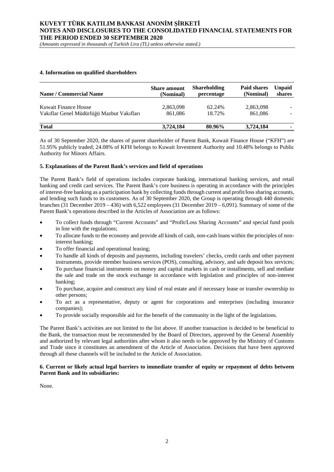*(Amounts expressed in thousands of Turkish Lira (TL) unless otherwise stated.)*

#### **4. Information on qualified shareholders**

| <b>Name / Commercial Name</b>             | <b>Share</b> amount<br>(Nominal) | <b>Shareholding</b><br>percentage | Paid shares<br>(Nominal) | <b>Unpaid</b><br>shares |
|-------------------------------------------|----------------------------------|-----------------------------------|--------------------------|-------------------------|
| Kuwait Finance House                      | 2,863,098                        | 62.24%                            | 2,863,098                |                         |
| Vakıflar Genel Müdürlüğü Mazbut Vakıfları | 861,086                          | 18.72%                            | 861.086                  |                         |
| <b>Total</b>                              | 3,724,184                        | 80.96%                            | 3,724,184                |                         |

As of 30 September 2020, the shares of parent shareholder of Parent Bank, Kuwait Finance House ("KFH") are 51.95% publicly traded; 24.08% of KFH belongs to Kuwait Investment Authority and 10.48% belongs to Public Authority for Minors Affairs.

#### **5. Explanations of the Parent Bank's services and field of operations**

The Parent Bank's field of operations includes corporate banking, international banking services, and retail banking and credit card services. The Parent Bank's core business is operating in accordance with the principles of interest-free banking as a participation bank by collecting funds through current and profit/loss sharing accounts, and lending such funds to its customers. As of 30 September 2020, the Group is operating through 440 domestic branches (31 December 2019 – 436) with 6,522 employees (31 December 2019 – 6,091). Summary of some of the Parent Bank's operations described in the Articles of Association are as follows:

- To collect funds through "Current Accounts" and "Profit/Loss Sharing Accounts" and special fund pools in line with the regulations;
- To allocate funds to the economy and provide all kinds of cash, non-cash loans within the principles of noninterest banking;
- To offer financial and operational leasing;
- To handle all kinds of deposits and payments, including travelers' checks, credit cards and other payment instruments, provide member business services (POS), consulting, advisory, and safe deposit box services;
- To purchase financial instruments on money and capital markets in cash or installments, sell and mediate the sale and trade on the stock exchange in accordance with legislation and principles of non-interest banking;
- To purchase, acquire and construct any kind of real estate and if necessary lease or transfer ownership to other persons;
- To act as a representative, deputy or agent for corporations and enterprises (including insurance companies);
- To provide socially responsible aid for the benefit of the community in the light of the legislations.

The Parent Bank's activities are not limited to the list above. If another transaction is decided to be beneficial to the Bank, the transaction must be recommended by the Board of Directors, approved by the General Assembly and authorized by relevant legal authorities after whom it also needs to be approved by the Ministry of Customs and Trade since it constitutes an amendment of the Article of Association. Decisions that have been approved through all these channels will be included to the Article of Association.

#### **6. Current or likely actual legal barriers to immediate transfer of equity or repayment of debts between Parent Bank and its subsidiaries:**

None.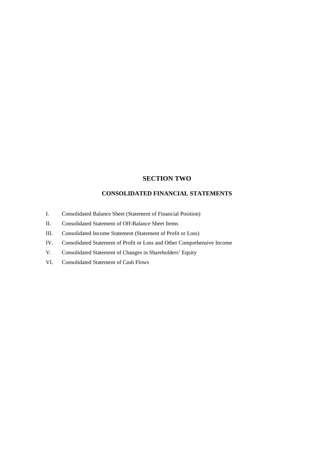## **SECTION TWO**

## **CONSOLIDATED FINANCIAL STATEMENTS**

- I. Consolidated Balance Sheet (Statement of Financial Position)
- II. Consolidated Statement of Off-Balance Sheet Items
- III. Consolidated Income Statement (Statement of Profit or Loss)
- IV. Consolidated Statement of Profit or Loss and Other Comprehensive Income
- V. Consolidated Statement of Changes in Shareholders' Equity
- VI. Consolidated Statement of Cash Flows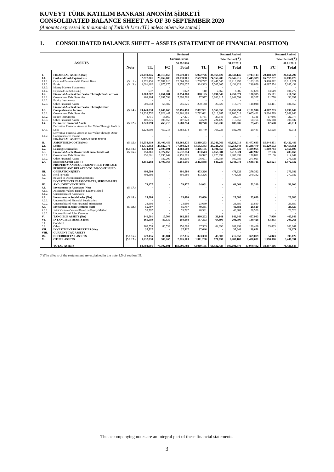## **KUVEYT TÜRK KATILIM BANKASI ANONİM ŞİRKETİ CONSOLIDATED BALANCE SHEET AS OF 30 SEPTEMBER 2020**

*(Amounts expressed in thousands of Turkish Lira (TL) unless otherwise stated.)*

#### **1. CONSOLIDATED BALANCE SHEET – ASSETS (STATEMENT OF FINANCIAL POSITION)**

| <b>Current Period</b><br>Prior Period (*)<br>Prior Period (*)<br><b>ASSETS</b><br>30.09.2020<br>31.12.2019<br>01.01.2019<br>TL<br>TL.<br>FC<br>FC<br>TL<br>FC<br><b>Note</b><br>Total<br>Total<br>Total<br>I.<br><b>FINANCIAL ASSETS (Net)</b><br>29,259,345<br>41,319,656<br>70,579,001<br>5,972,726<br>38,569,420<br>44,542,146<br>3,743,113<br>20.408.179<br>24,151,292<br>1.1.<br>2,277,301<br>28.039.901<br>24,952,285<br>27,645,215<br>1,445,339<br>16,252,737<br><b>Cash and Cash Equivalents</b><br>25,762,600<br>2,692,930<br>17,698,076<br>1.1.1.<br>Cash and Balances with Central Bank<br>1,276,456<br>22,064,266<br>1,768,747<br>17,447,545<br>19,216,292<br>1,183,109<br>9,428,812<br>10,611,921<br>(5.1.1.)<br>20,787,810<br>1.1.2.<br><b>Banks</b><br>1,001,482<br>4,975,175<br>8,431,928<br>6,887,574<br>(5.1.3.)<br>5,976,657<br>924,323<br>7,507,605<br>299,858<br>7,187,432<br>1.1.3.<br>Money Markets Placements<br>385<br>37,628<br>1.1.4.<br>Expected Credit Loss (-)<br>637<br>1,022<br>140<br>2,865<br>3,005<br>63,649<br>101,277<br>1.2.<br><b>Financial Assets at Fair Value Through Profit or Loss</b><br>8,354,388<br>368,125<br>4,259,671<br>136,375<br>75,181<br>211,556<br>1,303,207<br>7,051,181<br>3,891,546<br>1.2.1.<br>6,997,599<br>77,977<br><b>Government Debt Securities</b><br>401.164<br>7,398,763<br>3,863,617<br>3,941,594<br>18,327<br>11.770<br>30,097<br>1.2.2.<br><b>Equity Instruments</b><br>1.2.3.<br><b>Other Financial Assets</b><br>902,043<br>53,582<br>955,625<br>290,148<br>27,929<br>318,077<br>118,048<br>63,411<br>181,459<br><b>Financial Assets at Fair Value Through Other</b><br>1.3.<br>24,449,838<br>2.892.901<br>9,562,353<br>12,455,254<br>6,199,649<br><b>Comprehensive Income</b><br>(5.1.4.)<br>8,046,660<br>32,496,498<br>2,131,916<br>4,067,733<br>1.3.1.<br><b>Government Debt Securities</b><br>7,922,447<br>32,261,199<br>2,792,631<br>9,313,887<br>12,106,518<br>2,065,421<br>3,804,519<br>24,338,752<br>5,869,940<br>1.3.2.<br>18,660<br>27,371<br>27,346<br>33,077<br>17,046<br>22,777<br><b>Equity Instruments</b><br>8,711<br>5,731<br>5,731<br>1.3.3.<br>102,375<br>105,553<br>207,928<br>94,539<br>221,120<br>315,659<br>306,932<br><b>Other Financial Assets</b><br>60,764<br>246,168<br>1.4.<br>1,228,999<br>459,215<br>18,770<br>42,011<br><b>Derivative Financial Assets</b><br>(5.1.2.)<br>1,688,214<br>163,236<br>182,006<br>29,483<br>12,528<br>Derivative Financial Assets at Fair Value Through Profit or<br>1,228,999<br>459,215<br>1,688,214<br>18,770<br>163,236<br>182,006<br>29,483<br>12,528<br>42,011<br>1.4.1.<br>Loss<br>Derivative Financial Assets at Fair Value Through Other<br>1.4.2.<br>Comprehensive Income<br>$\sim$<br>FINANCIAL ASSETS MEASURED WITH<br>П.<br><b>AMORTISED COSTS (Net)</b><br>(5.1.5.)<br>50,558,919<br>33,409,456<br>83,968,375<br>32,889,253<br>27,246,766<br>60,136,019<br>31,477,635<br>15,944,851<br>47,422,486<br>2.1.<br>25,922,775<br>77,698,628<br>33,532,383<br>57,258,648<br>31,238,479<br>15,220,572<br>46,459,051<br>Loans<br>51,775,853<br>23,726,265<br>2.2.<br>2,374,498<br>2.509.191<br>1.406.165<br>1.301.355<br>2.707.520<br>1.439.955<br>1.010.744<br><b>Leasing Receivables</b><br>(5.1.10.)<br>4.883.689<br>2.450.699<br>2.3.<br>259,861<br>353,543<br>2,859,381<br><b>Financial Assets Measured At Amortized Cost</b><br>6,377,853<br>6,637,714<br>3,212,924<br>447,912<br>37,156<br>485.068<br>(5.1.6.)<br>2.3.1.<br>259,861<br>176,942<br>2.725.997<br>2.902.939<br><b>Government Debt Securities</b><br>6.195.644<br>6,455,505<br>176,891<br>37.156<br>214.047<br>2.3.2.<br><b>Other Financial Assets</b><br>182,209<br>182,209<br>176,601<br>133,384<br>309,985<br>271.021<br>271.021<br>2.4.<br>3,851,293<br>1,400,363<br>2,402,838<br>640,235<br>3,043,073<br>1,648,711<br>323,621<br>1,972,332<br><b>Expected Credit Loss (-)</b><br>5,251,656<br>PROPERTY AND EQUIPMENT HELD FOR SALE<br>PURPOSE AND RELATED TO DISCONTINUED<br>491,580<br>491,580<br>473,326<br>473,326<br>270,382<br>270,382<br>Ш.<br><b>OPERATIONS(NET)</b><br>270,382<br>3.1.<br><b>Held For Sale</b><br>491,580<br>491,580<br>473,326<br>473,326<br>270,382<br>٠<br>$\overline{\phantom{a}}$<br>3.2.<br>Related to Discontinued Operations<br>$\sim$<br>INVESTMENTS IN ASSOCIATES, SUBSIDIARIES<br>IV.<br><b>AND JOINT VENTURES</b><br>79,477<br>79,477<br>64.061<br>64.061<br>52,200<br>52,200<br>4.1.<br>(5.1.7.)<br><b>Investments in Associates (Net)</b><br>4.1.1.<br>Associates Valued Based on Equity Method<br>4.1.2.<br><b>Unconsolidated Associates</b><br>4.2.<br>23,680<br>23,680<br><b>Investment in Subsidiaries (Net)</b><br>(5.1.8.)<br>23,680<br>23,680<br>23,680<br>23,680<br>4.2.1.<br>Unconsolidated Financial Subsidiaries<br>4.2.2.<br>23,680<br>Unconsolidated Non-Financial Subsidiaries<br>23,680<br>23,680<br>23,680<br>23.680<br>23.680<br>4.3.<br>40.381<br>40.381<br>28,520<br><b>Investment in Joint Ventures (Net)</b><br>(5.1.9.)<br>55,797<br>55,797<br>28,520<br>4.3.1.<br>Joint Ventures Valued Based on Equity Method<br>40,381<br>40,381<br>28,520<br>28,520<br>55,797<br>55,797<br>4.3.2.<br>Unconsolidated Joint Ventures<br>V.<br><b>TANGIBLE ASSETS (Net)</b><br>846,501<br>15,704<br>862,205<br>810,202<br>36,141<br>846.343<br>457.943<br>7.900<br>465,843<br>VI.<br><b>INTANGIBLE ASSETS (Net)</b><br>169,559<br>80,539<br>250,098<br>137,303<br>64,696<br>201,999<br>63,833<br>203,261<br>139,428<br>6.1.<br>Goodwill<br>6.2.<br>Other<br>137,303<br>139,428<br>203,261<br>169,559<br>80,539<br>250,098<br>64,696<br>201,999<br>63,833<br>VII.<br><b>INVESTMENT PROPERTIES (Net)</b><br>37,527<br>37,527<br>37,646<br>37,646<br>29,671<br>29,671<br>VIII.<br><b>CURRENT TAX ASSETS</b><br>IX.<br><b>DEFERRED TAX ASSETS</b><br>623.155<br>89.181<br>712.336<br>373.350<br>43.503<br>416.853<br>359,079<br>34,043<br>393.122<br>(5.1.15.)<br>X.<br><b>OTHER ASSETS</b><br>(5.1.17.)<br>1,637,838<br>388,265<br>2,026,103<br>1,311,288<br>971,897<br>2,283,185<br>1,450,031<br>1,998,360<br>3,448,391<br>75,302,801<br>37,979,482<br><b>TOTAL ASSETS</b><br>83,703,901<br>159,006,702<br>42,069,155<br>66,932,423<br>109,001,578<br>38,457,166<br>76,436,648 |  |  | <b>Reviewed</b> |  | <b>Restated Audited</b> |  | <b>Restated Audited</b> |
|--------------------------------------------------------------------------------------------------------------------------------------------------------------------------------------------------------------------------------------------------------------------------------------------------------------------------------------------------------------------------------------------------------------------------------------------------------------------------------------------------------------------------------------------------------------------------------------------------------------------------------------------------------------------------------------------------------------------------------------------------------------------------------------------------------------------------------------------------------------------------------------------------------------------------------------------------------------------------------------------------------------------------------------------------------------------------------------------------------------------------------------------------------------------------------------------------------------------------------------------------------------------------------------------------------------------------------------------------------------------------------------------------------------------------------------------------------------------------------------------------------------------------------------------------------------------------------------------------------------------------------------------------------------------------------------------------------------------------------------------------------------------------------------------------------------------------------------------------------------------------------------------------------------------------------------------------------------------------------------------------------------------------------------------------------------------------------------------------------------------------------------------------------------------------------------------------------------------------------------------------------------------------------------------------------------------------------------------------------------------------------------------------------------------------------------------------------------------------------------------------------------------------------------------------------------------------------------------------------------------------------------------------------------------------------------------------------------------------------------------------------------------------------------------------------------------------------------------------------------------------------------------------------------------------------------------------------------------------------------------------------------------------------------------------------------------------------------------------------------------------------------------------------------------------------------------------------------------------------------------------------------------------------------------------------------------------------------------------------------------------------------------------------------------------------------------------------------------------------------------------------------------------------------------------------------------------------------------------------------------------------------------------------------------------------------------------------------------------------------------------------------------------------------------------------------------------------------------------------------------------------------------------------------------------------------------------------------------------------------------------------------------------------------------------------------------------------------------------------------------------------------------------------------------------------------------------------------------------------------------------------------------------------------------------------------------------------------------------------------------------------------------------------------------------------------------------------------------------------------------------------------------------------------------------------------------------------------------------------------------------------------------------------------------------------------------------------------------------------------------------------------------------------------------------------------------------------------------------------------------------------------------------------------------------------------------------------------------------------------------------------------------------------------------------------------------------------------------------------------------------------------------------------------------------------------------------------------------------------------------------------------------------------------------------------------------------------------------------------------------------------------------------------------------------------------------------------------------------------------------------------------------------------------------------------------------------------------------------------------------------------------------------------------------------------------------------------------------------------------------------------------------------------------------------------------------------------------------------------------------------------------------------------------------------------------------------------------------------------------------------------------------------------------------------------------------------------------------------------------------------------------------------------------------------------------------------------------------------------------------|--|--|-----------------|--|-------------------------|--|-------------------------|
|                                                                                                                                                                                                                                                                                                                                                                                                                                                                                                                                                                                                                                                                                                                                                                                                                                                                                                                                                                                                                                                                                                                                                                                                                                                                                                                                                                                                                                                                                                                                                                                                                                                                                                                                                                                                                                                                                                                                                                                                                                                                                                                                                                                                                                                                                                                                                                                                                                                                                                                                                                                                                                                                                                                                                                                                                                                                                                                                                                                                                                                                                                                                                                                                                                                                                                                                                                                                                                                                                                                                                                                                                                                                                                                                                                                                                                                                                                                                                                                                                                                                                                                                                                                                                                                                                                                                                                                                                                                                                                                                                                                                                                                                                                                                                                                                                                                                                                                                                                                                                                                                                                                                                                                                                                                                                                                                                                                                                                                                                                                                                                                                                                                                                                                                                                                                                                                                                                                                                                                                                                                                                                                                                                                                                                            |  |  |                 |  |                         |  |                         |
|                                                                                                                                                                                                                                                                                                                                                                                                                                                                                                                                                                                                                                                                                                                                                                                                                                                                                                                                                                                                                                                                                                                                                                                                                                                                                                                                                                                                                                                                                                                                                                                                                                                                                                                                                                                                                                                                                                                                                                                                                                                                                                                                                                                                                                                                                                                                                                                                                                                                                                                                                                                                                                                                                                                                                                                                                                                                                                                                                                                                                                                                                                                                                                                                                                                                                                                                                                                                                                                                                                                                                                                                                                                                                                                                                                                                                                                                                                                                                                                                                                                                                                                                                                                                                                                                                                                                                                                                                                                                                                                                                                                                                                                                                                                                                                                                                                                                                                                                                                                                                                                                                                                                                                                                                                                                                                                                                                                                                                                                                                                                                                                                                                                                                                                                                                                                                                                                                                                                                                                                                                                                                                                                                                                                                                            |  |  |                 |  |                         |  |                         |
|                                                                                                                                                                                                                                                                                                                                                                                                                                                                                                                                                                                                                                                                                                                                                                                                                                                                                                                                                                                                                                                                                                                                                                                                                                                                                                                                                                                                                                                                                                                                                                                                                                                                                                                                                                                                                                                                                                                                                                                                                                                                                                                                                                                                                                                                                                                                                                                                                                                                                                                                                                                                                                                                                                                                                                                                                                                                                                                                                                                                                                                                                                                                                                                                                                                                                                                                                                                                                                                                                                                                                                                                                                                                                                                                                                                                                                                                                                                                                                                                                                                                                                                                                                                                                                                                                                                                                                                                                                                                                                                                                                                                                                                                                                                                                                                                                                                                                                                                                                                                                                                                                                                                                                                                                                                                                                                                                                                                                                                                                                                                                                                                                                                                                                                                                                                                                                                                                                                                                                                                                                                                                                                                                                                                                                            |  |  |                 |  |                         |  |                         |
|                                                                                                                                                                                                                                                                                                                                                                                                                                                                                                                                                                                                                                                                                                                                                                                                                                                                                                                                                                                                                                                                                                                                                                                                                                                                                                                                                                                                                                                                                                                                                                                                                                                                                                                                                                                                                                                                                                                                                                                                                                                                                                                                                                                                                                                                                                                                                                                                                                                                                                                                                                                                                                                                                                                                                                                                                                                                                                                                                                                                                                                                                                                                                                                                                                                                                                                                                                                                                                                                                                                                                                                                                                                                                                                                                                                                                                                                                                                                                                                                                                                                                                                                                                                                                                                                                                                                                                                                                                                                                                                                                                                                                                                                                                                                                                                                                                                                                                                                                                                                                                                                                                                                                                                                                                                                                                                                                                                                                                                                                                                                                                                                                                                                                                                                                                                                                                                                                                                                                                                                                                                                                                                                                                                                                                            |  |  |                 |  |                         |  |                         |
|                                                                                                                                                                                                                                                                                                                                                                                                                                                                                                                                                                                                                                                                                                                                                                                                                                                                                                                                                                                                                                                                                                                                                                                                                                                                                                                                                                                                                                                                                                                                                                                                                                                                                                                                                                                                                                                                                                                                                                                                                                                                                                                                                                                                                                                                                                                                                                                                                                                                                                                                                                                                                                                                                                                                                                                                                                                                                                                                                                                                                                                                                                                                                                                                                                                                                                                                                                                                                                                                                                                                                                                                                                                                                                                                                                                                                                                                                                                                                                                                                                                                                                                                                                                                                                                                                                                                                                                                                                                                                                                                                                                                                                                                                                                                                                                                                                                                                                                                                                                                                                                                                                                                                                                                                                                                                                                                                                                                                                                                                                                                                                                                                                                                                                                                                                                                                                                                                                                                                                                                                                                                                                                                                                                                                                            |  |  |                 |  |                         |  |                         |
|                                                                                                                                                                                                                                                                                                                                                                                                                                                                                                                                                                                                                                                                                                                                                                                                                                                                                                                                                                                                                                                                                                                                                                                                                                                                                                                                                                                                                                                                                                                                                                                                                                                                                                                                                                                                                                                                                                                                                                                                                                                                                                                                                                                                                                                                                                                                                                                                                                                                                                                                                                                                                                                                                                                                                                                                                                                                                                                                                                                                                                                                                                                                                                                                                                                                                                                                                                                                                                                                                                                                                                                                                                                                                                                                                                                                                                                                                                                                                                                                                                                                                                                                                                                                                                                                                                                                                                                                                                                                                                                                                                                                                                                                                                                                                                                                                                                                                                                                                                                                                                                                                                                                                                                                                                                                                                                                                                                                                                                                                                                                                                                                                                                                                                                                                                                                                                                                                                                                                                                                                                                                                                                                                                                                                                            |  |  |                 |  |                         |  |                         |
|                                                                                                                                                                                                                                                                                                                                                                                                                                                                                                                                                                                                                                                                                                                                                                                                                                                                                                                                                                                                                                                                                                                                                                                                                                                                                                                                                                                                                                                                                                                                                                                                                                                                                                                                                                                                                                                                                                                                                                                                                                                                                                                                                                                                                                                                                                                                                                                                                                                                                                                                                                                                                                                                                                                                                                                                                                                                                                                                                                                                                                                                                                                                                                                                                                                                                                                                                                                                                                                                                                                                                                                                                                                                                                                                                                                                                                                                                                                                                                                                                                                                                                                                                                                                                                                                                                                                                                                                                                                                                                                                                                                                                                                                                                                                                                                                                                                                                                                                                                                                                                                                                                                                                                                                                                                                                                                                                                                                                                                                                                                                                                                                                                                                                                                                                                                                                                                                                                                                                                                                                                                                                                                                                                                                                                            |  |  |                 |  |                         |  |                         |
|                                                                                                                                                                                                                                                                                                                                                                                                                                                                                                                                                                                                                                                                                                                                                                                                                                                                                                                                                                                                                                                                                                                                                                                                                                                                                                                                                                                                                                                                                                                                                                                                                                                                                                                                                                                                                                                                                                                                                                                                                                                                                                                                                                                                                                                                                                                                                                                                                                                                                                                                                                                                                                                                                                                                                                                                                                                                                                                                                                                                                                                                                                                                                                                                                                                                                                                                                                                                                                                                                                                                                                                                                                                                                                                                                                                                                                                                                                                                                                                                                                                                                                                                                                                                                                                                                                                                                                                                                                                                                                                                                                                                                                                                                                                                                                                                                                                                                                                                                                                                                                                                                                                                                                                                                                                                                                                                                                                                                                                                                                                                                                                                                                                                                                                                                                                                                                                                                                                                                                                                                                                                                                                                                                                                                                            |  |  |                 |  |                         |  |                         |
|                                                                                                                                                                                                                                                                                                                                                                                                                                                                                                                                                                                                                                                                                                                                                                                                                                                                                                                                                                                                                                                                                                                                                                                                                                                                                                                                                                                                                                                                                                                                                                                                                                                                                                                                                                                                                                                                                                                                                                                                                                                                                                                                                                                                                                                                                                                                                                                                                                                                                                                                                                                                                                                                                                                                                                                                                                                                                                                                                                                                                                                                                                                                                                                                                                                                                                                                                                                                                                                                                                                                                                                                                                                                                                                                                                                                                                                                                                                                                                                                                                                                                                                                                                                                                                                                                                                                                                                                                                                                                                                                                                                                                                                                                                                                                                                                                                                                                                                                                                                                                                                                                                                                                                                                                                                                                                                                                                                                                                                                                                                                                                                                                                                                                                                                                                                                                                                                                                                                                                                                                                                                                                                                                                                                                                            |  |  |                 |  |                         |  |                         |
|                                                                                                                                                                                                                                                                                                                                                                                                                                                                                                                                                                                                                                                                                                                                                                                                                                                                                                                                                                                                                                                                                                                                                                                                                                                                                                                                                                                                                                                                                                                                                                                                                                                                                                                                                                                                                                                                                                                                                                                                                                                                                                                                                                                                                                                                                                                                                                                                                                                                                                                                                                                                                                                                                                                                                                                                                                                                                                                                                                                                                                                                                                                                                                                                                                                                                                                                                                                                                                                                                                                                                                                                                                                                                                                                                                                                                                                                                                                                                                                                                                                                                                                                                                                                                                                                                                                                                                                                                                                                                                                                                                                                                                                                                                                                                                                                                                                                                                                                                                                                                                                                                                                                                                                                                                                                                                                                                                                                                                                                                                                                                                                                                                                                                                                                                                                                                                                                                                                                                                                                                                                                                                                                                                                                                                            |  |  |                 |  |                         |  |                         |
|                                                                                                                                                                                                                                                                                                                                                                                                                                                                                                                                                                                                                                                                                                                                                                                                                                                                                                                                                                                                                                                                                                                                                                                                                                                                                                                                                                                                                                                                                                                                                                                                                                                                                                                                                                                                                                                                                                                                                                                                                                                                                                                                                                                                                                                                                                                                                                                                                                                                                                                                                                                                                                                                                                                                                                                                                                                                                                                                                                                                                                                                                                                                                                                                                                                                                                                                                                                                                                                                                                                                                                                                                                                                                                                                                                                                                                                                                                                                                                                                                                                                                                                                                                                                                                                                                                                                                                                                                                                                                                                                                                                                                                                                                                                                                                                                                                                                                                                                                                                                                                                                                                                                                                                                                                                                                                                                                                                                                                                                                                                                                                                                                                                                                                                                                                                                                                                                                                                                                                                                                                                                                                                                                                                                                                            |  |  |                 |  |                         |  |                         |
|                                                                                                                                                                                                                                                                                                                                                                                                                                                                                                                                                                                                                                                                                                                                                                                                                                                                                                                                                                                                                                                                                                                                                                                                                                                                                                                                                                                                                                                                                                                                                                                                                                                                                                                                                                                                                                                                                                                                                                                                                                                                                                                                                                                                                                                                                                                                                                                                                                                                                                                                                                                                                                                                                                                                                                                                                                                                                                                                                                                                                                                                                                                                                                                                                                                                                                                                                                                                                                                                                                                                                                                                                                                                                                                                                                                                                                                                                                                                                                                                                                                                                                                                                                                                                                                                                                                                                                                                                                                                                                                                                                                                                                                                                                                                                                                                                                                                                                                                                                                                                                                                                                                                                                                                                                                                                                                                                                                                                                                                                                                                                                                                                                                                                                                                                                                                                                                                                                                                                                                                                                                                                                                                                                                                                                            |  |  |                 |  |                         |  |                         |
|                                                                                                                                                                                                                                                                                                                                                                                                                                                                                                                                                                                                                                                                                                                                                                                                                                                                                                                                                                                                                                                                                                                                                                                                                                                                                                                                                                                                                                                                                                                                                                                                                                                                                                                                                                                                                                                                                                                                                                                                                                                                                                                                                                                                                                                                                                                                                                                                                                                                                                                                                                                                                                                                                                                                                                                                                                                                                                                                                                                                                                                                                                                                                                                                                                                                                                                                                                                                                                                                                                                                                                                                                                                                                                                                                                                                                                                                                                                                                                                                                                                                                                                                                                                                                                                                                                                                                                                                                                                                                                                                                                                                                                                                                                                                                                                                                                                                                                                                                                                                                                                                                                                                                                                                                                                                                                                                                                                                                                                                                                                                                                                                                                                                                                                                                                                                                                                                                                                                                                                                                                                                                                                                                                                                                                            |  |  |                 |  |                         |  |                         |
|                                                                                                                                                                                                                                                                                                                                                                                                                                                                                                                                                                                                                                                                                                                                                                                                                                                                                                                                                                                                                                                                                                                                                                                                                                                                                                                                                                                                                                                                                                                                                                                                                                                                                                                                                                                                                                                                                                                                                                                                                                                                                                                                                                                                                                                                                                                                                                                                                                                                                                                                                                                                                                                                                                                                                                                                                                                                                                                                                                                                                                                                                                                                                                                                                                                                                                                                                                                                                                                                                                                                                                                                                                                                                                                                                                                                                                                                                                                                                                                                                                                                                                                                                                                                                                                                                                                                                                                                                                                                                                                                                                                                                                                                                                                                                                                                                                                                                                                                                                                                                                                                                                                                                                                                                                                                                                                                                                                                                                                                                                                                                                                                                                                                                                                                                                                                                                                                                                                                                                                                                                                                                                                                                                                                                                            |  |  |                 |  |                         |  |                         |
|                                                                                                                                                                                                                                                                                                                                                                                                                                                                                                                                                                                                                                                                                                                                                                                                                                                                                                                                                                                                                                                                                                                                                                                                                                                                                                                                                                                                                                                                                                                                                                                                                                                                                                                                                                                                                                                                                                                                                                                                                                                                                                                                                                                                                                                                                                                                                                                                                                                                                                                                                                                                                                                                                                                                                                                                                                                                                                                                                                                                                                                                                                                                                                                                                                                                                                                                                                                                                                                                                                                                                                                                                                                                                                                                                                                                                                                                                                                                                                                                                                                                                                                                                                                                                                                                                                                                                                                                                                                                                                                                                                                                                                                                                                                                                                                                                                                                                                                                                                                                                                                                                                                                                                                                                                                                                                                                                                                                                                                                                                                                                                                                                                                                                                                                                                                                                                                                                                                                                                                                                                                                                                                                                                                                                                            |  |  |                 |  |                         |  |                         |
|                                                                                                                                                                                                                                                                                                                                                                                                                                                                                                                                                                                                                                                                                                                                                                                                                                                                                                                                                                                                                                                                                                                                                                                                                                                                                                                                                                                                                                                                                                                                                                                                                                                                                                                                                                                                                                                                                                                                                                                                                                                                                                                                                                                                                                                                                                                                                                                                                                                                                                                                                                                                                                                                                                                                                                                                                                                                                                                                                                                                                                                                                                                                                                                                                                                                                                                                                                                                                                                                                                                                                                                                                                                                                                                                                                                                                                                                                                                                                                                                                                                                                                                                                                                                                                                                                                                                                                                                                                                                                                                                                                                                                                                                                                                                                                                                                                                                                                                                                                                                                                                                                                                                                                                                                                                                                                                                                                                                                                                                                                                                                                                                                                                                                                                                                                                                                                                                                                                                                                                                                                                                                                                                                                                                                                            |  |  |                 |  |                         |  |                         |
|                                                                                                                                                                                                                                                                                                                                                                                                                                                                                                                                                                                                                                                                                                                                                                                                                                                                                                                                                                                                                                                                                                                                                                                                                                                                                                                                                                                                                                                                                                                                                                                                                                                                                                                                                                                                                                                                                                                                                                                                                                                                                                                                                                                                                                                                                                                                                                                                                                                                                                                                                                                                                                                                                                                                                                                                                                                                                                                                                                                                                                                                                                                                                                                                                                                                                                                                                                                                                                                                                                                                                                                                                                                                                                                                                                                                                                                                                                                                                                                                                                                                                                                                                                                                                                                                                                                                                                                                                                                                                                                                                                                                                                                                                                                                                                                                                                                                                                                                                                                                                                                                                                                                                                                                                                                                                                                                                                                                                                                                                                                                                                                                                                                                                                                                                                                                                                                                                                                                                                                                                                                                                                                                                                                                                                            |  |  |                 |  |                         |  |                         |
|                                                                                                                                                                                                                                                                                                                                                                                                                                                                                                                                                                                                                                                                                                                                                                                                                                                                                                                                                                                                                                                                                                                                                                                                                                                                                                                                                                                                                                                                                                                                                                                                                                                                                                                                                                                                                                                                                                                                                                                                                                                                                                                                                                                                                                                                                                                                                                                                                                                                                                                                                                                                                                                                                                                                                                                                                                                                                                                                                                                                                                                                                                                                                                                                                                                                                                                                                                                                                                                                                                                                                                                                                                                                                                                                                                                                                                                                                                                                                                                                                                                                                                                                                                                                                                                                                                                                                                                                                                                                                                                                                                                                                                                                                                                                                                                                                                                                                                                                                                                                                                                                                                                                                                                                                                                                                                                                                                                                                                                                                                                                                                                                                                                                                                                                                                                                                                                                                                                                                                                                                                                                                                                                                                                                                                            |  |  |                 |  |                         |  |                         |
|                                                                                                                                                                                                                                                                                                                                                                                                                                                                                                                                                                                                                                                                                                                                                                                                                                                                                                                                                                                                                                                                                                                                                                                                                                                                                                                                                                                                                                                                                                                                                                                                                                                                                                                                                                                                                                                                                                                                                                                                                                                                                                                                                                                                                                                                                                                                                                                                                                                                                                                                                                                                                                                                                                                                                                                                                                                                                                                                                                                                                                                                                                                                                                                                                                                                                                                                                                                                                                                                                                                                                                                                                                                                                                                                                                                                                                                                                                                                                                                                                                                                                                                                                                                                                                                                                                                                                                                                                                                                                                                                                                                                                                                                                                                                                                                                                                                                                                                                                                                                                                                                                                                                                                                                                                                                                                                                                                                                                                                                                                                                                                                                                                                                                                                                                                                                                                                                                                                                                                                                                                                                                                                                                                                                                                            |  |  |                 |  |                         |  |                         |
|                                                                                                                                                                                                                                                                                                                                                                                                                                                                                                                                                                                                                                                                                                                                                                                                                                                                                                                                                                                                                                                                                                                                                                                                                                                                                                                                                                                                                                                                                                                                                                                                                                                                                                                                                                                                                                                                                                                                                                                                                                                                                                                                                                                                                                                                                                                                                                                                                                                                                                                                                                                                                                                                                                                                                                                                                                                                                                                                                                                                                                                                                                                                                                                                                                                                                                                                                                                                                                                                                                                                                                                                                                                                                                                                                                                                                                                                                                                                                                                                                                                                                                                                                                                                                                                                                                                                                                                                                                                                                                                                                                                                                                                                                                                                                                                                                                                                                                                                                                                                                                                                                                                                                                                                                                                                                                                                                                                                                                                                                                                                                                                                                                                                                                                                                                                                                                                                                                                                                                                                                                                                                                                                                                                                                                            |  |  |                 |  |                         |  |                         |
|                                                                                                                                                                                                                                                                                                                                                                                                                                                                                                                                                                                                                                                                                                                                                                                                                                                                                                                                                                                                                                                                                                                                                                                                                                                                                                                                                                                                                                                                                                                                                                                                                                                                                                                                                                                                                                                                                                                                                                                                                                                                                                                                                                                                                                                                                                                                                                                                                                                                                                                                                                                                                                                                                                                                                                                                                                                                                                                                                                                                                                                                                                                                                                                                                                                                                                                                                                                                                                                                                                                                                                                                                                                                                                                                                                                                                                                                                                                                                                                                                                                                                                                                                                                                                                                                                                                                                                                                                                                                                                                                                                                                                                                                                                                                                                                                                                                                                                                                                                                                                                                                                                                                                                                                                                                                                                                                                                                                                                                                                                                                                                                                                                                                                                                                                                                                                                                                                                                                                                                                                                                                                                                                                                                                                                            |  |  |                 |  |                         |  |                         |
|                                                                                                                                                                                                                                                                                                                                                                                                                                                                                                                                                                                                                                                                                                                                                                                                                                                                                                                                                                                                                                                                                                                                                                                                                                                                                                                                                                                                                                                                                                                                                                                                                                                                                                                                                                                                                                                                                                                                                                                                                                                                                                                                                                                                                                                                                                                                                                                                                                                                                                                                                                                                                                                                                                                                                                                                                                                                                                                                                                                                                                                                                                                                                                                                                                                                                                                                                                                                                                                                                                                                                                                                                                                                                                                                                                                                                                                                                                                                                                                                                                                                                                                                                                                                                                                                                                                                                                                                                                                                                                                                                                                                                                                                                                                                                                                                                                                                                                                                                                                                                                                                                                                                                                                                                                                                                                                                                                                                                                                                                                                                                                                                                                                                                                                                                                                                                                                                                                                                                                                                                                                                                                                                                                                                                                            |  |  |                 |  |                         |  |                         |
|                                                                                                                                                                                                                                                                                                                                                                                                                                                                                                                                                                                                                                                                                                                                                                                                                                                                                                                                                                                                                                                                                                                                                                                                                                                                                                                                                                                                                                                                                                                                                                                                                                                                                                                                                                                                                                                                                                                                                                                                                                                                                                                                                                                                                                                                                                                                                                                                                                                                                                                                                                                                                                                                                                                                                                                                                                                                                                                                                                                                                                                                                                                                                                                                                                                                                                                                                                                                                                                                                                                                                                                                                                                                                                                                                                                                                                                                                                                                                                                                                                                                                                                                                                                                                                                                                                                                                                                                                                                                                                                                                                                                                                                                                                                                                                                                                                                                                                                                                                                                                                                                                                                                                                                                                                                                                                                                                                                                                                                                                                                                                                                                                                                                                                                                                                                                                                                                                                                                                                                                                                                                                                                                                                                                                                            |  |  |                 |  |                         |  |                         |
|                                                                                                                                                                                                                                                                                                                                                                                                                                                                                                                                                                                                                                                                                                                                                                                                                                                                                                                                                                                                                                                                                                                                                                                                                                                                                                                                                                                                                                                                                                                                                                                                                                                                                                                                                                                                                                                                                                                                                                                                                                                                                                                                                                                                                                                                                                                                                                                                                                                                                                                                                                                                                                                                                                                                                                                                                                                                                                                                                                                                                                                                                                                                                                                                                                                                                                                                                                                                                                                                                                                                                                                                                                                                                                                                                                                                                                                                                                                                                                                                                                                                                                                                                                                                                                                                                                                                                                                                                                                                                                                                                                                                                                                                                                                                                                                                                                                                                                                                                                                                                                                                                                                                                                                                                                                                                                                                                                                                                                                                                                                                                                                                                                                                                                                                                                                                                                                                                                                                                                                                                                                                                                                                                                                                                                            |  |  |                 |  |                         |  |                         |
|                                                                                                                                                                                                                                                                                                                                                                                                                                                                                                                                                                                                                                                                                                                                                                                                                                                                                                                                                                                                                                                                                                                                                                                                                                                                                                                                                                                                                                                                                                                                                                                                                                                                                                                                                                                                                                                                                                                                                                                                                                                                                                                                                                                                                                                                                                                                                                                                                                                                                                                                                                                                                                                                                                                                                                                                                                                                                                                                                                                                                                                                                                                                                                                                                                                                                                                                                                                                                                                                                                                                                                                                                                                                                                                                                                                                                                                                                                                                                                                                                                                                                                                                                                                                                                                                                                                                                                                                                                                                                                                                                                                                                                                                                                                                                                                                                                                                                                                                                                                                                                                                                                                                                                                                                                                                                                                                                                                                                                                                                                                                                                                                                                                                                                                                                                                                                                                                                                                                                                                                                                                                                                                                                                                                                                            |  |  |                 |  |                         |  |                         |
|                                                                                                                                                                                                                                                                                                                                                                                                                                                                                                                                                                                                                                                                                                                                                                                                                                                                                                                                                                                                                                                                                                                                                                                                                                                                                                                                                                                                                                                                                                                                                                                                                                                                                                                                                                                                                                                                                                                                                                                                                                                                                                                                                                                                                                                                                                                                                                                                                                                                                                                                                                                                                                                                                                                                                                                                                                                                                                                                                                                                                                                                                                                                                                                                                                                                                                                                                                                                                                                                                                                                                                                                                                                                                                                                                                                                                                                                                                                                                                                                                                                                                                                                                                                                                                                                                                                                                                                                                                                                                                                                                                                                                                                                                                                                                                                                                                                                                                                                                                                                                                                                                                                                                                                                                                                                                                                                                                                                                                                                                                                                                                                                                                                                                                                                                                                                                                                                                                                                                                                                                                                                                                                                                                                                                                            |  |  |                 |  |                         |  |                         |
|                                                                                                                                                                                                                                                                                                                                                                                                                                                                                                                                                                                                                                                                                                                                                                                                                                                                                                                                                                                                                                                                                                                                                                                                                                                                                                                                                                                                                                                                                                                                                                                                                                                                                                                                                                                                                                                                                                                                                                                                                                                                                                                                                                                                                                                                                                                                                                                                                                                                                                                                                                                                                                                                                                                                                                                                                                                                                                                                                                                                                                                                                                                                                                                                                                                                                                                                                                                                                                                                                                                                                                                                                                                                                                                                                                                                                                                                                                                                                                                                                                                                                                                                                                                                                                                                                                                                                                                                                                                                                                                                                                                                                                                                                                                                                                                                                                                                                                                                                                                                                                                                                                                                                                                                                                                                                                                                                                                                                                                                                                                                                                                                                                                                                                                                                                                                                                                                                                                                                                                                                                                                                                                                                                                                                                            |  |  |                 |  |                         |  |                         |
|                                                                                                                                                                                                                                                                                                                                                                                                                                                                                                                                                                                                                                                                                                                                                                                                                                                                                                                                                                                                                                                                                                                                                                                                                                                                                                                                                                                                                                                                                                                                                                                                                                                                                                                                                                                                                                                                                                                                                                                                                                                                                                                                                                                                                                                                                                                                                                                                                                                                                                                                                                                                                                                                                                                                                                                                                                                                                                                                                                                                                                                                                                                                                                                                                                                                                                                                                                                                                                                                                                                                                                                                                                                                                                                                                                                                                                                                                                                                                                                                                                                                                                                                                                                                                                                                                                                                                                                                                                                                                                                                                                                                                                                                                                                                                                                                                                                                                                                                                                                                                                                                                                                                                                                                                                                                                                                                                                                                                                                                                                                                                                                                                                                                                                                                                                                                                                                                                                                                                                                                                                                                                                                                                                                                                                            |  |  |                 |  |                         |  |                         |
|                                                                                                                                                                                                                                                                                                                                                                                                                                                                                                                                                                                                                                                                                                                                                                                                                                                                                                                                                                                                                                                                                                                                                                                                                                                                                                                                                                                                                                                                                                                                                                                                                                                                                                                                                                                                                                                                                                                                                                                                                                                                                                                                                                                                                                                                                                                                                                                                                                                                                                                                                                                                                                                                                                                                                                                                                                                                                                                                                                                                                                                                                                                                                                                                                                                                                                                                                                                                                                                                                                                                                                                                                                                                                                                                                                                                                                                                                                                                                                                                                                                                                                                                                                                                                                                                                                                                                                                                                                                                                                                                                                                                                                                                                                                                                                                                                                                                                                                                                                                                                                                                                                                                                                                                                                                                                                                                                                                                                                                                                                                                                                                                                                                                                                                                                                                                                                                                                                                                                                                                                                                                                                                                                                                                                                            |  |  |                 |  |                         |  |                         |
|                                                                                                                                                                                                                                                                                                                                                                                                                                                                                                                                                                                                                                                                                                                                                                                                                                                                                                                                                                                                                                                                                                                                                                                                                                                                                                                                                                                                                                                                                                                                                                                                                                                                                                                                                                                                                                                                                                                                                                                                                                                                                                                                                                                                                                                                                                                                                                                                                                                                                                                                                                                                                                                                                                                                                                                                                                                                                                                                                                                                                                                                                                                                                                                                                                                                                                                                                                                                                                                                                                                                                                                                                                                                                                                                                                                                                                                                                                                                                                                                                                                                                                                                                                                                                                                                                                                                                                                                                                                                                                                                                                                                                                                                                                                                                                                                                                                                                                                                                                                                                                                                                                                                                                                                                                                                                                                                                                                                                                                                                                                                                                                                                                                                                                                                                                                                                                                                                                                                                                                                                                                                                                                                                                                                                                            |  |  |                 |  |                         |  |                         |
|                                                                                                                                                                                                                                                                                                                                                                                                                                                                                                                                                                                                                                                                                                                                                                                                                                                                                                                                                                                                                                                                                                                                                                                                                                                                                                                                                                                                                                                                                                                                                                                                                                                                                                                                                                                                                                                                                                                                                                                                                                                                                                                                                                                                                                                                                                                                                                                                                                                                                                                                                                                                                                                                                                                                                                                                                                                                                                                                                                                                                                                                                                                                                                                                                                                                                                                                                                                                                                                                                                                                                                                                                                                                                                                                                                                                                                                                                                                                                                                                                                                                                                                                                                                                                                                                                                                                                                                                                                                                                                                                                                                                                                                                                                                                                                                                                                                                                                                                                                                                                                                                                                                                                                                                                                                                                                                                                                                                                                                                                                                                                                                                                                                                                                                                                                                                                                                                                                                                                                                                                                                                                                                                                                                                                                            |  |  |                 |  |                         |  |                         |
|                                                                                                                                                                                                                                                                                                                                                                                                                                                                                                                                                                                                                                                                                                                                                                                                                                                                                                                                                                                                                                                                                                                                                                                                                                                                                                                                                                                                                                                                                                                                                                                                                                                                                                                                                                                                                                                                                                                                                                                                                                                                                                                                                                                                                                                                                                                                                                                                                                                                                                                                                                                                                                                                                                                                                                                                                                                                                                                                                                                                                                                                                                                                                                                                                                                                                                                                                                                                                                                                                                                                                                                                                                                                                                                                                                                                                                                                                                                                                                                                                                                                                                                                                                                                                                                                                                                                                                                                                                                                                                                                                                                                                                                                                                                                                                                                                                                                                                                                                                                                                                                                                                                                                                                                                                                                                                                                                                                                                                                                                                                                                                                                                                                                                                                                                                                                                                                                                                                                                                                                                                                                                                                                                                                                                                            |  |  |                 |  |                         |  |                         |
|                                                                                                                                                                                                                                                                                                                                                                                                                                                                                                                                                                                                                                                                                                                                                                                                                                                                                                                                                                                                                                                                                                                                                                                                                                                                                                                                                                                                                                                                                                                                                                                                                                                                                                                                                                                                                                                                                                                                                                                                                                                                                                                                                                                                                                                                                                                                                                                                                                                                                                                                                                                                                                                                                                                                                                                                                                                                                                                                                                                                                                                                                                                                                                                                                                                                                                                                                                                                                                                                                                                                                                                                                                                                                                                                                                                                                                                                                                                                                                                                                                                                                                                                                                                                                                                                                                                                                                                                                                                                                                                                                                                                                                                                                                                                                                                                                                                                                                                                                                                                                                                                                                                                                                                                                                                                                                                                                                                                                                                                                                                                                                                                                                                                                                                                                                                                                                                                                                                                                                                                                                                                                                                                                                                                                                            |  |  |                 |  |                         |  |                         |
|                                                                                                                                                                                                                                                                                                                                                                                                                                                                                                                                                                                                                                                                                                                                                                                                                                                                                                                                                                                                                                                                                                                                                                                                                                                                                                                                                                                                                                                                                                                                                                                                                                                                                                                                                                                                                                                                                                                                                                                                                                                                                                                                                                                                                                                                                                                                                                                                                                                                                                                                                                                                                                                                                                                                                                                                                                                                                                                                                                                                                                                                                                                                                                                                                                                                                                                                                                                                                                                                                                                                                                                                                                                                                                                                                                                                                                                                                                                                                                                                                                                                                                                                                                                                                                                                                                                                                                                                                                                                                                                                                                                                                                                                                                                                                                                                                                                                                                                                                                                                                                                                                                                                                                                                                                                                                                                                                                                                                                                                                                                                                                                                                                                                                                                                                                                                                                                                                                                                                                                                                                                                                                                                                                                                                                            |  |  |                 |  |                         |  |                         |
|                                                                                                                                                                                                                                                                                                                                                                                                                                                                                                                                                                                                                                                                                                                                                                                                                                                                                                                                                                                                                                                                                                                                                                                                                                                                                                                                                                                                                                                                                                                                                                                                                                                                                                                                                                                                                                                                                                                                                                                                                                                                                                                                                                                                                                                                                                                                                                                                                                                                                                                                                                                                                                                                                                                                                                                                                                                                                                                                                                                                                                                                                                                                                                                                                                                                                                                                                                                                                                                                                                                                                                                                                                                                                                                                                                                                                                                                                                                                                                                                                                                                                                                                                                                                                                                                                                                                                                                                                                                                                                                                                                                                                                                                                                                                                                                                                                                                                                                                                                                                                                                                                                                                                                                                                                                                                                                                                                                                                                                                                                                                                                                                                                                                                                                                                                                                                                                                                                                                                                                                                                                                                                                                                                                                                                            |  |  |                 |  |                         |  |                         |
|                                                                                                                                                                                                                                                                                                                                                                                                                                                                                                                                                                                                                                                                                                                                                                                                                                                                                                                                                                                                                                                                                                                                                                                                                                                                                                                                                                                                                                                                                                                                                                                                                                                                                                                                                                                                                                                                                                                                                                                                                                                                                                                                                                                                                                                                                                                                                                                                                                                                                                                                                                                                                                                                                                                                                                                                                                                                                                                                                                                                                                                                                                                                                                                                                                                                                                                                                                                                                                                                                                                                                                                                                                                                                                                                                                                                                                                                                                                                                                                                                                                                                                                                                                                                                                                                                                                                                                                                                                                                                                                                                                                                                                                                                                                                                                                                                                                                                                                                                                                                                                                                                                                                                                                                                                                                                                                                                                                                                                                                                                                                                                                                                                                                                                                                                                                                                                                                                                                                                                                                                                                                                                                                                                                                                                            |  |  |                 |  |                         |  |                         |
|                                                                                                                                                                                                                                                                                                                                                                                                                                                                                                                                                                                                                                                                                                                                                                                                                                                                                                                                                                                                                                                                                                                                                                                                                                                                                                                                                                                                                                                                                                                                                                                                                                                                                                                                                                                                                                                                                                                                                                                                                                                                                                                                                                                                                                                                                                                                                                                                                                                                                                                                                                                                                                                                                                                                                                                                                                                                                                                                                                                                                                                                                                                                                                                                                                                                                                                                                                                                                                                                                                                                                                                                                                                                                                                                                                                                                                                                                                                                                                                                                                                                                                                                                                                                                                                                                                                                                                                                                                                                                                                                                                                                                                                                                                                                                                                                                                                                                                                                                                                                                                                                                                                                                                                                                                                                                                                                                                                                                                                                                                                                                                                                                                                                                                                                                                                                                                                                                                                                                                                                                                                                                                                                                                                                                                            |  |  |                 |  |                         |  |                         |
|                                                                                                                                                                                                                                                                                                                                                                                                                                                                                                                                                                                                                                                                                                                                                                                                                                                                                                                                                                                                                                                                                                                                                                                                                                                                                                                                                                                                                                                                                                                                                                                                                                                                                                                                                                                                                                                                                                                                                                                                                                                                                                                                                                                                                                                                                                                                                                                                                                                                                                                                                                                                                                                                                                                                                                                                                                                                                                                                                                                                                                                                                                                                                                                                                                                                                                                                                                                                                                                                                                                                                                                                                                                                                                                                                                                                                                                                                                                                                                                                                                                                                                                                                                                                                                                                                                                                                                                                                                                                                                                                                                                                                                                                                                                                                                                                                                                                                                                                                                                                                                                                                                                                                                                                                                                                                                                                                                                                                                                                                                                                                                                                                                                                                                                                                                                                                                                                                                                                                                                                                                                                                                                                                                                                                                            |  |  |                 |  |                         |  |                         |
|                                                                                                                                                                                                                                                                                                                                                                                                                                                                                                                                                                                                                                                                                                                                                                                                                                                                                                                                                                                                                                                                                                                                                                                                                                                                                                                                                                                                                                                                                                                                                                                                                                                                                                                                                                                                                                                                                                                                                                                                                                                                                                                                                                                                                                                                                                                                                                                                                                                                                                                                                                                                                                                                                                                                                                                                                                                                                                                                                                                                                                                                                                                                                                                                                                                                                                                                                                                                                                                                                                                                                                                                                                                                                                                                                                                                                                                                                                                                                                                                                                                                                                                                                                                                                                                                                                                                                                                                                                                                                                                                                                                                                                                                                                                                                                                                                                                                                                                                                                                                                                                                                                                                                                                                                                                                                                                                                                                                                                                                                                                                                                                                                                                                                                                                                                                                                                                                                                                                                                                                                                                                                                                                                                                                                                            |  |  |                 |  |                         |  |                         |
|                                                                                                                                                                                                                                                                                                                                                                                                                                                                                                                                                                                                                                                                                                                                                                                                                                                                                                                                                                                                                                                                                                                                                                                                                                                                                                                                                                                                                                                                                                                                                                                                                                                                                                                                                                                                                                                                                                                                                                                                                                                                                                                                                                                                                                                                                                                                                                                                                                                                                                                                                                                                                                                                                                                                                                                                                                                                                                                                                                                                                                                                                                                                                                                                                                                                                                                                                                                                                                                                                                                                                                                                                                                                                                                                                                                                                                                                                                                                                                                                                                                                                                                                                                                                                                                                                                                                                                                                                                                                                                                                                                                                                                                                                                                                                                                                                                                                                                                                                                                                                                                                                                                                                                                                                                                                                                                                                                                                                                                                                                                                                                                                                                                                                                                                                                                                                                                                                                                                                                                                                                                                                                                                                                                                                                            |  |  |                 |  |                         |  |                         |
|                                                                                                                                                                                                                                                                                                                                                                                                                                                                                                                                                                                                                                                                                                                                                                                                                                                                                                                                                                                                                                                                                                                                                                                                                                                                                                                                                                                                                                                                                                                                                                                                                                                                                                                                                                                                                                                                                                                                                                                                                                                                                                                                                                                                                                                                                                                                                                                                                                                                                                                                                                                                                                                                                                                                                                                                                                                                                                                                                                                                                                                                                                                                                                                                                                                                                                                                                                                                                                                                                                                                                                                                                                                                                                                                                                                                                                                                                                                                                                                                                                                                                                                                                                                                                                                                                                                                                                                                                                                                                                                                                                                                                                                                                                                                                                                                                                                                                                                                                                                                                                                                                                                                                                                                                                                                                                                                                                                                                                                                                                                                                                                                                                                                                                                                                                                                                                                                                                                                                                                                                                                                                                                                                                                                                                            |  |  |                 |  |                         |  |                         |
|                                                                                                                                                                                                                                                                                                                                                                                                                                                                                                                                                                                                                                                                                                                                                                                                                                                                                                                                                                                                                                                                                                                                                                                                                                                                                                                                                                                                                                                                                                                                                                                                                                                                                                                                                                                                                                                                                                                                                                                                                                                                                                                                                                                                                                                                                                                                                                                                                                                                                                                                                                                                                                                                                                                                                                                                                                                                                                                                                                                                                                                                                                                                                                                                                                                                                                                                                                                                                                                                                                                                                                                                                                                                                                                                                                                                                                                                                                                                                                                                                                                                                                                                                                                                                                                                                                                                                                                                                                                                                                                                                                                                                                                                                                                                                                                                                                                                                                                                                                                                                                                                                                                                                                                                                                                                                                                                                                                                                                                                                                                                                                                                                                                                                                                                                                                                                                                                                                                                                                                                                                                                                                                                                                                                                                            |  |  |                 |  |                         |  |                         |
|                                                                                                                                                                                                                                                                                                                                                                                                                                                                                                                                                                                                                                                                                                                                                                                                                                                                                                                                                                                                                                                                                                                                                                                                                                                                                                                                                                                                                                                                                                                                                                                                                                                                                                                                                                                                                                                                                                                                                                                                                                                                                                                                                                                                                                                                                                                                                                                                                                                                                                                                                                                                                                                                                                                                                                                                                                                                                                                                                                                                                                                                                                                                                                                                                                                                                                                                                                                                                                                                                                                                                                                                                                                                                                                                                                                                                                                                                                                                                                                                                                                                                                                                                                                                                                                                                                                                                                                                                                                                                                                                                                                                                                                                                                                                                                                                                                                                                                                                                                                                                                                                                                                                                                                                                                                                                                                                                                                                                                                                                                                                                                                                                                                                                                                                                                                                                                                                                                                                                                                                                                                                                                                                                                                                                                            |  |  |                 |  |                         |  |                         |
|                                                                                                                                                                                                                                                                                                                                                                                                                                                                                                                                                                                                                                                                                                                                                                                                                                                                                                                                                                                                                                                                                                                                                                                                                                                                                                                                                                                                                                                                                                                                                                                                                                                                                                                                                                                                                                                                                                                                                                                                                                                                                                                                                                                                                                                                                                                                                                                                                                                                                                                                                                                                                                                                                                                                                                                                                                                                                                                                                                                                                                                                                                                                                                                                                                                                                                                                                                                                                                                                                                                                                                                                                                                                                                                                                                                                                                                                                                                                                                                                                                                                                                                                                                                                                                                                                                                                                                                                                                                                                                                                                                                                                                                                                                                                                                                                                                                                                                                                                                                                                                                                                                                                                                                                                                                                                                                                                                                                                                                                                                                                                                                                                                                                                                                                                                                                                                                                                                                                                                                                                                                                                                                                                                                                                                            |  |  |                 |  |                         |  |                         |
|                                                                                                                                                                                                                                                                                                                                                                                                                                                                                                                                                                                                                                                                                                                                                                                                                                                                                                                                                                                                                                                                                                                                                                                                                                                                                                                                                                                                                                                                                                                                                                                                                                                                                                                                                                                                                                                                                                                                                                                                                                                                                                                                                                                                                                                                                                                                                                                                                                                                                                                                                                                                                                                                                                                                                                                                                                                                                                                                                                                                                                                                                                                                                                                                                                                                                                                                                                                                                                                                                                                                                                                                                                                                                                                                                                                                                                                                                                                                                                                                                                                                                                                                                                                                                                                                                                                                                                                                                                                                                                                                                                                                                                                                                                                                                                                                                                                                                                                                                                                                                                                                                                                                                                                                                                                                                                                                                                                                                                                                                                                                                                                                                                                                                                                                                                                                                                                                                                                                                                                                                                                                                                                                                                                                                                            |  |  |                 |  |                         |  |                         |
|                                                                                                                                                                                                                                                                                                                                                                                                                                                                                                                                                                                                                                                                                                                                                                                                                                                                                                                                                                                                                                                                                                                                                                                                                                                                                                                                                                                                                                                                                                                                                                                                                                                                                                                                                                                                                                                                                                                                                                                                                                                                                                                                                                                                                                                                                                                                                                                                                                                                                                                                                                                                                                                                                                                                                                                                                                                                                                                                                                                                                                                                                                                                                                                                                                                                                                                                                                                                                                                                                                                                                                                                                                                                                                                                                                                                                                                                                                                                                                                                                                                                                                                                                                                                                                                                                                                                                                                                                                                                                                                                                                                                                                                                                                                                                                                                                                                                                                                                                                                                                                                                                                                                                                                                                                                                                                                                                                                                                                                                                                                                                                                                                                                                                                                                                                                                                                                                                                                                                                                                                                                                                                                                                                                                                                            |  |  |                 |  |                         |  |                         |
|                                                                                                                                                                                                                                                                                                                                                                                                                                                                                                                                                                                                                                                                                                                                                                                                                                                                                                                                                                                                                                                                                                                                                                                                                                                                                                                                                                                                                                                                                                                                                                                                                                                                                                                                                                                                                                                                                                                                                                                                                                                                                                                                                                                                                                                                                                                                                                                                                                                                                                                                                                                                                                                                                                                                                                                                                                                                                                                                                                                                                                                                                                                                                                                                                                                                                                                                                                                                                                                                                                                                                                                                                                                                                                                                                                                                                                                                                                                                                                                                                                                                                                                                                                                                                                                                                                                                                                                                                                                                                                                                                                                                                                                                                                                                                                                                                                                                                                                                                                                                                                                                                                                                                                                                                                                                                                                                                                                                                                                                                                                                                                                                                                                                                                                                                                                                                                                                                                                                                                                                                                                                                                                                                                                                                                            |  |  |                 |  |                         |  |                         |
|                                                                                                                                                                                                                                                                                                                                                                                                                                                                                                                                                                                                                                                                                                                                                                                                                                                                                                                                                                                                                                                                                                                                                                                                                                                                                                                                                                                                                                                                                                                                                                                                                                                                                                                                                                                                                                                                                                                                                                                                                                                                                                                                                                                                                                                                                                                                                                                                                                                                                                                                                                                                                                                                                                                                                                                                                                                                                                                                                                                                                                                                                                                                                                                                                                                                                                                                                                                                                                                                                                                                                                                                                                                                                                                                                                                                                                                                                                                                                                                                                                                                                                                                                                                                                                                                                                                                                                                                                                                                                                                                                                                                                                                                                                                                                                                                                                                                                                                                                                                                                                                                                                                                                                                                                                                                                                                                                                                                                                                                                                                                                                                                                                                                                                                                                                                                                                                                                                                                                                                                                                                                                                                                                                                                                                            |  |  |                 |  |                         |  |                         |
|                                                                                                                                                                                                                                                                                                                                                                                                                                                                                                                                                                                                                                                                                                                                                                                                                                                                                                                                                                                                                                                                                                                                                                                                                                                                                                                                                                                                                                                                                                                                                                                                                                                                                                                                                                                                                                                                                                                                                                                                                                                                                                                                                                                                                                                                                                                                                                                                                                                                                                                                                                                                                                                                                                                                                                                                                                                                                                                                                                                                                                                                                                                                                                                                                                                                                                                                                                                                                                                                                                                                                                                                                                                                                                                                                                                                                                                                                                                                                                                                                                                                                                                                                                                                                                                                                                                                                                                                                                                                                                                                                                                                                                                                                                                                                                                                                                                                                                                                                                                                                                                                                                                                                                                                                                                                                                                                                                                                                                                                                                                                                                                                                                                                                                                                                                                                                                                                                                                                                                                                                                                                                                                                                                                                                                            |  |  |                 |  |                         |  |                         |
|                                                                                                                                                                                                                                                                                                                                                                                                                                                                                                                                                                                                                                                                                                                                                                                                                                                                                                                                                                                                                                                                                                                                                                                                                                                                                                                                                                                                                                                                                                                                                                                                                                                                                                                                                                                                                                                                                                                                                                                                                                                                                                                                                                                                                                                                                                                                                                                                                                                                                                                                                                                                                                                                                                                                                                                                                                                                                                                                                                                                                                                                                                                                                                                                                                                                                                                                                                                                                                                                                                                                                                                                                                                                                                                                                                                                                                                                                                                                                                                                                                                                                                                                                                                                                                                                                                                                                                                                                                                                                                                                                                                                                                                                                                                                                                                                                                                                                                                                                                                                                                                                                                                                                                                                                                                                                                                                                                                                                                                                                                                                                                                                                                                                                                                                                                                                                                                                                                                                                                                                                                                                                                                                                                                                                                            |  |  |                 |  |                         |  |                         |
|                                                                                                                                                                                                                                                                                                                                                                                                                                                                                                                                                                                                                                                                                                                                                                                                                                                                                                                                                                                                                                                                                                                                                                                                                                                                                                                                                                                                                                                                                                                                                                                                                                                                                                                                                                                                                                                                                                                                                                                                                                                                                                                                                                                                                                                                                                                                                                                                                                                                                                                                                                                                                                                                                                                                                                                                                                                                                                                                                                                                                                                                                                                                                                                                                                                                                                                                                                                                                                                                                                                                                                                                                                                                                                                                                                                                                                                                                                                                                                                                                                                                                                                                                                                                                                                                                                                                                                                                                                                                                                                                                                                                                                                                                                                                                                                                                                                                                                                                                                                                                                                                                                                                                                                                                                                                                                                                                                                                                                                                                                                                                                                                                                                                                                                                                                                                                                                                                                                                                                                                                                                                                                                                                                                                                                            |  |  |                 |  |                         |  |                         |
|                                                                                                                                                                                                                                                                                                                                                                                                                                                                                                                                                                                                                                                                                                                                                                                                                                                                                                                                                                                                                                                                                                                                                                                                                                                                                                                                                                                                                                                                                                                                                                                                                                                                                                                                                                                                                                                                                                                                                                                                                                                                                                                                                                                                                                                                                                                                                                                                                                                                                                                                                                                                                                                                                                                                                                                                                                                                                                                                                                                                                                                                                                                                                                                                                                                                                                                                                                                                                                                                                                                                                                                                                                                                                                                                                                                                                                                                                                                                                                                                                                                                                                                                                                                                                                                                                                                                                                                                                                                                                                                                                                                                                                                                                                                                                                                                                                                                                                                                                                                                                                                                                                                                                                                                                                                                                                                                                                                                                                                                                                                                                                                                                                                                                                                                                                                                                                                                                                                                                                                                                                                                                                                                                                                                                                            |  |  |                 |  |                         |  |                         |
|                                                                                                                                                                                                                                                                                                                                                                                                                                                                                                                                                                                                                                                                                                                                                                                                                                                                                                                                                                                                                                                                                                                                                                                                                                                                                                                                                                                                                                                                                                                                                                                                                                                                                                                                                                                                                                                                                                                                                                                                                                                                                                                                                                                                                                                                                                                                                                                                                                                                                                                                                                                                                                                                                                                                                                                                                                                                                                                                                                                                                                                                                                                                                                                                                                                                                                                                                                                                                                                                                                                                                                                                                                                                                                                                                                                                                                                                                                                                                                                                                                                                                                                                                                                                                                                                                                                                                                                                                                                                                                                                                                                                                                                                                                                                                                                                                                                                                                                                                                                                                                                                                                                                                                                                                                                                                                                                                                                                                                                                                                                                                                                                                                                                                                                                                                                                                                                                                                                                                                                                                                                                                                                                                                                                                                            |  |  |                 |  |                         |  |                         |
|                                                                                                                                                                                                                                                                                                                                                                                                                                                                                                                                                                                                                                                                                                                                                                                                                                                                                                                                                                                                                                                                                                                                                                                                                                                                                                                                                                                                                                                                                                                                                                                                                                                                                                                                                                                                                                                                                                                                                                                                                                                                                                                                                                                                                                                                                                                                                                                                                                                                                                                                                                                                                                                                                                                                                                                                                                                                                                                                                                                                                                                                                                                                                                                                                                                                                                                                                                                                                                                                                                                                                                                                                                                                                                                                                                                                                                                                                                                                                                                                                                                                                                                                                                                                                                                                                                                                                                                                                                                                                                                                                                                                                                                                                                                                                                                                                                                                                                                                                                                                                                                                                                                                                                                                                                                                                                                                                                                                                                                                                                                                                                                                                                                                                                                                                                                                                                                                                                                                                                                                                                                                                                                                                                                                                                            |  |  |                 |  |                         |  |                         |
|                                                                                                                                                                                                                                                                                                                                                                                                                                                                                                                                                                                                                                                                                                                                                                                                                                                                                                                                                                                                                                                                                                                                                                                                                                                                                                                                                                                                                                                                                                                                                                                                                                                                                                                                                                                                                                                                                                                                                                                                                                                                                                                                                                                                                                                                                                                                                                                                                                                                                                                                                                                                                                                                                                                                                                                                                                                                                                                                                                                                                                                                                                                                                                                                                                                                                                                                                                                                                                                                                                                                                                                                                                                                                                                                                                                                                                                                                                                                                                                                                                                                                                                                                                                                                                                                                                                                                                                                                                                                                                                                                                                                                                                                                                                                                                                                                                                                                                                                                                                                                                                                                                                                                                                                                                                                                                                                                                                                                                                                                                                                                                                                                                                                                                                                                                                                                                                                                                                                                                                                                                                                                                                                                                                                                                            |  |  |                 |  |                         |  |                         |
|                                                                                                                                                                                                                                                                                                                                                                                                                                                                                                                                                                                                                                                                                                                                                                                                                                                                                                                                                                                                                                                                                                                                                                                                                                                                                                                                                                                                                                                                                                                                                                                                                                                                                                                                                                                                                                                                                                                                                                                                                                                                                                                                                                                                                                                                                                                                                                                                                                                                                                                                                                                                                                                                                                                                                                                                                                                                                                                                                                                                                                                                                                                                                                                                                                                                                                                                                                                                                                                                                                                                                                                                                                                                                                                                                                                                                                                                                                                                                                                                                                                                                                                                                                                                                                                                                                                                                                                                                                                                                                                                                                                                                                                                                                                                                                                                                                                                                                                                                                                                                                                                                                                                                                                                                                                                                                                                                                                                                                                                                                                                                                                                                                                                                                                                                                                                                                                                                                                                                                                                                                                                                                                                                                                                                                            |  |  |                 |  |                         |  |                         |
|                                                                                                                                                                                                                                                                                                                                                                                                                                                                                                                                                                                                                                                                                                                                                                                                                                                                                                                                                                                                                                                                                                                                                                                                                                                                                                                                                                                                                                                                                                                                                                                                                                                                                                                                                                                                                                                                                                                                                                                                                                                                                                                                                                                                                                                                                                                                                                                                                                                                                                                                                                                                                                                                                                                                                                                                                                                                                                                                                                                                                                                                                                                                                                                                                                                                                                                                                                                                                                                                                                                                                                                                                                                                                                                                                                                                                                                                                                                                                                                                                                                                                                                                                                                                                                                                                                                                                                                                                                                                                                                                                                                                                                                                                                                                                                                                                                                                                                                                                                                                                                                                                                                                                                                                                                                                                                                                                                                                                                                                                                                                                                                                                                                                                                                                                                                                                                                                                                                                                                                                                                                                                                                                                                                                                                            |  |  |                 |  |                         |  |                         |
|                                                                                                                                                                                                                                                                                                                                                                                                                                                                                                                                                                                                                                                                                                                                                                                                                                                                                                                                                                                                                                                                                                                                                                                                                                                                                                                                                                                                                                                                                                                                                                                                                                                                                                                                                                                                                                                                                                                                                                                                                                                                                                                                                                                                                                                                                                                                                                                                                                                                                                                                                                                                                                                                                                                                                                                                                                                                                                                                                                                                                                                                                                                                                                                                                                                                                                                                                                                                                                                                                                                                                                                                                                                                                                                                                                                                                                                                                                                                                                                                                                                                                                                                                                                                                                                                                                                                                                                                                                                                                                                                                                                                                                                                                                                                                                                                                                                                                                                                                                                                                                                                                                                                                                                                                                                                                                                                                                                                                                                                                                                                                                                                                                                                                                                                                                                                                                                                                                                                                                                                                                                                                                                                                                                                                                            |  |  |                 |  |                         |  |                         |

(\*)The effects of the restatement are explained in the note 1.5 of section III.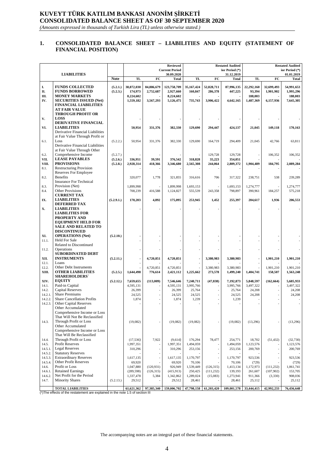## **KUVEYT TÜRK KATILIM BANKASI ANONİM ŞİRKETİ CONSOLIDATED BALANCE SHEET AS OF 30 SEPTEMBER 2020**

*(Amounts expressed in thousands of Turkish Lira (TL) unless otherwise stated.)*

#### **1. CONSOLIDATED BALANCE SHEET – LIABILITIES AND EQUITY (STATEMENT OF FINANCIAL POSITION)**

|                       |                                                                                            |                      |                         |                     | <b>Reviewed</b>            |                       |                        | <b>Restated Audited</b>    | <b>Restated Audited</b> |                         |                            |  |
|-----------------------|--------------------------------------------------------------------------------------------|----------------------|-------------------------|---------------------|----------------------------|-----------------------|------------------------|----------------------------|-------------------------|-------------------------|----------------------------|--|
|                       |                                                                                            |                      |                         |                     | <b>Current Period</b>      |                       |                        | ior Period (*)             |                         |                         | ior Period (*)             |  |
|                       | <b>LIABILITIES</b>                                                                         | <b>Note</b>          | <b>TL</b>               | FC                  | 30.09.2020<br><b>Total</b> | <b>TL</b>             | FC                     | 31.12.2019<br><b>Total</b> | TL                      | FC                      | 01.01.2019<br><b>Total</b> |  |
|                       |                                                                                            |                      |                         |                     |                            |                       |                        |                            |                         |                         |                            |  |
| I.                    | <b>FUNDS COLLECTED</b><br><b>FUNDS BORROWED</b>                                            | (5.2.1.)             | 38,872,030<br>174,973   | 84,886,679          | 123,758,709<br>2,927,660   | 35,167,424<br>160,847 | 52,828,711             | 87,996,135                 | 22,292,160<br>93,394    | 32,699,493<br>1,901,902 | 54,991,653<br>1,995,296    |  |
| П.<br>Ш.              | <b>MONEY MARKETS</b>                                                                       | (5.2.3.)             | 8,224,602               | 2,752,687           | 8,224,602                  |                       | 286,378                | 447,225                    | 188,003                 |                         | 188,003                    |  |
| IV.                   | <b>SECURITIES ISSUED (Net)</b>                                                             |                      | 1,559,182               | 3,567,293           | 5,126,475                  | 735,743               | 3,906,422              | 4,642,165                  | 1,487,369               | 6,157,936               | 7,645,305                  |  |
|                       | <b>FINANCIAL LIABILITIES</b>                                                               |                      |                         |                     |                            |                       |                        |                            |                         |                         |                            |  |
|                       | AT FAIR VALUE                                                                              |                      |                         |                     |                            |                       |                        |                            |                         |                         |                            |  |
|                       | THROUGH PROFIT OR                                                                          |                      |                         |                     |                            |                       |                        |                            |                         |                         |                            |  |
| V.                    | <b>LOSS</b>                                                                                |                      |                         |                     |                            |                       |                        |                            |                         |                         |                            |  |
| VI.                   | DERIVATIVE FINANCIAL<br><b>LIABILITIES</b>                                                 |                      | 50,954                  | 331,376             |                            | 129,690               |                        |                            | 21,045                  | 149,118                 | 170,163                    |  |
|                       | Derivative Financial Liabilities                                                           |                      |                         |                     | 382,330                    |                       | 294,447                | 424,137                    |                         |                         |                            |  |
|                       | at Fair Value Through Profit or                                                            |                      |                         |                     |                            |                       |                        |                            |                         |                         |                            |  |
| 6.1.                  | Loss                                                                                       | (5.2.2.)             | 50,954                  | 331,376             | 382,330                    | 129,690               | 164,719                | 294,409                    | 21,045                  | 42,766                  | 63,811                     |  |
|                       | Derivative Financial Liabilities                                                           |                      |                         |                     |                            |                       |                        |                            |                         |                         |                            |  |
|                       | at Fair Value Through Other                                                                |                      |                         |                     |                            |                       |                        |                            |                         |                         |                            |  |
| 6.2.<br>VII.          | Comprehensive Income<br><b>LEASE PAYABLES</b>                                              | (5.2.7.)<br>(5.2.6.) | 336,951                 | 39,591              | 376,542                    |                       | 129,728                | 129,728<br>354,051         |                         | 106,352                 | 106,352                    |  |
| VIII.                 | <b>PROVISIONS</b>                                                                          | (5.2.8.)             | 2,928,314               | 418,366             | 3,346,680                  | 318,828<br>2,565,308  | 35,223<br>244,064      | 2,809,372                  | 1,904,489               | 184,795                 | 2,089,284                  |  |
| 8.1.                  | <b>Restructuring Provision</b>                                                             |                      |                         |                     |                            |                       |                        |                            |                         |                         |                            |  |
|                       | Reserves For Employee                                                                      |                      |                         |                     |                            |                       |                        |                            |                         |                         |                            |  |
| 8.2.                  | <b>Benefits</b>                                                                            |                      | 320,077                 | 1,778               | 321,855                    | 316,616               | 706                    | 317,322                    | 238,751                 | 538                     | 239,289                    |  |
|                       | <b>Insurance For Technical</b>                                                             |                      |                         |                     |                            |                       |                        |                            |                         |                         |                            |  |
| 8.3.<br>8.4.          | Provision (Net)<br><b>Other Provisions</b>                                                 |                      | 1,899,998<br>708,239    | 416,588             | 1,899,998<br>1,124,827     | 1,693,153<br>555,539  | 243,358                | 1,693,153<br>798,897       | 1,274,777<br>390,961    | 184,257                 | 1,274,777<br>575,218       |  |
|                       | <b>CURRENT TAX</b>                                                                         |                      |                         |                     |                            |                       |                        |                            |                         |                         |                            |  |
| IX.                   | <b>LIABILITIES</b>                                                                         | (5.2.9.1.)           | 170,203                 | 4,892               | 175,095                    | 253.945               | 1,452                  | 255,397                    | 204,617                 | 1,936                   | 206,553                    |  |
|                       | <b>DEFERRED TAX</b>                                                                        |                      |                         |                     |                            |                       |                        |                            |                         |                         |                            |  |
| X.                    | <b>LIABILITIES</b>                                                                         |                      |                         |                     |                            |                       |                        |                            |                         |                         |                            |  |
|                       | <b>LIABILITIES FOR</b>                                                                     |                      |                         |                     |                            |                       |                        |                            |                         |                         |                            |  |
|                       | PROPERTY AND<br><b>EQUIPMENT HELD FOR</b>                                                  |                      |                         |                     |                            |                       |                        |                            |                         |                         |                            |  |
|                       | <b>SALE AND RELATED TO</b>                                                                 |                      |                         |                     |                            |                       |                        |                            |                         |                         |                            |  |
|                       | <b>DISCONTINUED</b>                                                                        |                      |                         |                     |                            |                       |                        |                            |                         |                         |                            |  |
| XI.                   | <b>OPERATIONS (Net)</b>                                                                    | (5.2.10.)            |                         |                     |                            |                       |                        |                            |                         |                         |                            |  |
| 11.1.                 | <b>Held For Sale</b>                                                                       |                      |                         |                     |                            |                       |                        |                            |                         |                         |                            |  |
|                       | Related to Discontinued<br>Operations                                                      |                      |                         |                     |                            |                       |                        |                            |                         |                         |                            |  |
| 11.2.                 | <b>SUBORDINATED DEBT</b>                                                                   |                      |                         |                     |                            |                       |                        |                            |                         |                         |                            |  |
| XII.                  | <b>INSTRUMENTS</b>                                                                         | (5.2.11.)            |                         | 4,720,851           | 4,720,851                  |                       | 3,380,983              | 3,380,983                  |                         | 1,901,210               | 1,901,210                  |  |
| 12.1.                 | Loans                                                                                      |                      |                         |                     |                            |                       |                        |                            |                         |                         |                            |  |
| 12.2.                 | Other Debt Instruments                                                                     |                      |                         | 4,720,851           | 4,720,851                  |                       | 3,380,983              | 3,380,983                  |                         | 1,901,210               | 1,901,210                  |  |
| XIII.                 | <b>OTHER LIABILITIES</b>                                                                   | (5.2.5.)             | 1,644,498               | 776,614             | 2,421,112                  | 1,225,662             | 273,578                | 1,499,240                  | 1,404,741               | 158,507                 | 1,563,248                  |  |
| XIV.                  | <b>SHAREHOLDERS</b>                                                                        |                      |                         |                     |                            | 7,240,711             |                        |                            | 5,848,597               | (162, 664)              |                            |  |
| 14.1.                 | <b>EQUITY</b><br>Paid-in Capital                                                           | (5.2.12.)            | 7,659,655<br>4,595,131  | (113,009)           | 7,546,646<br>4,595,131     | 3,995,766             | (47, 838)              | 7,192,873<br>3,995,766     | 3,497,322               |                         | 5,685,933<br>3,497,322     |  |
| 14.2.                 | <b>Capital Reserves</b>                                                                    |                      | 26,399                  |                     | 26,399                     | 25,764                |                        | 25,764                     | 24,208                  |                         | 24,208                     |  |
| 14.2.1                | <b>Share Premiums</b>                                                                      |                      | 24,525                  |                     | 24,525                     | 24,525                |                        | 24,525                     | 24,208                  |                         | 24,208                     |  |
| 14.2.2.               | <b>Share Cancellation Profits</b>                                                          |                      | 1,874                   |                     | 1,874                      | 1,239                 |                        | 1,239                      |                         |                         |                            |  |
| 14.2.3.               | <b>Other Capital Reserves</b>                                                              |                      |                         |                     |                            |                       |                        |                            |                         |                         |                            |  |
|                       | Other Accumulated<br>Comprehensive Income or Loss                                          |                      |                         |                     |                            |                       |                        |                            |                         |                         |                            |  |
|                       | That Will Not Be Reclassified                                                              |                      |                         |                     |                            |                       |                        |                            |                         |                         |                            |  |
| 14.3.                 | Through Profit or Loss                                                                     |                      | (19,082)                |                     | (19,082)                   | (19,082)              |                        | (19,082)                   | (13,296)                |                         | (13,296)                   |  |
|                       | Other Accumulated                                                                          |                      |                         |                     |                            |                       |                        |                            |                         |                         |                            |  |
|                       | Comprehensive Income or Loss                                                               |                      |                         |                     |                            |                       |                        |                            |                         |                         |                            |  |
|                       | That Will Be Reclassified                                                                  |                      |                         |                     |                            |                       |                        |                            |                         |                         |                            |  |
| 14.4.<br>14.5.        | Through Profit or Loss<br>Profit Reserves                                                  |                      | (17, 536)<br>1,997,351  | 7,922               | (9,614)<br>1,997,351       | 176,294<br>1,494,059  | 78,477                 | 254,771<br>1,494,059       | 18,702<br>1,123,576     | (51, 432)               | (32, 730)<br>1,123,576     |  |
| 14.5.1.               | <b>Legal Reserves</b>                                                                      |                      | 310,296                 |                     | 310,296                    | 253,156               |                        | 253,156                    | 200,769                 |                         | 200,769                    |  |
| 14.5.2.               | <b>Statutory Reserves</b>                                                                  |                      |                         |                     |                            |                       |                        |                            |                         |                         |                            |  |
| 14.5.3.               | <b>Extraordinary Reserves</b>                                                              |                      | 1,617,135               |                     | 1,617,135                  | 1,170,797             |                        | 1,170,797                  | 923,536                 |                         | 923,536                    |  |
| 14.5.4.               | Other Profit Reserves                                                                      |                      | 69,920                  |                     | 69,920                     | 70,106                |                        | 70,106                     | (729)                   |                         | (729)                      |  |
| 14.6.                 | Profit or Loss<br><b>Retained Earnings</b>                                                 |                      | 1,047,880               | (120, 931)          | 926,949                    | 1,539,449             | (126, 315)             | 1,413,134                  | 1,172,973               | (111, 232)              | 1,061,741                  |  |
| 14.6.1.<br>14.6.2.    | Net Profit for the Period                                                                  |                      | (289, 598)<br>1,337,478 | (126, 315)<br>5,384 | (415, 913)<br>1,342,862    | 250,425<br>1,289,024  | (111, 232)<br>(15,083) | 139,193<br>1,273,941       | 261,607<br>911,366      | (107, 902)<br>(3, 330)  | 153,705<br>908,036         |  |
| 14.7.                 | <b>Minority Shares</b>                                                                     | (5.2.13.)            | 29,512                  |                     | 29,512                     | 28,461                |                        | 28,461                     | 25,112                  |                         | 25,112                     |  |
|                       |                                                                                            |                      |                         |                     |                            |                       |                        |                            |                         |                         |                            |  |
| $(\star)$ The effects | <b>TOTAL LIABILITIES</b><br>of the restatement are evaloped in the note 1.5 of eastien III |                      | 61,621,362              | 97,385,340          | 159,006,702                | 47,798,158            | 61,203,420             | 109,001,578                | 33,444,415              | 42,992,233              | 76,436,648                 |  |

(\*)The effects of the restatement are explained in the note 1.5 of section III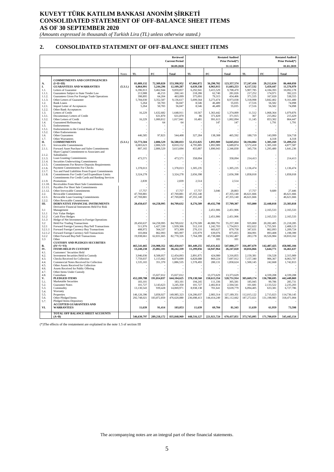#### **KUVEYT TÜRK KATILIM BANKASI ANONİM ŞİRKETİ CONSOLIDATED STATEMENT OF OFF-BALANCE SHEET ITEMS AS OF 30 SEPTEMBER 2020**

*(Amounts expressed in thousands of Turkish Lira (TL) unless otherwise stated.)*

#### **2. CONSOLIDATED STATEMENT OF OFF-BALANCE SHEET ITEMS**

|                                             |                                                                                                                                                                                           |          |                                                 |                                                   | Reviewed<br><b>Current Period</b><br>30.09.2020                 |                                                |                                                              | <b>Restated Audited</b><br>Prior Period(*)<br>31.12.2019       | <b>Restated Audited</b><br>Prior Period(*)<br>01.01.2019 |                                                            |                                                               |  |
|---------------------------------------------|-------------------------------------------------------------------------------------------------------------------------------------------------------------------------------------------|----------|-------------------------------------------------|---------------------------------------------------|-----------------------------------------------------------------|------------------------------------------------|--------------------------------------------------------------|----------------------------------------------------------------|----------------------------------------------------------|------------------------------------------------------------|---------------------------------------------------------------|--|
|                                             |                                                                                                                                                                                           | Notes    | TL                                              | ${\bf FC}$                                        | <b>Total</b>                                                    | <b>TL</b>                                      | FC                                                           | <b>Total</b>                                                   | <b>TL</b>                                                | $_{\rm FC}$                                                | <b>Total</b>                                                  |  |
| А.<br>I.                                    | <b>COMMITMENTS AND CONTINGENCIES</b><br>$(I+II+III)$<br><b>GUARANTEES AND WARRANTIES</b>                                                                                                  | (5.3.1.) | 81.089.132<br>6,864,991<br>6,396,913            | 72.309.820<br>5,244,296                           | 153,398,952<br>12,109,287                                       | 67,066,872<br>6,639,338<br>6,292,941           | 56.290.702<br>4,963,915                                      | 123,357,574<br>11,603,253                                      | 57,247,416<br>6,117,532<br>5,907,785                     | 29,212,634<br>5,459,447<br>4,184,393                       | 86,460,050<br>11,576,979<br>10,092,178                        |  |
| 1.1.<br>1.1.1.<br>1.1.2.<br>1.1.3.          | Letters of Guarantee<br>Guarantees Subject to State Tender Law<br>Guarantees Given For Foreign Trade Operations<br>Other Letters of Guarantee                                             |          | 213.988<br>398,895<br>5,784,030                 | 3,462,944<br>46,153<br>64,204<br>3,352,587        | 9,859,857<br>260,141<br>463,099<br>9,136,617                    | 218,286<br>375,091<br>5,699,564                | 3,415,529<br>62,740<br>79,315<br>3,273,474                   | 9,708,470<br>281.026<br>454,406<br>8,973,038                   | 217.252<br>371,535<br>5,318,998                          | 174,971<br>167,020<br>3,842,402                            | 392,223<br>538,555<br>9,161,400                               |  |
| 1.2.<br>1.2.1<br>1.2.2.                     | Bank Loans<br><b>Import Letter of Acceptances</b><br>Other Bank Acceptances                                                                                                               |          | 5.264<br>5,264                                  | 50,783<br>50,783                                  | 56,047<br>56,047                                                | 8.546<br>8,546                                 | 46,489<br>46,489                                             | 55,035<br>55,035                                               | 17,516<br>17,516                                         | 56,582<br>56,582                                           | 74,098<br>74,098                                              |  |
| 1.3.<br>1.3.1.<br>1.3.2.<br>1.4.            | Letters of Credit<br>Documentary Letters of Credit<br>Other Letters of Credit<br><b>Guaranteed Refinancing</b>                                                                            |          | 16,229<br>16,229                                | 1,632,682<br>631,870<br>1,000,812<br>64           | 1,648,911<br>631,870<br>1,017,041<br>64                         | 10,567<br>86<br>10,481                         | 1,363,442<br>371,829<br>991,613<br>147                       | 1,374,009<br>371,915<br>1,002,094<br>147                       | 11,512<br>367<br>11,145                                  | 1.068.364<br>215,062<br>853,302<br>1,791                   | 1.079.876<br>215,429<br>864,447<br>1,791                      |  |
| 1.5.<br>1.5.1.<br>1.5.2.                    | Endorsements<br>Endorsements to the Central Bank of Turkey<br>Other Endorsements                                                                                                          |          |                                                 |                                                   |                                                                 |                                                |                                                              |                                                                |                                                          |                                                            |                                                               |  |
| 1.6.<br>1.7.<br>П.                          | Other Guarantees<br>Other Warrantees<br><b>COMMITMENTS</b>                                                                                                                                | (5.3.1.) | 446,585<br>53,773,504                           | 97,823<br>2,806,529                               | 544,408<br>56.580.033                                           | 327,284<br>52,151,025                          | 138,308<br>1.893.989                                         | 465,592<br>54.045.014                                          | 180,719<br>50,194,084                                    | 143,999<br>4,318<br>1,305,169                              | 324,718<br>4,318<br>51,499,253                                |  |
| 2.1.<br>2.1.1<br>2.1.2.                     | <b>Irrevocable Commitments</b><br>Forward Asset Purchase and Sales Commitments<br>Share Capital Commitment to Associates and<br>Subsidiaries                                              |          | 6,003,623<br>807,165                            | 2,806,529<br>2,806,529                            | 8,810,152<br>3,613,694                                          | 4,795,885<br>455,887                           | 1,893,989<br>1,890,943                                       | 6,689,874<br>2,346,830                                         | 3,572,418<br>345,756                                     | 1,305,169<br>1,295,480                                     | 4,877,587<br>1,641,236                                        |  |
| 2.1.3.<br>2.1.4.<br>2.1.5.                  | Loan Granting Commitments<br>Securities Underwriting Commitments<br>Commitments For Reserve Deposits Requirements                                                                         |          | 473,571                                         |                                                   | 473,571                                                         | 358,094                                        |                                                              | 358,094                                                        | 214,413                                                  |                                                            | 214,413                                                       |  |
| 2.1.6<br>2.1.7.<br>2.1.8.                   | Payment Commitments For Checks<br>Tax and Fund Liabilities From Export Commitments<br>Commitments For Credit Card Expenditure Limits                                                      |          | 1,378,013<br>3,324,278                          |                                                   | 1,378,013<br>3,324,278                                          | 1,305,235<br>2,656,398                         |                                                              | 1,305,235<br>2,656,398                                         | 1,136,474<br>1,858,018                                   |                                                            | 1,136,474<br>1,858,018                                        |  |
| 219<br>2.1.10.                              | Commitments For Credit Cards and Banking Services<br>Promotions<br>Receivables From Short Sale Commitments                                                                                |          | 2,839                                           |                                                   | 2,839                                                           | 2,514                                          |                                                              | 2,514                                                          |                                                          |                                                            |                                                               |  |
| 2.1.11<br>2.1.12<br>2.2.<br>2.2.1.          | Payables For Short Sale Commitments<br>Other Irrevocable Commitments<br>Revocable Commitments<br>Revocable Loan Granting Commitments                                                      |          | 17.757<br>47,769,881<br>47,769,881              |                                                   | 17,757<br>47,769,881<br>47,769,881                              | 17,757<br>47,355,140<br>47,355,140             | 3,046                                                        | 20,803<br>47,355,140<br>47,355,140                             | 17,757<br>46,621,666<br>46,621,666                       | 9,689                                                      | 27,446<br>46,621,666<br>46,621,666                            |  |
| 2.2.2.<br>Ш.                                | Other Revocable Commitments<br>DERIVATIVE FINANCIAL INSTRUMENTS<br>Derivative Financial Instruments Held For Risk                                                                         |          | 20,450,637                                      | 64,258,995                                        | 84,709,632                                                      | 8,276,509                                      | 49,432,798                                                   | 57,709,307                                                     | 935,800                                                  | 22,448,018                                                 | 23,383,818                                                    |  |
| 3.1<br>3.1.1                                | Management<br>Fair Value Hedges                                                                                                                                                           |          |                                                 |                                                   |                                                                 |                                                | 2,451,906                                                    | 2,451,906                                                      |                                                          | 2,165,533                                                  | 2,165,533                                                     |  |
| 3.1.2<br>3.1.3<br>3.2                       | Cash Flow Hedges<br>Hedge of Net Investment in Foreign Operations<br><b>Held For Trading Transactions</b>                                                                                 |          | 20,450,637                                      | 64,258,995                                        | 84,709,632                                                      | 8,276,509                                      | 2,451,906<br>46,980,791                                      | 2,451,906<br>55,257,300                                        | 935,800                                                  | 2,165,533<br>20,282,485                                    | 2,165,533<br>21,218,285                                       |  |
| 3.2.1<br>3.2.1.1<br>3.2.1.2<br>3.2.2<br>3.3 | Forward Foreign Currency Buy/Sell Transactions<br>Forward Foreign Currency Buy Transactions<br>Forward Foreign Currency Sell Transactions<br>Other Forward Buy/Sell Transactions<br>Other |          | 511,976<br>408.972<br>103,004<br>19,938,661     | 1,427,330<br>564,337<br>862,993<br>62,831,665     | 1,939,306<br>973,309<br>965,997<br>82,770,326                   | 512,110<br>276,131<br>235,979<br>7,764,399     | 1,242,703<br>603,627<br>639,076<br>45,738,088<br>101         | 1,754,813<br>879,758<br>875,055<br>53,502,487<br>101           | 652,622<br>347,631<br>304,991<br>283,178                 | 1,755,501<br>862,093<br>893,408<br>18,526,984              | 2,408,123<br>1,209,724<br>1,198,399<br>18,810,162             |  |
| В.<br>IV.                                   | <b>CUSTODY AND PLEDGES SECURITIES</b><br>$(IV+V+VI)$<br><b>ITEMS HELD IN CUSTODY</b>                                                                                                      |          | 465,541,665<br>13,240,238                       | 216,908,352<br>25,002,101                         | 682,450,017<br>38,242,339                                       | 381,449,255<br>11,299,056                      | 165,631,022<br>14,947,964                                    | 547,080,277<br>26,247,020                                      | 316,497,679<br>10,816,866                                | 142,487,425<br>5,644,771                                   | 458,985,104<br>16,461,637                                     |  |
| 4.1.<br>4.2.<br>4.3.<br>4.4.                | Customers' Securities Held<br>Investment Securities Held in Custody<br><b>Checks Received for Collection</b><br>Commercial Notes Received for Collection                                  |          | 3,946,036<br>7,759,037<br>1,535,165             | 8,508,057<br>1,115,662<br>351,370                 | 12,454,093<br>8,874,699<br>1,886,535                            | 2,891,875<br>6,828,688<br>1,578,493            | 424,980<br>869.224<br>280,131                                | 3,316,855<br>7,697,912<br>1,858,624                            | 2,159,381<br>7.157.340<br>1,500,145                      | 156,528<br>906,367<br>242,668                              | 2,315,909<br>8,063,707<br>1,742,813                           |  |
| 4.5.<br>4.6.<br>4.7.                        | Other Assets Received for Collection<br>Assets Received for Public Offering<br>Other Items Under Custody                                                                                  |          |                                                 |                                                   |                                                                 |                                                |                                                              |                                                                |                                                          |                                                            |                                                               |  |
| 4.8.<br>v.<br>5.1.<br>5.2.<br>5.3.          | Custodians<br><b>PLEDGED ITEMS</b><br>Marketable Securities<br>Guarantee Notes<br>Commodity                                                                                               |          | 452,289,788<br>183,101<br>101,727<br>13,130,543 | 15,027,012<br>191,814,837<br>3,143,623<br>939,428 | 15,027,012<br>644,104,625<br>183,101<br>3,245,350<br>14,069,971 | 370,138,560<br>194,245<br>101,727<br>8,938,138 | 13,373,629<br>150,613,354<br>111,336<br>2,402,814<br>701,641 | 13,373,629<br>520,751,914<br>305,581<br>2,504,541<br>9,639,779 | 305,669,174<br>185,945<br>101,681<br>6,094,405           | 4,339,208<br>136,780,695<br>99,786<br>2,133,522<br>633,381 | 4,339,208<br>442,449,869<br>285,731<br>2,235,203<br>6,727,786 |  |
| 5.4.<br>5.5.<br>5.6.<br>5.7.                | Warranty<br>Properties<br>Other Pledged Items<br>Pledged Items-Depository                                                                                                                 |          | 146,126,396<br>292,748,021                      | 3,858,927<br>183,872,859                          | 149,985,323<br>476,620,880                                      | 124,206,037<br>236,698,413                     | 2,983,314<br>144,414,249                                     | 127,189,351<br>381,112,662                                     | 112,015,122<br>187,272,021                               | 2,715,023<br>131,198,983                                   | 114,730,145<br>318,471,004                                    |  |
| VI.                                         | <b>ACCEPTED GUARANTEES AND</b><br><b>WARRANTEES</b>                                                                                                                                       |          | 11,639                                          | 91,414                                            | 103.053                                                         | 11,639                                         | 69,704                                                       | 81,343                                                         | 11,639                                                   | 61,959                                                     | 73,598                                                        |  |
|                                             | TOTAL OFF BALANCE SHEET ACCOUNTS<br>$(A+B)$                                                                                                                                               |          | 546,630,797                                     | 289,218,172                                       | 835,848,969                                                     | 448,516,127                                    | 221,921,724                                                  | 670,437,851                                                    | 373,745,095                                              | 171,700,059                                                | 545,445,154                                                   |  |

(\*)The effects of the restatement are explained in the note 1.5 of section III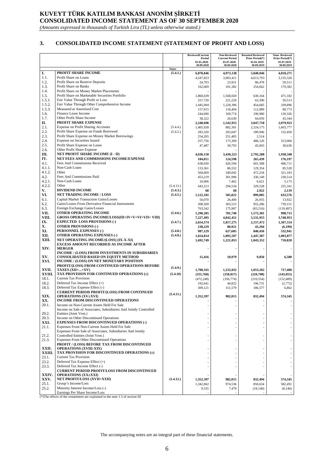## **KUVEYT TÜRK KATILIM BANKASI ANONİM ŞİRKETİ CONSOLIDATED INCOME STATEMENT AS OF 30 SEPTEMBER 2020**

*(Amounts expressed in thousands of Turkish Lira (TL) unless otherwise stated.)*

#### **3. CONSOLIDATED INCOME STATEMENT (STATEMENT OF PROFIT AND LOSS)**

| Period<br>Prior Period(*)<br>Prior Period(*)<br><b>Current Period</b><br>01.01.2020-<br>01.07.2020-<br>01.01.2019-<br>01.07.2019-<br>30.09.2020<br>30.09.2020<br>30.09.2019<br>30.09.2019<br><b>Notes</b><br>PROFIT SHARE INCOME<br>I.<br>(5.4.1.)<br>6,878,846<br>4,973,138<br>5,840,046<br>4,018,271<br>1.1.<br>Profit Share on Loans<br>4,547,823<br>3,083,411<br>4,613,703<br>3,135,526<br>1.2.<br>Profit Share on Reserve Deposits<br>23,921<br>24,703<br>86,478<br>59,511<br>1.3.<br>Profit Share on Banks<br>101,382<br>162,669<br>254,662<br>179,382<br>1.4.<br>Profit Share on Money Market Placements<br>1.5.<br>Profit Share on Marketable Securities Portfolio<br>1,860,639<br>1,568,020<br>630,164<br>471,182<br>1.5.1.<br>Fair Value Through Profit or Loss<br>257,720<br>221,220<br>63,390<br>50,513<br>1.5.2.<br>Fair Value Through Other Comprehensive Income<br>1,445,004<br>1,228,396<br>454,685<br>339,896<br>1.5.3.<br>Measured at Amortised Cost<br>157,915<br>118,404<br>112,089<br>80,773<br>1.6.<br>Finance Lease Income<br>244,690<br>169,774<br>190,980<br>129,326<br>Other Profit Share Income<br>1.7.<br>38,322<br>26,630<br>64,059<br>43,344<br>П.<br>PROFIT SHARE EXPENSE<br>2,248,696<br>1,542,915<br>3,047,758<br>2,079,923<br>2.1.<br>Expense on Profit Sharing Accounts<br>(5.4.4.)<br>1,405,928<br>882,301<br>2,324,175<br>1,603,777<br>2.2.<br>Profit Share Expense on Funds Borrowed<br>(5.4.2.)<br>283,320<br>203,047<br>189,946<br>132,450<br>2.3.<br>Profit Share Expense on Money Market Borrowings<br>254,205<br>251,405<br>2,514<br>2.4.<br>Expense on Securities Issued<br>257,756<br>175,369<br>486,120<br>313,060<br>2.5.<br>Profit Share Expense on Lease<br>47,487<br>30,793<br>45,003<br>30,636<br>2.6.<br>Other Profit Share Expense<br>NET PROFIT SHARE INCOME (I - II)<br>Ш.<br>4,630,150<br>3,430,223<br>2,792,288<br>1,938,348<br>IV.<br>NET FEES AND COMMISSIONS INCOME/EXPENSE<br>124,598<br>184,811<br>265,439<br>176,197<br>4.1.<br>Fees And Commissions Received<br>638,030<br>426,594<br>601,588<br>406,711<br>4.1.1.<br>Non-Cash Loans<br>133,361<br>86,552<br>129,354<br>85,528<br>4.1.2.<br>Other<br>504,669<br>340,042<br>472,234<br>321,183<br>4.2.<br>Fees And Commissions Paid<br>301,996<br>453,219<br>336,149<br>230,514<br>4.2.1.<br>Non-Cash Loans<br>10,006<br>7,462<br>6,621<br>5,173<br>4.2.2.<br>Other<br>(5.4.13.)<br>443,213<br>294,534<br>329,528<br>225,341<br>V.<br><b>DIVIDEND INCOME</b><br>(5.4.3.)<br>68<br>68<br>2,922<br>2,119<br>VI.<br><b>NET TRADING INCOME / LOSS</b><br>(5.4.5.)<br>899,005<br>1,122,181<br>505,822<br>633,576<br>6.1.<br><b>Capital Market Transaction Gains/Losses</b><br>50,070<br>26,400<br>26,935<br>13,922<br>6.2.<br>Gains/Losses From Derivative Financial Instruments<br>308,569<br>303.515<br>955,286<br>739.151<br>6.3.<br>Foreign Exchange Gains/Losses<br>763,542<br>175,907<br>(83,216)<br>(119, 497)<br>VII.<br>OTHER OPERATING INCOME<br>(5.4.6.)<br>1,290,285<br>781,740<br>1,572,301<br>998,713<br>VIII.<br><b>GROSS OPERATING INCOME/LOSS(III+IV+V+VI+VII+ VIII)</b><br>7,227,495<br>4,842,451<br>5,531,955<br>3,748,953<br>IX.<br><b>EXPECTED LOSS PROVISIONS (-)</b><br>(5.4.7.)<br>2,654,574<br>1,817,275<br>2,157,472<br>1,507,514<br>X.<br><b>OTHER PROVISIONS (-)</b><br>238,229<br>80,921<br>43,294<br>(6, 199)<br>XI.<br>PERSONNEL EXPENSES (-)<br>(5.4.8.)<br>987,129<br>627,605<br>840,450<br>532,941<br>XII.<br><b>OTHER OPERATING EXPENSES (-)</b><br>(5.4.8.)<br>1,654,814<br>1,095,597<br>1,003,877<br>1,447,387<br>XIII.<br>NET OPERATING INCOME/(LOSS) (IX-X-XI)<br>1,692,749<br>1,221,053<br>1,043,352<br>710,820<br><b>EXCESS AMOUNT RECORDED AS INCOME AFTER</b><br>XIV.<br><b>MERGER</b><br>INCOME / (LOSS) FROM INVESTMENTS IN SUBSIDIARIES<br>XV.<br><b>CONSOLIDATED BASED ON EQUITY METHOD</b><br>15,416<br>10,979<br>9,850<br>6,580<br>XVI.<br>INCOME / (LOSS) ON NET MONETARY POSITION<br>PROFIT/(LOSS) FROM CONTINUED OPERATIONS BEFORE<br>(5.4.9.)<br>XVII.<br>TAXES $(XII +  + XV)$<br>1,708,165<br>1,232,032<br>1,053,202<br>717,400<br>XVIII.<br>TAX PROVISION FOR CONTINUED OPERATIONS (±)<br>(5.4.10)<br>(355,768)<br>(220, 708)<br>(250, 017)<br>(143, 055)<br>18.1.<br><b>Current Tax Provision</b><br>(472, 248)<br>(356, 774)<br>(210, 554)<br>(152, 689)<br>18.2.<br>Deferred Tax Income Effect (+)<br>192,641<br>44,822<br>196,731<br>(2,772)<br>18.3.<br>Deferred Tax Expense Effect (-)<br>309,121<br>151,579<br>186,577<br>6,862<br><b>CURRENT PERIOD PROFIT/(LOSS) FROM CONTINUED</b><br>(5.4.11.)<br>XIX.<br><b>OPERATIONS (XV±XVI)</b><br>574,345<br>1,352,397<br>982,015<br>832,494<br>INCOME FROM DISCONTINUED OPERATIONS<br>XX.<br>20.1.<br>Income on Non-Current Assets Held For Sale<br>Income on Sale of Associates, Subsidiaries And Jointly Controlled<br>20.2.<br>Entities (Joint Vent.)<br>Income on Other Discontinued Operations<br>20.3.<br><b>EXPENSES FROM DISCONTINUED OPERATIONS (-)</b><br>XXI.<br>Expenses From Non-Current Assets Held For Sale<br>21.1.<br>Expenses From Sale of Associates, Subsidiaries And Jointly<br>21.2.<br>Controlled Entities (Joint Vent.)<br>Expenses From Other Discontinued Operations<br>21.3.<br>PROFIT / (LOSS) BEFORE TAX FROM DISCONTINUED<br>XXII.<br><b>OPERATIONS (XVIII-XIX)</b><br>XXIII.<br>TAX PROVISION FOR DISCONTINUED OPERATIONS $(\pm)$<br><b>Current Tax Provision</b><br>23.1.<br>23.2.<br>Deferred Tax Expense Effect (+)<br>Deferred Tax Income Effect (-)<br>23.3.<br><b>CURRENT PERIOD PROFIT/LOSS FROM DISCONTINUED</b><br>XXIV.<br><b>OPERATIONS (XX±XXI)</b><br>(5.4.12.)<br>XXV.<br><b>NET PROFIT/LOSS (XVII+XXII)</b><br>1,352,397<br>982,015<br>574,345<br>832,494<br>25.1.<br>Group's Income/Loss<br>1,342,862<br>582,491<br>974,536<br>850,634<br>Minority Interest Income/Loss (-)<br>25.2.<br>9,535<br>7,479<br>(18, 140)<br>(8, 146)<br>Earnings Per Share Income/Loss |  | <b>ReviewedCurrent</b> | Non-Reviewed | <b>Restated Reviewed</b> | Nom-Reviewed |
|--------------------------------------------------------------------------------------------------------------------------------------------------------------------------------------------------------------------------------------------------------------------------------------------------------------------------------------------------------------------------------------------------------------------------------------------------------------------------------------------------------------------------------------------------------------------------------------------------------------------------------------------------------------------------------------------------------------------------------------------------------------------------------------------------------------------------------------------------------------------------------------------------------------------------------------------------------------------------------------------------------------------------------------------------------------------------------------------------------------------------------------------------------------------------------------------------------------------------------------------------------------------------------------------------------------------------------------------------------------------------------------------------------------------------------------------------------------------------------------------------------------------------------------------------------------------------------------------------------------------------------------------------------------------------------------------------------------------------------------------------------------------------------------------------------------------------------------------------------------------------------------------------------------------------------------------------------------------------------------------------------------------------------------------------------------------------------------------------------------------------------------------------------------------------------------------------------------------------------------------------------------------------------------------------------------------------------------------------------------------------------------------------------------------------------------------------------------------------------------------------------------------------------------------------------------------------------------------------------------------------------------------------------------------------------------------------------------------------------------------------------------------------------------------------------------------------------------------------------------------------------------------------------------------------------------------------------------------------------------------------------------------------------------------------------------------------------------------------------------------------------------------------------------------------------------------------------------------------------------------------------------------------------------------------------------------------------------------------------------------------------------------------------------------------------------------------------------------------------------------------------------------------------------------------------------------------------------------------------------------------------------------------------------------------------------------------------------------------------------------------------------------------------------------------------------------------------------------------------------------------------------------------------------------------------------------------------------------------------------------------------------------------------------------------------------------------------------------------------------------------------------------------------------------------------------------------------------------------------------------------------------------------------------------------------------------------------------------------------------------------------------------------------------------------------------------------------------------------------------------------------------------------------------------------------------------------------------------------------------------------------------------------------------------------------------------------------------------------------------------------------------------------------------------------------------------------------------------------------------------------------------------------------------------------------------------------------------------------------------------------------------------------------------------------------------------------------------------------------------------------------------------------------------------------------------------------------------------------------------------------------------------------------------------------------------------------------------------------------------------------------------------------------------------------------------------------------------------------------------------------------------------------------------------------------------------------------------------------------------------------------------------------------------------------------------------------------------------------------------------------------------------------------------------------------------------------------------------------------------------------------------------------------------------------------------|--|------------------------|--------------|--------------------------|--------------|
|                                                                                                                                                                                                                                                                                                                                                                                                                                                                                                                                                                                                                                                                                                                                                                                                                                                                                                                                                                                                                                                                                                                                                                                                                                                                                                                                                                                                                                                                                                                                                                                                                                                                                                                                                                                                                                                                                                                                                                                                                                                                                                                                                                                                                                                                                                                                                                                                                                                                                                                                                                                                                                                                                                                                                                                                                                                                                                                                                                                                                                                                                                                                                                                                                                                                                                                                                                                                                                                                                                                                                                                                                                                                                                                                                                                                                                                                                                                                                                                                                                                                                                                                                                                                                                                                                                                                                                                                                                                                                                                                                                                                                                                                                                                                                                                                                                                                                                                                                                                                                                                                                                                                                                                                                                                                                                                                                                                                                                                                                                                                                                                                                                                                                                                                                                                                                                                                                                                                      |  |                        |              |                          |              |
|                                                                                                                                                                                                                                                                                                                                                                                                                                                                                                                                                                                                                                                                                                                                                                                                                                                                                                                                                                                                                                                                                                                                                                                                                                                                                                                                                                                                                                                                                                                                                                                                                                                                                                                                                                                                                                                                                                                                                                                                                                                                                                                                                                                                                                                                                                                                                                                                                                                                                                                                                                                                                                                                                                                                                                                                                                                                                                                                                                                                                                                                                                                                                                                                                                                                                                                                                                                                                                                                                                                                                                                                                                                                                                                                                                                                                                                                                                                                                                                                                                                                                                                                                                                                                                                                                                                                                                                                                                                                                                                                                                                                                                                                                                                                                                                                                                                                                                                                                                                                                                                                                                                                                                                                                                                                                                                                                                                                                                                                                                                                                                                                                                                                                                                                                                                                                                                                                                                                      |  |                        |              |                          |              |
|                                                                                                                                                                                                                                                                                                                                                                                                                                                                                                                                                                                                                                                                                                                                                                                                                                                                                                                                                                                                                                                                                                                                                                                                                                                                                                                                                                                                                                                                                                                                                                                                                                                                                                                                                                                                                                                                                                                                                                                                                                                                                                                                                                                                                                                                                                                                                                                                                                                                                                                                                                                                                                                                                                                                                                                                                                                                                                                                                                                                                                                                                                                                                                                                                                                                                                                                                                                                                                                                                                                                                                                                                                                                                                                                                                                                                                                                                                                                                                                                                                                                                                                                                                                                                                                                                                                                                                                                                                                                                                                                                                                                                                                                                                                                                                                                                                                                                                                                                                                                                                                                                                                                                                                                                                                                                                                                                                                                                                                                                                                                                                                                                                                                                                                                                                                                                                                                                                                                      |  |                        |              |                          |              |
|                                                                                                                                                                                                                                                                                                                                                                                                                                                                                                                                                                                                                                                                                                                                                                                                                                                                                                                                                                                                                                                                                                                                                                                                                                                                                                                                                                                                                                                                                                                                                                                                                                                                                                                                                                                                                                                                                                                                                                                                                                                                                                                                                                                                                                                                                                                                                                                                                                                                                                                                                                                                                                                                                                                                                                                                                                                                                                                                                                                                                                                                                                                                                                                                                                                                                                                                                                                                                                                                                                                                                                                                                                                                                                                                                                                                                                                                                                                                                                                                                                                                                                                                                                                                                                                                                                                                                                                                                                                                                                                                                                                                                                                                                                                                                                                                                                                                                                                                                                                                                                                                                                                                                                                                                                                                                                                                                                                                                                                                                                                                                                                                                                                                                                                                                                                                                                                                                                                                      |  |                        |              |                          |              |
|                                                                                                                                                                                                                                                                                                                                                                                                                                                                                                                                                                                                                                                                                                                                                                                                                                                                                                                                                                                                                                                                                                                                                                                                                                                                                                                                                                                                                                                                                                                                                                                                                                                                                                                                                                                                                                                                                                                                                                                                                                                                                                                                                                                                                                                                                                                                                                                                                                                                                                                                                                                                                                                                                                                                                                                                                                                                                                                                                                                                                                                                                                                                                                                                                                                                                                                                                                                                                                                                                                                                                                                                                                                                                                                                                                                                                                                                                                                                                                                                                                                                                                                                                                                                                                                                                                                                                                                                                                                                                                                                                                                                                                                                                                                                                                                                                                                                                                                                                                                                                                                                                                                                                                                                                                                                                                                                                                                                                                                                                                                                                                                                                                                                                                                                                                                                                                                                                                                                      |  |                        |              |                          |              |
|                                                                                                                                                                                                                                                                                                                                                                                                                                                                                                                                                                                                                                                                                                                                                                                                                                                                                                                                                                                                                                                                                                                                                                                                                                                                                                                                                                                                                                                                                                                                                                                                                                                                                                                                                                                                                                                                                                                                                                                                                                                                                                                                                                                                                                                                                                                                                                                                                                                                                                                                                                                                                                                                                                                                                                                                                                                                                                                                                                                                                                                                                                                                                                                                                                                                                                                                                                                                                                                                                                                                                                                                                                                                                                                                                                                                                                                                                                                                                                                                                                                                                                                                                                                                                                                                                                                                                                                                                                                                                                                                                                                                                                                                                                                                                                                                                                                                                                                                                                                                                                                                                                                                                                                                                                                                                                                                                                                                                                                                                                                                                                                                                                                                                                                                                                                                                                                                                                                                      |  |                        |              |                          |              |
|                                                                                                                                                                                                                                                                                                                                                                                                                                                                                                                                                                                                                                                                                                                                                                                                                                                                                                                                                                                                                                                                                                                                                                                                                                                                                                                                                                                                                                                                                                                                                                                                                                                                                                                                                                                                                                                                                                                                                                                                                                                                                                                                                                                                                                                                                                                                                                                                                                                                                                                                                                                                                                                                                                                                                                                                                                                                                                                                                                                                                                                                                                                                                                                                                                                                                                                                                                                                                                                                                                                                                                                                                                                                                                                                                                                                                                                                                                                                                                                                                                                                                                                                                                                                                                                                                                                                                                                                                                                                                                                                                                                                                                                                                                                                                                                                                                                                                                                                                                                                                                                                                                                                                                                                                                                                                                                                                                                                                                                                                                                                                                                                                                                                                                                                                                                                                                                                                                                                      |  |                        |              |                          |              |
|                                                                                                                                                                                                                                                                                                                                                                                                                                                                                                                                                                                                                                                                                                                                                                                                                                                                                                                                                                                                                                                                                                                                                                                                                                                                                                                                                                                                                                                                                                                                                                                                                                                                                                                                                                                                                                                                                                                                                                                                                                                                                                                                                                                                                                                                                                                                                                                                                                                                                                                                                                                                                                                                                                                                                                                                                                                                                                                                                                                                                                                                                                                                                                                                                                                                                                                                                                                                                                                                                                                                                                                                                                                                                                                                                                                                                                                                                                                                                                                                                                                                                                                                                                                                                                                                                                                                                                                                                                                                                                                                                                                                                                                                                                                                                                                                                                                                                                                                                                                                                                                                                                                                                                                                                                                                                                                                                                                                                                                                                                                                                                                                                                                                                                                                                                                                                                                                                                                                      |  |                        |              |                          |              |
|                                                                                                                                                                                                                                                                                                                                                                                                                                                                                                                                                                                                                                                                                                                                                                                                                                                                                                                                                                                                                                                                                                                                                                                                                                                                                                                                                                                                                                                                                                                                                                                                                                                                                                                                                                                                                                                                                                                                                                                                                                                                                                                                                                                                                                                                                                                                                                                                                                                                                                                                                                                                                                                                                                                                                                                                                                                                                                                                                                                                                                                                                                                                                                                                                                                                                                                                                                                                                                                                                                                                                                                                                                                                                                                                                                                                                                                                                                                                                                                                                                                                                                                                                                                                                                                                                                                                                                                                                                                                                                                                                                                                                                                                                                                                                                                                                                                                                                                                                                                                                                                                                                                                                                                                                                                                                                                                                                                                                                                                                                                                                                                                                                                                                                                                                                                                                                                                                                                                      |  |                        |              |                          |              |
|                                                                                                                                                                                                                                                                                                                                                                                                                                                                                                                                                                                                                                                                                                                                                                                                                                                                                                                                                                                                                                                                                                                                                                                                                                                                                                                                                                                                                                                                                                                                                                                                                                                                                                                                                                                                                                                                                                                                                                                                                                                                                                                                                                                                                                                                                                                                                                                                                                                                                                                                                                                                                                                                                                                                                                                                                                                                                                                                                                                                                                                                                                                                                                                                                                                                                                                                                                                                                                                                                                                                                                                                                                                                                                                                                                                                                                                                                                                                                                                                                                                                                                                                                                                                                                                                                                                                                                                                                                                                                                                                                                                                                                                                                                                                                                                                                                                                                                                                                                                                                                                                                                                                                                                                                                                                                                                                                                                                                                                                                                                                                                                                                                                                                                                                                                                                                                                                                                                                      |  |                        |              |                          |              |
|                                                                                                                                                                                                                                                                                                                                                                                                                                                                                                                                                                                                                                                                                                                                                                                                                                                                                                                                                                                                                                                                                                                                                                                                                                                                                                                                                                                                                                                                                                                                                                                                                                                                                                                                                                                                                                                                                                                                                                                                                                                                                                                                                                                                                                                                                                                                                                                                                                                                                                                                                                                                                                                                                                                                                                                                                                                                                                                                                                                                                                                                                                                                                                                                                                                                                                                                                                                                                                                                                                                                                                                                                                                                                                                                                                                                                                                                                                                                                                                                                                                                                                                                                                                                                                                                                                                                                                                                                                                                                                                                                                                                                                                                                                                                                                                                                                                                                                                                                                                                                                                                                                                                                                                                                                                                                                                                                                                                                                                                                                                                                                                                                                                                                                                                                                                                                                                                                                                                      |  |                        |              |                          |              |
|                                                                                                                                                                                                                                                                                                                                                                                                                                                                                                                                                                                                                                                                                                                                                                                                                                                                                                                                                                                                                                                                                                                                                                                                                                                                                                                                                                                                                                                                                                                                                                                                                                                                                                                                                                                                                                                                                                                                                                                                                                                                                                                                                                                                                                                                                                                                                                                                                                                                                                                                                                                                                                                                                                                                                                                                                                                                                                                                                                                                                                                                                                                                                                                                                                                                                                                                                                                                                                                                                                                                                                                                                                                                                                                                                                                                                                                                                                                                                                                                                                                                                                                                                                                                                                                                                                                                                                                                                                                                                                                                                                                                                                                                                                                                                                                                                                                                                                                                                                                                                                                                                                                                                                                                                                                                                                                                                                                                                                                                                                                                                                                                                                                                                                                                                                                                                                                                                                                                      |  |                        |              |                          |              |
|                                                                                                                                                                                                                                                                                                                                                                                                                                                                                                                                                                                                                                                                                                                                                                                                                                                                                                                                                                                                                                                                                                                                                                                                                                                                                                                                                                                                                                                                                                                                                                                                                                                                                                                                                                                                                                                                                                                                                                                                                                                                                                                                                                                                                                                                                                                                                                                                                                                                                                                                                                                                                                                                                                                                                                                                                                                                                                                                                                                                                                                                                                                                                                                                                                                                                                                                                                                                                                                                                                                                                                                                                                                                                                                                                                                                                                                                                                                                                                                                                                                                                                                                                                                                                                                                                                                                                                                                                                                                                                                                                                                                                                                                                                                                                                                                                                                                                                                                                                                                                                                                                                                                                                                                                                                                                                                                                                                                                                                                                                                                                                                                                                                                                                                                                                                                                                                                                                                                      |  |                        |              |                          |              |
|                                                                                                                                                                                                                                                                                                                                                                                                                                                                                                                                                                                                                                                                                                                                                                                                                                                                                                                                                                                                                                                                                                                                                                                                                                                                                                                                                                                                                                                                                                                                                                                                                                                                                                                                                                                                                                                                                                                                                                                                                                                                                                                                                                                                                                                                                                                                                                                                                                                                                                                                                                                                                                                                                                                                                                                                                                                                                                                                                                                                                                                                                                                                                                                                                                                                                                                                                                                                                                                                                                                                                                                                                                                                                                                                                                                                                                                                                                                                                                                                                                                                                                                                                                                                                                                                                                                                                                                                                                                                                                                                                                                                                                                                                                                                                                                                                                                                                                                                                                                                                                                                                                                                                                                                                                                                                                                                                                                                                                                                                                                                                                                                                                                                                                                                                                                                                                                                                                                                      |  |                        |              |                          |              |
|                                                                                                                                                                                                                                                                                                                                                                                                                                                                                                                                                                                                                                                                                                                                                                                                                                                                                                                                                                                                                                                                                                                                                                                                                                                                                                                                                                                                                                                                                                                                                                                                                                                                                                                                                                                                                                                                                                                                                                                                                                                                                                                                                                                                                                                                                                                                                                                                                                                                                                                                                                                                                                                                                                                                                                                                                                                                                                                                                                                                                                                                                                                                                                                                                                                                                                                                                                                                                                                                                                                                                                                                                                                                                                                                                                                                                                                                                                                                                                                                                                                                                                                                                                                                                                                                                                                                                                                                                                                                                                                                                                                                                                                                                                                                                                                                                                                                                                                                                                                                                                                                                                                                                                                                                                                                                                                                                                                                                                                                                                                                                                                                                                                                                                                                                                                                                                                                                                                                      |  |                        |              |                          |              |
|                                                                                                                                                                                                                                                                                                                                                                                                                                                                                                                                                                                                                                                                                                                                                                                                                                                                                                                                                                                                                                                                                                                                                                                                                                                                                                                                                                                                                                                                                                                                                                                                                                                                                                                                                                                                                                                                                                                                                                                                                                                                                                                                                                                                                                                                                                                                                                                                                                                                                                                                                                                                                                                                                                                                                                                                                                                                                                                                                                                                                                                                                                                                                                                                                                                                                                                                                                                                                                                                                                                                                                                                                                                                                                                                                                                                                                                                                                                                                                                                                                                                                                                                                                                                                                                                                                                                                                                                                                                                                                                                                                                                                                                                                                                                                                                                                                                                                                                                                                                                                                                                                                                                                                                                                                                                                                                                                                                                                                                                                                                                                                                                                                                                                                                                                                                                                                                                                                                                      |  |                        |              |                          |              |
|                                                                                                                                                                                                                                                                                                                                                                                                                                                                                                                                                                                                                                                                                                                                                                                                                                                                                                                                                                                                                                                                                                                                                                                                                                                                                                                                                                                                                                                                                                                                                                                                                                                                                                                                                                                                                                                                                                                                                                                                                                                                                                                                                                                                                                                                                                                                                                                                                                                                                                                                                                                                                                                                                                                                                                                                                                                                                                                                                                                                                                                                                                                                                                                                                                                                                                                                                                                                                                                                                                                                                                                                                                                                                                                                                                                                                                                                                                                                                                                                                                                                                                                                                                                                                                                                                                                                                                                                                                                                                                                                                                                                                                                                                                                                                                                                                                                                                                                                                                                                                                                                                                                                                                                                                                                                                                                                                                                                                                                                                                                                                                                                                                                                                                                                                                                                                                                                                                                                      |  |                        |              |                          |              |
|                                                                                                                                                                                                                                                                                                                                                                                                                                                                                                                                                                                                                                                                                                                                                                                                                                                                                                                                                                                                                                                                                                                                                                                                                                                                                                                                                                                                                                                                                                                                                                                                                                                                                                                                                                                                                                                                                                                                                                                                                                                                                                                                                                                                                                                                                                                                                                                                                                                                                                                                                                                                                                                                                                                                                                                                                                                                                                                                                                                                                                                                                                                                                                                                                                                                                                                                                                                                                                                                                                                                                                                                                                                                                                                                                                                                                                                                                                                                                                                                                                                                                                                                                                                                                                                                                                                                                                                                                                                                                                                                                                                                                                                                                                                                                                                                                                                                                                                                                                                                                                                                                                                                                                                                                                                                                                                                                                                                                                                                                                                                                                                                                                                                                                                                                                                                                                                                                                                                      |  |                        |              |                          |              |
|                                                                                                                                                                                                                                                                                                                                                                                                                                                                                                                                                                                                                                                                                                                                                                                                                                                                                                                                                                                                                                                                                                                                                                                                                                                                                                                                                                                                                                                                                                                                                                                                                                                                                                                                                                                                                                                                                                                                                                                                                                                                                                                                                                                                                                                                                                                                                                                                                                                                                                                                                                                                                                                                                                                                                                                                                                                                                                                                                                                                                                                                                                                                                                                                                                                                                                                                                                                                                                                                                                                                                                                                                                                                                                                                                                                                                                                                                                                                                                                                                                                                                                                                                                                                                                                                                                                                                                                                                                                                                                                                                                                                                                                                                                                                                                                                                                                                                                                                                                                                                                                                                                                                                                                                                                                                                                                                                                                                                                                                                                                                                                                                                                                                                                                                                                                                                                                                                                                                      |  |                        |              |                          |              |
|                                                                                                                                                                                                                                                                                                                                                                                                                                                                                                                                                                                                                                                                                                                                                                                                                                                                                                                                                                                                                                                                                                                                                                                                                                                                                                                                                                                                                                                                                                                                                                                                                                                                                                                                                                                                                                                                                                                                                                                                                                                                                                                                                                                                                                                                                                                                                                                                                                                                                                                                                                                                                                                                                                                                                                                                                                                                                                                                                                                                                                                                                                                                                                                                                                                                                                                                                                                                                                                                                                                                                                                                                                                                                                                                                                                                                                                                                                                                                                                                                                                                                                                                                                                                                                                                                                                                                                                                                                                                                                                                                                                                                                                                                                                                                                                                                                                                                                                                                                                                                                                                                                                                                                                                                                                                                                                                                                                                                                                                                                                                                                                                                                                                                                                                                                                                                                                                                                                                      |  |                        |              |                          |              |
|                                                                                                                                                                                                                                                                                                                                                                                                                                                                                                                                                                                                                                                                                                                                                                                                                                                                                                                                                                                                                                                                                                                                                                                                                                                                                                                                                                                                                                                                                                                                                                                                                                                                                                                                                                                                                                                                                                                                                                                                                                                                                                                                                                                                                                                                                                                                                                                                                                                                                                                                                                                                                                                                                                                                                                                                                                                                                                                                                                                                                                                                                                                                                                                                                                                                                                                                                                                                                                                                                                                                                                                                                                                                                                                                                                                                                                                                                                                                                                                                                                                                                                                                                                                                                                                                                                                                                                                                                                                                                                                                                                                                                                                                                                                                                                                                                                                                                                                                                                                                                                                                                                                                                                                                                                                                                                                                                                                                                                                                                                                                                                                                                                                                                                                                                                                                                                                                                                                                      |  |                        |              |                          |              |
|                                                                                                                                                                                                                                                                                                                                                                                                                                                                                                                                                                                                                                                                                                                                                                                                                                                                                                                                                                                                                                                                                                                                                                                                                                                                                                                                                                                                                                                                                                                                                                                                                                                                                                                                                                                                                                                                                                                                                                                                                                                                                                                                                                                                                                                                                                                                                                                                                                                                                                                                                                                                                                                                                                                                                                                                                                                                                                                                                                                                                                                                                                                                                                                                                                                                                                                                                                                                                                                                                                                                                                                                                                                                                                                                                                                                                                                                                                                                                                                                                                                                                                                                                                                                                                                                                                                                                                                                                                                                                                                                                                                                                                                                                                                                                                                                                                                                                                                                                                                                                                                                                                                                                                                                                                                                                                                                                                                                                                                                                                                                                                                                                                                                                                                                                                                                                                                                                                                                      |  |                        |              |                          |              |
|                                                                                                                                                                                                                                                                                                                                                                                                                                                                                                                                                                                                                                                                                                                                                                                                                                                                                                                                                                                                                                                                                                                                                                                                                                                                                                                                                                                                                                                                                                                                                                                                                                                                                                                                                                                                                                                                                                                                                                                                                                                                                                                                                                                                                                                                                                                                                                                                                                                                                                                                                                                                                                                                                                                                                                                                                                                                                                                                                                                                                                                                                                                                                                                                                                                                                                                                                                                                                                                                                                                                                                                                                                                                                                                                                                                                                                                                                                                                                                                                                                                                                                                                                                                                                                                                                                                                                                                                                                                                                                                                                                                                                                                                                                                                                                                                                                                                                                                                                                                                                                                                                                                                                                                                                                                                                                                                                                                                                                                                                                                                                                                                                                                                                                                                                                                                                                                                                                                                      |  |                        |              |                          |              |
|                                                                                                                                                                                                                                                                                                                                                                                                                                                                                                                                                                                                                                                                                                                                                                                                                                                                                                                                                                                                                                                                                                                                                                                                                                                                                                                                                                                                                                                                                                                                                                                                                                                                                                                                                                                                                                                                                                                                                                                                                                                                                                                                                                                                                                                                                                                                                                                                                                                                                                                                                                                                                                                                                                                                                                                                                                                                                                                                                                                                                                                                                                                                                                                                                                                                                                                                                                                                                                                                                                                                                                                                                                                                                                                                                                                                                                                                                                                                                                                                                                                                                                                                                                                                                                                                                                                                                                                                                                                                                                                                                                                                                                                                                                                                                                                                                                                                                                                                                                                                                                                                                                                                                                                                                                                                                                                                                                                                                                                                                                                                                                                                                                                                                                                                                                                                                                                                                                                                      |  |                        |              |                          |              |
|                                                                                                                                                                                                                                                                                                                                                                                                                                                                                                                                                                                                                                                                                                                                                                                                                                                                                                                                                                                                                                                                                                                                                                                                                                                                                                                                                                                                                                                                                                                                                                                                                                                                                                                                                                                                                                                                                                                                                                                                                                                                                                                                                                                                                                                                                                                                                                                                                                                                                                                                                                                                                                                                                                                                                                                                                                                                                                                                                                                                                                                                                                                                                                                                                                                                                                                                                                                                                                                                                                                                                                                                                                                                                                                                                                                                                                                                                                                                                                                                                                                                                                                                                                                                                                                                                                                                                                                                                                                                                                                                                                                                                                                                                                                                                                                                                                                                                                                                                                                                                                                                                                                                                                                                                                                                                                                                                                                                                                                                                                                                                                                                                                                                                                                                                                                                                                                                                                                                      |  |                        |              |                          |              |
|                                                                                                                                                                                                                                                                                                                                                                                                                                                                                                                                                                                                                                                                                                                                                                                                                                                                                                                                                                                                                                                                                                                                                                                                                                                                                                                                                                                                                                                                                                                                                                                                                                                                                                                                                                                                                                                                                                                                                                                                                                                                                                                                                                                                                                                                                                                                                                                                                                                                                                                                                                                                                                                                                                                                                                                                                                                                                                                                                                                                                                                                                                                                                                                                                                                                                                                                                                                                                                                                                                                                                                                                                                                                                                                                                                                                                                                                                                                                                                                                                                                                                                                                                                                                                                                                                                                                                                                                                                                                                                                                                                                                                                                                                                                                                                                                                                                                                                                                                                                                                                                                                                                                                                                                                                                                                                                                                                                                                                                                                                                                                                                                                                                                                                                                                                                                                                                                                                                                      |  |                        |              |                          |              |
|                                                                                                                                                                                                                                                                                                                                                                                                                                                                                                                                                                                                                                                                                                                                                                                                                                                                                                                                                                                                                                                                                                                                                                                                                                                                                                                                                                                                                                                                                                                                                                                                                                                                                                                                                                                                                                                                                                                                                                                                                                                                                                                                                                                                                                                                                                                                                                                                                                                                                                                                                                                                                                                                                                                                                                                                                                                                                                                                                                                                                                                                                                                                                                                                                                                                                                                                                                                                                                                                                                                                                                                                                                                                                                                                                                                                                                                                                                                                                                                                                                                                                                                                                                                                                                                                                                                                                                                                                                                                                                                                                                                                                                                                                                                                                                                                                                                                                                                                                                                                                                                                                                                                                                                                                                                                                                                                                                                                                                                                                                                                                                                                                                                                                                                                                                                                                                                                                                                                      |  |                        |              |                          |              |
|                                                                                                                                                                                                                                                                                                                                                                                                                                                                                                                                                                                                                                                                                                                                                                                                                                                                                                                                                                                                                                                                                                                                                                                                                                                                                                                                                                                                                                                                                                                                                                                                                                                                                                                                                                                                                                                                                                                                                                                                                                                                                                                                                                                                                                                                                                                                                                                                                                                                                                                                                                                                                                                                                                                                                                                                                                                                                                                                                                                                                                                                                                                                                                                                                                                                                                                                                                                                                                                                                                                                                                                                                                                                                                                                                                                                                                                                                                                                                                                                                                                                                                                                                                                                                                                                                                                                                                                                                                                                                                                                                                                                                                                                                                                                                                                                                                                                                                                                                                                                                                                                                                                                                                                                                                                                                                                                                                                                                                                                                                                                                                                                                                                                                                                                                                                                                                                                                                                                      |  |                        |              |                          |              |
|                                                                                                                                                                                                                                                                                                                                                                                                                                                                                                                                                                                                                                                                                                                                                                                                                                                                                                                                                                                                                                                                                                                                                                                                                                                                                                                                                                                                                                                                                                                                                                                                                                                                                                                                                                                                                                                                                                                                                                                                                                                                                                                                                                                                                                                                                                                                                                                                                                                                                                                                                                                                                                                                                                                                                                                                                                                                                                                                                                                                                                                                                                                                                                                                                                                                                                                                                                                                                                                                                                                                                                                                                                                                                                                                                                                                                                                                                                                                                                                                                                                                                                                                                                                                                                                                                                                                                                                                                                                                                                                                                                                                                                                                                                                                                                                                                                                                                                                                                                                                                                                                                                                                                                                                                                                                                                                                                                                                                                                                                                                                                                                                                                                                                                                                                                                                                                                                                                                                      |  |                        |              |                          |              |
|                                                                                                                                                                                                                                                                                                                                                                                                                                                                                                                                                                                                                                                                                                                                                                                                                                                                                                                                                                                                                                                                                                                                                                                                                                                                                                                                                                                                                                                                                                                                                                                                                                                                                                                                                                                                                                                                                                                                                                                                                                                                                                                                                                                                                                                                                                                                                                                                                                                                                                                                                                                                                                                                                                                                                                                                                                                                                                                                                                                                                                                                                                                                                                                                                                                                                                                                                                                                                                                                                                                                                                                                                                                                                                                                                                                                                                                                                                                                                                                                                                                                                                                                                                                                                                                                                                                                                                                                                                                                                                                                                                                                                                                                                                                                                                                                                                                                                                                                                                                                                                                                                                                                                                                                                                                                                                                                                                                                                                                                                                                                                                                                                                                                                                                                                                                                                                                                                                                                      |  |                        |              |                          |              |
|                                                                                                                                                                                                                                                                                                                                                                                                                                                                                                                                                                                                                                                                                                                                                                                                                                                                                                                                                                                                                                                                                                                                                                                                                                                                                                                                                                                                                                                                                                                                                                                                                                                                                                                                                                                                                                                                                                                                                                                                                                                                                                                                                                                                                                                                                                                                                                                                                                                                                                                                                                                                                                                                                                                                                                                                                                                                                                                                                                                                                                                                                                                                                                                                                                                                                                                                                                                                                                                                                                                                                                                                                                                                                                                                                                                                                                                                                                                                                                                                                                                                                                                                                                                                                                                                                                                                                                                                                                                                                                                                                                                                                                                                                                                                                                                                                                                                                                                                                                                                                                                                                                                                                                                                                                                                                                                                                                                                                                                                                                                                                                                                                                                                                                                                                                                                                                                                                                                                      |  |                        |              |                          |              |
|                                                                                                                                                                                                                                                                                                                                                                                                                                                                                                                                                                                                                                                                                                                                                                                                                                                                                                                                                                                                                                                                                                                                                                                                                                                                                                                                                                                                                                                                                                                                                                                                                                                                                                                                                                                                                                                                                                                                                                                                                                                                                                                                                                                                                                                                                                                                                                                                                                                                                                                                                                                                                                                                                                                                                                                                                                                                                                                                                                                                                                                                                                                                                                                                                                                                                                                                                                                                                                                                                                                                                                                                                                                                                                                                                                                                                                                                                                                                                                                                                                                                                                                                                                                                                                                                                                                                                                                                                                                                                                                                                                                                                                                                                                                                                                                                                                                                                                                                                                                                                                                                                                                                                                                                                                                                                                                                                                                                                                                                                                                                                                                                                                                                                                                                                                                                                                                                                                                                      |  |                        |              |                          |              |
|                                                                                                                                                                                                                                                                                                                                                                                                                                                                                                                                                                                                                                                                                                                                                                                                                                                                                                                                                                                                                                                                                                                                                                                                                                                                                                                                                                                                                                                                                                                                                                                                                                                                                                                                                                                                                                                                                                                                                                                                                                                                                                                                                                                                                                                                                                                                                                                                                                                                                                                                                                                                                                                                                                                                                                                                                                                                                                                                                                                                                                                                                                                                                                                                                                                                                                                                                                                                                                                                                                                                                                                                                                                                                                                                                                                                                                                                                                                                                                                                                                                                                                                                                                                                                                                                                                                                                                                                                                                                                                                                                                                                                                                                                                                                                                                                                                                                                                                                                                                                                                                                                                                                                                                                                                                                                                                                                                                                                                                                                                                                                                                                                                                                                                                                                                                                                                                                                                                                      |  |                        |              |                          |              |
|                                                                                                                                                                                                                                                                                                                                                                                                                                                                                                                                                                                                                                                                                                                                                                                                                                                                                                                                                                                                                                                                                                                                                                                                                                                                                                                                                                                                                                                                                                                                                                                                                                                                                                                                                                                                                                                                                                                                                                                                                                                                                                                                                                                                                                                                                                                                                                                                                                                                                                                                                                                                                                                                                                                                                                                                                                                                                                                                                                                                                                                                                                                                                                                                                                                                                                                                                                                                                                                                                                                                                                                                                                                                                                                                                                                                                                                                                                                                                                                                                                                                                                                                                                                                                                                                                                                                                                                                                                                                                                                                                                                                                                                                                                                                                                                                                                                                                                                                                                                                                                                                                                                                                                                                                                                                                                                                                                                                                                                                                                                                                                                                                                                                                                                                                                                                                                                                                                                                      |  |                        |              |                          |              |
|                                                                                                                                                                                                                                                                                                                                                                                                                                                                                                                                                                                                                                                                                                                                                                                                                                                                                                                                                                                                                                                                                                                                                                                                                                                                                                                                                                                                                                                                                                                                                                                                                                                                                                                                                                                                                                                                                                                                                                                                                                                                                                                                                                                                                                                                                                                                                                                                                                                                                                                                                                                                                                                                                                                                                                                                                                                                                                                                                                                                                                                                                                                                                                                                                                                                                                                                                                                                                                                                                                                                                                                                                                                                                                                                                                                                                                                                                                                                                                                                                                                                                                                                                                                                                                                                                                                                                                                                                                                                                                                                                                                                                                                                                                                                                                                                                                                                                                                                                                                                                                                                                                                                                                                                                                                                                                                                                                                                                                                                                                                                                                                                                                                                                                                                                                                                                                                                                                                                      |  |                        |              |                          |              |
|                                                                                                                                                                                                                                                                                                                                                                                                                                                                                                                                                                                                                                                                                                                                                                                                                                                                                                                                                                                                                                                                                                                                                                                                                                                                                                                                                                                                                                                                                                                                                                                                                                                                                                                                                                                                                                                                                                                                                                                                                                                                                                                                                                                                                                                                                                                                                                                                                                                                                                                                                                                                                                                                                                                                                                                                                                                                                                                                                                                                                                                                                                                                                                                                                                                                                                                                                                                                                                                                                                                                                                                                                                                                                                                                                                                                                                                                                                                                                                                                                                                                                                                                                                                                                                                                                                                                                                                                                                                                                                                                                                                                                                                                                                                                                                                                                                                                                                                                                                                                                                                                                                                                                                                                                                                                                                                                                                                                                                                                                                                                                                                                                                                                                                                                                                                                                                                                                                                                      |  |                        |              |                          |              |
|                                                                                                                                                                                                                                                                                                                                                                                                                                                                                                                                                                                                                                                                                                                                                                                                                                                                                                                                                                                                                                                                                                                                                                                                                                                                                                                                                                                                                                                                                                                                                                                                                                                                                                                                                                                                                                                                                                                                                                                                                                                                                                                                                                                                                                                                                                                                                                                                                                                                                                                                                                                                                                                                                                                                                                                                                                                                                                                                                                                                                                                                                                                                                                                                                                                                                                                                                                                                                                                                                                                                                                                                                                                                                                                                                                                                                                                                                                                                                                                                                                                                                                                                                                                                                                                                                                                                                                                                                                                                                                                                                                                                                                                                                                                                                                                                                                                                                                                                                                                                                                                                                                                                                                                                                                                                                                                                                                                                                                                                                                                                                                                                                                                                                                                                                                                                                                                                                                                                      |  |                        |              |                          |              |
|                                                                                                                                                                                                                                                                                                                                                                                                                                                                                                                                                                                                                                                                                                                                                                                                                                                                                                                                                                                                                                                                                                                                                                                                                                                                                                                                                                                                                                                                                                                                                                                                                                                                                                                                                                                                                                                                                                                                                                                                                                                                                                                                                                                                                                                                                                                                                                                                                                                                                                                                                                                                                                                                                                                                                                                                                                                                                                                                                                                                                                                                                                                                                                                                                                                                                                                                                                                                                                                                                                                                                                                                                                                                                                                                                                                                                                                                                                                                                                                                                                                                                                                                                                                                                                                                                                                                                                                                                                                                                                                                                                                                                                                                                                                                                                                                                                                                                                                                                                                                                                                                                                                                                                                                                                                                                                                                                                                                                                                                                                                                                                                                                                                                                                                                                                                                                                                                                                                                      |  |                        |              |                          |              |
|                                                                                                                                                                                                                                                                                                                                                                                                                                                                                                                                                                                                                                                                                                                                                                                                                                                                                                                                                                                                                                                                                                                                                                                                                                                                                                                                                                                                                                                                                                                                                                                                                                                                                                                                                                                                                                                                                                                                                                                                                                                                                                                                                                                                                                                                                                                                                                                                                                                                                                                                                                                                                                                                                                                                                                                                                                                                                                                                                                                                                                                                                                                                                                                                                                                                                                                                                                                                                                                                                                                                                                                                                                                                                                                                                                                                                                                                                                                                                                                                                                                                                                                                                                                                                                                                                                                                                                                                                                                                                                                                                                                                                                                                                                                                                                                                                                                                                                                                                                                                                                                                                                                                                                                                                                                                                                                                                                                                                                                                                                                                                                                                                                                                                                                                                                                                                                                                                                                                      |  |                        |              |                          |              |
|                                                                                                                                                                                                                                                                                                                                                                                                                                                                                                                                                                                                                                                                                                                                                                                                                                                                                                                                                                                                                                                                                                                                                                                                                                                                                                                                                                                                                                                                                                                                                                                                                                                                                                                                                                                                                                                                                                                                                                                                                                                                                                                                                                                                                                                                                                                                                                                                                                                                                                                                                                                                                                                                                                                                                                                                                                                                                                                                                                                                                                                                                                                                                                                                                                                                                                                                                                                                                                                                                                                                                                                                                                                                                                                                                                                                                                                                                                                                                                                                                                                                                                                                                                                                                                                                                                                                                                                                                                                                                                                                                                                                                                                                                                                                                                                                                                                                                                                                                                                                                                                                                                                                                                                                                                                                                                                                                                                                                                                                                                                                                                                                                                                                                                                                                                                                                                                                                                                                      |  |                        |              |                          |              |
|                                                                                                                                                                                                                                                                                                                                                                                                                                                                                                                                                                                                                                                                                                                                                                                                                                                                                                                                                                                                                                                                                                                                                                                                                                                                                                                                                                                                                                                                                                                                                                                                                                                                                                                                                                                                                                                                                                                                                                                                                                                                                                                                                                                                                                                                                                                                                                                                                                                                                                                                                                                                                                                                                                                                                                                                                                                                                                                                                                                                                                                                                                                                                                                                                                                                                                                                                                                                                                                                                                                                                                                                                                                                                                                                                                                                                                                                                                                                                                                                                                                                                                                                                                                                                                                                                                                                                                                                                                                                                                                                                                                                                                                                                                                                                                                                                                                                                                                                                                                                                                                                                                                                                                                                                                                                                                                                                                                                                                                                                                                                                                                                                                                                                                                                                                                                                                                                                                                                      |  |                        |              |                          |              |
|                                                                                                                                                                                                                                                                                                                                                                                                                                                                                                                                                                                                                                                                                                                                                                                                                                                                                                                                                                                                                                                                                                                                                                                                                                                                                                                                                                                                                                                                                                                                                                                                                                                                                                                                                                                                                                                                                                                                                                                                                                                                                                                                                                                                                                                                                                                                                                                                                                                                                                                                                                                                                                                                                                                                                                                                                                                                                                                                                                                                                                                                                                                                                                                                                                                                                                                                                                                                                                                                                                                                                                                                                                                                                                                                                                                                                                                                                                                                                                                                                                                                                                                                                                                                                                                                                                                                                                                                                                                                                                                                                                                                                                                                                                                                                                                                                                                                                                                                                                                                                                                                                                                                                                                                                                                                                                                                                                                                                                                                                                                                                                                                                                                                                                                                                                                                                                                                                                                                      |  |                        |              |                          |              |
|                                                                                                                                                                                                                                                                                                                                                                                                                                                                                                                                                                                                                                                                                                                                                                                                                                                                                                                                                                                                                                                                                                                                                                                                                                                                                                                                                                                                                                                                                                                                                                                                                                                                                                                                                                                                                                                                                                                                                                                                                                                                                                                                                                                                                                                                                                                                                                                                                                                                                                                                                                                                                                                                                                                                                                                                                                                                                                                                                                                                                                                                                                                                                                                                                                                                                                                                                                                                                                                                                                                                                                                                                                                                                                                                                                                                                                                                                                                                                                                                                                                                                                                                                                                                                                                                                                                                                                                                                                                                                                                                                                                                                                                                                                                                                                                                                                                                                                                                                                                                                                                                                                                                                                                                                                                                                                                                                                                                                                                                                                                                                                                                                                                                                                                                                                                                                                                                                                                                      |  |                        |              |                          |              |
|                                                                                                                                                                                                                                                                                                                                                                                                                                                                                                                                                                                                                                                                                                                                                                                                                                                                                                                                                                                                                                                                                                                                                                                                                                                                                                                                                                                                                                                                                                                                                                                                                                                                                                                                                                                                                                                                                                                                                                                                                                                                                                                                                                                                                                                                                                                                                                                                                                                                                                                                                                                                                                                                                                                                                                                                                                                                                                                                                                                                                                                                                                                                                                                                                                                                                                                                                                                                                                                                                                                                                                                                                                                                                                                                                                                                                                                                                                                                                                                                                                                                                                                                                                                                                                                                                                                                                                                                                                                                                                                                                                                                                                                                                                                                                                                                                                                                                                                                                                                                                                                                                                                                                                                                                                                                                                                                                                                                                                                                                                                                                                                                                                                                                                                                                                                                                                                                                                                                      |  |                        |              |                          |              |
|                                                                                                                                                                                                                                                                                                                                                                                                                                                                                                                                                                                                                                                                                                                                                                                                                                                                                                                                                                                                                                                                                                                                                                                                                                                                                                                                                                                                                                                                                                                                                                                                                                                                                                                                                                                                                                                                                                                                                                                                                                                                                                                                                                                                                                                                                                                                                                                                                                                                                                                                                                                                                                                                                                                                                                                                                                                                                                                                                                                                                                                                                                                                                                                                                                                                                                                                                                                                                                                                                                                                                                                                                                                                                                                                                                                                                                                                                                                                                                                                                                                                                                                                                                                                                                                                                                                                                                                                                                                                                                                                                                                                                                                                                                                                                                                                                                                                                                                                                                                                                                                                                                                                                                                                                                                                                                                                                                                                                                                                                                                                                                                                                                                                                                                                                                                                                                                                                                                                      |  |                        |              |                          |              |
|                                                                                                                                                                                                                                                                                                                                                                                                                                                                                                                                                                                                                                                                                                                                                                                                                                                                                                                                                                                                                                                                                                                                                                                                                                                                                                                                                                                                                                                                                                                                                                                                                                                                                                                                                                                                                                                                                                                                                                                                                                                                                                                                                                                                                                                                                                                                                                                                                                                                                                                                                                                                                                                                                                                                                                                                                                                                                                                                                                                                                                                                                                                                                                                                                                                                                                                                                                                                                                                                                                                                                                                                                                                                                                                                                                                                                                                                                                                                                                                                                                                                                                                                                                                                                                                                                                                                                                                                                                                                                                                                                                                                                                                                                                                                                                                                                                                                                                                                                                                                                                                                                                                                                                                                                                                                                                                                                                                                                                                                                                                                                                                                                                                                                                                                                                                                                                                                                                                                      |  |                        |              |                          |              |
|                                                                                                                                                                                                                                                                                                                                                                                                                                                                                                                                                                                                                                                                                                                                                                                                                                                                                                                                                                                                                                                                                                                                                                                                                                                                                                                                                                                                                                                                                                                                                                                                                                                                                                                                                                                                                                                                                                                                                                                                                                                                                                                                                                                                                                                                                                                                                                                                                                                                                                                                                                                                                                                                                                                                                                                                                                                                                                                                                                                                                                                                                                                                                                                                                                                                                                                                                                                                                                                                                                                                                                                                                                                                                                                                                                                                                                                                                                                                                                                                                                                                                                                                                                                                                                                                                                                                                                                                                                                                                                                                                                                                                                                                                                                                                                                                                                                                                                                                                                                                                                                                                                                                                                                                                                                                                                                                                                                                                                                                                                                                                                                                                                                                                                                                                                                                                                                                                                                                      |  |                        |              |                          |              |
|                                                                                                                                                                                                                                                                                                                                                                                                                                                                                                                                                                                                                                                                                                                                                                                                                                                                                                                                                                                                                                                                                                                                                                                                                                                                                                                                                                                                                                                                                                                                                                                                                                                                                                                                                                                                                                                                                                                                                                                                                                                                                                                                                                                                                                                                                                                                                                                                                                                                                                                                                                                                                                                                                                                                                                                                                                                                                                                                                                                                                                                                                                                                                                                                                                                                                                                                                                                                                                                                                                                                                                                                                                                                                                                                                                                                                                                                                                                                                                                                                                                                                                                                                                                                                                                                                                                                                                                                                                                                                                                                                                                                                                                                                                                                                                                                                                                                                                                                                                                                                                                                                                                                                                                                                                                                                                                                                                                                                                                                                                                                                                                                                                                                                                                                                                                                                                                                                                                                      |  |                        |              |                          |              |
|                                                                                                                                                                                                                                                                                                                                                                                                                                                                                                                                                                                                                                                                                                                                                                                                                                                                                                                                                                                                                                                                                                                                                                                                                                                                                                                                                                                                                                                                                                                                                                                                                                                                                                                                                                                                                                                                                                                                                                                                                                                                                                                                                                                                                                                                                                                                                                                                                                                                                                                                                                                                                                                                                                                                                                                                                                                                                                                                                                                                                                                                                                                                                                                                                                                                                                                                                                                                                                                                                                                                                                                                                                                                                                                                                                                                                                                                                                                                                                                                                                                                                                                                                                                                                                                                                                                                                                                                                                                                                                                                                                                                                                                                                                                                                                                                                                                                                                                                                                                                                                                                                                                                                                                                                                                                                                                                                                                                                                                                                                                                                                                                                                                                                                                                                                                                                                                                                                                                      |  |                        |              |                          |              |
|                                                                                                                                                                                                                                                                                                                                                                                                                                                                                                                                                                                                                                                                                                                                                                                                                                                                                                                                                                                                                                                                                                                                                                                                                                                                                                                                                                                                                                                                                                                                                                                                                                                                                                                                                                                                                                                                                                                                                                                                                                                                                                                                                                                                                                                                                                                                                                                                                                                                                                                                                                                                                                                                                                                                                                                                                                                                                                                                                                                                                                                                                                                                                                                                                                                                                                                                                                                                                                                                                                                                                                                                                                                                                                                                                                                                                                                                                                                                                                                                                                                                                                                                                                                                                                                                                                                                                                                                                                                                                                                                                                                                                                                                                                                                                                                                                                                                                                                                                                                                                                                                                                                                                                                                                                                                                                                                                                                                                                                                                                                                                                                                                                                                                                                                                                                                                                                                                                                                      |  |                        |              |                          |              |
|                                                                                                                                                                                                                                                                                                                                                                                                                                                                                                                                                                                                                                                                                                                                                                                                                                                                                                                                                                                                                                                                                                                                                                                                                                                                                                                                                                                                                                                                                                                                                                                                                                                                                                                                                                                                                                                                                                                                                                                                                                                                                                                                                                                                                                                                                                                                                                                                                                                                                                                                                                                                                                                                                                                                                                                                                                                                                                                                                                                                                                                                                                                                                                                                                                                                                                                                                                                                                                                                                                                                                                                                                                                                                                                                                                                                                                                                                                                                                                                                                                                                                                                                                                                                                                                                                                                                                                                                                                                                                                                                                                                                                                                                                                                                                                                                                                                                                                                                                                                                                                                                                                                                                                                                                                                                                                                                                                                                                                                                                                                                                                                                                                                                                                                                                                                                                                                                                                                                      |  |                        |              |                          |              |
|                                                                                                                                                                                                                                                                                                                                                                                                                                                                                                                                                                                                                                                                                                                                                                                                                                                                                                                                                                                                                                                                                                                                                                                                                                                                                                                                                                                                                                                                                                                                                                                                                                                                                                                                                                                                                                                                                                                                                                                                                                                                                                                                                                                                                                                                                                                                                                                                                                                                                                                                                                                                                                                                                                                                                                                                                                                                                                                                                                                                                                                                                                                                                                                                                                                                                                                                                                                                                                                                                                                                                                                                                                                                                                                                                                                                                                                                                                                                                                                                                                                                                                                                                                                                                                                                                                                                                                                                                                                                                                                                                                                                                                                                                                                                                                                                                                                                                                                                                                                                                                                                                                                                                                                                                                                                                                                                                                                                                                                                                                                                                                                                                                                                                                                                                                                                                                                                                                                                      |  |                        |              |                          |              |
|                                                                                                                                                                                                                                                                                                                                                                                                                                                                                                                                                                                                                                                                                                                                                                                                                                                                                                                                                                                                                                                                                                                                                                                                                                                                                                                                                                                                                                                                                                                                                                                                                                                                                                                                                                                                                                                                                                                                                                                                                                                                                                                                                                                                                                                                                                                                                                                                                                                                                                                                                                                                                                                                                                                                                                                                                                                                                                                                                                                                                                                                                                                                                                                                                                                                                                                                                                                                                                                                                                                                                                                                                                                                                                                                                                                                                                                                                                                                                                                                                                                                                                                                                                                                                                                                                                                                                                                                                                                                                                                                                                                                                                                                                                                                                                                                                                                                                                                                                                                                                                                                                                                                                                                                                                                                                                                                                                                                                                                                                                                                                                                                                                                                                                                                                                                                                                                                                                                                      |  |                        |              |                          |              |
|                                                                                                                                                                                                                                                                                                                                                                                                                                                                                                                                                                                                                                                                                                                                                                                                                                                                                                                                                                                                                                                                                                                                                                                                                                                                                                                                                                                                                                                                                                                                                                                                                                                                                                                                                                                                                                                                                                                                                                                                                                                                                                                                                                                                                                                                                                                                                                                                                                                                                                                                                                                                                                                                                                                                                                                                                                                                                                                                                                                                                                                                                                                                                                                                                                                                                                                                                                                                                                                                                                                                                                                                                                                                                                                                                                                                                                                                                                                                                                                                                                                                                                                                                                                                                                                                                                                                                                                                                                                                                                                                                                                                                                                                                                                                                                                                                                                                                                                                                                                                                                                                                                                                                                                                                                                                                                                                                                                                                                                                                                                                                                                                                                                                                                                                                                                                                                                                                                                                      |  |                        |              |                          |              |
|                                                                                                                                                                                                                                                                                                                                                                                                                                                                                                                                                                                                                                                                                                                                                                                                                                                                                                                                                                                                                                                                                                                                                                                                                                                                                                                                                                                                                                                                                                                                                                                                                                                                                                                                                                                                                                                                                                                                                                                                                                                                                                                                                                                                                                                                                                                                                                                                                                                                                                                                                                                                                                                                                                                                                                                                                                                                                                                                                                                                                                                                                                                                                                                                                                                                                                                                                                                                                                                                                                                                                                                                                                                                                                                                                                                                                                                                                                                                                                                                                                                                                                                                                                                                                                                                                                                                                                                                                                                                                                                                                                                                                                                                                                                                                                                                                                                                                                                                                                                                                                                                                                                                                                                                                                                                                                                                                                                                                                                                                                                                                                                                                                                                                                                                                                                                                                                                                                                                      |  |                        |              |                          |              |
|                                                                                                                                                                                                                                                                                                                                                                                                                                                                                                                                                                                                                                                                                                                                                                                                                                                                                                                                                                                                                                                                                                                                                                                                                                                                                                                                                                                                                                                                                                                                                                                                                                                                                                                                                                                                                                                                                                                                                                                                                                                                                                                                                                                                                                                                                                                                                                                                                                                                                                                                                                                                                                                                                                                                                                                                                                                                                                                                                                                                                                                                                                                                                                                                                                                                                                                                                                                                                                                                                                                                                                                                                                                                                                                                                                                                                                                                                                                                                                                                                                                                                                                                                                                                                                                                                                                                                                                                                                                                                                                                                                                                                                                                                                                                                                                                                                                                                                                                                                                                                                                                                                                                                                                                                                                                                                                                                                                                                                                                                                                                                                                                                                                                                                                                                                                                                                                                                                                                      |  |                        |              |                          |              |
|                                                                                                                                                                                                                                                                                                                                                                                                                                                                                                                                                                                                                                                                                                                                                                                                                                                                                                                                                                                                                                                                                                                                                                                                                                                                                                                                                                                                                                                                                                                                                                                                                                                                                                                                                                                                                                                                                                                                                                                                                                                                                                                                                                                                                                                                                                                                                                                                                                                                                                                                                                                                                                                                                                                                                                                                                                                                                                                                                                                                                                                                                                                                                                                                                                                                                                                                                                                                                                                                                                                                                                                                                                                                                                                                                                                                                                                                                                                                                                                                                                                                                                                                                                                                                                                                                                                                                                                                                                                                                                                                                                                                                                                                                                                                                                                                                                                                                                                                                                                                                                                                                                                                                                                                                                                                                                                                                                                                                                                                                                                                                                                                                                                                                                                                                                                                                                                                                                                                      |  |                        |              |                          |              |
|                                                                                                                                                                                                                                                                                                                                                                                                                                                                                                                                                                                                                                                                                                                                                                                                                                                                                                                                                                                                                                                                                                                                                                                                                                                                                                                                                                                                                                                                                                                                                                                                                                                                                                                                                                                                                                                                                                                                                                                                                                                                                                                                                                                                                                                                                                                                                                                                                                                                                                                                                                                                                                                                                                                                                                                                                                                                                                                                                                                                                                                                                                                                                                                                                                                                                                                                                                                                                                                                                                                                                                                                                                                                                                                                                                                                                                                                                                                                                                                                                                                                                                                                                                                                                                                                                                                                                                                                                                                                                                                                                                                                                                                                                                                                                                                                                                                                                                                                                                                                                                                                                                                                                                                                                                                                                                                                                                                                                                                                                                                                                                                                                                                                                                                                                                                                                                                                                                                                      |  |                        |              |                          |              |
|                                                                                                                                                                                                                                                                                                                                                                                                                                                                                                                                                                                                                                                                                                                                                                                                                                                                                                                                                                                                                                                                                                                                                                                                                                                                                                                                                                                                                                                                                                                                                                                                                                                                                                                                                                                                                                                                                                                                                                                                                                                                                                                                                                                                                                                                                                                                                                                                                                                                                                                                                                                                                                                                                                                                                                                                                                                                                                                                                                                                                                                                                                                                                                                                                                                                                                                                                                                                                                                                                                                                                                                                                                                                                                                                                                                                                                                                                                                                                                                                                                                                                                                                                                                                                                                                                                                                                                                                                                                                                                                                                                                                                                                                                                                                                                                                                                                                                                                                                                                                                                                                                                                                                                                                                                                                                                                                                                                                                                                                                                                                                                                                                                                                                                                                                                                                                                                                                                                                      |  |                        |              |                          |              |
|                                                                                                                                                                                                                                                                                                                                                                                                                                                                                                                                                                                                                                                                                                                                                                                                                                                                                                                                                                                                                                                                                                                                                                                                                                                                                                                                                                                                                                                                                                                                                                                                                                                                                                                                                                                                                                                                                                                                                                                                                                                                                                                                                                                                                                                                                                                                                                                                                                                                                                                                                                                                                                                                                                                                                                                                                                                                                                                                                                                                                                                                                                                                                                                                                                                                                                                                                                                                                                                                                                                                                                                                                                                                                                                                                                                                                                                                                                                                                                                                                                                                                                                                                                                                                                                                                                                                                                                                                                                                                                                                                                                                                                                                                                                                                                                                                                                                                                                                                                                                                                                                                                                                                                                                                                                                                                                                                                                                                                                                                                                                                                                                                                                                                                                                                                                                                                                                                                                                      |  |                        |              |                          |              |
|                                                                                                                                                                                                                                                                                                                                                                                                                                                                                                                                                                                                                                                                                                                                                                                                                                                                                                                                                                                                                                                                                                                                                                                                                                                                                                                                                                                                                                                                                                                                                                                                                                                                                                                                                                                                                                                                                                                                                                                                                                                                                                                                                                                                                                                                                                                                                                                                                                                                                                                                                                                                                                                                                                                                                                                                                                                                                                                                                                                                                                                                                                                                                                                                                                                                                                                                                                                                                                                                                                                                                                                                                                                                                                                                                                                                                                                                                                                                                                                                                                                                                                                                                                                                                                                                                                                                                                                                                                                                                                                                                                                                                                                                                                                                                                                                                                                                                                                                                                                                                                                                                                                                                                                                                                                                                                                                                                                                                                                                                                                                                                                                                                                                                                                                                                                                                                                                                                                                      |  |                        |              |                          |              |
|                                                                                                                                                                                                                                                                                                                                                                                                                                                                                                                                                                                                                                                                                                                                                                                                                                                                                                                                                                                                                                                                                                                                                                                                                                                                                                                                                                                                                                                                                                                                                                                                                                                                                                                                                                                                                                                                                                                                                                                                                                                                                                                                                                                                                                                                                                                                                                                                                                                                                                                                                                                                                                                                                                                                                                                                                                                                                                                                                                                                                                                                                                                                                                                                                                                                                                                                                                                                                                                                                                                                                                                                                                                                                                                                                                                                                                                                                                                                                                                                                                                                                                                                                                                                                                                                                                                                                                                                                                                                                                                                                                                                                                                                                                                                                                                                                                                                                                                                                                                                                                                                                                                                                                                                                                                                                                                                                                                                                                                                                                                                                                                                                                                                                                                                                                                                                                                                                                                                      |  |                        |              |                          |              |
|                                                                                                                                                                                                                                                                                                                                                                                                                                                                                                                                                                                                                                                                                                                                                                                                                                                                                                                                                                                                                                                                                                                                                                                                                                                                                                                                                                                                                                                                                                                                                                                                                                                                                                                                                                                                                                                                                                                                                                                                                                                                                                                                                                                                                                                                                                                                                                                                                                                                                                                                                                                                                                                                                                                                                                                                                                                                                                                                                                                                                                                                                                                                                                                                                                                                                                                                                                                                                                                                                                                                                                                                                                                                                                                                                                                                                                                                                                                                                                                                                                                                                                                                                                                                                                                                                                                                                                                                                                                                                                                                                                                                                                                                                                                                                                                                                                                                                                                                                                                                                                                                                                                                                                                                                                                                                                                                                                                                                                                                                                                                                                                                                                                                                                                                                                                                                                                                                                                                      |  |                        |              |                          |              |
|                                                                                                                                                                                                                                                                                                                                                                                                                                                                                                                                                                                                                                                                                                                                                                                                                                                                                                                                                                                                                                                                                                                                                                                                                                                                                                                                                                                                                                                                                                                                                                                                                                                                                                                                                                                                                                                                                                                                                                                                                                                                                                                                                                                                                                                                                                                                                                                                                                                                                                                                                                                                                                                                                                                                                                                                                                                                                                                                                                                                                                                                                                                                                                                                                                                                                                                                                                                                                                                                                                                                                                                                                                                                                                                                                                                                                                                                                                                                                                                                                                                                                                                                                                                                                                                                                                                                                                                                                                                                                                                                                                                                                                                                                                                                                                                                                                                                                                                                                                                                                                                                                                                                                                                                                                                                                                                                                                                                                                                                                                                                                                                                                                                                                                                                                                                                                                                                                                                                      |  |                        |              |                          |              |
|                                                                                                                                                                                                                                                                                                                                                                                                                                                                                                                                                                                                                                                                                                                                                                                                                                                                                                                                                                                                                                                                                                                                                                                                                                                                                                                                                                                                                                                                                                                                                                                                                                                                                                                                                                                                                                                                                                                                                                                                                                                                                                                                                                                                                                                                                                                                                                                                                                                                                                                                                                                                                                                                                                                                                                                                                                                                                                                                                                                                                                                                                                                                                                                                                                                                                                                                                                                                                                                                                                                                                                                                                                                                                                                                                                                                                                                                                                                                                                                                                                                                                                                                                                                                                                                                                                                                                                                                                                                                                                                                                                                                                                                                                                                                                                                                                                                                                                                                                                                                                                                                                                                                                                                                                                                                                                                                                                                                                                                                                                                                                                                                                                                                                                                                                                                                                                                                                                                                      |  |                        |              |                          |              |
|                                                                                                                                                                                                                                                                                                                                                                                                                                                                                                                                                                                                                                                                                                                                                                                                                                                                                                                                                                                                                                                                                                                                                                                                                                                                                                                                                                                                                                                                                                                                                                                                                                                                                                                                                                                                                                                                                                                                                                                                                                                                                                                                                                                                                                                                                                                                                                                                                                                                                                                                                                                                                                                                                                                                                                                                                                                                                                                                                                                                                                                                                                                                                                                                                                                                                                                                                                                                                                                                                                                                                                                                                                                                                                                                                                                                                                                                                                                                                                                                                                                                                                                                                                                                                                                                                                                                                                                                                                                                                                                                                                                                                                                                                                                                                                                                                                                                                                                                                                                                                                                                                                                                                                                                                                                                                                                                                                                                                                                                                                                                                                                                                                                                                                                                                                                                                                                                                                                                      |  |                        |              |                          |              |
|                                                                                                                                                                                                                                                                                                                                                                                                                                                                                                                                                                                                                                                                                                                                                                                                                                                                                                                                                                                                                                                                                                                                                                                                                                                                                                                                                                                                                                                                                                                                                                                                                                                                                                                                                                                                                                                                                                                                                                                                                                                                                                                                                                                                                                                                                                                                                                                                                                                                                                                                                                                                                                                                                                                                                                                                                                                                                                                                                                                                                                                                                                                                                                                                                                                                                                                                                                                                                                                                                                                                                                                                                                                                                                                                                                                                                                                                                                                                                                                                                                                                                                                                                                                                                                                                                                                                                                                                                                                                                                                                                                                                                                                                                                                                                                                                                                                                                                                                                                                                                                                                                                                                                                                                                                                                                                                                                                                                                                                                                                                                                                                                                                                                                                                                                                                                                                                                                                                                      |  |                        |              |                          |              |
|                                                                                                                                                                                                                                                                                                                                                                                                                                                                                                                                                                                                                                                                                                                                                                                                                                                                                                                                                                                                                                                                                                                                                                                                                                                                                                                                                                                                                                                                                                                                                                                                                                                                                                                                                                                                                                                                                                                                                                                                                                                                                                                                                                                                                                                                                                                                                                                                                                                                                                                                                                                                                                                                                                                                                                                                                                                                                                                                                                                                                                                                                                                                                                                                                                                                                                                                                                                                                                                                                                                                                                                                                                                                                                                                                                                                                                                                                                                                                                                                                                                                                                                                                                                                                                                                                                                                                                                                                                                                                                                                                                                                                                                                                                                                                                                                                                                                                                                                                                                                                                                                                                                                                                                                                                                                                                                                                                                                                                                                                                                                                                                                                                                                                                                                                                                                                                                                                                                                      |  |                        |              |                          |              |
|                                                                                                                                                                                                                                                                                                                                                                                                                                                                                                                                                                                                                                                                                                                                                                                                                                                                                                                                                                                                                                                                                                                                                                                                                                                                                                                                                                                                                                                                                                                                                                                                                                                                                                                                                                                                                                                                                                                                                                                                                                                                                                                                                                                                                                                                                                                                                                                                                                                                                                                                                                                                                                                                                                                                                                                                                                                                                                                                                                                                                                                                                                                                                                                                                                                                                                                                                                                                                                                                                                                                                                                                                                                                                                                                                                                                                                                                                                                                                                                                                                                                                                                                                                                                                                                                                                                                                                                                                                                                                                                                                                                                                                                                                                                                                                                                                                                                                                                                                                                                                                                                                                                                                                                                                                                                                                                                                                                                                                                                                                                                                                                                                                                                                                                                                                                                                                                                                                                                      |  |                        |              |                          |              |
|                                                                                                                                                                                                                                                                                                                                                                                                                                                                                                                                                                                                                                                                                                                                                                                                                                                                                                                                                                                                                                                                                                                                                                                                                                                                                                                                                                                                                                                                                                                                                                                                                                                                                                                                                                                                                                                                                                                                                                                                                                                                                                                                                                                                                                                                                                                                                                                                                                                                                                                                                                                                                                                                                                                                                                                                                                                                                                                                                                                                                                                                                                                                                                                                                                                                                                                                                                                                                                                                                                                                                                                                                                                                                                                                                                                                                                                                                                                                                                                                                                                                                                                                                                                                                                                                                                                                                                                                                                                                                                                                                                                                                                                                                                                                                                                                                                                                                                                                                                                                                                                                                                                                                                                                                                                                                                                                                                                                                                                                                                                                                                                                                                                                                                                                                                                                                                                                                                                                      |  |                        |              |                          |              |

(\*)The effects of the restatement are explained in the note 1.5 of section III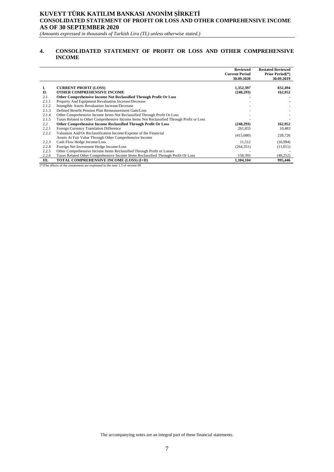#### **KUVEYT TÜRK KATILIM BANKASI ANONİM ŞİRKETİ CONSOLIDATED STATEMENT OF PROFIT OR LOSS AND OTHER COMPREHENSIVE INCOME AS OF 30 SEPTEMBER 2020**

*(Amounts expressed in thousands of Turkish Lira (TL) unless otherwise stated.)*

#### **4. CONSOLIDATED STATEMENT OF PROFIT OR LOSS AND OTHER COMPREHENSIVE INCOME**

|               |                                                                                                                              | <b>Reviewed</b><br><b>Current Period</b><br>30.09.2020 | <b>Restated Reviewed</b><br><b>Prior Period</b> <sup>(*)</sup><br>30.09.2019 |
|---------------|------------------------------------------------------------------------------------------------------------------------------|--------------------------------------------------------|------------------------------------------------------------------------------|
| Ι.<br>П.      | <b>CURRENT PROFIT (LOSS)</b><br>OTHER COMPREHENSIVE INCOME                                                                   | 1,352,397<br>(248, 293)                                | 832,494<br>162,952                                                           |
| 2.1           | Other Comprehensive Income Not Reclassified Through Profit Or Loss                                                           |                                                        |                                                                              |
| 2.1.1         | Property And Equipment Revaluation Increase/Decrease                                                                         |                                                        |                                                                              |
| 2.1.2         | Intangible Assets Revaluation Increase/Decrease                                                                              |                                                        |                                                                              |
| 2.1.3         | Defined Benefit Pension Plan Remeasurement Gain/Loss                                                                         |                                                        |                                                                              |
| 2.1.4         | Other Comprehensive Income Items Not Reclassified Through Profit Or Loss                                                     |                                                        |                                                                              |
| 2.1.5         | Taxes Related to Other Comprehensive Income Items Not Reclassified Through Profit or Loss                                    |                                                        |                                                                              |
| $2.2^{\circ}$ | Other Comprehensive Income Reclassified Through Profit Or Loss                                                               | (248, 293)                                             | 162,952                                                                      |
| 2.2.1         | Foreign Currency Translation Difference                                                                                      | 261,833                                                | 10,483                                                                       |
| 2.2.2         | Valuation And/Or Reclassification Income/Expense of the Financial<br>Assets At Fair Value Through Other Comprehensive Income | (415,680)                                              | 228,726                                                                      |
| 2.2.3         | Cash Flow Hedge Income/Loss                                                                                                  | 11,512                                                 | (16,994)                                                                     |
| 2.2.4         | Foreign Net Investment Hedge Income/Loss                                                                                     | (264, 351)                                             | (11,011)                                                                     |
| 2.2.5         | Other Comprehensive Income Items Reclassified Through Profit or Losses                                                       |                                                        |                                                                              |
| 2.2.6         | Taxes Related Other Comprehensive Income Items Reclassified Through Profit Or Loss                                           | 158,393                                                | (48, 252)                                                                    |
| Ш.            | TOTAL COMPREHENSIVE INCOME (LOSS) (I+II)                                                                                     | 1,104,104                                              | 995,446                                                                      |

(\*)The effects of the restatement are explained in the note 1.5 of section III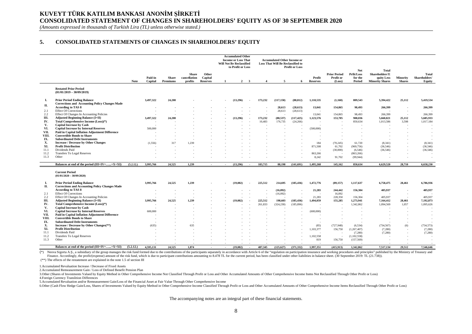## **KUVEYT TÜRK KATILIM BANKASI ANONİM ŞİRKETİ CONSOLIDATED STATEMENT OF CHANGES IN SHAREHOLDERS' EQUITY AS OF 30 SEPTEMBER 2020**

*(Amounts expressed in thousands of Turkish Lira (TL) unless otherwise stated.)*

#### **5. CONSOLIDATED STATEMENTS OF CHANGES IN SHAREHOLDERS' EQUITY**

|              |                                                                                             |             |                    |                          |                                         |                                     |        | <b>Accumulated Other</b><br><b>Income or Loss That</b><br><b>Will Not Be Reclassified</b><br>to Profit or Loss |                         |         | <b>Accumulated Other Income or</b><br><b>Loss That Will Be Reclassified to</b> | <b>Profit or Loss</b> |                           |                                            |                                        |                                                                 |                           |                                  |
|--------------|---------------------------------------------------------------------------------------------|-------------|--------------------|--------------------------|-----------------------------------------|-------------------------------------|--------|----------------------------------------------------------------------------------------------------------------|-------------------------|---------|--------------------------------------------------------------------------------|-----------------------|---------------------------|--------------------------------------------|----------------------------------------|-----------------------------------------------------------------|---------------------------|----------------------------------|
|              |                                                                                             | <b>Note</b> | Paid-in<br>Capital | <b>Share</b><br>Premiums | <b>Share</b><br>cancellation<br>profits | Other<br>Capital<br><b>Reserves</b> |        | $\overline{2}$                                                                                                 | $\overline{\mathbf{3}}$ |         | 5                                                                              | 6                     | Profit<br><b>Reserves</b> | <b>Prior Period</b><br>Profit or<br>(Loss) | Net<br>Prfit/Loss<br>for the<br>Period | Total<br>Shareholders'E<br>quity Less<br><b>Minority Shares</b> | Minority<br><b>Shares</b> | Total<br>Shareholders'<br>Equity |
|              | <b>Restated Prior Period</b><br>$(01/01/2019 - 30/09/2019)$                                 |             |                    |                          |                                         |                                     |        |                                                                                                                |                         |         |                                                                                |                       |                           |                                            |                                        |                                                                 |                           |                                  |
| L.<br>П.     | <b>Prior Period Ending Balance</b><br><b>Corrections and Accounting Policy Changes Made</b> |             | 3,497,322          | 24,208                   |                                         |                                     |        | (13,296)                                                                                                       |                         | 173,232 | (117, 150)                                                                     | (88, 812)             | 1,110,535                 | (1,160)                                    | 809,543                                | 5,394,422                                                       | 25,112                    | 5,419,534                        |
|              | <b>According to TAS 8</b>                                                                   |             |                    |                          |                                         |                                     |        |                                                                                                                |                         |         | 28,613                                                                         | (28, 613)             | 13,041                    | 154,865                                    | 98,493                                 | 266,399                                                         |                           | 266,399                          |
| 2.1          | <b>Effect Of Corrections</b>                                                                |             |                    |                          |                                         |                                     |        |                                                                                                                |                         | $\sim$  | 28,613                                                                         | (28, 613)             |                           |                                            |                                        |                                                                 |                           |                                  |
| 2.2          | Effect Of Changes In Accounting Policies                                                    |             |                    |                          |                                         |                                     |        |                                                                                                                |                         |         |                                                                                |                       | 13,041                    | 154,865                                    | 98,493                                 | 266,399                                                         |                           | 266,399                          |
| Ш.           | <b>Adjusted Beginning Balance (I+II)</b>                                                    |             | 3,497,322          | 24.208                   |                                         |                                     |        | (13.296)                                                                                                       |                         | 173,232 | (88, 537)                                                                      | (117, 425)            | 1,123,576                 | 153,705                                    | 908,036                                | 5,660,821                                                       | 25,112                    | 5,685,933                        |
| IV.          | Total Comprehensive Income (Loss)(*)                                                        |             |                    |                          |                                         |                                     |        |                                                                                                                |                         | 10.483  | 176,735                                                                        | (24, 266)             |                           | ×                                          | 850,634                                | 1,013,586                                                       | 3.598                     | 1,017,184                        |
| V.           | <b>Capital Increase by Cash</b>                                                             |             |                    |                          |                                         |                                     |        |                                                                                                                |                         |         |                                                                                |                       |                           |                                            |                                        |                                                                 |                           |                                  |
| VI.          | <b>Capital Increase by Internal Reserves</b>                                                |             | 500,000            |                          |                                         |                                     |        |                                                                                                                |                         |         |                                                                                |                       | (500,000)                 |                                            |                                        |                                                                 |                           |                                  |
| VII.         | <b>Paid in Capital Inflation Adjustment Difference</b>                                      |             |                    |                          |                                         |                                     |        |                                                                                                                |                         |         |                                                                                |                       |                           |                                            |                                        |                                                                 |                           |                                  |
| VIII.        | <b>Convertible Bonds to Share</b>                                                           |             |                    |                          |                                         |                                     |        |                                                                                                                |                         |         |                                                                                |                       |                           |                                            |                                        |                                                                 |                           |                                  |
| IX.          | <b>Subordinated Debt Instruments</b>                                                        |             |                    |                          |                                         |                                     |        |                                                                                                                |                         |         |                                                                                |                       |                           |                                            |                                        |                                                                 |                           |                                  |
| Х.<br>XI.    | <b>Increase / Decrease by Other Changes</b><br><b>Profit Distribution</b>                   |             | (1, 556)           | 317                      | 1,239                                   |                                     |        |                                                                                                                |                         |         |                                                                                |                       | 184                       | (70, 245)<br>61,702                        | 61,720<br>(969, 756)                   | (8,341)<br>(36, 546)                                            |                           | (8,341)<br>(36, 546)             |
| 11.1         | Dividends Paid                                                                              |             |                    |                          |                                         |                                     |        |                                                                                                                |                         |         |                                                                                |                       | 871,508<br>$\sim$         | (30,000)                                   | (6, 546)                               | (36, 546)                                                       |                           | (36, 546)                        |
| 11.2         | <b>Transfers To Legal Reserves</b>                                                          |             |                    |                          |                                         |                                     |        |                                                                                                                |                         |         |                                                                                |                       | 863.266                   |                                            | (863, 266)                             |                                                                 |                           |                                  |
| 11.3         | Other                                                                                       |             |                    |                          |                                         |                                     |        |                                                                                                                |                         |         |                                                                                |                       | 8,242                     | 91,702                                     | (99, 944)                              |                                                                 |                           |                                  |
|              |                                                                                             |             |                    |                          |                                         |                                     |        |                                                                                                                |                         |         |                                                                                |                       |                           |                                            |                                        |                                                                 |                           |                                  |
|              | Balances at end of the period $(III+IV++X+XI)$                                              | (5.2.12.)   | 3.995.766          | 24.525                   | 1.239                                   | $\sim$                              | $\sim$ | (13.296)                                                                                                       | $\sim 10$               | 183,715 | 88.198                                                                         | (141.691)             | 1.495.268                 | 145,162                                    | 850,634                                | 6.629.520                                                       | 28,710                    | 6,658,230                        |
|              | <b>Current Period</b><br>$(01/01/2020 - 30/09/2020)$                                        |             |                    |                          |                                         |                                     |        |                                                                                                                |                         |         |                                                                                |                       |                           |                                            |                                        |                                                                 |                           |                                  |
| L.           | <b>Prior Period Ending Balance</b>                                                          |             | 3,995,766          | 24,525                   | 1,239                                   |                                     |        | (19,082)                                                                                                       |                         | 225,512 | 214,695                                                                        | (185, 436)            | 1,472,776                 | (89, 157)                                  | 1,117,637                              | 6,758,475                                                       | 28,461                    | 6,786,936                        |
| П.           | <b>Corrections and Accounting Policy Changes Made</b>                                       |             |                    |                          |                                         |                                     |        |                                                                                                                |                         |         |                                                                                |                       |                           |                                            |                                        |                                                                 |                           |                                  |
|              | <b>According to TAS 8</b>                                                                   |             |                    |                          |                                         |                                     |        |                                                                                                                |                         |         | (16,092)                                                                       |                       | 21,283                    | 244,442                                    | 156,304                                | 405,937                                                         |                           | 405,937                          |
| 2.1          | <b>Effect Of Corrections</b>                                                                |             |                    |                          |                                         |                                     |        |                                                                                                                |                         |         | (16,092)                                                                       |                       |                           | 16,092                                     |                                        |                                                                 |                           |                                  |
| 2.2          | Effect Of Changes In Accounting Policies                                                    |             |                    |                          |                                         |                                     |        |                                                                                                                | $\sim$                  |         |                                                                                |                       | 21,283                    | 228,350                                    | 156,304                                | 405,937                                                         |                           | 405,937                          |
| Ш.           | <b>Adjusted Beginning Balance (I+II)</b>                                                    |             | 3.995.766          | 24.525                   | 1.239                                   |                                     |        | (19.082)                                                                                                       |                         | 225,512 | 198,603                                                                        | (185, 436)            | 1.494.059                 | 155,285                                    | 1.273.941                              | 7,164,412                                                       | 28.461                    | 7,192,873                        |
| IV.          | Total Comprehensive Income (Loss)(*)                                                        |             |                    |                          |                                         |                                     |        |                                                                                                                |                         | 261,833 | (324, 230)                                                                     | (185, 896)            |                           |                                            | 1,342,862                              | 1,094,569                                                       | 1,057                     | 1,095,626                        |
| V.           | <b>Capital Increase by Cash</b>                                                             |             |                    |                          |                                         |                                     |        |                                                                                                                |                         |         |                                                                                |                       |                           |                                            |                                        |                                                                 |                           |                                  |
| VI.          | <b>Capital Increase by Internal Reserves</b>                                                |             | 600,000            |                          |                                         |                                     |        |                                                                                                                |                         |         |                                                                                |                       | (600,000)                 |                                            |                                        |                                                                 |                           |                                  |
| VII.         | <b>Paid in Capital Inflation Adjustment Difference</b>                                      |             |                    |                          |                                         |                                     |        |                                                                                                                |                         |         |                                                                                |                       |                           |                                            |                                        |                                                                 |                           |                                  |
| VIII.        | <b>Convertible Bonds to Share</b>                                                           |             |                    |                          |                                         |                                     |        |                                                                                                                |                         |         |                                                                                |                       |                           | $\sim$                                     |                                        |                                                                 |                           |                                  |
| IX.          | <b>Subordinated Debt Instruments</b>                                                        |             |                    |                          |                                         |                                     |        |                                                                                                                |                         |         |                                                                                |                       |                           | ×                                          |                                        |                                                                 |                           |                                  |
| Х.           | Increase / Decrease by Other Changes(**)                                                    |             | (635)              |                          | 635                                     |                                     |        |                                                                                                                |                         |         |                                                                                |                       | (85)                      | (727, 948)                                 | (6, 534)                               | (734, 567)                                                      | (6)                       | (734, 573)                       |
| XI.          | <b>Profit Distribution</b>                                                                  |             |                    |                          |                                         |                                     |        |                                                                                                                |                         |         |                                                                                |                       | 1,103,377                 | 156,750                                    | (1,267,407)                            | (7,280)                                                         |                           | (7,280)                          |
| 11.1<br>11.2 | Dividends Paid<br><b>Transfers To Legal Reserves</b>                                        |             |                    |                          |                                         |                                     |        |                                                                                                                |                         |         |                                                                                |                       | 1,102,558                 |                                            | (7,280)<br>(1,102,558)                 | (7,280)                                                         |                           | (7,280)                          |
| 11.3         | Other                                                                                       |             |                    |                          |                                         |                                     |        |                                                                                                                |                         |         |                                                                                |                       | 819                       | 156,750                                    | (157, 569)                             |                                                                 |                           |                                  |
|              |                                                                                             |             |                    |                          |                                         |                                     |        |                                                                                                                |                         |         |                                                                                |                       |                           |                                            |                                        |                                                                 |                           |                                  |
|              | Balances at end of the period (III+IV++X+XI)                                                | (5.2.12.)   | 4.595.131          | 24.525                   | 1.874                                   | $\sim$                              |        | (19.082)                                                                                                       | - 20                    | 487.345 | (125.627)                                                                      | (371.332)             | 1.997.351                 | (415.913)                                  | 1.342.862                              | 7.517.134                                                       | 29.512                    | 7.546.646                        |

(\*) Neova Sigorta A.S., a subsidiary of the group manages the risk fund formed due to the contributions of the participants separately in accordance with Article 6 of the "regulation on participation insurance and working Finance. Accordingly, the profit/(expense) amount of the risk fund, which is due to participant contributions amounting to 8.478 TL for the current period, has been classified under other liabilities in balance sheet. (30

 $(**)$  The effects of the restatement are explained in the note 1.5 of section III

1.Accumulated Revaluation Increase / Decrease of Fixed Assets

2.Accumulated Remeasurement Gain / Loss of Defined Benefit Pension Plan

3.Other (Shares of Investments Valued by Equity Method in Other Comprehensive Income Not Classified Through Profit or Loss and Other Accumulated Amounts of Other Comprehensive Income Items Not Reclassified Through Other Pr

4.Foreign Currency Translition Differences

5.Accumulated Revaluation and/or Remeasurement Gain/Loss of the Financial Asset at Fair Value Through Other Comprehensive Income

6.Other (Cash Flow Hedge Gain/Loss, Shares of Investments Valued by Equity Method in Other Comprehensive Income Classified Through Profit or Loss and Other Accumulated Amounts of Other Comprehensive Income Items Reclassifi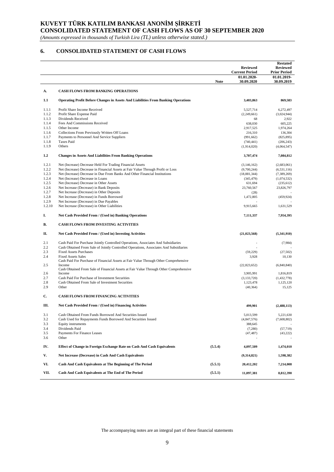## **KUVEYT TÜRK KATILIM BANKASI ANONİM ŞİRKETİ**

**CONSOLIDATED STATEMENT OF CASH FLOWS AS OF 30 SEPTEMBER 2020**

*(Amounts expressed in thousands of Turkish Lira (TL) unless otherwise stated.)*

## **6. CONSOLIDATED STATEMENT OF CASH FLOWS**

|                |                                                                                                     |             | <b>Reviewed</b><br><b>Current Period</b> | <b>Restated</b><br><b>Reviewed</b><br><b>Prior Period</b> |
|----------------|-----------------------------------------------------------------------------------------------------|-------------|------------------------------------------|-----------------------------------------------------------|
|                |                                                                                                     | <b>Note</b> | 01.01.2020-<br>30.09.2020                | 01.01.2019-<br>30.09.2019                                 |
| А.             | <b>CASH FLOWS FROM BANKING OPERATIONS</b>                                                           |             |                                          |                                                           |
| 1.1            | <b>Operating Profit Before Changes in Assets And Liabilities From Banking Operations</b>            |             | 3,403,863                                | 869,583                                                   |
| 1.1.1          | Profit Share Income Received                                                                        |             | 5,527,714                                | 6,272,497                                                 |
| 1.1.2          | Profit Share Expense Paid                                                                           |             | (2,249,661)                              | (3,024,944)                                               |
| 1.1.3          | Dividends Received                                                                                  |             | 68                                       | 2,922                                                     |
| 1.1.4          | Fees And Commissions Received                                                                       |             | 638,030                                  | 605,225                                                   |
| 1.1.5          | Other Income                                                                                        |             | 2,917,525                                | 1,974,264                                                 |
| 1.1.6          | Collections From Previously Written Off Loans                                                       |             | 216,310                                  | 136,304                                                   |
| 1.1.7          | Payments to Personnel And Service Suppliers                                                         |             | (991, 662)                               | (825, 895)                                                |
| 1.1.8<br>1.1.9 | <b>Taxes Paid</b><br>Others                                                                         |             | (740, 441)                               | (206, 243)                                                |
|                |                                                                                                     |             | (1,914,020)                              | (4,064,547)                                               |
| 1,2            | <b>Changes in Assets And Liabilities From Banking Operations</b>                                    |             | 3,707,474                                | 7,084,812                                                 |
| 1.2.1          | Net (Increase) Decrease Held For Trading Financial Assets                                           |             | (3,146,162)                              | (2,683,061)                                               |
| 1.2.2          | Net (Increase) Decrease in Financial Assets at Fair Value Through Profit or Loss                    |             | (9,700,244)                              | (6, 531, 116)                                             |
| 1.2.3          | Net (Increase) Decrease in Due From Banks And Other Financial Institutions                          |             | (18, 881, 344)                           | (7, 389, 269)                                             |
| 1.2.4          | Net (Increase) Decrease in Loans                                                                    |             | (345, 479)                               | (1,074,532)                                               |
| 1.2.5<br>1.2.6 | Net (Increase) Decrease in Other Assets                                                             |             | 631,694                                  | (235, 612)<br>23,826,797                                  |
| 1.2.7          | Net Increase (Decrease) in Bank Deposits<br>Net Increase (Decrease) in Other Deposits               |             | 23,760,567<br>(28)                       |                                                           |
| 1.2.8          | Net Increase (Decrease) in Funds Borrowed                                                           |             | 1,472,805                                | (459, 924)                                                |
| 1.2.9          | Net Increase (Decrease) in Due Payables                                                             |             |                                          |                                                           |
| 1.2.10         | Net Increase (Decrease) in Other Liabilities                                                        |             | 9,915,665                                | 1.631.529                                                 |
| I.             | Net Cash Provided From / (Used in) Banking Operations                                               |             | 7,111,337                                | 7,954,395                                                 |
| В.             | <b>CASH FLOWS FROM INVESTING ACTIVITIES</b>                                                         |             |                                          |                                                           |
| П.             | Net Cash Provided From / (Used in) Investing Activities                                             |             | (21, 023, 568)                           | (5,341,910)                                               |
| 2.1            | Cash Paid For Purchase Jointly Controlled Operations, Associates And Subsidiaries                   |             |                                          | (7,984)                                                   |
| 2.2            | Cash Obtained From Sale of Jointly Controlled Operations, Associates And Subsidiaries               |             |                                          |                                                           |
| 2.3            | <b>Fixed Assets Purchases</b>                                                                       |             | (59, 229)                                | (27, 502)                                                 |
| 2.4            | <b>Fixed Assets Sales</b>                                                                           |             | 3,928                                    | 10,130                                                    |
| 2.5            | Cash Paid For Purchase of Financial Assets at Fair Value Through Other Comprehensive                |             |                                          |                                                           |
|                | Income<br>Cash Obtained From Sale of Financial Assets at Fair Value Through Other Comprehensive     |             | (22,823,652)                             | (6,840,840)                                               |
| 2.6            | Income                                                                                              |             | 3,905,991                                | 1,816,819                                                 |
| 2.7<br>2.8     | Cash Paid For Purchase of Investment Securities<br>Cash Obtained From Sale of Investment Securities |             | (3, 133, 720)<br>1,123,478               | (1,432,778)<br>1,125,120                                  |
| 2.9            | Other                                                                                               |             | (40, 364)                                | 15,125                                                    |
|                |                                                                                                     |             |                                          |                                                           |
| C.             | <b>CASH FLOWS FROM FINANCING ACTIVITIES</b>                                                         |             |                                          |                                                           |
| Ш.             | Net Cash Provided From / (Used in) Financing Activities                                             |             | 499,901                                  | (2,488,113)                                               |
| 3.1            | Cash Obtained From Funds Borrowed And Securities Issued                                             |             | 5,013,599                                | 5,221,630                                                 |
| 3.2            | Cash Used for Repayments Funds Borrowed And Securities Issued                                       |             | (4,847,576)                              | (7,608,802)                                               |
| 3.3            | Equity instruments                                                                                  |             | 388,645                                  |                                                           |
| 3.4            | Dividends Paid                                                                                      |             | (7,280)                                  | (57, 719)                                                 |
| 3.5<br>3.6     | Payments For Finance Leases<br>Other                                                                |             | (47, 487)                                | (43, 222)                                                 |
| IV.            | Effect of Change in Foreign Exchange Rate on Cash And Cash Equivalents                              | (5.5.4)     | 4,097,509                                | 1,474,010                                                 |
| V.             | Net Increase (Decrease) in Cash And Cash Equivalents                                                |             | (9,314,821)                              | 1,598,382                                                 |
| VI.            | Cash And Cash Equivalents at The Beginning of The Period                                            | (5.5.1)     | 20,412,202                               | 7,214,008                                                 |
| VII.           | Cash And Cash Equivalents at The End of The Period                                                  | (5.5.1)     | 11,097,381                               | 8,812,390                                                 |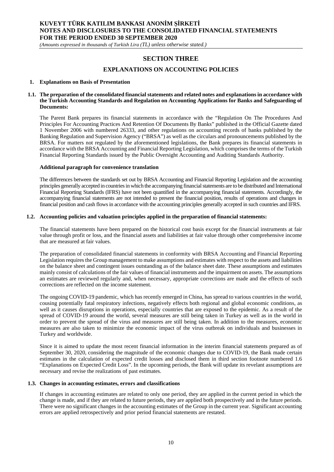*(Amounts expressed in thousands of Turkish Lira (TL) unless otherwise stated.)*

## **SECTION THREE**

#### **EXPLANATIONS ON ACCOUNTING POLICIES**

#### **1. Explanations on Basis of Presentation**

#### **1.1. The preparation of the consolidated financial statements and related notes and explanations in accordance with the Turkish Accounting Standards and Regulation on Accounting Applications for Banks and Safeguarding of Documents:**

The Parent Bank prepares its financial statements in accordance with the "Regulation On The Procedures And Principles For Accounting Practices And Retention Of Documents By Banks" published in the Official Gazette dated 1 November 2006 with numbered 26333, and other regulations on accounting records of banks published by the Banking Regulation and Supervision Agency ("BRSA") as well as the circulars and pronouncements published by the BRSA. For matters not regulated by the aforementioned legislations, the Bank prepares its financial statements in accordance with the BRSA Accounting and Financial Reporting Legislation, which comprises the terms of the Turkish Financial Reporting Standards issued by the Public Oversight Accounting and Auditing Standards Authority.

#### **Additional paragraph for convenience translation**

The differences between the standards set out by BRSA Accounting and Financial Reporting Legislation and the accounting principles generally accepted in countries in which the accompanying financial statements are to be distributed and International Financial Reporting Standards (IFRS) have not been quantified in the accompanying financial statements. Accordingly, the accompanying financial statements are not intended to present the financial position, results of operations and changes in financial position and cash flows in accordance with the accounting principles generally accepted in such countries and IFRS.

#### **1.2. Accounting policies and valuation principles applied in the preparation of financial statements:**

The financial statements have been prepared on the historical cost basis except for the financial instruments at fair value through profit or loss, and the financial assets and liabilities at fair value through other comprehensive income that are measured at fair values.

The preparation of consolidated financial statements in conformity with BRSA Accounting and Financial Reporting Legislation requires the Group management to make assumptions and estimates with respect to the assets and liabilities on the balance sheet and contingent issues outstanding as of the balance sheet date. These assumptions and estimates mainly consist of calculations of the fair values of financial instruments and the impairment on assets. The assumptions an estimates are reviewed regularly and, when necessary, appropriate corrections are made and the effects of such corrections are reflected on the income statement.

The ongoing COVID-19 pandemic, which has recently emerged in China, has spread to various countries in the world, cousing potentially fatal respiratory infections, negatively effects both regional and global economic conditions, as well as it causes disruptions in operations, especially countries that are exposed to the epidemic. As a result of the spread of COVID-19 around the world, several measures are still being taken in Turkey as well as in the world in order to prevent the spread of the virus and measures are still being taken. In addition to the measures, economic measures are also taken to minimize the economic impact of the virus outbreak on individuals and businesses in Turkey and worldwide.

Since it is aimed to update the most recent financial information in the interim financial statements prepared as of September 30, 2020, considering the magnitude of the economic changes due to COVID-19, the Bank made certain estimates in the calculation of expected credit losses and disclosed them in third section footnote numbered 1.6 "Explanations on Expected Credit Loss". In the upcoming periods, the Bank will update its revelant assumptions are necessary and revise the realizations of past estimates.

#### **1.3. Changes in accounting estimates, errors and classifications**

If changes in accounting estimates are related to only one period, they are applied in the current period in which the change is made, and if they are related to future periods, they are applied both prospectively and in the future periods. There were no significant changes in the accounting estimates of the Group in the current year. Significant accounting errors are applied retrospectively and prior period financial statements are restated.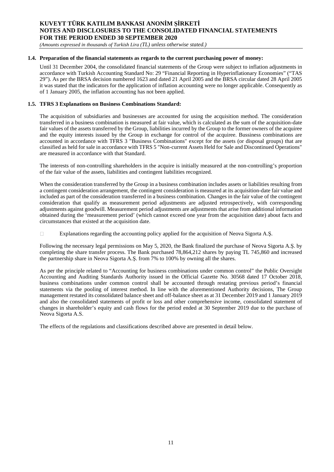*(Amounts expressed in thousands of Turkish Lira (TL) unless otherwise stated.)*

#### **1.4. Preparation of the financial statements as regards to the current purchasing power of money:**

Until 31 December 2004, the consolidated financial statements of the Group were subject to inflation adjustments in accordance with Turkish Accounting Standard No: 29 "Financial Reporting in Hyperinflationary Economies" ("TAS 29"). As per the BRSA decision numbered 1623 and dated 21 April 2005 and the BRSA circular dated 28 April 2005 it was stated that the indicators for the application of inflation accounting were no longer applicable. Consequently as of 1 January 2005, the inflation accounting has not been applied.

#### **1.5. TFRS 3 Explanations on Business Combinations Standard:**

The acquisition of subsidiaries and businesses are accounted for using the acquisition method. The consideration transferred in a business combination is measured at fair value, which is calculated as the sum of the acquisition-date fair values of the assets transferred by the Group, liabilities incurred by the Group to the former owners of the acquiree and the equity interests issued by the Group in exchange for control of the acquiree. Bussiness combinations are accounted in accordance with TFRS 3 "Business Combinations" except for the assets (or disposal groups) that are classified as held for sale in accordance with TFRS 5 "Non-current Assets Held for Sale and Discontinued Operations" are measured in accordance with that Standard.

The interests of non-controlling shareholders in the acquire is initially measured at the non-controlling's proportion of the fair value of the assets, liabilities and contingent liabilities recognized.

When the consideration transferred by the Group in a business combination includes assets or liabilities resulting from a contingent consideration arrangement, the contingent consideration is measured at its acquisition-date fair value and included as part of the consideration transferred in a business combination. Changes in the fair value of the contingent consideration that qualify as measurement period adjustments are adjusted retrospectively, with corresponding adjustments against goodwill. Measurement period adjustments are adjustments that arise from additional information obtained during the 'measurement period' (which cannot exceed one year from the acquisition date) about facts and circumstances that existed at the acquisition date.

Explanations regarding the accounting policy applied for the acquisition of Neova Sigorta A.Ş.  $\Box$ 

Following the necessary legal permissions on May 5, 2020, the Bank finalized the purchase of Neova Sigorta A.Ş. by completing the share transfer process. The Bank purchased 78,864,212 shares by paying TL 745,860 and increased the partnership share in Neova Sigorta A.Ş. from 7% to 100% by owning all the shares.

As per the principle related to "Accounting for business combinations under common control" the Public Oversight Accounting and Auditing Standards Authority issued in the Official Gazette No. 30568 dated 17 October 2018, business combinations under common control shall be accounted through restating previous period's financial statements via the pooling of interest method. In line with the aforementioned Authority decisions, The Group management restated its consolidated balance sheet and off-balance sheet as at 31 December 2019 and 1 January 2019 and also the consolidated statements of profit or loss and other comprehensive income, consolidated statement of changes in shareholder's equity and cash flows for the period ended at 30 September 2019 due to the purchase of Neova Sigorta A.S.

The effects of the regulations and classifications described above are presented in detail below.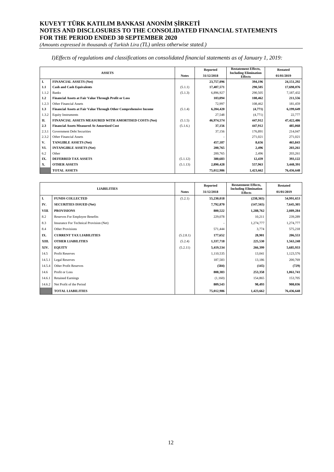*(Amounts expressed in thousands of Turkish Lira (TL) unless otherwise stated.)*

#### *I)Effects of regulations and classifications on consolidated financial statements as of January 1, 2019:*

|       | <b>ASSETS</b>                                                     | <b>Notes</b> | <b>Reported</b><br>31/12/2018 | <b>Restatement Effects,</b><br><b>Including Elimination</b><br><b>Effects</b> | <b>Restated</b><br>01/01/2019 |
|-------|-------------------------------------------------------------------|--------------|-------------------------------|-------------------------------------------------------------------------------|-------------------------------|
| I.    | <b>FINANCIAL ASSETS (Net)</b>                                     |              | 23,757,096                    | 394,196                                                                       | 24,151,292                    |
| 1.1   | <b>Cash and Cash Equivalents</b>                                  | (5.1.1)      | 17,407,571                    | 290,505                                                                       | 17,698,076                    |
| 1.1.2 | <b>Banks</b>                                                      | (5.1.3)      | 6,896,927                     | 290,505                                                                       | 7,187,432                     |
| 1.2   | Financial Assets at Fair Value Through Profit or Loss             |              | 103,094                       | 108,462                                                                       | 211,556                       |
| 1.2.3 | Other Financial Assets                                            |              | 72,997                        | 108,462                                                                       | 181,459                       |
| 1.3   | Financial Assets at Fair Value Through Other Comprehensive Income | (5.1.4)      | 6,204,420                     | (4,771)                                                                       | 6,199,649                     |
| 1.3.2 | <b>Equity Instruments</b>                                         |              | 27,548                        | (4,771)                                                                       | 22,777                        |
| П.    | FINANCIAL ASSETS MEASURED WITH AMORTISED COSTS (Net)              | (5.1.5)      | 46,974,574                    | 447,912                                                                       | 47,422,486                    |
| 2.3   | <b>Financial Assets Measured At Amortized Cost</b>                | (5.1.6.)     | 37,156                        | 447,912                                                                       | 485,068                       |
| 2.3.1 | <b>Government Debt Securities</b>                                 |              | 37,156                        | 176,891                                                                       | 214,047                       |
| 2.3.2 | Other Financial Assets                                            |              |                               | 271,021                                                                       | 271,021                       |
| V.    | <b>TANGIBLE ASSETS (Net)</b>                                      |              | 457,187                       | 8,656                                                                         | 465,843                       |
| VI.   | <b>INTANGIBLE ASSETS (Net)</b>                                    |              | 200,765                       | 2,496                                                                         | 203,261                       |
| 6.2   | Other                                                             |              | 200,765                       | 2,496                                                                         | 203,261                       |
| IX.   | <b>DEFERRED TAX ASSETS</b>                                        | (5.1.12)     | 380,683                       | 12,439                                                                        | 393,122                       |
| X.    | <b>OTHER ASSETS</b>                                               | (5.1.13)     | 2,890,428                     | 557,963                                                                       | 3,448,391                     |
|       | <b>TOTAL ASSETS</b>                                               |              | 75,012,986                    | 1,423,662                                                                     | 76,436,648                    |

|        |                                         |              | <b>Reported</b> | <b>Restatement Effects,</b>                    | <b>Restated</b> |
|--------|-----------------------------------------|--------------|-----------------|------------------------------------------------|-----------------|
|        | <b>LIABILITIES</b>                      | <b>Notes</b> | 31/12/2018      | <b>Including Elimination</b><br><b>Effects</b> | 01/01/2019      |
| I.     | <b>FUNDS COLLECTED</b>                  | (5.2.1)      | 55,230,018      | (238, 365)                                     | 54,991,653      |
| IV.    | <b>SECURITIES ISSUED (Net)</b>          |              | 7,792,870       | (147, 565)                                     | 7,645,305       |
| VIII.  | <b>PROVISIONS</b>                       |              | 800,522         | 1,288,762                                      | 2,089,284       |
| 8.2    | <b>Reserves For Employee Benefits</b>   |              | 229,078         | 10,211                                         | 239,289         |
| 8.3    | Insurance For Technical Provision (Net) |              |                 | 1,274,777                                      | 1,274,777       |
| 8.4    | <b>Other Provisions</b>                 |              | 571,444         | 3,774                                          | 575,218         |
| IX.    | <b>CURRENT TAX LIABILITIES</b>          | (5.2.8.1)    | 177,652         | 28,901                                         | 206,553         |
| XIII.  | <b>OTHER LIABILITIES</b>                | (5.2.4)      | 1,337,718       | 225,530                                        | 1,563,248       |
| XIV.   | <b>EQUITY</b>                           | (5.2.11)     | 5,419,534       | 266,399                                        | 5,685,933       |
| 14.5   | <b>Profit Reserves</b>                  |              | 1,110,535       | 13,041                                         | 1,123,576       |
| 14.5.1 | <b>Legal Reserves</b>                   |              | 187,583         | 13,186                                         | 200,769         |
| 14.5.4 | <b>Other Profit Reserves</b>            |              | (584)           | (145)                                          | (729)           |
| 14.6   | Profit or Loss                          |              | 808,383         | 253,358                                        | 1,061,741       |
| 14.6.1 | <b>Retained Earnings</b>                |              | (1,160)         | 154,865                                        | 153,705         |
| 14.6.2 | Net Profit of the Period                |              | 809,543         | 98,493                                         | 908,036         |
|        | <b>TOTAL LIABILITIES</b>                |              | 75,012,986      | 1,423,662                                      | 76,436,648      |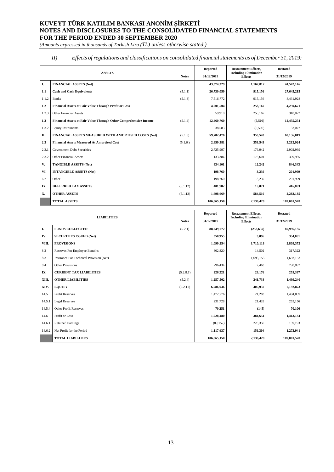*(Amounts expressed in thousands of Turkish Lira (TL) unless otherwise stated.)*

#### *II) Effects of regulations and classifications on consolidated financial statements as of December 31, 2019:*

| <b>ASSETS</b> |                                                                   |          | Reported    | <b>Restatement Effects.</b>                    | <b>Restated</b> |
|---------------|-------------------------------------------------------------------|----------|-------------|------------------------------------------------|-----------------|
|               |                                                                   |          | 31/12/2019  | <b>Including Elimination</b><br><b>Effects</b> | 31/12/2019      |
| I.            | <b>FINANCIAL ASSETS (Net)</b>                                     |          | 43,374,329  | 1,167,817                                      | 44,542,146      |
| 1.1           | <b>Cash and Cash Equivalents</b>                                  | (5.1.1)  | 26,730,059  | 915,156                                        | 27,645,215      |
| 1.1.2         | <b>Banks</b>                                                      | (5.1.3)  | 7,516,772   | 915,156                                        | 8,431,928       |
| 1.2           | <b>Financial Assets at Fair Value Through Profit or Loss</b>      |          | 4,001,504   | 258,167                                        | 4,259,671       |
| 1.2.3         | <b>Other Financial Assets</b>                                     |          | 59,910      | 258,167                                        | 318,077         |
| 1.3           | Financial Assets at Fair Value Through Other Comprehensive Income | (5.1.4)  | 12,460,760  | (5,506)                                        | 12,455,254      |
| 1.3.2         | <b>Equity Instruments</b>                                         |          | 38,583      | (5,506)                                        | 33,077          |
| П.            | FINANCIAL ASSETS MEASURED WITH AMORTISED COSTS (Net)              | (5.1.5)  | 59,782,476  | 353,543                                        | 60,136,019      |
| 2.3           | <b>Financial Assets Measured At Amortized Cost</b>                | (5.1.6.) | 2,859,381   | 353,543                                        | 3,212,924       |
| 2.3.1         | <b>Government Debt Securities</b>                                 |          | 2,725,997   | 176,942                                        | 2,902,939       |
| 2.3.2         | <b>Other Financial Assets</b>                                     |          | 133,384     | 176,601                                        | 309,985         |
| V.            | <b>TANGIBLE ASSETS (Net)</b>                                      |          | 834,101     | 12,242                                         | 846,343         |
| VI.           | <b>INTANGIBLE ASSETS (Net)</b>                                    |          | 198,760     | 3,239                                          | 201,999         |
| 6.2           | Other                                                             |          | 198,760     | 3,239                                          | 201,999         |
| IX.           | <b>DEFERRED TAX ASSETS</b>                                        | (5.1.12) | 401,782     | 15,071                                         | 416,853         |
| X.            | <b>OTHER ASSETS</b>                                               | (5.1.13) | 1.698.669   | 584,516                                        | 2,283,185       |
|               | <b>TOTAL ASSETS</b>                                               |          | 106,865,150 | 2,136,428                                      | 109,001,578     |

|        | <b>LIABILITIES</b>                      | <b>Notes</b> | Reported<br>31/12/2019 | <b>Restatement Effects,</b><br><b>Including Elimination</b><br><b>Effects</b> | <b>Restated</b><br>31/12/2019 |
|--------|-----------------------------------------|--------------|------------------------|-------------------------------------------------------------------------------|-------------------------------|
| I.     | <b>FUNDS COLLECTED</b>                  | (5.2.1)      | 88,249,772             | (253, 637)                                                                    | 87,996,135                    |
| IV.    | <b>SECURITIES ISSUED (Net)</b>          |              | 350,955                | 3,096                                                                         | 354,051                       |
| VIII.  | <b>PROVISIONS</b>                       |              | 1,099,254              | 1,710,118                                                                     | 2,809,372                     |
| 8.2    | <b>Reserves For Employee Benefits</b>   |              | 302,820                | 14,502                                                                        | 317,322                       |
| 8.3    | Insurance For Technical Provision (Net) |              |                        | 1,693,153                                                                     | 1,693,153                     |
| 8.4    | <b>Other Provisions</b>                 |              | 796,434                | 2,463                                                                         | 798,897                       |
| IX.    | <b>CURRENT TAX LIABILITIES</b>          | (5.2.8.1)    | 226,221                | 29,176                                                                        | 255,397                       |
| XIII.  | <b>OTHER LIABILITIES</b>                | (5.2.4)      | 1,257,502              | 241,738                                                                       | 1,499,240                     |
| XIV.   | <b>EQUITY</b>                           | (5.2.11)     | 6,786,936              | 405,937                                                                       | 7,192,873                     |
| 14.5   | <b>Profit Reserves</b>                  |              | 1,472,776              | 21,283                                                                        | 1,494,059                     |
| 14.5.1 | <b>Legal Reserves</b>                   |              | 231,728                | 21,428                                                                        | 253,156                       |
| 14.5.4 | <b>Other Profit Reserves</b>            |              | 70,251                 | (145)                                                                         | 70,106                        |
| 14.6   | Profit or Loss                          |              | 1,028,480              | 384,654                                                                       | 1,413,134                     |
| 14.6.1 | <b>Retained Earnings</b>                |              | (89, 157)              | 228,350                                                                       | 139,193                       |
| 14.6.2 | Net Profit for the Period               |              | 1,117,637              | 156,304                                                                       | 1,273,941                     |
|        | <b>TOTAL LIABILITIES</b>                |              | 106,865,150            | 2,136,428                                                                     | 109,001,578                   |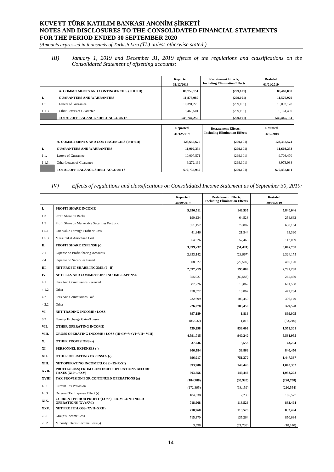*(Amounts expressed in thousands of Turkish Lira (TL) unless otherwise stated.)*

*III) January 1, 2019 and December 31, 2019 effects of the regulations and classifications on the Consolidated Statement of offsetting accounts:*

|        |                                             | <b>Reported</b><br>31/12/2018 | <b>Restatement Effects,</b><br><b>Including Elimination Effects</b> | <b>Restated</b><br>01/01/2019 |
|--------|---------------------------------------------|-------------------------------|---------------------------------------------------------------------|-------------------------------|
|        | A. COMMITMENTS AND CONTINGENCIES (I+II+III) | 86,759,151                    | (299, 101)                                                          | 86,460,050                    |
| L.     | <b>GUARANTEES AND WARRANTIES</b>            | 11,876,080                    | (299, 101)                                                          | 11,576,979                    |
| 1.1.   | Letters of Guarantee                        | 10,391,279                    | (299, 101)                                                          | 10,092,178                    |
| 1.1.3. | Other Letters of Guarantee                  | 9,460,501                     | (299, 101)                                                          | 9,161,400                     |
|        | TOTAL OFF-BALANCE SHEET ACCOUNTS            | 545,744,255                   | (299, 101)                                                          | 545,445,154                   |
|        |                                             |                               |                                                                     |                               |
|        |                                             | <b>Reported</b><br>31/12/2019 | <b>Restatement Effects,</b><br><b>Including Elimination Effects</b> | <b>Restated</b><br>31/12/2019 |
|        |                                             |                               |                                                                     |                               |
|        | A. COMMITMENTS AND CONTINGENCIES (I+II+III) | 123,656,675                   | (299, 101)                                                          | 123,357,574                   |
| I.     |                                             |                               |                                                                     |                               |
|        | <b>GUARANTEES AND WARRANTIES</b>            | 11,902,354                    | (299, 101)                                                          | 11,603,253                    |
| 1.1.   | Letters of Guarantee                        | 10,007,571                    | (299, 101)                                                          | 9,708,470                     |
| 1.1.3. | Other Letters of Guarantee                  | 9,272,139                     | (299, 101)                                                          | 8,973,038                     |

*IV) Effects of regulations and classifications on Consolidated Income Statement as of September 30, 2019:*

|        |                                                                   | <b>Reported</b><br>30/09/2019 | <b>Restatement Effects,</b><br><b>Including Elimination Effects</b> | <b>Restated</b><br>30/09/2019 |
|--------|-------------------------------------------------------------------|-------------------------------|---------------------------------------------------------------------|-------------------------------|
| I.     | PROFIT SHARE INCOME                                               | 5,696,511                     | 143,535                                                             | 5,840,046                     |
| 1.3    | Profit Share on Banks                                             | 190,134                       | 64,528                                                              | 254,662                       |
| 1.5    | Profit Share on Marketable Securities Portfolio                   | 551,157                       | 79,007                                                              | 630,164                       |
| 1.5.1  | Fair Value Through Profit or Loss                                 | 41.846                        | 21,544                                                              | 63,390                        |
| 1.5.3  | Measured at Amortised Cost                                        | 54,626                        | 57,463                                                              | 112,089                       |
| П.     | <b>PROFIT SHARE EXPENSE (-)</b>                                   | 3,099,232                     | (51, 474)                                                           | 3,047,758                     |
| 2.1    | <b>Expense on Profit Sharing Accounts</b>                         | 2,353,142                     | (28,967)                                                            | 2,324,175                     |
| 2.4    | Expense on Securities Issued                                      | 508,627                       | (22, 507)                                                           | 486,120                       |
| Ш.     | NET PROFIT SHARE INCOME (I - II)                                  | 2,597,279                     | 195,009                                                             | 2,792,288                     |
| IV.    | NET FEES AND COMMISSIONS INCOME/EXPENSE                           | 355,027                       | (89, 588)                                                           | 265,439                       |
| 4.1    | Fees And Commissions Received                                     | 587,726                       | 13,862                                                              | 601,588                       |
| 4.1.2  | Other                                                             | 458,372                       | 13,862                                                              | 472,234                       |
| 4.2    | Fees And Commissions Paid                                         | 232,699                       | 103,450                                                             | 336,149                       |
| 4.2.2  | Other                                                             | 226,078                       | 103,450                                                             | 329,528                       |
| VI.    | <b>NET TRADING INCOME / LOSS</b>                                  | 897,189                       | 1,816                                                               | 899,005                       |
| 6.3    | Foreign Exchange Gains/Losses                                     | (85,032)                      | 1,816                                                               | (83,216)                      |
| VII.   | OTHER OPERATING INCOME                                            | 739,298                       | 833,003                                                             | 1,572,301                     |
| VIII.  | <b>GROSS OPERATING INCOME / LOSS (III+IV+V+VI+VII+ VIII)</b>      | 4,591,715                     | 940,240                                                             | 5,531,955                     |
| Х.     | <b>OTHER PROVISIONS (-)</b>                                       | 37,736                        | 5,558                                                               | 43,294                        |
| XI.    | PERSONNEL EXPENSES (-)                                            | 806,584                       | 33,866                                                              | 840,450                       |
| XII.   | <b>OTHER OPERATING EXPENSES (-)</b>                               | 696,017                       | 751,370                                                             | 1,447,387                     |
| XIII.  | NET OPERATING INCOME/(LOSS) (IX-X-XI)                             | 893,906                       | 149,446                                                             | 1,043,352                     |
| XVII.  | PROFIT/(LOSS) FROM CONTINUED OPERATIONS BEFORE                    | 903,756                       | 149,446                                                             | 1,053,202                     |
| XVIII. | TAXES (XII++XV)<br>TAX PROVISION FOR CONTINUED OPERATIONS $(\pm)$ | (184, 788)                    | (35,920)                                                            | (220, 708)                    |
| 18.1   | <b>Current Tax Provision</b>                                      | (172, 395)                    | (38, 159)                                                           | (210, 554)                    |
| 18.3   | Deferred Tax Expense Effect (-)                                   |                               |                                                                     |                               |
| XIX.   | <b>CURRENT PERIOD PROFIT/(LOSS) FROM CONTINUED</b>                | 184,338                       | 2,239                                                               | 186,577                       |
| XXV.   | <b>OPERATIONS (XV±XVI)</b><br>NET PROFIT/LOSS (XVII+XXII)         | 718,968                       | 113,526                                                             | 832,494                       |
| 25.1   | Group's Income/Loss                                               | 718,968                       | 113,526                                                             | 832,494                       |
| 25.2   | Minority Interest Income/Loss (-)                                 | 715,370                       | 135,264                                                             | 850,634                       |
|        |                                                                   | 3,598                         | (21, 738)                                                           | (18, 140)                     |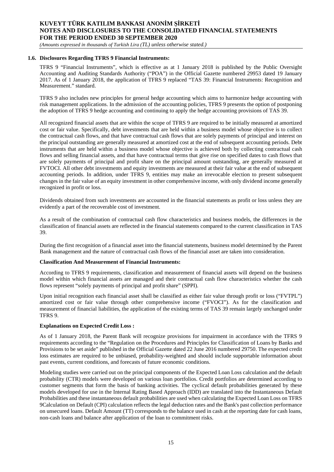*(Amounts expressed in thousands of Turkish Lira (TL) unless otherwise stated.)*

#### **1.6. Disclosures Regarding TFRS 9 Financial Instruments:**

TFRS 9 "Financial Instruments", which is effective as at 1 January 2018 is published by the Public Oversight Accounting and Auditing Standards Authority ("POA") in the Official Gazette numbered 29953 dated 19 January 2017. As of 1 January 2018, the application of TFRS 9 replaced "TAS 39: Financial Instruments: Recognition and Measurement." standard.

TFRS 9 also includes new principles for general hedge accounting which aims to harmonize hedge accounting with risk management applications. In the admission of the accounting policies, TFRS 9 presents the option of postponing the adoption of TFRS 9 hedge accounting and continuing to apply the hedge accounting provisions of TAS 39.

All recognized financial assets that are within the scope of TFRS 9 are required to be initially measured at amortized cost or fair value. Specifically, debt investments that are held within a business model whose objective is to collect the contractual cash flows, and that have contractual cash flows that are solely payments of principal and interest on the principal outstanding are generally measured at amortized cost at the end of subsequent accounting periods. Debt instruments that are held within a business model whose objective is achieved both by collecting contractual cash flows and selling financial assets, and that have contractual terms that give rise on specified dates to cash flows that are solely payments of principal and profit share on the principal amount outstanding, are generally measured at FVTOCI. All other debt investments and equity investments are measured at their fair value at the end of subsequent accounting periods. In addition, under TFRS 9, entities may make an irrevocable election to present subsequent changes in the fair value of an equity investment in other comprehensive income, with only dividend income generally recognized in profit or loss.

Dividends obtained from such investments are accounted in the financial statements as profit or loss unless they are evidently a part of the recoverable cost of investment.

As a result of the combination of contractual cash flow characteristics and business models, the differences in the classification of financial assets are reflected in the financial statements compared to the current classification in TAS 39.

During the first recognition of a financial asset into the financial statements, business model determined by the Parent Bank management and the nature of contractual cash flows of the financial asset are taken into consideration.

#### **Classification And Measurement of Financial Instruments:**

According to TFRS 9 requirements, classification and measurement of financial assets will depend on the business model within which financial assets are managed and their contractual cash flow characteristics whether the cash flows represent "solely payments of principal and profit share" (SPPI).

Upon initial recognition each financial asset shall be classified as either fair value through profit or loss ("FVTPL") amortized cost or fair value through other comprehensive income ("FVOCI"). As for the classification and measurement of financial liabilities, the application of the existing terms of TAS 39 remain largely unchanged under TFRS 9.

#### **Explanations on Expected Credit Loss :**

As of 1 January 2018, the Parent Bank will recognize provisions for impairment in accordance with the TFRS 9 requirements according to the "Regulation on the Procedures and Principles for Classification of Loans by Banks and Provisions to be set aside" published in the Official Gazette dated 22 June 2016 numbered 29750. The expected credit loss estimates are required to be unbiased, probability-weighted and should include supportable information about past events, current conditions, and forecasts of future economic conditions.

Modeling studies were carried out on the principal components of the Expected Loan Loss calculation and the default probability (CTR) models were developed on various loan portfolios. Credit portfolios are determined according to customer segments that form the basis of banking activities. The cyclical default probabilities generated by these models developed for use in the Internal Rating Based Approach (IDD) are translated into the Instantaneous Default Probabilities and these instantaneous default probabilities are used when calculating the Expected Loan Loss on TFRS 9Calculation on Default (CPI) calculation reflects the legal deduction rates and the Bank's past collection performance on unsecured loans. Default Amount (TT) corresponds to the balance used in cash at the reporting date for cash loans, non-cash loans and balance after application of the loan to commitment risks.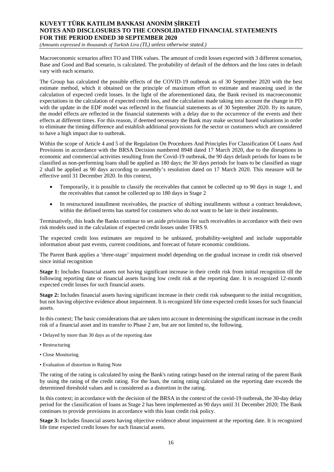*(Amounts expressed in thousands of Turkish Lira (TL) unless otherwise stated.)*

Macroeconomic scenarios affect TO and THK values. The amount of credit losses expected with 3 different scenarios, Base and Good and Bad scenario, is calculated. The probability of default of the debtors and the loss rates in default vary with each scenario.

The Group has calculated the possible effects of the COVID-19 outbreak as of 30 September 2020 with the best estimate method, which it obtained on the principle of maximum effort to estimate and reasoning used in the calculation of expected credit losses. In the light of the aforementioned data, the Bank revised its macroeconomic expectations in the calculation of expected credit loss, and the calculation made taking into account the change in PD with the update in the EDF model was reflected in the financial statements as of 30 September 2020. By its nature, the model effects are reflected in the financial statements with a delay due to the occurrence of the events and their effects at different times. For this reason, if deemed necessary the Bank may make sectoral based valuations in order to eliminate the timing difference and establish additional provisions for the sector or customers which are considered to have a high impact due to outbreak.

Within the scope of Article 4 and 5 of the Regulation On Procedures And Principles For Classification Of Loans And Provisions in accordance with the BRSA Decision numbered 8948 dated 17 March 2020, due to the disruptions in economic and commercial activities resulting from the Covid-19 outbreak, the 90 days default periods for loans to be classified as non-performing loans shall be applied as 180 days; the 30 days periods for loans to be classified as stage 2 shall be applied as 90 days according to assembly's resolution dated on 17 March 2020. This measure will be effective until 31 December 2020. In this context,

- Temporarily, it is possible to classify the receivables that cannot be collected up to 90 days in stage 1, and the receivables that cannot be collected up to 180 days in Stage 2
- In restructured installment receivables, the practice of shifting installments without a contract breakdown, within the defined terms has started for costumers who do not want to be late in their instalments.

Terminatively, this leads the Banks continue to set aside privisions for such receivables in accordance with their own risk models used in the calculation of expected credit losses under TFRS 9.

The expected credit loss estimates are required to be unbiased, probability-weighted and include supportable information about past events, current conditions, and forecast of future economic conditions.

The Parent Bank applies a 'three-stage' impairment model depending on the gradual increase in credit risk observed since initial recognition

**Stage 1:** Includes financial assets not having significant increase in their credit risk from initial recognition till the following reporting date or financial assets having low credit risk at the reporting date. It is recognized 12-month expected credit losses for such financial assets.

**Stage 2:** Includes financial assets having significant increase in their credit risk subsequent to the initial recognition, but not having objective evidence about impairment. It is recognized life time expected credit losses for such financial assets.

In this context; The basic considerations that are taken into account in determining the significant increase in the credit risk of a financial asset and its transfer to Phase 2 are, but are not limited to, the following.

- Delayed by more than 30 days as of the reporting date
- Restructuring
- Close Monitoring
- Evaluation of distortion in Rating Note

The rating of the rating is calculated by using the Bank's rating ratings based on the internal rating of the parent Bank by using the rating of the credit rating. For the loan, the rating rating calculated on the reporting date exceeds the determined threshold values and is considered as a distortion in the rating.

In this context; in accordance with the decision of the BRSA in the context of the covid-19 outbreak, the 30-day delay period for the classification of loans as Stage 2 has been implemented as 90 days until 31 December 2020; The Bank continues to provide provisions in accordance with this loan credit risk policy.

**Stage 3:** Includes financial assets having objective evidence about impairment at the reporting date. It is recognized life time expected credit losses for such financial assets.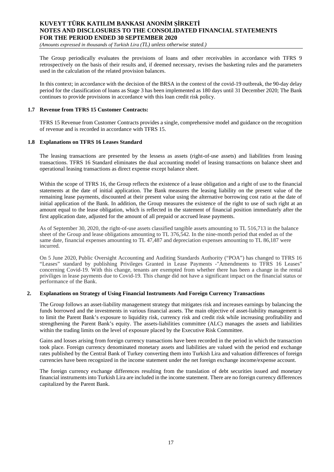*(Amounts expressed in thousands of Turkish Lira (TL) unless otherwise stated.)*

The Group periodically evaluates the provisions of loans and other receivables in accordance with TFRS 9 retrospectively on the basis of their results and, if deemed necessary, revises the basketing rules and the parameters used in the calculation of the related provision balances.

In this context; in accordance with the decision of the BRSA in the context of the covid-19 outbreak, the 90-day delay period for the classification of loans as Stage 3 has been implemented as 180 days until 31 December 2020; The Bank continues to provide provisions in accordance with this loan credit risk policy.

#### **1.7 Revenue from TFRS 15 Customer Contracts:**

TFRS 15 Revenue from Customer Contracts provides a single, comprehensive model and guidance on the recognition of revenue and is recorded in accordance with TFRS 15.

#### **1.8 Explanations on TFRS 16 Leases Standard**

The leasing transactions are presented by the lessess as assets (right-of-use assets) and liabilities from leasing transactions. TFRS 16 Standard eliminates the dual accounting model of leasing transactions on balance sheet and operational leasing transactions as direct expense except balance sheet.

Within the scope of TFRS 16, the Group reflects the existence of a lease obligation and a right of use to the financial statements at the date of initial application. The Bank measures the leasing liability on the present value of the remaining lease payments, discounted at their present value using the alternative borrowing cost ratio at the date of initial application of the Bank. In addition, the Group measures the existence of the right to use of such right at an amount equal to the lease obligation, which is reflected in the statement of financial position immediately after the first application date, adjusted for the amount of all prepaid or accrued lease payments.

As of September 30, 2020, the right-of-use assets classified tangible assets amounting to TL 516,713 in the balance sheet of the Group and lease obligations amounting to TL 376,542. In the nine-month period that ended as of the same date, financial expenses amounting to TL 47,487 and depreciation expenses amounting to TL 86,187 were incurred.

On 5 June 2020, Public Oversight Accounting and Auditing Standards Authority ("POA") has changed to TFRS 16 "Leases" standard by publishing Privileges Granted in Lease Payments -"Amendments to TFRS 16 Leases" concerning Covid-19. With this change, tenants are exempted from whether there has been a change in the rental priviliges in lease payments due to Covid-19. This change did not have a significant impact on the financial status or performance of the Bank.

#### **2. Explanations on Strategy of Using Financial Instruments And Foreign Currency Transactions**

The Group follows an asset-liability management strategy that mitigates risk and increases earnings by balancing the funds borrowed and the investments in various financial assets. The main objective of asset-liability management is to limit the Parent Bank's exposure to liquidity risk, currency risk and credit risk while increasing profitability and strengthening the Parent Bank's equity. The assets-liabilities committee (ALC) manages the assets and liabilities within the trading limits on the level of exposure placed by the Executive Risk Committee.

Gains and losses arising from foreign currency transactions have been recorded in the period in which the transaction took place. Foreign currency denominated monetary assets and liabilities are valued with the period end exchange rates published by the Central Bank of Turkey converting them into Turkish Lira and valuation differences of foreign currencies have been recognized in the income statement under the net foreign exchange income/expense account.

The foreign currency exchange differences resulting from the translation of debt securities issued and monetary financial instruments into Turkish Lira are included in the income statement. There are no foreign currency differences capitalized by the Parent Bank.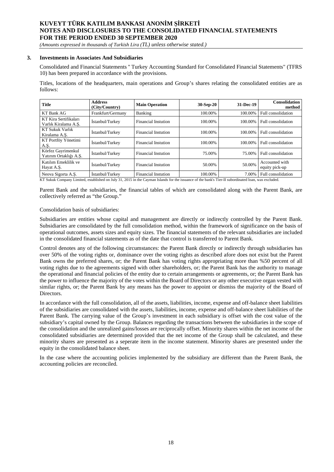*(Amounts expressed in thousands of Turkish Lira (TL) unless otherwise stated.)*

#### **3. Investments in Associates And Subsidiaries**

Consolidated and Financial Statements '' Turkey Accounting Standard for Consolidated Financial Statements" (TFRS 10) has been prepared in accordance with the provisions.

Titles, locations of the headquarters, main operations and Group's shares relating the consolidated entities are as follows:

| <b>Title</b>                                  | <b>Address</b><br>(City/Country) | <b>Main Operation</b>      | 30-Sep-20 | 31-Dec-19 | <b>Consolidation</b><br>method   |
|-----------------------------------------------|----------------------------------|----------------------------|-----------|-----------|----------------------------------|
| KT Bank AG                                    | Frankfurt/Germany                | Banking                    | 100.00%   | 100.00%   | Full consolidation               |
| KT Kira Sertifikaları<br>Varlık Kiralama A.S. | İstanbul/Turkey                  | <b>Financial Instution</b> | 100.00%   | 100.00%   | Full consolidation               |
| <b>KT Sukuk Varlık</b><br>Kiralama A.S.       | Istanbul/Turkey                  | <b>Financial Instution</b> | 100.00%   | 100.00%   | Full consolidation               |
| KT Portföy Yönetimi<br>A.Ş.                   | İstanbul/Turkey                  | <b>Financial Instution</b> | 100.00%   | 100.00%   | Full consolidation               |
| Körfez Gayrimenkul<br>Yatırım Ortaklığı A.Ş.  | İstanbul/Turkey                  | <b>Financial Instution</b> | 75.00%    | 75.00%    | Full consolidation               |
| Katılım Emeklilik ve<br>Hayat A.S.            | İstanbul/Turkey                  | <b>Financial Instution</b> | 50.00%    | 50.00%    | Accounted with<br>equity pick-up |
| Neova Sigorta A.S.                            | İstanbul/Turkey                  | <b>Financial Instution</b> | 100.00%   | 7.00%     | Full consolidation               |

KT Sukuk Company Limited, established on July 31, 2015 in the Cayman Islands for the issuance of the bank's Tier-II subordinated loan, was excluded.

Parent Bank and the subsidiaries, the financial tables of which are consolidated along with the Parent Bank, are collectively referred as "the Group."

#### Consolidation basis of subsidiaries:

Subsidiaries are entities whose capital and management are directly or indirectly controlled by the Parent Bank. Subsidiaries are consolidated by the full consolidation method, within the framework of significance on the basis of operational outcomes, assets sizes and equity sizes. The financial statements of the relevant subsidiaries are included in the consolidated financial statements as of the date that control is transferred to Parent Bank.

Control denotes any of the following circumstances: the Parent Bank directly or indirectly through subsidiaries has over 50% of the voting rights or, dominance over the voting rights as described afore does not exist but the Parent Bank owns the preferred shares, or; the Parent Bank has voting rights appropriating more than %50 percent of all voting rights due to the agreements signed with other shareholders, or; the Parent Bank has the authority to manage the operational and financial policies of the entity due to certain arrangements or agreements, or; the Parent Bank has the power to influence the majority of the votes within the Board of Directors or any other executive organ vested with similar rights, or; the Parent Bank by any means has the power to appoint or dismiss the majority of the Board of Directors.

In accordance with the full consolidation, all of the assets, liabilities, income, expense and off-balance sheet liabilities of the subsidiaries are consolidated with the assets, liabilities, income, expense and off-balance sheet liabilities of the Parent Bank. The carrying value of the Group's investment in each subsidiary is offset with the cost value of the subsidiary's capital owned by the Group. Balances regarding the transactions between the subsidiaries in the scope of the consolidation and the unrealized gains/losses are reciprocally offset. Minority shares within the net income of the consolidated subsidiaries are determined provided that the net income of the Group shall be calculated, and these minority shares are presented as a seperate item in the income statement. Minority shares are presented under the equity in the consolidated balance sheet.

In the case where the accounting policies implemented by the subsidiary are different than the Parent Bank, the accounting policies are reconciled.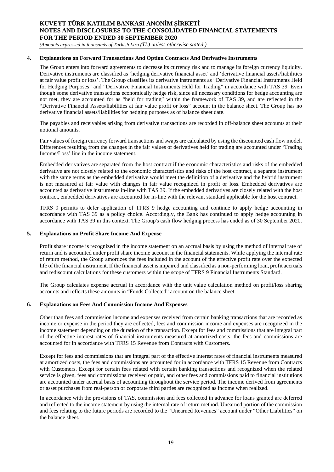*(Amounts expressed in thousands of Turkish Lira (TL) unless otherwise stated.)*

#### **4. Explanations on Forward Transactions And Option Contracts And Derivative Instruments**

The Group enters into forward agreements to decrease its currency risk and to manage its foreign currency liquidity. Derivative instruments are classified as 'hedging derivative financial asset' and 'derivative financial assets/liabilities at fair value profit or loss'. The Group classifies its derivative instruments as "Derivative Financial Instruments Held for Hedging Purposes" and "Derivative Financial Instruments Held for Trading" in accordance with TAS 39. Even though some derivative transactions economically hedge risk, since all necessary conditions for hedge accounting are not met, they are accounted for as "held for trading" within the framework of TAS 39, and are reflected in the "Derivative Financial Assets/liabilities at fair value profit or loss" account in the balance sheet. The Group has no derivative financial assets/liabilities for hedging purposes as of balance sheet date.

The payables and receivables arising from derivative transactions are recorded in off-balance sheet accounts at their notional amounts.

Fair values of foreign currency forward transactions and swaps are calculated by using the discounted cash flow model. Differences resulting from the changes in the fair values of derivatives held for trading are accounted under 'Trading Income/Loss' line in the income statement.

Embedded derivatives are separated from the host contract if the economic characteristics and risks of the embedded derivative are not closely related to the economic characteristics and risks of the host contract, a separate instrument with the same terms as the embedded derivative would meet the definition of a derivative and the hybrid instrument is not measured at fair value with changes in fair value recognized in profit or loss. Embedded derivatives are accounted as derivative instruments in-line with TAS 39. If the embedded derivatives are closely related with the host contract, embedded derivatives are accounted for in-line with the relevant standard applicable for the host contract.

TFRS 9 permits to defer application of TFRS 9 hedge accounting and continue to apply hedge accounting in accordance with TAS 39 as a policy choice. Accordingly, the Bank has continued to apply hedge accounting in accordance with TAS 39 in this context. The Group's cash flow hedging process has ended as of 30 September 2020.

#### **5. Explanations on Profit Share Income And Expense**

Profit share income is recognized in the income statement on an accrual basis by using the method of internal rate of return and is accounted under profit share income account in the financial statements. While applying the internal rate of return method, the Group amortizes the fees included in the account of the effective profit rate over the expected life of the financial instrument. If the financial asset is impaired and classified as a non-performing loan, profit accruals and rediscount calculations for these customers within the scope of TFRS 9 Financial Instruments Standard.

The Group calculates expense accrual in accordance with the unit value calculation method on profit/loss sharing accounts and reflects these amounts in "Funds Collected" account on the balance sheet.

#### **6. Explanations on Fees And Commission Income And Expenses**

Other than fees and commission income and expenses received from certain banking transactions that are recorded as income or expense in the period they are collected, fees and commission income and expenses are recognized in the income statement depending on the duration of the transaction. Except for fees and commissions that are integral part of the effective interest rates of financial instruments measured at amortized costs, the fees and commissions are accounted for in accordance with TFRS 15 Revenue from Contracts with Customers.

Except for fees and commissions that are integral part of the effective interest rates of financial instruments measured at amortized costs, the fees and commissions are accounted for in accordance with TFRS 15 Revenue from Contracts with Customers. Except for certain fees related with certain banking transactions and recognized when the related service is given, fees and commissions received or paid, and other fees and commissions paid to financial institutions are accounted under accrual basis of accounting throughout the service period. The income derived from agreements or asset purchases from real-person or corporate third parties are recognized as income when realized.

In accordance with the provisions of TAS, commission and fees collected in advance for loans granted are deferred and reflected to the income statement by using the internal rate of return method. Unearned portion of the commission and fees relating to the future periods are recorded to the "Unearned Revenues" account under "Other Liabilities" on the balance sheet.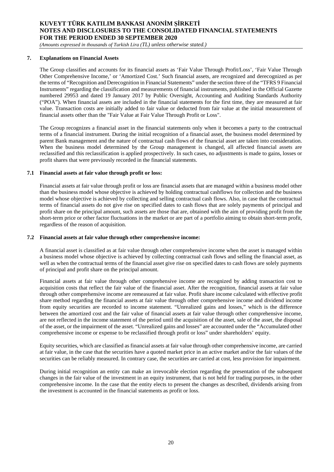*(Amounts expressed in thousands of Turkish Lira (TL) unless otherwise stated.)*

#### **7. Explanations on Financial Assets**

The Group classifies and accounts for its financial assets as 'Fair Value Through Profit/Loss', 'Fair Value Through Other Comprehensive Income,' or 'Amortized Cost.' Such financial assets, are recognized and derecognized as per the terms of "Recognition and Derecognition in Financial Statements" under the section three of the "TFRS 9 Financial Instruments" regarding the classification and measurements of financial instruments, published in the Official Gazette numbered 29953 and dated 19 January 2017 by Public Oversight, Accounting and Auditing Standards Authority ("POA"). When financial assets are included in the financial statements for the first time, they are measured at fair value. Transaction costs are initially added to fair value or deducted from fair value at the initial measurement of financial assets other than the "Fair Value at Fair Value Through Profit or Loss".

The Group recognizes a financial asset in the financial statements only when it becomes a party to the contractual terms of a financial instrument. During the initial recognition of a financial asset, the business model determined by parent Bank management and the nature of contractual cash flows of the financial asset are taken into consideration. When the business model determined by the Group management is changed, all affected financial assets are reclassified and this reclassification is applied prospectively. In such cases, no adjustments is made to gains, losses or profit shares that were previously recorded in the financial statements.

#### **7.1 Financial assets at fair value through profit or loss:**

Financial assets at fair value through profit or loss are financial assets that are managed within a business model other than the business model whose objective is achieved by holding contractual cashflows for collection and the business model whose objective is achieved by collecting and selling contractual cash flows. Also, in case that the contractual terms of financial assets do not give rise on specified dates to cash flows that are solely payments of principal and profit share on the principal amount, such assets are those that are, obtained with the aim of providing profit from the short-term price or other factor fluctuations in the market or are part of a portfolio aiming to obtain short-term profit, regardless of the reason of acquisition.

#### **7.2 Financial assets at fair value through other comprehensive income:**

A financial asset is classified as at fair value through other comprehensive income when the asset is managed within a business model whose objective is achieved by collecting contractual cash flows and selling the financial asset, as well as when the contractual terms of the financial asset give rise on specified dates to cash flows are solely payments of principal and profit share on the principal amount.

Financial assets at fair value through other comprehensive income are recognized by adding transaction cost to acquisition costs that reflect the fair value of the financial asset. After the recognition, financial assets at fair value through other comprehensive income are remeasured at fair value. Profit share income calculated with effective profit share method regarding the financial assets at fair value through other comprehensive income and dividend income from equity securities are recorded to income statement. "Unrealized gains and losses," which is the difference between the amortized cost and the fair value of financial assets at fair value through other comprehensive income, are not reflected in the income statement of the period until the acquisition of the asset, sale of the asset, the disposal of the asset, or the impairment of the asset. "Unrealized gains and losses" are accounted under the "Accumulated other comprehensive income or expense to be reclassified through profit or loss" under shareholders' equity.

Equity securities, which are classified as financial assets at fair value through other comprehensive income, are carried at fair value, in the case that the securities have a quoted market price in an active market and/or the fair values of the securities can be reliably measured. In contrary case, the securities are carried at cost, less provision for impairment.

During initial recognition an entity can make an irrevocable election regarding the presentation of the subsequent changes in the fair value of the investment in an equity instrument, that is not held for trading purposes, in the other comprehensive income. In the case that the entity elects to present the changes as described, dividends arising from the investment is accounted in the financial statements as profit or loss.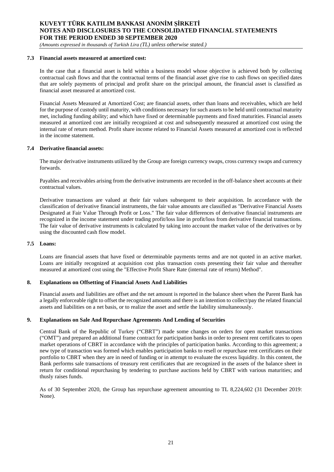*(Amounts expressed in thousands of Turkish Lira (TL) unless otherwise stated.)*

#### **7.3 Financial assets measured at amortized cost:**

In the case that a financial asset is held within a business model whose objective is achieved both by collecting contractual cash flows and that the contractual terms of the financial asset give rise to cash flows on specified dates that are solely payments of principal and profit share on the principal amount, the financial asset is classified as financial asset measured at amortized cost.

Financial Assets Measured at Amortized Cost; are financial assets, other than loans and receivables, which are held for the purpose of custody until maturity, with conditions necessary for such assets to be held until contractual maturity met, including funding ability; and which have fixed or determinable payments and fixed maturities. Financial assets measured at amortized cost are initially recognized at cost and subsequently measured at amortized cost using the internal rate of return method. Profit share income related to Financial Assets measured at amortized cost is reflected in the income statement.

#### **7.4 Derivative financial assets:**

The major derivative instruments utilized by the Group are foreign currency swaps, cross currency swaps and currency forwards.

Payables and receivables arising from the derivative instruments are recorded in the off-balance sheet accounts at their contractual values.

Derivative transactions are valued at their fair values subsequent to their acquisition. In accordance with the classification of derivative financial instruments, the fair value amounts are classified as "Derivative Financial Assets Designated at Fair Value Through Profit or Loss." The fair value differences of derivative financial instruments are recognized in the income statement under trading profit/loss line in profit/loss from derivative financial transactions. The fair value of derivative instruments is calculated by taking into account the market value of the derivatives or by using the discounted cash flow model.

#### **7.5 Loans:**

Loans are financial assets that have fixed or determinable payments terms and are not quoted in an active market. Loans are initially recognized at acquisition cost plus transaction costs presenting their fair value and thereafter measured at amortized cost using the "Effective Profit Share Rate (internal rate of return) Method".

#### **8. Explanations on Offsetting of Financial Assets And Liabilities**

Financial assets and liabilities are offset and the net amount is reported in the balance sheet when the Parent Bank has a legally enforceable right to offset the recognized amounts and there is an intention to collect/pay the related financial assets and liabilities on a net basis, or to realize the asset and settle the liability simultaneously.

#### **9. Explanations on Sale And Repurchase Agreements And Lending of Securities**

Central Bank of the Republic of Turkey ("CBRT") made some changes on orders for open market transactions ("OMT") and prepared an additional frame contract for participation banks in order to present rent certificates to open market operations of CBRT in accordance with the principles of participation banks. According to this agreement; a new type of transaction was formed which enables participation banks to resell or repurchase rent certificates on their portfolio to CBRT when they are in need of funding or in attempt to evaluate the excess liquidity. In this content, the Bank performs sale transactions of treasury rent certificates that are recognized in the assets of the balance sheet in return for conditional repurchasing by tendering to purchase auctions held by CBRT with various maturities; and thusly raises funds.

As of 30 September 2020, the Group has repurchase agreement amounting to TL 8,224,602 (31 December 2019: None).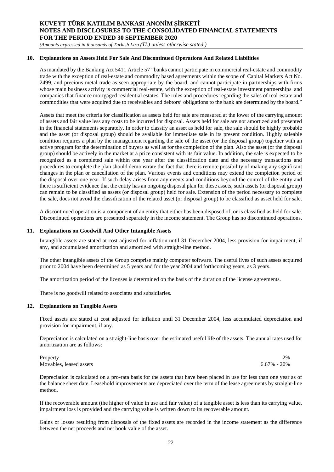*(Amounts expressed in thousands of Turkish Lira (TL) unless otherwise stated.)*

#### **10. Explanations on Assets Held For Sale And Discontinued Operations And Related Liabilities**

As mandated by the Banking Act 5411 Article 57 "banks cannot participate in commercial real-estate and commodity trade with the exception of real-estate and commodity based agreements within the scope of Capital Markets Act No. 2499, and precious metal trade as seen appropriate by the board, and cannot participate in partnerships with firms whose main business activity is commercial real-estate, with the exception of real-estate investment partnerships and companies that finance mortgaged residential estates. The rules and procedures regarding the sales of real-estate and commodities that were acquired due to receivables and debtors' obligations to the bank are determined by the board."

Assets that meet the criteria for classification as assets held for sale are measured at the lower of the carrying amount of assets and fair value less any costs to be incurred for disposal. Assets held for sale are not amortized and presented in the financial statements separately. In order to classify an asset as held for sale, the sale should be highly probable and the asset (or disposal group) should be available for immediate sale in its present condition. Highly saleable condition requires a plan by the management regarding the sale of the asset (or the disposal group) together with an active program for the determination of buyers as well as for the completion of the plan. Also the asset (or the disposal group) should be actively in the market at a price consistent with its fair value. In addition, the sale is expected to be recognized as a completed sale within one year after the classification date and the necessary transactions and procedures to complete the plan should demonstrate the fact that there is remote possibility of making any significant changes in the plan or cancellation of the plan. Various events and conditions may extend the completion period of the disposal over one year. If such delay arises from any events and conditions beyond the control of the entity and there is sufficient evidence that the entity has an ongoing disposal plan for these assets, such assets (or disposal group) can remain to be classified as assets (or disposal group) held for sale. Extension of the period necessary to complete the sale, does not avoid the classification of the related asset (or disposal group) to be classified as asset held for sale.

A discontinued operation is a component of an entity that either has been disposed of, or is classified as held for sale. Discontinued operations are presented separately in the income statement. The Group has no discontinued operations.

#### **11. Explanations on Goodwill And Other Intangible Assets**

Intangible assets are stated at cost adjusted for inflation until 31 December 2004, less provision for impairment, if any, and accumulated amortization and amortized with straight-line method.

The other intangible assets of the Group comprise mainly computer software. The useful lives of such assets acquired prior to 2004 have been determined as 5 years and for the year 2004 and forthcoming years, as 3 years.

The amortization period of the licenses is determined on the basis of the duration of the license agreements.

There is no goodwill related to associates and subsidiaries.

#### **12. Explanations on Tangible Assets**

Fixed assets are stated at cost adjusted for inflation until 31 December 2004, less accumulated depreciation and provision for impairment, if any.

Depreciation is calculated on a straight-line basis over the estimated useful life of the assets. The annual rates used for amortization are as follows:

Property 2% and 2% and 2% and 2% and 2% and 2% and 2% and 2% and 2% and 2% and 2% and 2% and 2% and 2% and 2% Movables, leased assets 6.67% - 20%

Depreciation is calculated on a pro-rata basis for the assets that have been placed in use for less than one year as of the balance sheet date. Leasehold improvements are depreciated over the term of the lease agreements by straight-line method.

If the recoverable amount (the higher of value in use and fair value) of a tangible asset is less than its carrying value, impairment loss is provided and the carrying value is written down to its recoverable amount.

Gains or losses resulting from disposals of the fixed assets are recorded in the income statement as the difference between the net proceeds and net book value of the asset.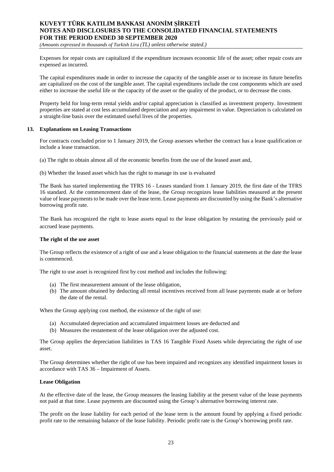*(Amounts expressed in thousands of Turkish Lira (TL) unless otherwise stated.)*

Expenses for repair costs are capitalized if the expenditure increases economic life of the asset; other repair costs are expensed as incurred.

The capital expenditures made in order to increase the capacity of the tangible asset or to increase its future benefits are capitalized on the cost of the tangible asset. The capital expenditures include the cost components which are used either to increase the useful life or the capacity of the asset or the quality of the product, or to decrease the costs.

Property held for long-term rental yields and/or capital appreciation is classified as investment property. Investment properties are stated at cost less accumulated depreciation and any impairment in value. Depreciation is calculated on a straight-line basis over the estimated useful lives of the properties.

#### **13. Explanations on Leasing Transactions**

For contracts concluded prior to 1 January 2019, the Group assesses whether the contract has a lease qualification or include a lease transaction.

(a) The right to obtain almost all of the economic benefits from the use of the leased asset and,

(b) Whether the leased asset which has the right to manage its use is evaluated

The Bank has started implementing the TFRS 16 - Leases standard from 1 January 2019, the first date of the TFRS 16 standard. At the commencement date of the lease, the Group recognizes lease liabilities measured at the present value of lease payments to be made over the lease term. Lease payments are discounted by using the Bank's alternative borrowing profit rate.

The Bank has recognized the right to lease assets equal to the lease obligation by restating the previously paid or accrued lease payments.

#### **The right of the use asset**

The Group reflects the existence of a right of use and a lease obligation to the financial statements at the date the lease is commenced.

The right to use asset is recognized first by cost method and includes the following:

- (a) The first measurement amount of the lease obligation,
- (b) The amount obtained by deducting all rental incentives received from all lease payments made at or before the date of the rental.

When the Group applying cost method, the existence of the right of use:

- (a) Accumulated depreciation and accumulated impairment losses are deducted and
- (b) Measures the restatement of the lease obligation over the adjusted cost.

The Group applies the depreciation liabilities in TAS 16 Tangible Fixed Assets while depreciating the right of use asset.

The Group determines whether the right of use has been impaired and recognizes any identified impairment losses in accordance with TAS 36 – Impairment of Assets.

#### **Lease Obligation**

At the effective date of the lease, the Group measures the leasing liability at the present value of the lease payments not paid at that time. Lease payments are discounted using the Group's alternative borrowing interest rate.

The profit on the lease liability for each period of the lease term is the amount found by applying a fixed periodic profit rate to the remaining balance of the lease liability. Periodic profit rate is the Group's borrowing profit rate.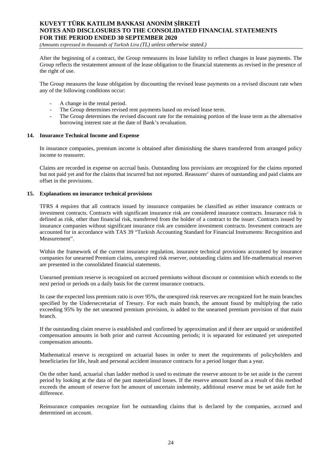*(Amounts expressed in thousands of Turkish Lira (TL) unless otherwise stated.)*

After the beginning of a contract, the Group remeasures its lease liability to reflect changes in lease payments. The Group reflects the restatement amount of the lease obligation to the financial statements as revised in the presence of the right of use.

The Group measures the lease obligation by discounting the revised lease payments on a revised discount rate when any of the following conditions occur:

- A change in the rental period.
- The Group determines revised rent payments based on revised lease term.
- The Group determines the revised discount rate for the remaining portion of the lease term as the alternative borrowing interest rate at the date of Bank's revaluation.

#### **14. Insurance Technical Income and Expense**

In insurance companies, premium income is obtained after diminishing the shares transferred from arranged policy income to reassurer.

Claims are recorded in expense on accrual basis. Outstanding loss provisions are recognized for the claims reported but not paid yet and for the claims that incurred but not reported. Reassurer' shares of outstanding and paid claims are offset in the provisions.

#### **15. Explanations on insurance technical provisions**

TFRS 4 requires that all contracts issued by insurance companies be classified as either insurance contracts or investment contracts. Contracts with significant insurance risk are considered insurance contracts. Insurance risk is defined as risk, other than financial risk, transferred from the holder of a contract to the issuer. Contracts issued by insurance companies without significant insurance risk are considere investment contracts. Invesment contracts are accounted for in accordance with TAS 39 "Turkish Accounting Standard for Financial Instruments: Recognition and Measurement".

Within the framework of the current insurance regulation, insurance technical provisions accounted by insurance companies for unearned Premium claims, unexpired risk reserver, outstanding claims and life-mathematical reserves are presented in the consolidated financial statements.

Unearned premium reserve is recognized on accrued premiums without discount or commision which extends to the next period or periods on a daily basis for the current insurance contracts.

In case the expected loss premium ratio is over 95%, the unexpired risk reserves are recognized fort he main branches specified by the Undersecretariat of Tresury. For each main branch, the amount found by multiplying the ratio exceeding 95% by the net unearned premium provision, is added to the unearned premium provision of that main branch.

If the outstanding claim reserve is established and confirmed by approximation and if there are unpaid or unidentifed compensation amounts in both prior and current Accounting periods; it is separated for estimated yet unreported compensation amounts.

Mathematical reserve is recognized on actuarial bases in order to meet the requirements of policyholders and beneficiaries for life, healt and personal accident insurance contracts for a period longer than a year.

On the other hand, actuarial chan ladder method is used to estimate the reserve amount to be set aside in the current period by looking at the data of the past materialized losses. If the reserve amount found as a result of this method exceeds the amount of reserve fort he amount of uncertain indemnity, additional reserve must be set aside fort he difference.

Reinsurance companies recognize fort he outstanding claims that is declared by the companies, accrued and determined on account.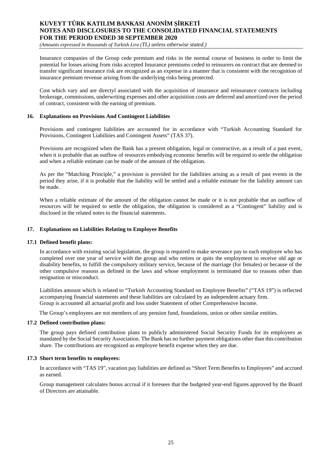*(Amounts expressed in thousands of Turkish Lira (TL) unless otherwise stated.)*

Insurance companies of the Group cede premium and risks in the normal course of business in order to limit the potential for losses arising from risks accepted Insurance premiums ceded to reinsurers on contract that are deemed to transfer significant insurance risk are recognized as an expense in a manner that is consistent with the recognition of insurance premium revenue arising from the underlying risks being protected.

Cost which vary and are directyl associated with the acquisition of insurance and reinsurance contracts including brokerage, commissions, underwriting expenses and other acquisition costs are deferred and amortized over the period of contract, consistent with the earning of premium.

#### **16. Explanations on Provisions And Contingent Liabilities**

Provisions and contingent liabilities are accounted for in accordance with "Turkish Accounting Standard for Provisions, Contingent Liabilities and Contingent Assets" (TAS 37).

Provisions are recognized when the Bank has a present obligation, legal or constructive, as a result of a past event, when it is probable that an outflow of resources embodying economic benefits will be required to settle the obligation and when a reliable estimate can be made of the amount of the obligation.

As per the "Matching Principle," a provision is provided for the liabilities arising as a result of past events in the period they arise, if it is probable that the liability will be settled and a reliable estimate for the liability amount can be made.

When a reliable estimate of the amount of the obligation cannot be made or it is not probable that an outflow of resources will be required to settle the obligation, the obligation is considered as a "Contingent" liability and is disclosed in the related notes to the financial statements.

#### **17. Explanations on Liabilities Relating to Employee Benefits**

#### **17.1 Defined benefit plans:**

In accordance with existing social legislation, the group is required to make severance pay to each employee who has completed over one year of service with the group and who retires or quits the employment to receive old age or disability benefits, to fulfill the compulsory military service, because of the marriage (for females) or because of the other compulsive reasons as defined in the laws and whose employment is terminated due to reasons other than resignation or misconduct.

Liabilities amount which is related to "Turkish Accounting Standard on Employee Benefits" ("TAS 19") is reflected accompanying financial statements and these liabilities are calculated by an independent actuary firm. Group is accounted all actuarial profit and loss under Statement of other Comprehensive Income.

The Group's employees are not members of any pension fund, foundations, union or other similar entities.

#### **17.2 Defined contribution plans:**

The group pays defined contribution plans to publicly administered Social Security Funds for its employees as mandated by the Social Security Association. The Bank has no further payment obligations other than this contribution share. The contributions are recognized as employee benefit expense when they are due.

#### **17.3 Short term benefits to employees:**

In accordance with "TAS 19", vacation pay liabilities are defined as "Short Term Benefits to Employees" and accrued as earned.

Group management calculates bonus accrual if it foresees that the budgeted year-end figures approved by the Board of Directors are attainable.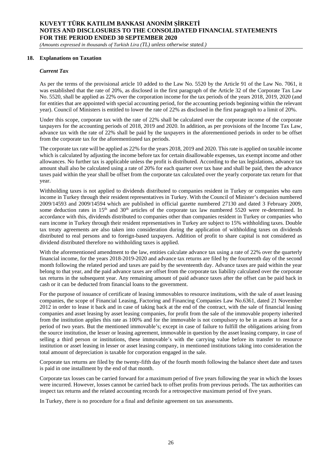*(Amounts expressed in thousands of Turkish Lira (TL) unless otherwise stated.)*

#### **18. Explanations on Taxation**

#### *Current Tax*

As per the terms of the provisional article 10 added to the Law No. 5520 by the Article 91 of the Law No. 7061, it was established that the rate of 20%, as disclosed in the first paragraph of the Article 32 of the Corporate Tax Law No. 5520, shall be applied as 22% over the corporation income for the tax periods of the years 2018, 2019, 2020 (and for entities that are appointed with special accounting period, for the accounting periods beginning within the relevant year). Council of Ministers is entitled to lower the rate of 22% as disclosed in the first paragraph to a limit of 20%.

Under this scope, corporate tax with the rate of 22% shall be calculated over the corporate income of the corporate taxpayers for the accounting periods of 2018, 2019 and 2020. In addition, as per provisions of the Income Tax Law, advance tax with the rate of 22% shall be paid by the taxpayers in the aforementioned periods in order to be offset from the corporate tax for the aforementioned tax periods.

The corporate tax rate will be applied as 22% for the years 2018, 2019 and 2020. This rate is applied on taxable income which is calculated by adjusting the income before tax for certain disallowable expenses, tax exempt income and other allowances. No further tax is applicable unless the profit is distributed. According to the tax legislations, advance tax amount shall also be calculated using a rate of 20% for each quarter over tax base and shall be paid, then the advance taxes paid within the year shall be offset from the corporate tax calculated over the yearly corporate tax return for that year.

Withholding taxes is not applied to dividends distributed to companies resident in Turkey or companies who earn income in Turkey through their resident representatives in Turkey. With the Council of Minister's decision numbered 2009/14593 and 2009/14594 which are published in official gazette numbered 27130 and dated 3 February 2009, some deduction rates in 15<sup>th</sup> and 30<sup>th</sup> articles of the corporate tax law numbered 5520 were re-determined. In accordance with this, dividends distributed to companies other than companies resident in Turkey or companies who earn income in Turkey through their resident representatives in Turkey are subject to 15% withholding taxes. Double tax treaty agreements are also taken into consideration during the application of withholding taxes on dividends distributed to real persons and to foreign-based taxpayers. Addition of profit to share capital is not considered as dividend distributed therefore no withholding taxes is applied.

With the aforementioned amendment to the law, entities calculate advance tax using a rate of 22% over the quarterly financial income, for the years 2018-2019-2020 and advance tax returns are filed by the fourteenth day of the second month following the related period and taxes are paid by the seventeenth day. Advance taxes are paid within the year belong to that year, and the paid advance taxes are offset from the corporate tax liability calculated over the corporate tax returns in the subsequent year. Any remaining amount of paid advance taxes after the offset can be paid back in cash or it can be deducted from financial loans to the government.

For the purpose of issuance of certificate of leasing immovables to resource institutions, with the sale of asset leasing companies, the scope of Financial Leasing, Factoring and Financing Companies Law No.6361, dated 21 November 2012 in order to lease it back and in case of taking back at the end of the contract, with the sale of financial leasing companies and asset leasing by asset leasing companies, for profit from the sale of the immovable property inherited from the institution applies this rate as 100% and for the immovable is not compulsory to be in assets at least for a period of two years. But the mentioned immovable's; except in case of failure to fulfill the obligations arising from the source institution, the lesser or leasing agreement, immovable in question by the asset leasing company, in case of selling a third person or institutions, these immovable's with the carrying value before its transfer to resource institution or asset leasing in lesser or asset leasing company, in mentioned institutions taking into consideration the total amount of depreciation is taxable for corporation engaged in the sale.

Corporate tax returns are filed by the twenty-fifth day of the fourth month following the balance sheet date and taxes is paid in one installment by the end of that month.

Corporate tax losses can be carried forward for a maximum period of five years following the year in which the losses were incurred. However, losses cannot be carried back to offset profits from previous periods. The tax authorities can inspect tax returns and the related accounting records for a retrospective maximum period of five years.

In Turkey, there is no procedure for a final and definite agreement on tax assessments.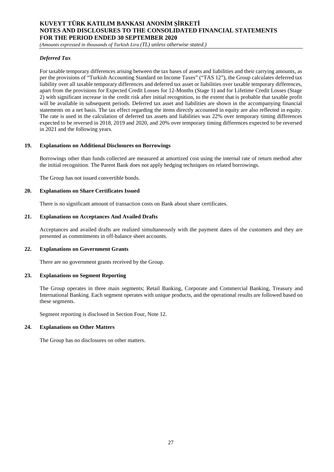*(Amounts expressed in thousands of Turkish Lira (TL) unless otherwise stated.)*

#### *Deferred Tax*

For taxable temporary differences arising between the tax bases of assets and liabilities and their carrying amounts, as per the provisions of "Turkish Accounting Standard on Income Taxes" ("TAS 12"), the Group calculates deferred tax liability over all taxable temporary differences and deferred tax asset or liabilities over taxable temporary differences, apart from the provisions for Expected Credit Losses for 12-Months (Stage 1) and for Lifetime Credit Losses (Stage 2) with significant increase in the credit risk after initial recognition, to the extent that is probable that taxable profit will be available in subsequent periods. Deferred tax asset and liabilities are shown in the accompanying financial statements on a net basis. The tax effect regarding the items directly accounted in equity are also reflected in equity. The rate is used in the calculation of deferred tax assets and liabilities was 22% over temporary timing differences expected to be reversed in 2018, 2019 and 2020, and 20% over temporary timing differences expected to be reversed in 2021 and the following years.

#### **19. Explanations on Additional Disclosures on Borrowings**

Borrowings other than funds collected are measured at amortized cost using the internal rate of return method after the initial recognition. The Parent Bank does not apply hedging techniques on related borrowings.

The Group has not issued convertible bonds.

#### **20. Explanations on Share Certificates Issued**

There is no significant amount of transaction costs on Bank about share certificates.

#### **21. Explanations on Acceptances And Availed Drafts**

Acceptances and availed drafts are realized simultaneously with the payment dates of the customers and they are presented as commitments in off-balance sheet accounts.

#### **22. Explanations on Government Grants**

There are no government grants received by the Group.

#### **23. Explanations on Segment Reporting**

The Group operates in three main segments; Retail Banking, Corporate and Commercial Banking, Treasury and International Banking. Each segment operates with unique products, and the operational results are followed based on these segments.

Segment reporting is disclosed in Section Four, Note 12.

#### **24. Explanations on Other Matters**

The Group has no disclosures on other matters.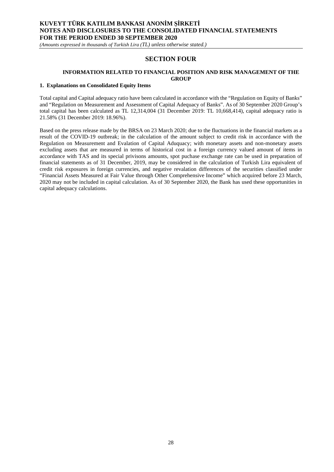*(Amounts expressed in thousands of Turkish Lira (TL) unless otherwise stated.)*

## **SECTION FOUR**

#### **INFORMATION RELATED TO FINANCIAL POSITION AND RISK MANAGEMENT OF THE GROUP**

#### **1. Explanations on Consolidated Equity Items**

Total capital and Capital adequacy ratio have been calculated in accordance with the "Regulation on Equity of Banks" and "Regulation on Measurement and Assessment of Capital Adequacy of Banks". As of 30 September 2020 Group's total capital has been calculated as TL 12,314,004 (31 December 2019: TL 10,668,414), capital adequacy ratio is 21.58% (31 December 2019: 18.96%).

Based on the press release made by the BRSA on 23 March 2020; due to the fluctuations in the financial markets as a result of the COVID-19 outbreak; in the calculation of the amount subject to credit risk in accordance with the Regulation on Measurement and Evalation of Capital Aduquacy; with monetary assets and non-monetary assets excluding assets that are measured in terms of historical cost in a foreign currency valued amount of items in accordance with TAS and its special privisons amounts, spot puchase exchange rate can be used in preparation of financial statements as of 31 December, 2019, may be considered in the calculation of Turkish Lira equivalent of credit risk exposures in foreign currencies, and negative revalation differences of the securities classified under "Financial Assets Measured at Fair Value through Other Comprehensive Income" which acquired before 23 March, 2020 may not be included in capital calculation. As of 30 September 2020, the Bank has used these opportunities in capital adequacy calculations.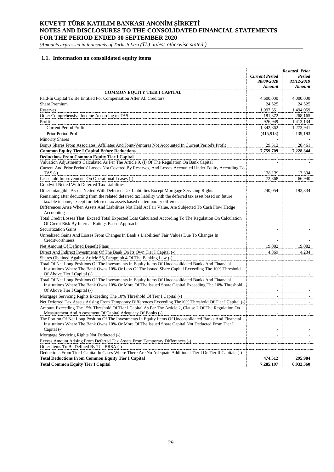*(Amounts expressed in thousands of Turkish Lira (TL) unless otherwise stated.)*

#### **1.1. Information on consolidated equity items**

|                                                                                                                                                                                                                                             |                                                      | <b>Restated Prior</b>                 |
|---------------------------------------------------------------------------------------------------------------------------------------------------------------------------------------------------------------------------------------------|------------------------------------------------------|---------------------------------------|
|                                                                                                                                                                                                                                             | <b>Current Period</b><br>30/09/2020<br><b>Amount</b> | Period<br>31/12/2019<br><b>Amount</b> |
| <b>COMMON EQUITY TIER I CAPITAL</b>                                                                                                                                                                                                         |                                                      |                                       |
| Paid-In Capital To Be Entitled For Compensation After All Creditors                                                                                                                                                                         | 4,600,000                                            | 4,000,000                             |
| <b>Share Premium</b>                                                                                                                                                                                                                        | 24,525                                               | 24,525                                |
| Reserves                                                                                                                                                                                                                                    | 1,997,351                                            | 1,494,059                             |
| Other Comprehensive Income According to TAS                                                                                                                                                                                                 | 181,372                                              | 268,165                               |
| Profit                                                                                                                                                                                                                                      | 926,949                                              | 1,413,134                             |
| <b>Current Period Profit</b>                                                                                                                                                                                                                | 1,342,862                                            | 1,273,941                             |
| Prior Period Profit                                                                                                                                                                                                                         | (415,913)                                            | 139,193                               |
| <b>Minority Shares</b>                                                                                                                                                                                                                      |                                                      |                                       |
| Bonus Shares From Associates, Affiliates And Joint-Ventures Not Accounted In Current Period's Profit                                                                                                                                        | 29,512                                               | 28,461                                |
| <b>Common Equity Tier I Capital Before Deductions</b>                                                                                                                                                                                       |                                                      |                                       |
|                                                                                                                                                                                                                                             | 7,759,709                                            | 7,228,344                             |
| <b>Deductions From Common Equity Tier I Capital</b>                                                                                                                                                                                         |                                                      |                                       |
| Valuation Adjustments Calculated As Per The Article 9. (I) Of The Regulation On Bank Capital                                                                                                                                                | $\overline{a}$                                       | ٠                                     |
| Current And Prior Periods' Losses Not Covered By Reserves, And Losses Accounted Under Equity According To<br>TAS $(-)$                                                                                                                      | 138,139                                              | 13,394                                |
| Leasehold Improvements On Operational Leases (-)                                                                                                                                                                                            | 72,368                                               | 66,940                                |
| Goodwill Netted With Deferred Tax Liabilities                                                                                                                                                                                               |                                                      |                                       |
| Other Intangible Assets Netted With Deferred Tax Liabilities Except Mortgage Servicing Rights                                                                                                                                               | 240,054                                              | 192,334                               |
| Remaining after deducting from the related deferred tax liability with the deferred tax asset based on future                                                                                                                               |                                                      |                                       |
| taxable income, except for deferred tax assets based on temporary differences                                                                                                                                                               |                                                      |                                       |
| Differences Arise When Assets And Liabilities Not Held At Fair Value, Are Subjected To Cash Flow Hedge                                                                                                                                      |                                                      |                                       |
| Accounting                                                                                                                                                                                                                                  |                                                      |                                       |
| Total Credit Losses That Exceed Total Expected Loss Calculated According To The Regulation On Calculation                                                                                                                                   |                                                      |                                       |
| Of Credit Risk By Internal Ratings Based Approach                                                                                                                                                                                           |                                                      |                                       |
| <b>Securitization Gains</b>                                                                                                                                                                                                                 | $\overline{\phantom{a}}$                             | $\overline{\phantom{a}}$              |
| Unrealized Gains And Losses From Changes In Bank's Liabilities' Fair Values Due To Changes In                                                                                                                                               |                                                      |                                       |
| Creditworthiness                                                                                                                                                                                                                            |                                                      |                                       |
| Net Amount Of Defined Benefit Plans                                                                                                                                                                                                         | 19,082                                               | 19,082                                |
| Direct And Indirect Investments Of The Bank On Its Own Tier I Capital (-)                                                                                                                                                                   | 4,869                                                | 4,234                                 |
| Shares Obtained Against Article 56, Paragraph 4 Of The Banking Law (-)                                                                                                                                                                      |                                                      |                                       |
| Total Of Net Long Positions Of The Investments In Equity Items Of Unconsolidated Banks And Financial<br>Institutions Where The Bank Owns 10% Or Less Of The Issued Share Capital Exceeding The 10% Threshold<br>Of Above Tier I Capital (-) |                                                      |                                       |
| Total Of Net Long Positions Of The Investments In Equity Items Of Unconsolidated Banks And Financial<br>Institutions Where The Bank Owns 10% Or More Of The Issued Share Capital Exceeding The 10% Threshold<br>Of Above Tier I Capital (-) | $\overline{\phantom{a}}$                             | $\sim$                                |
| Mortgage Servicing Rights Exceeding The 10% Threshold Of Tier I Capital (-)                                                                                                                                                                 |                                                      |                                       |
| Net Deferred Tax Assets Arising From Temporary Differences Exceeding The10% Threshold Of Tier I Capital (-)                                                                                                                                 | ٠                                                    | $\overline{\phantom{a}}$              |
| Amount Exceeding The 15% Threshold Of Tier I Capital As Per The Article 2, Clause 2 Of The Regulation On                                                                                                                                    |                                                      |                                       |
| Measurement And Assessment Of Capital Adequacy Of Banks (-)                                                                                                                                                                                 |                                                      |                                       |
| The Portion Of Net Long Position Of The Investments In Equity Items Of Unconsolidated Banks And Financial<br>Institutions Where The Bank Owns 10% Or More Of The Issued Share Capital Not Deducted From Tier I<br>Capital $(-)$             |                                                      |                                       |
| Mortgage Servicing Rights Not Deducted (-)                                                                                                                                                                                                  |                                                      |                                       |
| Excess Amount Arising From Deferred Tax Assets From Temporary Differences (-)                                                                                                                                                               | $\overline{\phantom{a}}$                             | $\overline{\phantom{a}}$              |
| Other Items To Be Defined By The BRSA (-)                                                                                                                                                                                                   | $\overline{a}$                                       |                                       |
| Deductions From Tier I Capital In Cases Where There Are No Adequate Additional Tier I Or Tier II Capitals (-)                                                                                                                               |                                                      |                                       |
| <b>Total Deductions From Common Equity Tier I Capital</b>                                                                                                                                                                                   | 474,512                                              | 295,984                               |
| <b>Total Common Equity Tier I Capital</b>                                                                                                                                                                                                   | 7,285,197                                            | 6,932,360                             |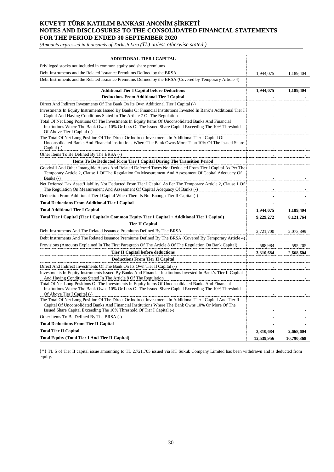*(Amounts expressed in thousands of Turkish Lira (TL) unless otherwise stated.)*

| <b>ADDITIONAL TIER I CAPITAL</b>                                                                                                                                                                                                                                                             |                |            |
|----------------------------------------------------------------------------------------------------------------------------------------------------------------------------------------------------------------------------------------------------------------------------------------------|----------------|------------|
| Privileged stocks not included in common equity and share premiums                                                                                                                                                                                                                           |                |            |
| Debt Instruments and the Related Issuance Premiums Defined by the BRSA                                                                                                                                                                                                                       | 1,944,075      | 1,189,404  |
| Debt Instruments and the Related Issuance Premiums Defined by the BRSA (Covered by Temporary Article 4)                                                                                                                                                                                      |                |            |
| <b>Additional Tier I Capital before Deductions</b>                                                                                                                                                                                                                                           | 1,944,075      | 1,189,404  |
| <b>Deductions From Additional Tier I Capital</b>                                                                                                                                                                                                                                             | $\blacksquare$ |            |
| Direct And Indirect Investments Of The Bank On Its Own Additional Tier I Capital (-)                                                                                                                                                                                                         |                |            |
| Investments In Equity Instruments Issued By Banks Or Financial Institutions Invested In Bank's Additional Tier I<br>Capital And Having Conditions Stated In The Article 7 Of The Regulation                                                                                                  |                |            |
| Total Of Net Long Positions Of The Investments In Equity Items Of Unconsolidated Banks And Financial<br>Institutions Where The Bank Owns 10% Or Less Of The Issued Share Capital Exceeding The 10% Threshold<br>Of Above Tier I Capital (-)                                                  |                |            |
| The Total Of Net Long Position Of The Direct Or Indirect Investments In Additional Tier I Capital Of<br>Unconsolidated Banks And Financial Institutions Where The Bank Owns More Than 10% Of The Issued Share<br>Capital $(-)$                                                               | ÷,             |            |
| Other Items To Be Defined By The BRSA (-)                                                                                                                                                                                                                                                    |                |            |
| Items To Be Deducted From Tier I Capital During The Transition Period                                                                                                                                                                                                                        |                |            |
| Goodwill And Other Intangible Assets And Related Deferred Taxes Not Deducted From Tier I Capital As Per The<br>Temporary Article 2, Clause 1 Of The Regulation On Measurement And Assessment Of Capital Adequacy Of<br>Banks $(-)$                                                           |                |            |
| Net Deferred Tax Asset/Liability Not Deducted From Tier I Capital As Per The Temporary Article 2, Clause 1 Of                                                                                                                                                                                |                |            |
| The Regulation On Measurement And Assessment Of Capital Adequacy Of Banks (-)                                                                                                                                                                                                                |                |            |
| Deduction From Additional Tier I Capital When There Is Not Enough Tier II Capital (-)                                                                                                                                                                                                        | $\overline{a}$ |            |
| <b>Total Deductions From Additional Tier I Capital</b>                                                                                                                                                                                                                                       |                |            |
| <b>Total Additional Tier I Capital</b>                                                                                                                                                                                                                                                       | 1,944,075      | 1,189,404  |
| Total Tier I Capital (Tier I Capital= Common Equity Tier I Capital + Additional Tier I Capital)                                                                                                                                                                                              | 9,229,272      | 8,121,764  |
| <b>Tier II Capital</b>                                                                                                                                                                                                                                                                       |                |            |
| Debt Instruments And The Related Issuance Premiums Defined By The BRSA                                                                                                                                                                                                                       | 2,721,700      | 2,073,399  |
| Debt Instruments And The Related Issuance Premiums Defined By The BRSA (Covered By Temporary Article 4)                                                                                                                                                                                      |                |            |
| Provisions (Amounts Explained In The First Paragraph Of The Article 8 Of The Regulation On Bank Capital)                                                                                                                                                                                     | 588,984        | 595,205    |
| <b>Tier II Capital before deductions</b>                                                                                                                                                                                                                                                     | 3,310,684      | 2.668.604  |
| <b>Deductions From Tier II Capital</b>                                                                                                                                                                                                                                                       |                |            |
| Direct And Indirect Investments Of The Bank On Its Own Tier II Capital (-)                                                                                                                                                                                                                   |                |            |
| Investments In Equity Instruments Issued By Banks And Financial Institutions Invested In Bank's Tier II Capital<br>And Having Conditions Stated In The Article 8 Of The Regulation                                                                                                           |                |            |
| Total Of Net Long Positions Of The Investments In Equity Items Of Unconsolidated Banks And Financial<br>Institutions Where The Bank Owns 10% Or Less Of The Issued Share Capital Exceeding The 10% Threshold<br>Of Above Tier I Capital (-)                                                  |                |            |
| The Total Of Net Long Position Of The Direct Or Indirect Investments In Additional Tier I Capital And Tier II<br>Capital Of Unconsolidated Banks And Financial Institutions Where The Bank Owns 10% Or More Of The<br>Issued Share Capital Exceeding The 10% Threshold Of Tier I Capital (-) | ÷,             |            |
| Other Items To Be Defined By The BRSA (-)                                                                                                                                                                                                                                                    |                |            |
| <b>Total Deductions From Tier II Capital</b>                                                                                                                                                                                                                                                 |                |            |
| <b>Total Tier II Capital</b>                                                                                                                                                                                                                                                                 | 3,310,684      | 2,668,604  |
| Total Equity (Total Tier I And Tier II Capital)                                                                                                                                                                                                                                              | 12,539,956     | 10,790,368 |

(\*) TL 5 of Tier II capital issue amounting to TL 2,721,705 issued via KT Sukuk Company Limited has been withdrawn and is deducted from equity.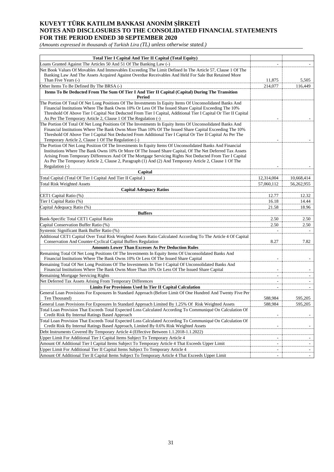*(Amounts expressed in thousands of Turkish Lira (TL) unless otherwise stated.)*

| <b>Total Tier I Capital And Tier II Capital (Total Equity)</b>                                                                                                                             |            |                          |
|--------------------------------------------------------------------------------------------------------------------------------------------------------------------------------------------|------------|--------------------------|
| Loans Granted Against The Articles 50 And 51 Of The Banking Law (-)                                                                                                                        |            |                          |
| Net Book Values Of Movables And Immovables Exceeding The Limit Defined In The Article 57, Clause 1 Of The                                                                                  |            |                          |
| Banking Law And The Assets Acquired Against Overdue Receivables And Held For Sale But Retained More                                                                                        |            |                          |
| Than Five Years (-)                                                                                                                                                                        | 11,875     | 5,505                    |
| Other Items To Be Defined By The BRSA (-)                                                                                                                                                  | 214,077    | 116,449                  |
| Items To Be Deducted From The Sum Of Tier I And Tier II Capital (Capital) During The Transition<br>Period                                                                                  |            |                          |
| The Portion Of Total Of Net Long Positions Of The Investments In Equity Items Of Unconsolidated Banks And                                                                                  |            |                          |
| Financial Institutions Where The Bank Owns 10% Or Less Of The Issued Share Capital Exceeding The 10%                                                                                       |            |                          |
| Threshold Of Above Tier I Capital Not Deducted From Tier I Capital, Additional Tier I Capital Or Tier II Capital                                                                           |            |                          |
| As Per The Temporary Article 2, Clause 1 Of The Regulation (-)                                                                                                                             |            |                          |
| The Portion Of Total Of Net Long Positions Of The Investments In Equity Items Of Unconsolidated Banks And                                                                                  |            |                          |
| Financial Institutions Where The Bank Owns More Than 10% Of The Issued Share Capital Exceeding The 10%                                                                                     |            |                          |
| Threshold Of Above Tier I Capital Not Deducted From Additional Tier I Capital Or Tier II Capital As Per The<br>Temporary Article 2, Clause 1 Of The Regulation (-)                         |            |                          |
| The Portion Of Net Long Position Of The Investments In Equity Items Of Unconsolidated Banks And Financial                                                                                  |            |                          |
| Institutions Where The Bank Owns 10% Or More Of The Issued Share Capital, Of The Net Deferred Tax Assets                                                                                   |            |                          |
| Arising From Temporary Differences And Of The Mortgage Servicing Rights Not Deducted From Tier I Capital                                                                                   |            |                          |
| As Per The Temporary Article 2, Clause 2, Paragraph (1) And (2) And Temporary Article 2, Clause 1 Of The                                                                                   |            |                          |
| Regulation (-)                                                                                                                                                                             |            |                          |
| Capital                                                                                                                                                                                    |            |                          |
| Total Capital (Total Of Tier I Capital And Tier II Capital)                                                                                                                                | 12,314,004 | 10,668,414               |
| <b>Total Risk Weighted Assets</b>                                                                                                                                                          | 57,060,112 | 56,262,955               |
| <b>Capital Adequacy Ratios</b>                                                                                                                                                             |            |                          |
| CET1 Capital Ratio (%)                                                                                                                                                                     | 12.77      | 12.32                    |
| Tier I Capital Ratio (%)                                                                                                                                                                   | 16.18      | 14.44                    |
| Capital Adequacy Ratio (%)                                                                                                                                                                 | 21.58      | 18.96                    |
| <b>Buffers</b>                                                                                                                                                                             |            |                          |
| Bank-Specific Total CET1 Capital Ratio                                                                                                                                                     | 2.50       | 2.50                     |
| Capital Conservation Buffer Ratio (%)                                                                                                                                                      | 2.50       | 2.50                     |
| Systemic Significant Bank Buffer Ratio (%)                                                                                                                                                 |            |                          |
| Additional CET1 Capital Over Total Risk Weighted Assets Ratio Calculated According To The Article 4 Of Capital                                                                             |            |                          |
| Conservation And Counter-Cyclical Capital Buffers Regulation                                                                                                                               | 8.27       | 7.82                     |
| <b>Amounts Lower Than Excesses As Per Deduction Rules</b>                                                                                                                                  |            |                          |
| Remaining Total Of Net Long Positions Of The Investments In Equity Items Of Unconsolidated Banks And<br>Financial Institutions Where The Bank Owns 10% Or Less Of The Issued Share Capital |            |                          |
| Remaining Total Of Net Long Positions Of The Investments In Tier I Capital Of Unconsolidated Banks And                                                                                     |            |                          |
| Financial Institutions Where The Bank Owns More Than 10% Or Less Of The Issued Share Capital                                                                                               |            |                          |
| <b>Remaining Mortgage Servicing Rights</b>                                                                                                                                                 |            |                          |
| Net Deferred Tax Assets Arising From Temporary Differences                                                                                                                                 |            |                          |
| <b>Limits For Provisions Used In Tier II Capital Calculation</b>                                                                                                                           |            |                          |
| General Loan Provisions For Exposures In Standard Approach (Before Limit Of One Hundred And Twenty Five Per                                                                                |            |                          |
| Ten Thousand)                                                                                                                                                                              | 588,984    | 595,205                  |
| General Loan Provisions For Exposures In Standard Approach Limited By 1.25% Of Risk Weighted Assets                                                                                        | 588,984    | 595,205                  |
| Total Loan Provision That Exceeds Total Expected Loss Calculated According To Communiqué On Calculation Of                                                                                 |            |                          |
| Credit Risk By Internal Ratings Based Approach                                                                                                                                             |            |                          |
| Total Loan Provision That Exceeds Total Expected Loss Calculated According To Communiqué On Calculation Of                                                                                 |            |                          |
| Credit Risk By Internal Ratings Based Approach, Limited By 0.6% Risk Weighted Assets                                                                                                       |            | $\sim$                   |
| Debt Instruments Covered By Temporary Article 4 (Effective Between 1.1.2018-1.1.2022)                                                                                                      |            |                          |
| Upper Limit For Additional Tier I Capital Items Subject To Temporary Article 4                                                                                                             |            |                          |
| Amount Of Additional Tier I Capital Items Subject To Temporary Article 4 That Exceeds Upper Limit                                                                                          | ÷          |                          |
| Upper Limit For Additional Tier II Capital Items Subject To Temporary Article 4                                                                                                            |            | $\overline{\phantom{a}}$ |
| Amount Of Additional Tier II Capital Items Subject To Temporary Article 4 That Exceeds Upper Limit                                                                                         |            | $\sim$                   |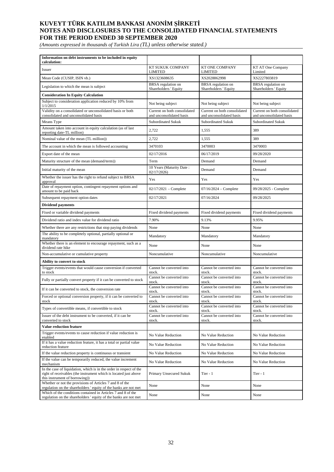*(Amounts expressed in thousands of Turkish Lira (TL) unless otherwise stated.)*

| Information on debt instruments to be included in equity<br>calculation:                                                                                                  |                                                          |                                                          |                                                          |
|---------------------------------------------------------------------------------------------------------------------------------------------------------------------------|----------------------------------------------------------|----------------------------------------------------------|----------------------------------------------------------|
| Issuer                                                                                                                                                                    | KT SUKUK COMPANY<br><b>LIMITED</b>                       | <b>KT ONE COMPANY</b><br><b>LIMITED</b>                  | KT AT One Company<br>Limited                             |
| Mean Code (CUSIP, ISIN vb.)                                                                                                                                               | XS1323608635                                             | XS2028862998                                             | XS2227803819                                             |
| Legislation to which the mean is subject                                                                                                                                  | <b>BRSA</b> regulation on<br>Shareholders ' Equity       | <b>BRSA</b> regulation on<br>Shareholders ' Equity       | <b>BRSA</b> regulation on<br>Shareholders ' Equity       |
| <b>Consideration In Equity Calculation</b>                                                                                                                                |                                                          |                                                          |                                                          |
| Subject to consideration application reduced by 10% from<br>1/1/2015                                                                                                      | Not being subject                                        | Not being subject                                        | Not being subject                                        |
| Validity on a consolidated or unconsolidated basis or both<br>consolidated and unconsolidated basis                                                                       | Current on both consolidated<br>and unconsolidated basis | Current on both consolidated<br>and unconsolidated basis | Current on both consolidated<br>and unconsolidated basis |
| Means Type                                                                                                                                                                | Subordinated Sukuk                                       | Subordinated Sukuk                                       | <b>Subordinated Sukuk</b>                                |
| Amount taken into account in equity calculation (as of last<br>reporting date-TL million)                                                                                 | 2,722                                                    | 1,555                                                    | 389                                                      |
| Nominal value of the mean (TL million))                                                                                                                                   | 2,722                                                    | 1,555                                                    | 389                                                      |
| The account in which the mean is followed accounting                                                                                                                      | 3470103                                                  | 3470003                                                  | 3470003                                                  |
| Export date of the mean                                                                                                                                                   | 02/17/2016                                               | 06/17/2019                                               | 09/28/2020                                               |
| Maturity structure of the mean (demand/term))                                                                                                                             | Term                                                     | Demand                                                   | Demand                                                   |
| Initial maturity of the mean                                                                                                                                              | 10 Years (Maturity Date:<br>02/17/2026                   | Demand                                                   | Demand                                                   |
| Whether the issuer has the right to refund subject to BRSA<br>approval                                                                                                    | Yes                                                      | Yes                                                      | Yes                                                      |
| Date of repayment option, contingent repayment options and<br>amount to be paid back                                                                                      | $02/17/2021$ – Complete                                  | $07/16/2024 - Complete$                                  | 09/28/2025 - Complete                                    |
| Subsequent repayment option dates                                                                                                                                         | 02/17/2021                                               | 07/16/2024                                               | 09/28/2025                                               |
| <b>Dividend payments</b>                                                                                                                                                  |                                                          |                                                          |                                                          |
| Fixed or variable dividend payments                                                                                                                                       | Fixed dividend payments                                  | Fixed dividend payments                                  | Fixed dividend payments                                  |
| Dividend ratio and index value for dividend ratio                                                                                                                         | 7.90%                                                    | 9.13%                                                    | 9.95%                                                    |
| Whether there are any restrictions that stop paying dividends                                                                                                             | None                                                     | None                                                     | None                                                     |
| The ability to be completely optional, partially optional or<br>mandatory                                                                                                 | Mandatory                                                | Mandatory                                                | Mandatory                                                |
| Whether there is an element to encourage repayment, such as a<br>dividend rate hike                                                                                       | None                                                     | None                                                     | None                                                     |
| Non-accumulative or cumulative property                                                                                                                                   | Noncumulative                                            | Noncumulative                                            | Noncumulative                                            |
| Ability to convert to stock                                                                                                                                               |                                                          |                                                          |                                                          |
| Trigger events/events that would cause conversion if converted<br>to stock                                                                                                | Cannot be converted into<br>stock.                       | Cannot be converted into<br>stock.                       | Cannot be converted into<br>stock.                       |
| Fully or partially convert property if it can be converted to stock                                                                                                       | Cannot be converted into<br>stock.                       | Cannot be converted into<br>stock.                       | Cannot be converted into<br>stock.                       |
| If it can be converted to stock, the conversion rate                                                                                                                      | Cannot be converted into<br>stock.                       | Cannot be converted into<br>stock.                       | Cannot be converted into<br>stock.                       |
| Forced or optional conversion property, if it can be converted to<br>stock                                                                                                | Cannot be converted into<br>stock.                       | Cannot be converted into<br>stock.                       | Cannot be converted into<br>stock.                       |
| Types of convertible means, if convertible to stock                                                                                                                       | Cannot be converted into<br>stock.                       | Cannot be converted into<br>stock.                       | Cannot be converted into<br>stock.                       |
| Issuer of the debt instrument to be converted, if it can be<br>converted to stock                                                                                         | Cannot be converted into<br>stock.                       | Cannot be converted into<br>stock.                       | Cannot be converted into<br>stock.                       |
| <b>Value reduction feature</b>                                                                                                                                            |                                                          |                                                          |                                                          |
| Trigger events/events to cause reduction if value reduction is<br>enabled                                                                                                 | No Value Reduction                                       | No Value Reduction                                       | No Value Reduction                                       |
| If it has a value reduction feature, it has a total or partial value<br>reduction feature                                                                                 | No Value Reduction                                       | No Value Reduction                                       | No Value Reduction                                       |
| If the value reduction property is continuous or transient                                                                                                                | No Value Reduction                                       | No Value Reduction                                       | No Value Reduction                                       |
| If the value can be temporarily reduced, the value increment<br>mechanism                                                                                                 | No Value Reduction                                       | No Value Reduction                                       | No Value Reduction                                       |
| In the case of liquidation, which is in the order in respect of the<br>right of receivables (the instrument which is located just above<br>this instrument of borrowing)) | Primary Unsecured Sukuk                                  | Tier - $1$                                               | Tier - $1$                                               |
| Whether or not the provisions of Articles 7 and 8 of the<br>regulation on the shareholders 'equity of the banks are not met                                               | None                                                     | None                                                     | None                                                     |
| Which of the conditions contained in Articles 7 and 8 of the<br>regulation on the shareholders 'equity of the banks are not met                                           | None                                                     | None                                                     | None                                                     |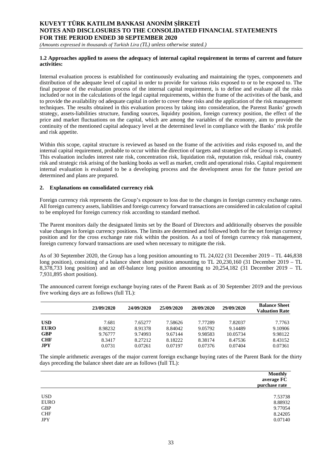*(Amounts expressed in thousands of Turkish Lira (TL) unless otherwise stated.)*

### **1.2 Approaches applied to assess the adequacy of internal capital requirement in terms of current and future activities:**

Internal evaluation process is established for continuously evaluating and maintaining the types, componenets and distribution of the adequate level of capital in order to provide for various risks exposed to or to be exposed to. The final purpose of the evaluation process of the internal capital requirement, is to define and evaluate all the risks included or not in the calculations of the legal capital requirements, within the frame of the activities of the bank, and to provide the availability od adequate capital in order to cover these risks and the application of the risk management techniques. The results obtained in this evaluation process by taking into consideration, the Parenst Banks' growth strategy, assets-liabilities structure, funding sources, liquidıty position, foreign currency position, the effect of the price and market fluctuations on the capital, which are among the variables of the economy, aim to provide the continuity of the mentioned capital adequacy level at the determined level in compliance with the Banks' risk profile and risk appetite.

Within this scope, capital structure is reviewed as based on the frame of the activities and risks exposed to, and the internal capital requirement, probable to occur within the direction of targets and strategies of the Group is evaluated. This evaluation includes interest rate risk, concentration risk, liquidation risk, reputation risk, residual risk, country risk and strategic risk arising of the banking books as well as market, credit and operational risks. Capital requirement internal evaluation is evaluated to be a developing process and the development areas for the future period are determined and plans are prepared.

### **2. Explanations on consolidated currency risk**

Foreign currency risk represents the Group's exposure to loss due to the changes in foreign currency exchange rates. All foreign currency assets, liabilities and foreign currency forward transactions are considered in calculation of capital to be employed for foreign currency risk according to standard method.

The Parent monitors daily the designated limits set by the Board of Directors and additionally observes the possible value changes in foreign currency positions. The limits are determined and followed both for the net foreign currency position and for the cross exchange rate risk within the position. As a tool of foreign currency risk management, foreign currency forward transactions are used when necessary to mitigate the risk.

As of 30 September 2020, the Group has a long position amounting to TL 24,022 (31 December 2019 – TL 446,838 long position), consisting of a balance sheet short position amounting to TL 20,230,160 (31 December 2019 – TL 8,378,733 long position) and an off-balance long position amounting to 20,254,182 (31 December 2019 – TL 7,931,895 short position).

The announced current foreign exchange buying rates of the Parent Bank as of 30 September 2019 and the previous five working days are as follows (full TL):

|             | 23/09/2020 | 24/09/2020 | 25/09/2020 | 28/09/2020 | 29/09/2020 | <b>Balance Sheet</b><br><b>Valuation Rate</b> |
|-------------|------------|------------|------------|------------|------------|-----------------------------------------------|
|             |            |            |            |            |            |                                               |
| <b>USD</b>  | 7.681      | 7.65277    | 7.58626    | 7.77289    | 7.82037    | 7.7763                                        |
| <b>EURO</b> | 8.98232    | 8.91378    | 8.84042    | 9.05792    | 9.14489    | 9.10906                                       |
| <b>GBP</b>  | 9.76777    | 9.74993    | 9.67144    | 9.98583    | 10.05734   | 9.98122                                       |
| <b>CHF</b>  | 8.3417     | 8.27212    | 8.18222    | 8.38174    | 8.47536    | 8.43152                                       |
| JPY         | 0.0731     | 0.07261    | 0.07197    | 0.07376    | 0.07404    | 0.07361                                       |

The simple arithmetic averages of the major current foreign exchange buying rates of the Parent Bank for the thirty days preceding the balance sheet date are as follows (full TL):

|             | <b>Monthly</b><br>average FC<br>purchase rate |
|-------------|-----------------------------------------------|
| <b>USD</b>  |                                               |
| <b>EURO</b> | 7.53738<br>8.88932                            |
|             |                                               |
| GBP         | 9.77054                                       |
| ${\rm CHF}$ | 8.24205                                       |
| <b>JPY</b>  | 0.07140                                       |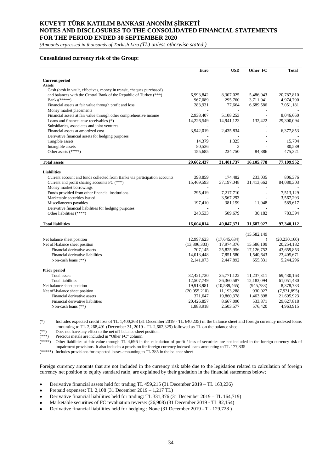*(Amounts expressed in thousands of Turkish Lira (TL) unless otherwise stated.)*

### **Consalidated currency risk of the Group:**

| <b>Current period</b><br>Assets<br>Cash (cash in vault, effectives, money in transit, cheques purchased)<br>and balances with the Central Bank of the Republic of Turkey (***)<br>6,993,842<br>8,307,025<br>5,486,943<br>20,787,810<br>Banks(*****)<br>3,711,941<br>4,974,790<br>967,089<br>295,760<br>6,689,586<br>Financial assets at fair value through profit and loss<br>283,931<br>77,664<br>7,051,181<br>Money market placements<br>Financial assets at fair value through other comprehensive income<br>2,938,407<br>5,108,253<br>8,046,660<br>$\overline{a}$<br>Loans and finance lease receivables (*)<br>14,226,549<br>14,941,123<br>132,422<br>29,300,094<br>Subsidiaries, associates and joint ventures<br>3,942,019<br>2,435,834<br>6,377,853<br>Financial assets at amortized cost<br>Derivative financial assets for hedging purposes<br>14,379<br>15,704<br>Tangible assets<br>1,325<br>Intangible assets<br>80,539<br>80,536<br>3<br>Other assets (****)<br>155,685<br>234,750<br>84,886<br>475,321<br>29,602,437<br>31,401,737<br>16,105,778<br>77,109,952<br><b>Total assets</b><br><b>Liabilities</b><br>398,859<br>806,376<br>Current account and funds collected from Banks via participation accounts<br>174,482<br>233,035<br>Current and profit sharing accounts FC (***)<br>15,469,593<br>37,197,048<br>84,080,303<br>31,413,662<br>Money market borrowings<br>Funds provided from other financial institutions<br>295,419<br>7,217,710<br>7,513,129<br>$\overline{\phantom{a}}$<br>Marketable securities issued<br>3,567,293<br>3,567,293<br>÷,<br>Miscellaneous payables<br>197,410<br>381,159<br>11,048<br>589,617 |
|--------------------------------------------------------------------------------------------------------------------------------------------------------------------------------------------------------------------------------------------------------------------------------------------------------------------------------------------------------------------------------------------------------------------------------------------------------------------------------------------------------------------------------------------------------------------------------------------------------------------------------------------------------------------------------------------------------------------------------------------------------------------------------------------------------------------------------------------------------------------------------------------------------------------------------------------------------------------------------------------------------------------------------------------------------------------------------------------------------------------------------------------------------------------------------------------------------------------------------------------------------------------------------------------------------------------------------------------------------------------------------------------------------------------------------------------------------------------------------------------------------------------------------------------------------------------------------------------------------------------------------------------------|
|                                                                                                                                                                                                                                                                                                                                                                                                                                                                                                                                                                                                                                                                                                                                                                                                                                                                                                                                                                                                                                                                                                                                                                                                                                                                                                                                                                                                                                                                                                                                                                                                                                                  |
|                                                                                                                                                                                                                                                                                                                                                                                                                                                                                                                                                                                                                                                                                                                                                                                                                                                                                                                                                                                                                                                                                                                                                                                                                                                                                                                                                                                                                                                                                                                                                                                                                                                  |
|                                                                                                                                                                                                                                                                                                                                                                                                                                                                                                                                                                                                                                                                                                                                                                                                                                                                                                                                                                                                                                                                                                                                                                                                                                                                                                                                                                                                                                                                                                                                                                                                                                                  |
|                                                                                                                                                                                                                                                                                                                                                                                                                                                                                                                                                                                                                                                                                                                                                                                                                                                                                                                                                                                                                                                                                                                                                                                                                                                                                                                                                                                                                                                                                                                                                                                                                                                  |
|                                                                                                                                                                                                                                                                                                                                                                                                                                                                                                                                                                                                                                                                                                                                                                                                                                                                                                                                                                                                                                                                                                                                                                                                                                                                                                                                                                                                                                                                                                                                                                                                                                                  |
|                                                                                                                                                                                                                                                                                                                                                                                                                                                                                                                                                                                                                                                                                                                                                                                                                                                                                                                                                                                                                                                                                                                                                                                                                                                                                                                                                                                                                                                                                                                                                                                                                                                  |
|                                                                                                                                                                                                                                                                                                                                                                                                                                                                                                                                                                                                                                                                                                                                                                                                                                                                                                                                                                                                                                                                                                                                                                                                                                                                                                                                                                                                                                                                                                                                                                                                                                                  |
|                                                                                                                                                                                                                                                                                                                                                                                                                                                                                                                                                                                                                                                                                                                                                                                                                                                                                                                                                                                                                                                                                                                                                                                                                                                                                                                                                                                                                                                                                                                                                                                                                                                  |
|                                                                                                                                                                                                                                                                                                                                                                                                                                                                                                                                                                                                                                                                                                                                                                                                                                                                                                                                                                                                                                                                                                                                                                                                                                                                                                                                                                                                                                                                                                                                                                                                                                                  |
|                                                                                                                                                                                                                                                                                                                                                                                                                                                                                                                                                                                                                                                                                                                                                                                                                                                                                                                                                                                                                                                                                                                                                                                                                                                                                                                                                                                                                                                                                                                                                                                                                                                  |
|                                                                                                                                                                                                                                                                                                                                                                                                                                                                                                                                                                                                                                                                                                                                                                                                                                                                                                                                                                                                                                                                                                                                                                                                                                                                                                                                                                                                                                                                                                                                                                                                                                                  |
|                                                                                                                                                                                                                                                                                                                                                                                                                                                                                                                                                                                                                                                                                                                                                                                                                                                                                                                                                                                                                                                                                                                                                                                                                                                                                                                                                                                                                                                                                                                                                                                                                                                  |
|                                                                                                                                                                                                                                                                                                                                                                                                                                                                                                                                                                                                                                                                                                                                                                                                                                                                                                                                                                                                                                                                                                                                                                                                                                                                                                                                                                                                                                                                                                                                                                                                                                                  |
|                                                                                                                                                                                                                                                                                                                                                                                                                                                                                                                                                                                                                                                                                                                                                                                                                                                                                                                                                                                                                                                                                                                                                                                                                                                                                                                                                                                                                                                                                                                                                                                                                                                  |
|                                                                                                                                                                                                                                                                                                                                                                                                                                                                                                                                                                                                                                                                                                                                                                                                                                                                                                                                                                                                                                                                                                                                                                                                                                                                                                                                                                                                                                                                                                                                                                                                                                                  |
|                                                                                                                                                                                                                                                                                                                                                                                                                                                                                                                                                                                                                                                                                                                                                                                                                                                                                                                                                                                                                                                                                                                                                                                                                                                                                                                                                                                                                                                                                                                                                                                                                                                  |
|                                                                                                                                                                                                                                                                                                                                                                                                                                                                                                                                                                                                                                                                                                                                                                                                                                                                                                                                                                                                                                                                                                                                                                                                                                                                                                                                                                                                                                                                                                                                                                                                                                                  |
|                                                                                                                                                                                                                                                                                                                                                                                                                                                                                                                                                                                                                                                                                                                                                                                                                                                                                                                                                                                                                                                                                                                                                                                                                                                                                                                                                                                                                                                                                                                                                                                                                                                  |
|                                                                                                                                                                                                                                                                                                                                                                                                                                                                                                                                                                                                                                                                                                                                                                                                                                                                                                                                                                                                                                                                                                                                                                                                                                                                                                                                                                                                                                                                                                                                                                                                                                                  |
|                                                                                                                                                                                                                                                                                                                                                                                                                                                                                                                                                                                                                                                                                                                                                                                                                                                                                                                                                                                                                                                                                                                                                                                                                                                                                                                                                                                                                                                                                                                                                                                                                                                  |
|                                                                                                                                                                                                                                                                                                                                                                                                                                                                                                                                                                                                                                                                                                                                                                                                                                                                                                                                                                                                                                                                                                                                                                                                                                                                                                                                                                                                                                                                                                                                                                                                                                                  |
|                                                                                                                                                                                                                                                                                                                                                                                                                                                                                                                                                                                                                                                                                                                                                                                                                                                                                                                                                                                                                                                                                                                                                                                                                                                                                                                                                                                                                                                                                                                                                                                                                                                  |
|                                                                                                                                                                                                                                                                                                                                                                                                                                                                                                                                                                                                                                                                                                                                                                                                                                                                                                                                                                                                                                                                                                                                                                                                                                                                                                                                                                                                                                                                                                                                                                                                                                                  |
|                                                                                                                                                                                                                                                                                                                                                                                                                                                                                                                                                                                                                                                                                                                                                                                                                                                                                                                                                                                                                                                                                                                                                                                                                                                                                                                                                                                                                                                                                                                                                                                                                                                  |
|                                                                                                                                                                                                                                                                                                                                                                                                                                                                                                                                                                                                                                                                                                                                                                                                                                                                                                                                                                                                                                                                                                                                                                                                                                                                                                                                                                                                                                                                                                                                                                                                                                                  |
|                                                                                                                                                                                                                                                                                                                                                                                                                                                                                                                                                                                                                                                                                                                                                                                                                                                                                                                                                                                                                                                                                                                                                                                                                                                                                                                                                                                                                                                                                                                                                                                                                                                  |
| Derivative financial liabilities for hedging purposes                                                                                                                                                                                                                                                                                                                                                                                                                                                                                                                                                                                                                                                                                                                                                                                                                                                                                                                                                                                                                                                                                                                                                                                                                                                                                                                                                                                                                                                                                                                                                                                            |
| Other liabilities (****)<br>783,394<br>243,533<br>509,679<br>30,182                                                                                                                                                                                                                                                                                                                                                                                                                                                                                                                                                                                                                                                                                                                                                                                                                                                                                                                                                                                                                                                                                                                                                                                                                                                                                                                                                                                                                                                                                                                                                                              |
|                                                                                                                                                                                                                                                                                                                                                                                                                                                                                                                                                                                                                                                                                                                                                                                                                                                                                                                                                                                                                                                                                                                                                                                                                                                                                                                                                                                                                                                                                                                                                                                                                                                  |
| 16,604,814<br>97,340,112<br><b>Total liabilities</b><br>49,047,371<br>31,687,927                                                                                                                                                                                                                                                                                                                                                                                                                                                                                                                                                                                                                                                                                                                                                                                                                                                                                                                                                                                                                                                                                                                                                                                                                                                                                                                                                                                                                                                                                                                                                                 |
|                                                                                                                                                                                                                                                                                                                                                                                                                                                                                                                                                                                                                                                                                                                                                                                                                                                                                                                                                                                                                                                                                                                                                                                                                                                                                                                                                                                                                                                                                                                                                                                                                                                  |
| (15, 582, 149)                                                                                                                                                                                                                                                                                                                                                                                                                                                                                                                                                                                                                                                                                                                                                                                                                                                                                                                                                                                                                                                                                                                                                                                                                                                                                                                                                                                                                                                                                                                                                                                                                                   |
| 12,997,623<br>(17, 645, 634)<br>Net balance sheet position<br>(20, 230, 160)<br>$\lambda$                                                                                                                                                                                                                                                                                                                                                                                                                                                                                                                                                                                                                                                                                                                                                                                                                                                                                                                                                                                                                                                                                                                                                                                                                                                                                                                                                                                                                                                                                                                                                        |
| Net off-balance sheet position<br>(13,306,303)<br>17,974,376<br>20,254,182<br>15,586,109                                                                                                                                                                                                                                                                                                                                                                                                                                                                                                                                                                                                                                                                                                                                                                                                                                                                                                                                                                                                                                                                                                                                                                                                                                                                                                                                                                                                                                                                                                                                                         |
| Financial derivative assets<br>707,145<br>25,825,956<br>17,126,752<br>43,659,853                                                                                                                                                                                                                                                                                                                                                                                                                                                                                                                                                                                                                                                                                                                                                                                                                                                                                                                                                                                                                                                                                                                                                                                                                                                                                                                                                                                                                                                                                                                                                                 |
| Financial derivative liabilities<br>7,851,580<br>14,013,448<br>1,540,643<br>23,405,671                                                                                                                                                                                                                                                                                                                                                                                                                                                                                                                                                                                                                                                                                                                                                                                                                                                                                                                                                                                                                                                                                                                                                                                                                                                                                                                                                                                                                                                                                                                                                           |
| 5,244,296<br>Non-cash loans (**)<br>2,141,073<br>2,447,892<br>655,331                                                                                                                                                                                                                                                                                                                                                                                                                                                                                                                                                                                                                                                                                                                                                                                                                                                                                                                                                                                                                                                                                                                                                                                                                                                                                                                                                                                                                                                                                                                                                                            |
|                                                                                                                                                                                                                                                                                                                                                                                                                                                                                                                                                                                                                                                                                                                                                                                                                                                                                                                                                                                                                                                                                                                                                                                                                                                                                                                                                                                                                                                                                                                                                                                                                                                  |
| Prior period                                                                                                                                                                                                                                                                                                                                                                                                                                                                                                                                                                                                                                                                                                                                                                                                                                                                                                                                                                                                                                                                                                                                                                                                                                                                                                                                                                                                                                                                                                                                                                                                                                     |
| Total assets<br>32,421,730<br>25,771,122<br>11,237,311<br>69,430,163                                                                                                                                                                                                                                                                                                                                                                                                                                                                                                                                                                                                                                                                                                                                                                                                                                                                                                                                                                                                                                                                                                                                                                                                                                                                                                                                                                                                                                                                                                                                                                             |
| 12,507,749<br><b>Total liabilities</b><br>36,360,587<br>12,183,094<br>61,051,430                                                                                                                                                                                                                                                                                                                                                                                                                                                                                                                                                                                                                                                                                                                                                                                                                                                                                                                                                                                                                                                                                                                                                                                                                                                                                                                                                                                                                                                                                                                                                                 |
| 8,378,733<br>Net balance sheet position<br>19,913,981<br>(10, 589, 465)<br>(945, 783)                                                                                                                                                                                                                                                                                                                                                                                                                                                                                                                                                                                                                                                                                                                                                                                                                                                                                                                                                                                                                                                                                                                                                                                                                                                                                                                                                                                                                                                                                                                                                            |
| Net off-balance sheet position<br>(20,055,210)<br>11,193,288<br>930,027<br>(7,931,895)                                                                                                                                                                                                                                                                                                                                                                                                                                                                                                                                                                                                                                                                                                                                                                                                                                                                                                                                                                                                                                                                                                                                                                                                                                                                                                                                                                                                                                                                                                                                                           |
| Financial derivative assets<br>1,463,898<br>371,647<br>19,860,378<br>21,695,923                                                                                                                                                                                                                                                                                                                                                                                                                                                                                                                                                                                                                                                                                                                                                                                                                                                                                                                                                                                                                                                                                                                                                                                                                                                                                                                                                                                                                                                                                                                                                                  |
| 20,426,857<br>8,667,090<br>533,871<br>29,627,818<br>Financial derivative liabilities                                                                                                                                                                                                                                                                                                                                                                                                                                                                                                                                                                                                                                                                                                                                                                                                                                                                                                                                                                                                                                                                                                                                                                                                                                                                                                                                                                                                                                                                                                                                                             |
| 1,883,918<br>4,963,915<br>Non-cash loans (**)<br>2,503,577<br>576,420                                                                                                                                                                                                                                                                                                                                                                                                                                                                                                                                                                                                                                                                                                                                                                                                                                                                                                                                                                                                                                                                                                                                                                                                                                                                                                                                                                                                                                                                                                                                                                            |

(\*) Includes expected credit loss of TL 1,400,363 (31 December 2019 - TL 640,235) in the balance sheet and foreign currency indexed loans amounting to TL 2,268,491 (December 31, 2019 - TL 2,662,329) followed as TL on the balance sheet

(\*\*) Does not have any effect to the net off-balance sheet position.

(\*\*\*) Precious metals are included in "Other FC" column.

Other liabilities at fair value through TL 4,696 in the calculation of profit  $/$  loss of securities are not included in the foreign currency risk of impairment provisions. It also includes a provision for foreign currency indexed loans amounting to TL 177,835

(\*\*\*\*\*) Includes provisions for expected losses amounting to TL 385 in the balance sheet

Foreign currency amounts that are not included in the currency risk table due to the legislation related to calculation of foreign currency net position to equity standard ratio, are explained by their gradation in the financial statements below;

- Derivative financial assets held for trading TL 459,215 (31 December 2019 TL 163,236)
- Prepaid expenses: TL 2,108 (31 December 2019 1,217 TL)
- Derivative financial liabilities held for trading: TL 331,376 (31 December 2019 TL 164,719)
- Marketable securities of FC revaluation reverse: (26,908) (31 December 2019 TL 82,154)
- Derivative financial liabilities held for hedging : None (31 December 2019 TL 129,728 )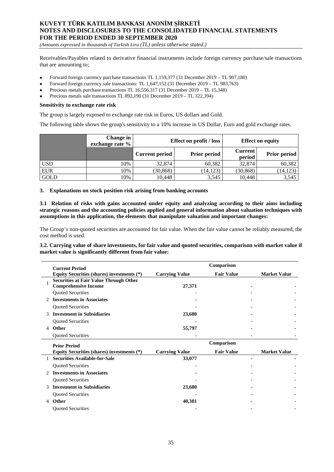*(Amounts expressed in thousands of Turkish Lira (TL) unless otherwise stated.)*

Receivables/Payables related to derivative financial instruments include foreign currency purchase/sale transactions that are amounting to;

- Forward foreign currency purchase transactions TL 1,159,377 (31 December 2019 TL 907,180)
- Forward foreign currency sale transactions: TL 1,647,152 (31 December 2019 TL 983,763)
- Precious metals purchase transactions TL 16,556,317 (31 December 2019 TL 15,348)
- Precious metals sale transactions TL 892,190 (31 December 2019 TL 322,394)

#### **Sensitivity to exchange rate risk**

The group is largely exposed to exchange rate risk in Euros, US dollars and Gold.

The following table shows the group's sensitivity to a 10% increase in US Dollar, Euro and gold exchange rates.

|            | exchange rate % | Change in<br>Effect on profit / loss         |           |                          | <b>Effect on equity</b> |
|------------|-----------------|----------------------------------------------|-----------|--------------------------|-------------------------|
|            |                 | <b>Prior period</b><br><b>Current period</b> |           | <b>Current</b><br>period | Prior period            |
| <b>USD</b> | 10%             | 32,874                                       | 60,382    | 32,874                   | 60,382                  |
| <b>EUR</b> | 10%             | (30, 868)                                    | (14, 123) | (30, 868)                | (14, 123)               |
| GOLD       | 10%             | 10.448                                       | 3,545     | 10.448                   | 3,545                   |

#### **3. Explanations on stock position risk arising from banking accounts**

**3.1 Relation of risks with gains accounted under equity and analyzing according to their aims including strategic reasons and the accounting policies applied and general information about valuation techniques with assumptions in this application, the elements that manipulate valuation and important changes:**

The Group's non-quoted securities are accounted for fair value. When the fair value cannot be reliably measured, the cost method is used.

**3.2. Carrying value of share investments, for fair value and quoted securities, comparison with market value if market value is significantly different from fair value:**

|                       | <b>Current Period</b>                                                        |                       | Comparison        |                     |
|-----------------------|------------------------------------------------------------------------------|-----------------------|-------------------|---------------------|
|                       | Equity Securities (shares) investments (*)                                   | <b>Carrying Value</b> | <b>Fair Value</b> | <b>Market Value</b> |
|                       | <b>Securities at Fair Value Through Other</b><br><b>Comprehensive Income</b> | 27,371                |                   |                     |
|                       | <b>Quoted Securities</b>                                                     |                       |                   |                     |
|                       | <b>Investments in Associates</b>                                             |                       |                   |                     |
|                       | <b>Quoted Securities</b>                                                     |                       |                   |                     |
| 3                     | <b>Investment in Subsidiaries</b>                                            | 23,680                |                   |                     |
|                       | <b>Quoted Securities</b>                                                     |                       |                   |                     |
| 4                     | Other                                                                        | 55,797                |                   |                     |
|                       | <b>Quoted Securities</b>                                                     |                       |                   |                     |
|                       | <b>Prior Period</b>                                                          |                       | Comparison        |                     |
|                       | Equity Securities (shares) investments (*)                                   | <b>Carrying Value</b> | <b>Fair Value</b> | <b>Market Value</b> |
|                       | <b>Securities Available-for-Sale</b>                                         | 33,077                |                   |                     |
|                       | <b>Quoted Securities</b>                                                     |                       |                   |                     |
| $\mathcal{D}_{\cdot}$ | <b>Investments in Associates</b>                                             |                       |                   |                     |
|                       | <b>Quoted Securities</b>                                                     |                       |                   |                     |
|                       | <b>Investment in Subsidiaries</b>                                            | 23,680                |                   |                     |
|                       | <b>Quoted Securities</b>                                                     |                       |                   |                     |
| 4                     | <b>Other</b>                                                                 | 40,381                |                   |                     |
|                       | <b>Ouoted Securities</b>                                                     |                       |                   |                     |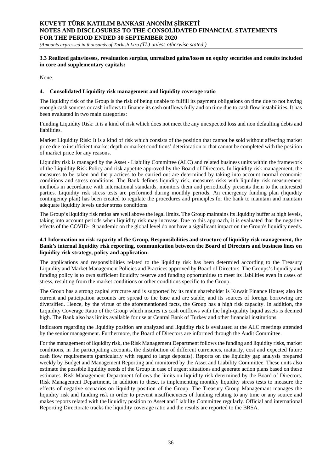*(Amounts expressed in thousands of Turkish Lira (TL) unless otherwise stated.)*

### **3.3 Realized gains/losses, revaluation surplus, unrealized gains/losses on equity securities and results included in core and supplementary capitals:**

None.

### **4. Consolidated Liquidity risk management and liquidity coverage ratio**

The liquidity risk of the Group is the risk of being unable to fulfill its payment obligations on time due to not having enough cash sources or cash inflows to finance its cash outflows fully and on time due to cash flow instabilities. It has been evaluated in two main categories:

Funding Liquidity Risk: It is a kind of risk which does not meet the any unexpected loss and non defaulting debts and liabilities.

Market Liquidity Risk: It is a kind of risk which consists of the position that cannot be sold without affecting market price due to insufficient market depth or market conditions' deterioration or that cannot be completed with the position of market price for any reasons.

Liquidity risk is managed by the Asset - Liability Committee (ALC) and related business units within the framework of the Liquidity Risk Policy and risk appetite approved by the Board of Directors. In liquidity risk management, the measures to be taken and the practices to be carried out are determined by taking into account normal economic conditions and stress conditions. The Bank defines liquidity risk, measures risks with liquidity risk measurement methods in accordance with international standards, monitors them and periodically presents them to the interested parties. Liquidity risk stress tests are performed during monthly periods. An emergency funding plan (liquidity contingency plan) has been created to regulate the procedures and principles for the bank to maintain and maintain adequate liquidity levels under stress conditions.

The Group's liquidity risk ratios are well above the legal limits. The Group maintains its liquidity buffer at high levels, taking into account periods when liquidity risk may increase. Due to this approach, it is evaluated that the negative effects of the COVID-19 pandemic on the global level do not have a significant impact on the Group's liquidity needs.

## **4.1 Information on risk capacity of the Group, Responsibilities and structure of liquidity risk management, the Bank's internal liquidity risk reporting, communication between the Board of Directors and business lines on liquidity risk strategy, policy and application:**

The applications and responsibilities related to the liquidity risk has been determied according to the Treasury Liquidity and Market Management Policies and Practices approved by Board of Directors. The Groups's liquidity and funding policy is to own sufficient liquidity reserve and funding opportunities to meet its liabilities even in cases of stress, resulting from the market conditions or other conditions specific to the Group.

The Group has a strong capital structure and is supported by its main shareholder is Kuwait Finance House; also its current and paticipation accounts are spread to the base and are stable, and its sources of foreign borrowing are diversified. Hence, by the virtue of the aforementioned facts, the Group has a high risk capacity. In addition, the Liquidity Coverage Ratio of the Group which insures its cash outflows with the high-quality liquid assets is deemed high. The Bank also has limits available for use at Central Bank of Turkey and other financial institutions.

Indicators regarding the liquidity position are analyzed and liquidity risk is evaluated at the ALC meetings attended by the senior management. Furthermore, the Board of Directors are informed through the Audit Committee.

For the management of liquidity risk, the Risk Management Department follows the funding and liquidity risks, market conditions, in the participating accounts, the distribution of different currencies, maturity, cost and expected future cash flow requirements (particularly with regard to large deposits). Reports on the liquidity gap analysis prepared weekly by Budget and Management Reporting and monitored by the Asset and Liability Committee. These units also estimate the possible liquidity needs of the Group in case of urgent situations and generate action plans based on these estimates. Risk Management Department follows the limits on liquidity risk determined by the Board of Directors. Risk Management Department, in addition to these, is implementing monthly liquidity stress tests to measure the effects of negative scenarios on liquidity position of the Group. The Treasury Group Managemant manages the liquidity risk and funding risk in order to prevent insufficiencies of funding relating to any time or any source and makes reports related with the liquidity position to Asset and Liability Committee regularly. Official and international Reporting Directorate tracks the liquidity coverage ratio and the results are reported to the BRSA.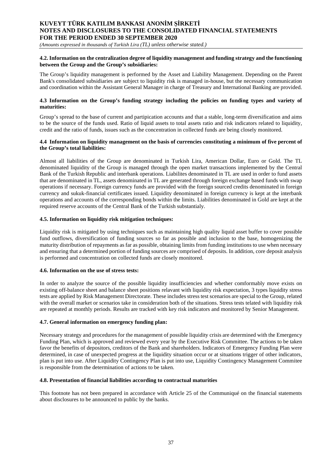*(Amounts expressed in thousands of Turkish Lira (TL) unless otherwise stated.)*

### **4.2. Information on the centralization degree of liquidity management and funding strategy and the functioning between the Group and the Group's subsidiaries:**

The Group's liquidity management is performed by the Asset and Liability Management. Depending on the Parent Bank's consolidated subsidiaries are subject to liquidity risk is managed in-house, but the necessary communication and coordination within the Assistant General Manager in charge of Treasury and International Banking are provided.

### **4.3 Information on the Group's funding strategy including the policies on funding types and variety of maturities:**

Group's spread to the base of current and partipication accounts and that a stable, long-term diversification and aims to be the source of the funds used. Ratio of liquid assets to total assets ratio and risk indicators related to liquidity, credit and the ratio of funds, issues such as the concentration in collected funds are being closely monitored.

### **4.4 Information on liquidity management on the basis of currencies constituting a minimum of five percent of the Group's total liabilities:**

Almost all liabilities of the Group are denominated in Turkish Lira, American Dollar, Euro or Gold. The TL denominated liquidity of the Group is managed through the open market transactions implemented by the Central Bank of the Turkish Republic and interbank operations. Liabilites denominated in TL are used in order to fund assets that are denominated in TL, assets denominated in TL are generated through foreign exchange based funds with swap operations if necessary. Foreign currency funds are provided with the foreign sourced credits denominated in foreign currency and sukuk-financial certificates issued. Liquidity denominated in foreign currency is kept at the interbank operations and accounts of the corresponding bonds within the limits. Liabilities denominated in Gold are kept at the required reserve accounts of the Central Bank of the Turkish substantialy.

## **4.5. Information on liquidity risk mitigation techniques:**

Liquidity risk is mitigated by using techniques such as maintaining high quality liquid asset buffer to cover possible fund outflows, diversification of funding sources so far as possible and inclusion to the base, homogenizing the maturity distribution of repayments as far as possible, obtaining limits from funding institutions to use when necessary and ensuring that a determined portion of funding sources are comprised of deposits. In addition, core deposit analysis is performed and concentration on collected funds are closely monitored.

### **4.6. Information on the use of stress tests:**

In order to analyze the source of the possible liquidity insufficiencies and whether comformably move exists on existing off-balance sheet and balance sheet positions relavant with liquidity risk expectation, 3 types liquidity stress tests are applied by Risk Management Directorate. These includes stress test scenarios are special to the Group, related with the overall market or scenarios take in consideration both of the situations. Stress tests telated with liquidity risk are repeated at monthly periods. Results are tracked with key risk indicators and monitored by Senior Management.

### **4.7. General information on emergency funding plan:**

Necessary strategy and procedures for the management of possible liquidity crisis are determined with the Emergency Funding Plan, which is approved and reviewed every year by the Executive Risk Committee. The actions to be taken favor the benefits of depositors, creditors of the Bank and shareholders. Indicators of Emergency Funding Plan were determined, in case of unexpected progress at the liquidity situation occur or at situations trigger of other indicators, plan is put into use. After Liquidity Contingency Plan is put into use, Liquidity Contingency Management Commitee is responsible from the determination of actions to be taken.

### **4.8. Presentation of financial liabilities according to contractual maturities**

This footnote has not been prepared in accordance with Article 25 of the Communiqué on the financial statements about disclosures to be announced to public by the banks.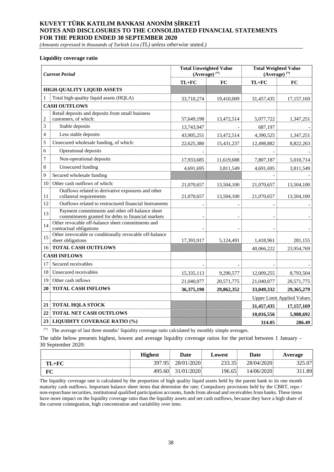*(Amounts expressed in thousands of Turkish Lira (TL) unless otherwise stated.)*

#### **Liquidity coverage ratio**

| <b>Current Period</b> |                                                                                                       | <b>Total Unweighted Value</b><br>$(Average)^{(*)}$ |            | <b>Total Weighted Value</b><br>$(Average)$ <sup>(*)</sup> |                                   |  |
|-----------------------|-------------------------------------------------------------------------------------------------------|----------------------------------------------------|------------|-----------------------------------------------------------|-----------------------------------|--|
|                       |                                                                                                       | $TL+FC$                                            | <b>FC</b>  | $TL+FC$                                                   | <b>FC</b>                         |  |
|                       | <b>HIGH-QUALITY LIQUID ASSETS</b>                                                                     |                                                    |            |                                                           |                                   |  |
| 1                     | Total high-quality liquid assets (HQLA)                                                               | 33,710,274                                         | 19,410,009 | 31,457,435                                                | 17,157,169                        |  |
|                       | <b>CASH OUTFLOWS</b>                                                                                  |                                                    |            |                                                           |                                   |  |
| $\overline{2}$        | Retail deposits and deposits from small business<br>customers, of which:                              | 57,649,198                                         | 13,472,514 | 5,077,722                                                 | 1,347,251                         |  |
| 3                     | Stable deposits                                                                                       | 13,743,947                                         |            | 687,197                                                   |                                   |  |
| $\overline{4}$        | Less stable deposits                                                                                  | 43,905,251                                         | 13,472,514 | 4,390,525                                                 | 1,347,251                         |  |
| 5                     | Unsecured wholesale funding, of which:                                                                | 22,625,380                                         | 15,431,237 | 12,498,882                                                | 8,822,263                         |  |
| 6                     | Operational deposits                                                                                  |                                                    |            |                                                           |                                   |  |
| 7                     | Non-operational deposits                                                                              | 17,933,685                                         | 11,619,688 | 7,807,187                                                 | 5,010,714                         |  |
| 8                     | <b>Unsecured</b> funding                                                                              | 4,691,695                                          | 3,811,549  | 4,691,695                                                 | 3,811,549                         |  |
| 9                     | Secured wholesale funding                                                                             |                                                    |            |                                                           |                                   |  |
| 10                    | Other cash outflows of which:                                                                         | 21,070,657                                         | 13,504,100 | 21,070,657                                                | 13,504,100                        |  |
| 11                    | Outflows related to derivative exposures and other<br>collateral requirements                         | 21,070,657                                         | 13,504,100 | 21,070,657                                                | 13,504,100                        |  |
| 12                    | Outflows related to restructured financial Instruments                                                |                                                    |            |                                                           |                                   |  |
| 13                    | Payment commitments and other off-balance sheet<br>commitments granted for debts to financial markets |                                                    |            |                                                           |                                   |  |
| 14                    | Other revocable off-balance sheet commitments and<br>contractual obligations                          |                                                    |            |                                                           |                                   |  |
| 15                    | Other irrevocable or conditionally revocable off-balance<br>sheet obligations                         | 17,393,917                                         | 5,124,491  | 1,418,961                                                 | 281,155                           |  |
| 16                    | <b>TOTAL CASH OUTFLOWS</b>                                                                            |                                                    |            | 40,066,222                                                | 23,954,769                        |  |
|                       | <b>CASH INFLOWS</b>                                                                                   |                                                    |            |                                                           |                                   |  |
| 17                    | Secured receivables                                                                                   |                                                    |            |                                                           |                                   |  |
| 18                    | Unsecured receivables                                                                                 | 15,335,113                                         | 9,290,577  | 12,009,255                                                | 8,793,504                         |  |
| 19                    | Other cash inflows                                                                                    | 21,040,077                                         | 20,571,775 | 21,040,077                                                | 20,571,775                        |  |
| 20                    | <b>TOTAL CASH INFLOWS</b>                                                                             | 36,375,190                                         | 29,862,352 | 33,049,332                                                | 29,365,279                        |  |
|                       |                                                                                                       |                                                    |            |                                                           | <b>Upper Limit Applied Values</b> |  |
| 21                    | <b>TOTAL HQLA STOCK</b>                                                                               |                                                    |            | 31,457,435                                                | 17,157,169                        |  |
| 22                    | <b>TOTAL NET CASH OUTFLOWS</b>                                                                        |                                                    |            | 10,016,556                                                | 5,988,692                         |  |
| 23                    | <b>LIQUIDITY COVERAGE RATIO (%)</b>                                                                   |                                                    |            | 314.05                                                    | 286.49                            |  |

(\*) The average of last three months' liquidity coverage ratio calculated by monthly simple averages.

The table below presents highest, lowest and average liquidity coverage ratios for the period between 1 January – 30 September 2020:

|           | <b>Highest</b> | <b>Date</b> | Lowest | Date       | Average |
|-----------|----------------|-------------|--------|------------|---------|
| $TL + FC$ | 397.95         | 28/01/2020  | 233.35 | 28/04/2020 | 325.07  |
| F(        | 495.60         | 31/01/2020  | 196.65 | 14/06/2020 | 1.89    |

The liquidity coverage rate is calculated by the proportion of high quality liquid assets held by the parent bank to its one month maturity cash outflows. Important balance sheet items that determine the rate; Compulsory provisions held by the CBRT, repo / non-repurchase securities, institutional qualified participation accounts, funds from abroad and receivables from banks. These items have more impact on the liquidity coverage ratio than the liquidity assets and net cash outflows, because they have a high share of the current cointegration, high concentration and variability over time.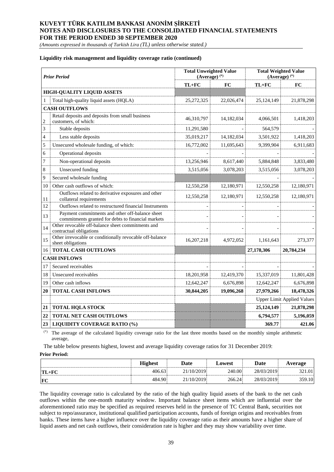*(Amounts expressed in thousands of Turkish Lira (TL) unless otherwise stated.)*

### **Liquidity risk management and liquidity coverage ratio (continued)**

|                          | <b>Prior Period</b>                                                                                   | <b>Total Unweighted Value</b><br>$(Average)$ <sup>(*)</sup> |            | <b>Total Weighted Value</b><br>$(Average)$ <sup>(*)</sup> |                                   |  |
|--------------------------|-------------------------------------------------------------------------------------------------------|-------------------------------------------------------------|------------|-----------------------------------------------------------|-----------------------------------|--|
|                          |                                                                                                       | $TL+FC$                                                     | FC         | $TL+FC$                                                   | FC                                |  |
|                          | <b>HIGH-QUALITY LIQUID ASSETS</b>                                                                     |                                                             |            |                                                           |                                   |  |
|                          | Total high-quality liquid assets (HQLA)                                                               | 25, 272, 325                                                | 22,026,474 | 25,124,149                                                | 21,878,298                        |  |
|                          | <b>CASH OUTFLOWS</b>                                                                                  |                                                             |            |                                                           |                                   |  |
| $\overline{c}$           | Retail deposits and deposits from small business<br>customers, of which:                              | 46,310,797                                                  | 14,182,034 | 4,066,501                                                 | 1,418,203                         |  |
| 3                        | Stable deposits                                                                                       | 11,291,580                                                  |            | 564,579                                                   |                                   |  |
| $\overline{\mathcal{L}}$ | Less stable deposits                                                                                  | 35,019,217                                                  | 14,182,034 | 3,501,922                                                 | 1,418,203                         |  |
| 5                        | Unsecured wholesale funding, of which:                                                                | 16,772,002                                                  | 11,695,643 | 9,399,904                                                 | 6,911,683                         |  |
| 6                        | Operational deposits                                                                                  |                                                             |            |                                                           |                                   |  |
| 7                        | Non-operational deposits                                                                              | 13,256,946                                                  | 8,617,440  | 5,884,848                                                 | 3,833,480                         |  |
| 8                        | <b>Unsecured</b> funding                                                                              | 3,515,056                                                   | 3,078,203  | 3,515,056                                                 | 3,078,203                         |  |
| 9                        | Secured wholesale funding                                                                             |                                                             |            |                                                           |                                   |  |
| 10                       | Other cash outflows of which:                                                                         | 12,550,258                                                  | 12,180,971 | 12,550,258                                                | 12,180,971                        |  |
| 11                       | Outflows related to derivative exposures and other<br>collateral requirements                         | 12,550,258                                                  | 12,180,971 | 12,550,258                                                | 12,180,971                        |  |
| 12                       | Outflows related to restructured financial Instruments                                                |                                                             |            |                                                           |                                   |  |
| 13                       | Payment commitments and other off-balance sheet<br>commitments granted for debts to financial markets |                                                             |            |                                                           |                                   |  |
| 14                       | Other revocable off-balance sheet commitments and<br>contractual obligations                          |                                                             |            |                                                           |                                   |  |
| 15                       | Other irrevocable or conditionally revocable off-balance<br>sheet obligations                         | 16,207,218                                                  | 4,972,052  | 1,161,643                                                 | 273,377                           |  |
| 16                       | <b>TOTAL CASH OUTFLOWS</b>                                                                            |                                                             |            | 27,178,306                                                | 20,784,234                        |  |
|                          | <b>CASH INFLOWS</b>                                                                                   |                                                             |            |                                                           |                                   |  |
| 17                       | Secured receivables                                                                                   |                                                             |            |                                                           |                                   |  |
| 18                       | Unsecured receivables                                                                                 | 18,201,958                                                  | 12,419,370 | 15,337,019                                                | 11,801,428                        |  |
| 19                       | Other cash inflows                                                                                    | 12,642,247                                                  | 6,676,898  | 12,642,247                                                | 6,676,898                         |  |
| 20                       | <b>TOTAL CASH INFLOWS</b>                                                                             | 30,844,205                                                  | 19,096,268 | 27,979,266                                                | 18,478,326                        |  |
|                          |                                                                                                       |                                                             |            |                                                           | <b>Upper Limit Applied Values</b> |  |
| 21                       | <b>TOTAL HQLA STOCK</b>                                                                               |                                                             |            | 25,124,149                                                | 21,878,298                        |  |
| 22                       | <b>TOTAL NET CASH OUTFLOWS</b>                                                                        |                                                             |            | 6,794,577                                                 | 5,196,059                         |  |
| 23                       | <b>LIQUIDITY COVERAGE RATIO (%)</b>                                                                   |                                                             |            | 369.77                                                    | 421.06                            |  |

(\*) The average of the calculated liquidity coverage ratio for the last three months based on the monthly simple arithmetic average,

The table below presents highest, lowest and average liquidity coverage ratios for 31 December 2019:

#### **Prior Period:**

|          | <b>Highest</b> | <b>Date</b> | ∟owest | Date       | Average |
|----------|----------------|-------------|--------|------------|---------|
| $TT\_FC$ | 406.63         | 21/10/2019  | 240.00 | 28/03/2019 | 321.01  |
| F        | 484.90         | 21/10/2019  | 266.24 | 28/03/2019 | 359.10  |

The liquidity coverage ratio is calculated by the ratio of the high quality liquid assets of the bank to the net cash outflows within the one-month maturity window. Important balance sheet items which are influential over the aforementioned ratio may be specified as required reserves held in the presence of TC Central Bank, securities not subject to repo/assurance, institutional qualified participation accounts, funds of foreign origins and receivables from banks. These items have a higher influence over the liquidity coverage ratio as their amounts have a higher share of liquid assets and net cash outflows, their consideration rate is higher and they may show variability over time.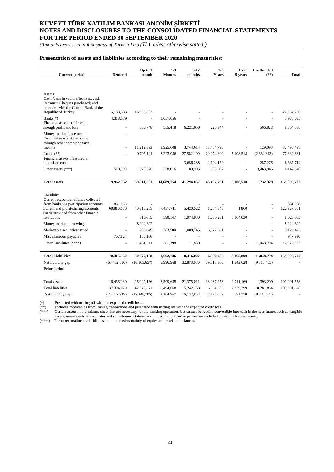*(Amounts expressed in thousands of Turkish Lira (TL) unless otherwise stated.)*

## **Presentation of assets and liabilities according to their remaining maturities:**

| <b>Current period</b>                                                                                                          | <b>Demand</b>                | $Up$ to $1$<br>month         | $1 - 3$<br><b>Months</b> | $3 - 12$<br>months       | $1 - 5$<br><b>Years</b> | Over<br>5 years      | <b>Unallocated</b><br>$(**)$ | <b>Total</b> |
|--------------------------------------------------------------------------------------------------------------------------------|------------------------------|------------------------------|--------------------------|--------------------------|-------------------------|----------------------|------------------------------|--------------|
|                                                                                                                                |                              |                              |                          |                          |                         |                      |                              |              |
|                                                                                                                                |                              |                              |                          |                          |                         |                      |                              |              |
| Assets<br>Cash (cash in vault, effectives, cash<br>in transit, Cheques purchased) and<br>balances with the Central Bank of the |                              |                              |                          |                          |                         |                      |                              |              |
| Republic of Turkey                                                                                                             | 5,133,383                    | 16,930,883                   |                          |                          |                         |                      |                              | 22,064,266   |
| $Banks(*)$<br>Financial assets at fair value                                                                                   | 4,318,579                    |                              | 1,657,056                |                          |                         |                      |                              | 5,975,635    |
| through profit and loss                                                                                                        |                              | 850,748                      | 555,418                  | 6,221,050                | 220,344                 |                      | 506,828                      | 8,354,388    |
| Money market placements<br>Financial assets at fair value<br>through other comprehensive                                       |                              |                              |                          |                          |                         |                      |                              |              |
| income                                                                                                                         |                              | 11,212,393                   | 3,925,608                | 3,744,614                | 13,484,790              |                      | 129,093                      | 32,496,498   |
| Loans $(**)$                                                                                                                   |                              | 9,797,101                    | 8,223,056                | 27,582,199               | 29,274,600              | 5,108,518            | (2,654,813)                  | 77,330,661   |
| Financial assets measured at<br>amortised cost                                                                                 |                              |                              | ä,                       | 3,656,288                | 2,694,150               |                      | 287,276                      | 6,637,714    |
| Other assets (***)                                                                                                             | 510,790                      | 1,020,376                    | 328,616                  | 89,906                   | 733,907                 | ä,                   | 3,463,945                    | 6,147,540    |
|                                                                                                                                |                              |                              |                          |                          |                         |                      |                              |              |
| <b>Total assets</b>                                                                                                            | 9,962,752                    | 39,811,501                   | 14,689,754               | 41,294,057               | 46,407,791              | 5,108,518            | 1,732,329                    | 159,006,702  |
|                                                                                                                                |                              |                              |                          |                          |                         |                      |                              |              |
| Liabilities                                                                                                                    |                              |                              |                          |                          |                         |                      |                              |              |
| Current account and funds collected<br>from banks via participation accounts                                                   | 831,058                      |                              |                          |                          |                         |                      |                              | 831,058      |
| Current and profit-sharing accounts                                                                                            | 68,816,680                   | 40,016,205                   | 7,437,741                | 5,420,522                | 1,234,643               | 1,860                |                              | 122,927,651  |
| Funds provided from other financial<br>institutions                                                                            | ä,                           | 515,685                      | 590,147                  | 1,974,930                | 1,780,261               | 3,164,030            |                              | 8,025,053    |
| Money market borrowings                                                                                                        |                              | 8,224,602                    | $\overline{\phantom{a}}$ | $\overline{\phantom{a}}$ |                         |                      |                              | 8,224,602    |
| Marketable securities issued                                                                                                   |                              | 256,649                      | 283,500                  | 1,008,745                | 3,577,581               |                      |                              | 5,126,475    |
| Miscellaneous payables                                                                                                         | 767,824                      | 180,106                      | $\overline{\phantom{a}}$ | $\overline{\phantom{a}}$ |                         |                      |                              | 947,930      |
| Other Liabilities (****)                                                                                                       |                              | 1,481,911                    | 381,398                  | 11,830                   |                         |                      | 11,048,794                   | 12,923,933   |
|                                                                                                                                |                              |                              |                          |                          |                         |                      |                              |              |
| <b>Total Liabilities</b>                                                                                                       | 70,415,562                   | 50,675,158                   | 8,692,786                | 8,416,027                | 6,592,485               | 3,165,890            | 11,048,794                   | 159,006,702  |
| Net liquidity gap                                                                                                              | (60, 452, 810)               | (10,863,657)                 | 5,996,968                | 32,878,030               | 39,815,306              | 1,942,628            | (9,316,465)                  |              |
| <b>Prior period</b>                                                                                                            |                              |                              |                          |                          |                         |                      |                              |              |
|                                                                                                                                |                              |                              |                          |                          |                         |                      |                              |              |
| Total assets                                                                                                                   | 16,456,130                   | 25,029,166                   | 8,599,635                | 21,375,011               | 33,237,258              | 2,911,169            | 1,393,209                    | 109,001,578  |
| <b>Total liabilities</b><br>Net liquidity gap                                                                                  | 37,304,079<br>(20, 847, 949) | 42,377,871<br>(17, 348, 705) | 6,494,668<br>2,104,967   | 5,242,158<br>16,132,853  | 5,061,569<br>28,175,689 | 2,239,399<br>671,770 | 10,281,834<br>(8,888,625)    | 109,001,578  |
|                                                                                                                                |                              |                              |                          |                          |                         |                      |                              |              |

(\*) Presented with netting off with the expected credit loss.

(\*\*) Includes receivables from leasing transactions and presented with netting off with the expected credit loss

(\*\*\*) Certain assets in the balance sheet that are necessary for the banking operations but cannot be readily convertible into cash in the near future, such as tangible assets, investments in associates and subsidiaries, stationary supplies and prepaid expenses are included under unallocated assets.

(\*\*\*\*) The other unallocated liabilities column consists mainly of equity and provision balances.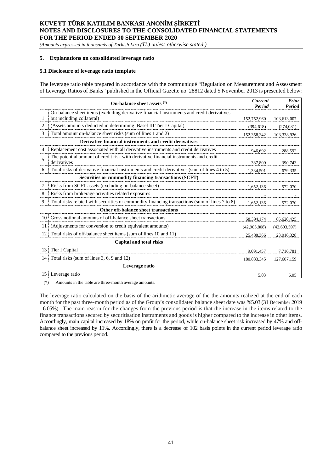*(Amounts expressed in thousands of Turkish Lira (TL) unless otherwise stated.)*

### **5. Explanations on consolidated leverage ratio**

### **5.1 Disclosure of leverage ratio template**

The leverage ratio table prepared in accordance with the communiqué "Regulation on Measurement and Assessment of Leverage Ratios of Banks" published in the Official Gazette no. 28812 dated 5 November 2013 is presented below:

|                 | On-balance sheet assets (*)                                                                                            | <b>Current</b><br>Period | <b>Prior</b><br>Period |
|-----------------|------------------------------------------------------------------------------------------------------------------------|--------------------------|------------------------|
| $\mathbf{1}$    | On-balance sheet items (excluding derivative financial instruments and credit derivatives<br>but including collateral) | 152,752,960              | 103,613,007            |
| 2               | (Assets amounts deducted in determining Basel III Tier I Capital)                                                      | (394, 618)               | (274,081)              |
| 3               | Total amount on-balance sheet risks (sum of lines 1 and 2)                                                             | 152,358,342              | 103,338,926            |
|                 | Derivative financial instruments and credit derivatives                                                                |                          |                        |
| 4               | Replacement cost associated with all derivative instruments and credit derivatives                                     | 946,692                  | 288,592                |
| 5               | The potential amount of credit risk with derivative financial instruments and credit<br>derivatives                    | 387,809                  | 390,743                |
| 6               | Total risks of derivative financial instruments and credit derivatives (sum of lines 4 to 5)                           | 1,334,501                | 679.335                |
|                 | Securities or commodity financing transactions (SCFT)                                                                  |                          |                        |
| 7               | Risks from SCFT assets (excluding on-balance sheet)                                                                    | 1,652,136                | 572,070                |
| 8               | Risks from brokerage activities related exposures                                                                      |                          |                        |
| 9               | Total risks related with securities or commodity financing transactions (sum of lines 7 to 8)                          | 1,652,136                | 572,070                |
|                 | Other off-balance sheet transactions                                                                                   |                          |                        |
| 10              | Gross notional amounts of off-balance sheet transactions                                                               | 68,394,174               | 65,620,425             |
| 11              | (Adjustments for conversion to credit equivalent amounts)                                                              | (42,905,808)             | (42,603,597)           |
| 12              | Total risks of off-balance sheet items (sum of lines 10 and 11)                                                        | 25,488,366               | 23,016,828             |
|                 | Capital and total risks                                                                                                |                          |                        |
| 13              | Tier I Capital                                                                                                         | 9,091,457                | 7,716,781              |
| 14              | Total risks (sum of lines 3, 6, 9 and 12)                                                                              | 180,833,345              | 127,607,159            |
|                 | Leverage ratio                                                                                                         |                          |                        |
| 15 <sup>1</sup> | Leverage ratio                                                                                                         | 5.03                     | 6.05                   |

(\*) Amounts in the table are three-month average amounts.

The leverage ratio calculated on the basis of the arithmetic average of the the amounts realized at the end of each month for the past three-month period as of the Group's consolidated balance sheet date was %5.03 (31 December 2019 - 6.05%). The main reason for the changes from the previous period is that the increase in the items related to the finance transactions secured by securitisation instruments and goods is higher compared to the increase in other items. Accordingly, main capital increased by 18% on profit for the period, while on-balance sheet risk increased by 47% and offbalance sheet increased by 11%. Accordingly, there is a decrease of 102 basis points in the current period leverage ratio compared to the previous period.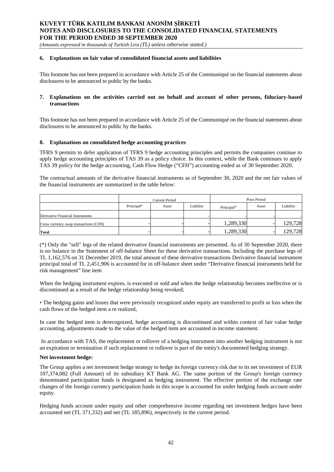*(Amounts expressed in thousands of Turkish Lira (TL) unless otherwise stated.)*

## **6. Explanations on fair value of consolidated financial assets and liabilities**

This footnote has not been prepared in accordance with Article 25 of the Communiqué on the financial statements about disclosures to be announced to public by the banks.

### **7. Explanations on the activities carried out on behalf and account of other persons, fiduciary-based transactions**

This footnote has not been prepared in accordance with Article 25 of the Communiqué on the financial statements about disclosures to be announced to public by the banks.

#### **8. Explanations on consolidated hedge accounting practices**

TFRS 9 permits to defer application of TFRS 9 hedge accounting principles and permits the companies continue to apply hedge accounting principles of TAS 39 as a policy choice. In this context, while the Bank continues to apply TAS 39 policy for the hedge accounting, Cash Flow Hedge ("CFH") accounting ended as of 30 September 2020.

The contractual amounts of the derivative financial instruments as of September 30, 2020 and the net fair values of the financial instruments are summarized in the table below:

|                                        | <b>Current Period</b> |       |           | Prior Period |       |           |
|----------------------------------------|-----------------------|-------|-----------|--------------|-------|-----------|
|                                        | Principal*            | Asset | Liability | Principal*   | Asset | Liability |
| Derivative Financial Instruments       |                       |       |           |              |       |           |
| Cross currency swap transactions (CFH) |                       |       |           | 1,289,330    |       | 129,728   |
| <b>Total</b>                           |                       |       |           | 1,289,330    |       | 129,728   |

(\*) Only the "sell" legs of the related derivative financial instruments are presented. As of 30 September 2020, there is no balance in the Statement of off-balance Sheet for these derivative transactions. Including the purchase legs of TL 1,162,576 on 31 December 2019, the total amount of these derivative transactions Derivative financial instrument principal total of TL 2,451,906 is accounted for in off-balance sheet under "Derivative financial instruments held for risk management" line item

When the hedging instrument expires, is executed or sold and when the hedge relationship becomes ineffective or is discontinued as a result of the hedge relationship being revoked;

• The hedging gains and losses that were previously recognized under equity are transferred to profit or loss when the cash flows of the hedged item a re realized,

In case the hedged item is derecognized, hedge accounting is discontinued and within context of fair value hedge accounting, adjustments made to the value of the hedged item are accounted in income statement.

In accordance with TAS, the replacement or rollover of a hedging instrument into another hedging instrument is not an expiration or termination if such replacement or rollover is part of the entity's documented hedging strategy.

#### **Net investment hedge:**

The Group applies a net investment hedge strategy to hedge its foreign currency risk due to its net investment of EUR 107,374,082 (Full Amount) of its subsidiary KT Bank AG. The same portion of the Group's foreign currency denominated participation funds is designated as hedging instrument. The effective portion of the exchange rate changes of the foreign currency participation funds in this scope is accounted for under hedging funds account under equity.

Hedging funds account under equity and other comprehensive income regarding net investment hedges have been accounted net (TL 371,332) and net (TL 185,896), respectively in the current period.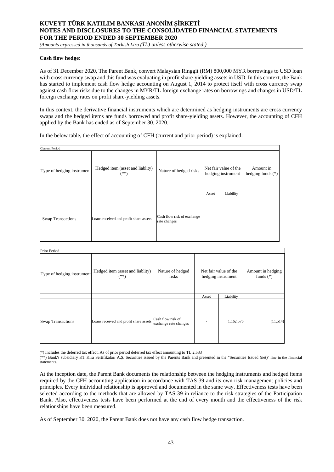*(Amounts expressed in thousands of Turkish Lira (TL) unless otherwise stated.)*

### **Cash flow hedge:**

As of 31 December 2020, The Parent Bank, convert Malaysian Ringgit (RM) 800,000 MYR borrowings to USD loan with cross currency swap and this fund was evaluating in profit share-yielding assets in USD. In this context, the Bank has started to implement cash flow hedge accounting on August 1, 2014 to protect itself with cross currency swap against cash flow risks due to the changes in MYR/TL foreign exchange rates on borrowings and changes in USD/TL foreign exchange rates on profit share-yielding assets.

In this context, the derivative financial instruments which are determined as hedging instruments are cross currency swaps and the hedged items are funds borrowed and profit share-yielding assets. However, the accounting of CFH applied by the Bank has ended as of September 30, 2020.

In the below table, the effect of accounting of CFH (current and prior period) is explained:

| <b>Current Period</b>      |                                            |                                            |       |                                             |                                  |  |
|----------------------------|--------------------------------------------|--------------------------------------------|-------|---------------------------------------------|----------------------------------|--|
| Type of hedging instrument | Hedged item (asset and liablity)<br>$(**)$ | Nature of hedged risks                     |       | Net fair value of the<br>hedging instrument | Amount in<br>hedging funds $(*)$ |  |
|                            |                                            |                                            | Asset | Liability                                   |                                  |  |
| <b>Swap Transactions</b>   | Loans received and profit share assets     | Cash flow risk of exchange<br>rate changes |       |                                             |                                  |  |

| Prior Period               |                                            |                                            |                                             |           |                                  |  |
|----------------------------|--------------------------------------------|--------------------------------------------|---------------------------------------------|-----------|----------------------------------|--|
| Type of hedging instrument | Hedged item (asset and liablity)<br>$(**)$ | Nature of hedged<br>risks                  | Net fair value of the<br>hedging instrument |           | Amount in hedging<br>funds $(*)$ |  |
|                            |                                            |                                            | Asset                                       | Liability |                                  |  |
| <b>Swap Transactions</b>   | Loans received and profit share assets     | Cash flow risk of<br>exchange rate changes |                                             | 1.162.576 | (11,514)                         |  |

(\*) Includes the deferred tax effect. As of prior period deferred tax effect amounting to TL 2,533

(\*\*) Bank's subsidiary KT Kira Sertifikaları A.Ş. Securities issued by the Parents Bank and presented in the "Securities Issued (net)" line in the financial statements.

At the inception date, the Parent Bank documents the relationship between the hedging instruments and hedged items required by the CFH accounting application in accordance with TAS 39 and its own risk management policies and principles. Every individual relationship is approved and documented in the same way. Effectiveness tests have been selected according to the methods that are allowed by TAS 39 in reliance to the risk strategies of the Participation Bank. Also, effectiveness tests have been performed at the end of every month and the effectiveness of the risk relationships have been measured.

As of September 30, 2020, the Parent Bank does not have any cash flow hedge transaction.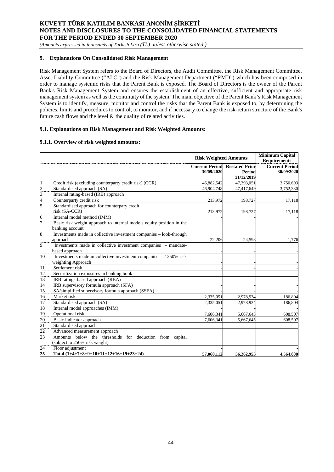*(Amounts expressed in thousands of Turkish Lira (TL) unless otherwise stated.)*

## **9. Explanations On Consolidated Risk Management**

Risk Management System refers to the Board of Directors, the Audit Committee, the Risk Management Committee, Asset-Liability Committee ("ALC") and the Risk Management Department ("RMD") which has been composed in order to manage systemic risks that the Parent Bank is exposed. The Board of Directors is the owner of the Parent Bank's Risk Management System and ensures the establishment of an effective, sufficient and appropriate risk management system as well as the continuity of the system. The main objective of the Parent Bank's Risk Management System is to identify, measure, monitor and control the risks that the Parent Bank is exposed to, by determining the policies, limits and procedures to control, to monitor, and if necessary to change the risk-return structure of the Bank's future cash flows and the level  $\&$  the quality of related activities.

### **9.1. Explanations on Risk Management and Risk Weighted Amounts:**

### **9.1.1. Overview of risk weighted amounts:**

|                                    |                                                                      | <b>Risk Weighted Amounts</b>                       |                      | <b>Minimum Capital</b><br><b>Requirements</b> |
|------------------------------------|----------------------------------------------------------------------|----------------------------------------------------|----------------------|-----------------------------------------------|
|                                    |                                                                      | <b>Current Period Restated Prior</b><br>30/09/2020 | Period<br>31/12/2019 | <b>Current Period</b><br>30/09/2020           |
|                                    | Credit risk (excluding counterparty credit risk) (CCR)               | 46,882,542                                         | 47,393,051           | 3,750,603                                     |
|                                    | Standardised approach (SA)                                           | 46,904,748                                         | 47,417,649           | 3,752,380                                     |
| $\frac{2}{4}$                      | Internal rating-based (IRB) approach                                 |                                                    |                      |                                               |
|                                    | Counterparty credit risk                                             | 213,972                                            | 198,727              | 17,118                                        |
| 5                                  | Standardised approach for counterpary credit                         |                                                    |                      |                                               |
|                                    | risk (SA-CCR)                                                        | 213,972                                            | 198,727              | 17,118                                        |
| 6                                  | Internal model method (IMM)                                          |                                                    |                      |                                               |
| 5                                  | Basic risk weight approach to internal models equity position in the |                                                    |                      |                                               |
|                                    | banking account                                                      |                                                    |                      |                                               |
| 8                                  | Investments made in collective investment companies - look-through   |                                                    |                      |                                               |
|                                    | approach                                                             | 22.206                                             | 24,598               | 1,776                                         |
| 9                                  | Investments made in collective investment companies - mandate-       |                                                    |                      |                                               |
|                                    | based approach                                                       |                                                    |                      |                                               |
| 10                                 | Investments made in collective investment companies $-1250\%$ risk   |                                                    |                      |                                               |
|                                    | weighting Approach                                                   |                                                    |                      |                                               |
| 11                                 | Settlement risk                                                      |                                                    |                      |                                               |
| $\frac{12}{13}$                    | Securitization exposures in banking book                             |                                                    |                      |                                               |
|                                    | IRB ratings-based approach (RBA)                                     |                                                    |                      |                                               |
| $\overline{14}$                    | IRB supervisory formula approach (SFA)                               |                                                    |                      |                                               |
| $\overline{15}$                    | SA/simplified supervisory formula approach (SSFA)                    |                                                    |                      |                                               |
| 16                                 | Market risk                                                          | 2,335,051                                          | 2,978,934            | 186,804                                       |
| 17                                 | Standardised approach (SA)                                           | 2,335,051                                          | 2,978,934            | 186,804                                       |
| 18                                 | Internal model approaches (IMM)                                      |                                                    |                      |                                               |
| $\overline{19}$                    | Operational risk                                                     | 7,606,341                                          | 5,667,645            | 608,507                                       |
|                                    | Basic indicator approach                                             | 7,606,341                                          | 5,667,645            | 608,507                                       |
| $\frac{20}{21}$<br>$\frac{22}{23}$ | Standardised approach                                                |                                                    |                      |                                               |
|                                    | Advanced measurement approach                                        |                                                    |                      |                                               |
|                                    | Amounts below the thresholds for deduction from capital              |                                                    |                      |                                               |
|                                    | (subject to 250% risk weight)                                        |                                                    |                      |                                               |
| $\frac{24}{25}$                    | Floor adjustment                                                     |                                                    |                      |                                               |
|                                    | Total $(1+4+7+8+9+10+11+12+16+19+23+24)$                             | 57.060.112                                         | 56,262,955           | 4.564.808                                     |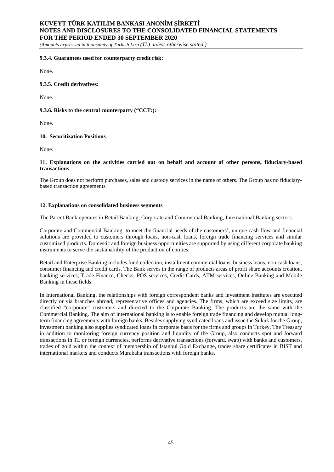*(Amounts expressed in thousands of Turkish Lira (TL) unless otherwise stated.)*

### **9.3.4. Guarantees used for counterparty credit risk:**

None.

## **9.3.5. Credit derivatives:**

None.

#### **9.3.6. Risks to the central counterparty ("CCT:):**

None.

#### **10. Securitization Positions**

None.

### **11. Explanations on the activities carried out on behalf and account of other persons, fiduciary-based transactions**

The Group does not perform purchases, sales and custody services in the name of others. The Group has no fiduciarybased transaction agreements.

#### **12. Explanations on consolidated business segments**

The Parent Bank operates in Retail Banking, Corporate and Commercial Banking, International Banking sectors.

Corporate and Commercial Banking: to meet the financial needs of the customers', unique cash flow and financial solutions are provided to customers through loans, non-cash loans, foreign trade financing services and similar customized products. Domestic and foreign business opportunities are supported by using different corporate banking instruments to serve the sustainability of the production of entities.

Retail and Enterprise Banking includes fund collection, installment commercial loans, business loans, non cash loans, consumer financing and credit cards. The Bank serves in the range of products areas of profit share accounts creation, banking services, Trade Finance, Checks, POS services, Credit Cards, ATM services, Online Banking and Mobile Banking in these fields.

In International Banking, the relationships with foreign correspondent banks and investment institutes are executed directly or via branches abroad, representative offices and agencies. The firms, which are exceed size limits, are classified "corporate" customers and directed to the Corporate Banking. The products are the same with the Commercial Banking. The aim of international banking is to enable foreign trade financing and develop mutual longterm financing agreements with foreign banks. Besides supplying syndicated loans and issue the Sukuk for the Group, investment banking also supplies syndicated loans in corporate basis for the firms and groups in Turkey. The Treasury in addition to monitoring foreign currency position and liquidity of the Group, also conducts spot and forward transactions in TL or foreign currencies, performs derivative transactions (forward, swap) with banks and customers, trades of gold within the context of membership of Istanbul Gold Exchange, trades share certificates in BIST and international markets and conducts Murabaha transactions with foreign banks.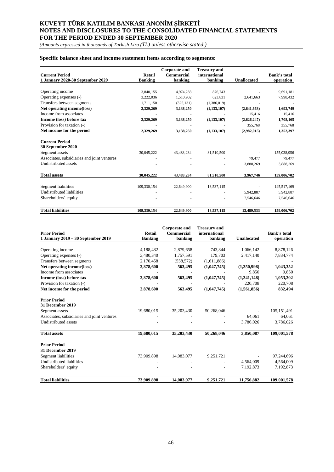*(Amounts expressed in thousands of Turkish Lira (TL) unless otherwise stated.)*

## **Specific balance sheet and income statement items according to segments:**

| <b>Current Period</b>                       | <b>Retail</b>  | <b>Corporate and</b><br><b>Commercial</b> | <b>Treasury and</b><br>international |                    | <b>Bank's total</b> |
|---------------------------------------------|----------------|-------------------------------------------|--------------------------------------|--------------------|---------------------|
| 1 January 2020-30 September 2020            | <b>Banking</b> | banking                                   | banking                              | <b>Unallocated</b> | operation           |
|                                             |                |                                           |                                      |                    |                     |
| Operating income                            | 3,840,155      | 4,974,283                                 | 876,743                              |                    | 9,691,181           |
| Operating expenses (-)                      | 3,222,036      | 1,510,902                                 | 623,831                              | 2,641,663          | 7,998,432           |
| Transfers between segments                  | 1,711,150      | (325, 131)                                | (1,386,019)                          |                    |                     |
| Net operating income(loss)                  | 2,329,269      | 3,138,250                                 | (1, 133, 107)                        | (2,641,663)        | 1,692,749           |
| Income from associates                      |                |                                           |                                      | 15,416             | 15,416              |
| Income (loss) before tax                    | 2,329,269      | 3,138,250                                 | (1, 133, 107)                        | (2,626,247)        | 1,708,165           |
| Provision for taxation (-)                  |                |                                           |                                      | 355,768            | 355,768             |
| Net income for the period                   | 2,329,269      | 3,138,250                                 | (1, 133, 107)                        | (2,982,015)        | 1,352,397           |
| <b>Current Period</b><br>30 September 2020  |                |                                           |                                      |                    |                     |
| Segment assets                              | 30,045,222     | 43,483,234                                | 81,510,500                           |                    | 155,038,956         |
| Associates, subsidiaries and joint ventures |                |                                           |                                      | 79,477             | 79,477              |
| Undistributed assets                        |                |                                           |                                      | 3,888,269          | 3,888,269           |
| <b>Total assets</b>                         | 30,045,222     | 43,483,234                                | 81,510,500                           | 3,967,746          | 159,006,702         |
| Segment liabilities                         | 109,330,154    | 22,649,900                                | 13,537,115                           |                    | 145,517,169         |
| Undistributed liabilities                   |                |                                           |                                      | 5,942,887          | 5,942,887           |
| Shareholders' equity                        |                |                                           |                                      | 7,546,646          | 7,546,646           |
| <b>Total liabilities</b>                    | 109.330.154    | 22,649,900                                | 13,537,115                           | 13,489,533         | 159,006,702         |

| <b>Prior Period</b>                         | <b>Retail</b>  | <b>Corporate and</b><br><b>Commercial</b> | <b>Treasury and</b><br>international |                    | <b>Bank's total</b> |
|---------------------------------------------|----------------|-------------------------------------------|--------------------------------------|--------------------|---------------------|
| 1 January 2019 - 30 September 2019          | <b>Banking</b> | banking                                   | banking                              | <b>Unallocated</b> | operation           |
| Operating income                            | 4,188,482      | 2,879,658                                 | 743,844                              | 1,066,142          | 8,878,126           |
| Operating expenses (-)                      | 3,480,340      | 1,757,591                                 | 179,703                              | 2,417,140          | 7,834,774           |
| Transfers between segments                  | 2,170,458      | (558, 572)                                | (1,611,886)                          |                    |                     |
| Net operating income(loss)                  | 2,878,600      | 563,495                                   | (1,047,745)                          | (1,350,998)        | 1,043,352           |
| Income from associates                      |                |                                           |                                      | 9.850              | 9,850               |
| Income (loss) before tax                    | 2,878,600      | 563,495                                   | (1,047,745)                          | (1,341,148)        | 1,053,202           |
| Provision for taxation (-)                  |                |                                           |                                      | 220,708            | 220,708             |
| Net income for the period                   | 2,878,600      | 563,495                                   | (1,047,745)                          | (1,561,856)        | 832,494             |
| <b>Prior Period</b>                         |                |                                           |                                      |                    |                     |
| 31 December 2019                            |                |                                           |                                      |                    |                     |
| Segment assets                              | 19,680,015     | 35,203,430                                | 50,268,046                           |                    | 105,151,491         |
| Associates, subsidiaries and joint ventures |                |                                           |                                      | 64,061             | 64,061              |
| Undistributed assets                        |                |                                           |                                      | 3,786,026          | 3,786,026           |
| <b>Total assets</b>                         | 19,680,015     | 35,203,430                                | 50,268,046                           | 3,850,087          | 109,001,578         |
| <b>Prior Period</b>                         |                |                                           |                                      |                    |                     |
| 31 December 2019                            |                |                                           |                                      |                    |                     |
| Segment liabilities                         | 73,909,898     | 14,083,077                                | 9,251,721                            |                    | 97,244,696          |
| Undistributed liabilities                   |                |                                           |                                      | 4,564,009          | 4,564,009           |
| Shareholders' equity                        |                |                                           |                                      | 7,192,873          | 7,192,873           |
| <b>Total liabilities</b>                    | 73,909,898     | 14,083,077                                | 9,251,721                            | 11,756,882         | 109,001,578         |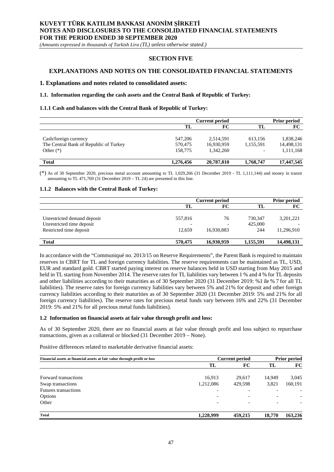*(Amounts expressed in thousands of Turkish Lira (TL) unless otherwise stated.)*

## **SECTION FIVE**

## **EXPLANATIONS AND NOTES ON THE CONSOLIDATED FINANCIAL STATEMENTS**

### **1. Explanations and notes related to consolidated assets:**

#### **1.1. Information regarding the cash assets and the Central Bank of Republic of Turkey:**

#### **1.1.1 Cash and balances with the Central Bank of Republic of Turkey:**

|                                        | <b>Current period</b> |            |           | <b>Prior period</b> |  |
|----------------------------------------|-----------------------|------------|-----------|---------------------|--|
|                                        | TL                    | FC         | TL        | FC                  |  |
|                                        |                       |            |           |                     |  |
| Cash/foreign currency                  | 547,206               | 2,514,591  | 613.156   | 1,838,246           |  |
| The Central Bank of Republic of Turkey | 570,475               | 16,930,959 | 1,155,591 | 14,498,131          |  |
| Other $(*)$                            | 158,775               | 1.342.260  |           | 1,111,168           |  |
| <b>Total</b>                           | 1,276,456             | 20,787,810 | 1,768,747 | 17,447,545          |  |

(\*) As of 30 September 2020, precious metal account amounting to TL 1,029,266 (31 December 2019 - TL 1,111,144) and money in transit amounting to TL 471,769 (31 December 2019 – TL 24) are presented in this line.

#### **1.1.2 Balances with the Central Bank of Turkey:**

|                                                                                     | <b>Current period</b> |                                              | <b>Prior period</b>       |                         |
|-------------------------------------------------------------------------------------|-----------------------|----------------------------------------------|---------------------------|-------------------------|
|                                                                                     | TL                    | FC                                           | TL                        | FC                      |
| Unrestricted demand deposit<br>Unrestricted time deposit<br>Restricted time deposit | 557,816<br>12.659     | 76<br>$\overline{\phantom{a}}$<br>16,930,883 | 730.347<br>425,000<br>244 | 3,201,221<br>11,296,910 |
| <b>Total</b>                                                                        | 570,475               | 16,930,959                                   | 1,155,591                 | 14,498,131              |

In accordance with the "Communiqué no. 2013/15 on Reserve Requirements", the Parent Bank is required to maintain reserves in CBRT for TL and foreign currency liabilities. The reserve requirements can be maintained as TL, USD, EUR and standard gold. CBRT started paying interest on reserve balances held in USD starting from May 2015 and held in TL starting from November 2014. The reserve rates for TL liabilities vary between 1 % and 4 % for TL deposits and other liabilities according to their maturities as of 30 September 2020 (31 December 2019: %1 ile % 7 for all TL liabilities). The reserve rates for foreign currency liabilities vary between 5% and 21% for deposit and other foreign currency liabilities according to their maturities as of 30 September 2020 (31 December 2019: 5% and 21% for all foreign currency liabilities). The reserve rates for precious metal funds vary between 16% and 22% (31 December 2019: 5% and 21% for all precious metal funds liabilities).

#### **1.2 Information on financial assets at fair value through profit and loss:**

As of 30 September 2020, there are no financial assets at fair value through profit and loss subject to repurchase transactions, given as a collateral or blocked (31 December 2019 – None).

Positive differences related to marketable derivative financial assets:

| Financial assets at financial assets at fair value through profit or loss |                          | <b>Current period</b>    |                          | <b>Prior period</b> |  |
|---------------------------------------------------------------------------|--------------------------|--------------------------|--------------------------|---------------------|--|
|                                                                           | TL                       | FC                       | TL                       | FC                  |  |
| Forward transactions                                                      | 16.913                   | 29.617                   | 14.949                   | 3,045               |  |
| Swap transactions                                                         | 1,212,086                | 429.598                  | 3,821                    | 160,191             |  |
| Futures transactions                                                      | $\overline{\phantom{0}}$ | $\overline{\phantom{0}}$ |                          |                     |  |
| Options                                                                   | ۰                        | $\overline{\phantom{0}}$ | $\overline{\phantom{0}}$ |                     |  |
| Other                                                                     | $\overline{\phantom{0}}$ | $\overline{\phantom{0}}$ | $\overline{\phantom{0}}$ |                     |  |
| <b>Total</b>                                                              | 1,228,999                | 459,215                  | 18,770                   | 163,236             |  |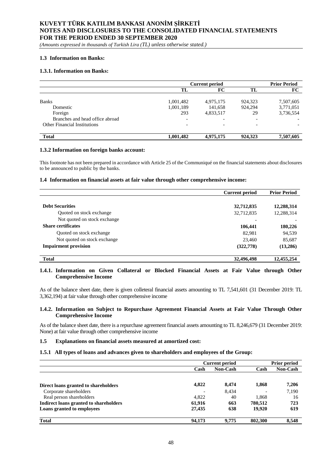*(Amounts expressed in thousands of Turkish Lira (TL) unless otherwise stated.)*

### **1.3 Information on Banks:**

## **1.3.1. Information on Banks:**

|                                     | <b>Current period</b> |                          |                          | <b>Prior Period</b> |
|-------------------------------------|-----------------------|--------------------------|--------------------------|---------------------|
|                                     | TL                    | FC                       | TL                       | FC                  |
| <b>Banks</b>                        | 1,001,482             | 4,975,175                | 924,323                  | 7,507,605           |
| Domestic                            | 1,001,189             | 141,658                  | 924,294                  | 3,771,051           |
| Foreign                             | 293                   | 4,833,517                | 29                       | 3,736,554           |
| Branches and head office abroad     |                       | $\overline{\phantom{0}}$ | $\overline{\phantom{0}}$ |                     |
| <b>Other Financial Institutions</b> |                       | $\overline{\phantom{a}}$ | $\overline{\phantom{0}}$ |                     |
| <b>Total</b>                        | 1,001,482             | 4.975.175                | 924,323                  | 7,507,605           |

#### **1.3.2 Information on foreign banks account:**

This footnote has not been prepared in accordance with Article 25 of the Communiqué on the financial statements about disclosures to be announced to public by the banks.

#### **1.4 Information on financial assets at fair value through other comprehensive income:**

|                              | <b>Current period</b> | <b>Prior Period</b> |
|------------------------------|-----------------------|---------------------|
|                              |                       |                     |
| <b>Debt Securities</b>       | 32,712,835            | 12,288,314          |
| Quoted on stock exchange     | 32,712,835            | 12,288,314          |
| Not quoted on stock exchange |                       |                     |
| <b>Share certificates</b>    | 106,441               | 180,226             |
| Quoted on stock exchange     | 82,981                | 94,539              |
| Not quoted on stock exchange | 23,460                | 85,687              |
| <b>Impairment provision</b>  | (322, 778)            | (13,286)            |
| <b>Total</b>                 | 32,496,498            | 12.455.254          |

### **1.4.1. Information on Given Collateral or Blocked Financial Assets at Fair Value through Other Comprehensive Income**

As of the balance sheet date, there is given colleteral financial assets amounting to TL 7,541,601 (31 December 2019: TL 3,362,194) at fair value through other comprehensive income

#### **1.4.2. Information on Subject to Repurchase Agreement Financial Assets at Fair Value Through Other Comprehensive Income**

As of the balance sheet date, there is a repurchase agreement financial assets amounting to TL 8,246,679 (31 December 2019: None) at fair value through other comprehensive income

#### **1.5 Explanations on financial assets measured at amortized cost:**

### **1.5.1 All types of loans and advances given to shareholders and employees of the Group:**

|                                        | <b>Current period</b> |                 | <b>Prior period</b>      |                 |
|----------------------------------------|-----------------------|-----------------|--------------------------|-----------------|
|                                        | Cash                  | <b>Non-Cash</b> | Cash                     | <b>Non-Cash</b> |
|                                        |                       |                 |                          |                 |
| Direct loans granted to shareholders   | 4,822                 | 8.474           | 1,868                    | 7,206           |
| Corporate shareholders                 |                       | 8.434           | $\overline{\phantom{0}}$ | 7,190           |
| Real person shareholders               | 4.822                 | 40              | 1,868                    | 16              |
| Indirect loans granted to shareholders | 61.916                | 663             | 780,512                  | 723             |
| Loans granted to employees             | 27.435                | 638             | 19.920                   | 619             |
| <b>Total</b>                           | 94.173                | 9,775           | 802.300                  | 8,548           |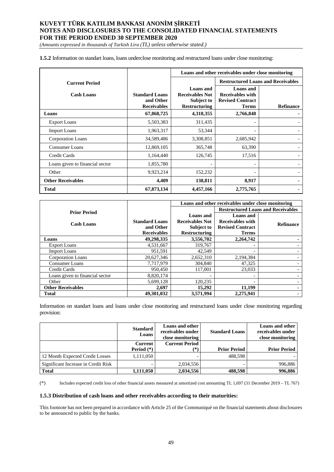*(Amounts expressed in thousands of Turkish Lira (TL) unless otherwise stated.)*

**1.5.2** Information on standart loans, loans underclose monitoring and restructured loans under close monitoring:

|                                 |                                                          | Loans and other receivables under close monitoring                               |                                                                                        |                                           |
|---------------------------------|----------------------------------------------------------|----------------------------------------------------------------------------------|----------------------------------------------------------------------------------------|-------------------------------------------|
| <b>Current Period</b>           |                                                          |                                                                                  |                                                                                        | <b>Restructured Loans and Receivables</b> |
| <b>Cash Loans</b>               | <b>Standard Loans</b><br>and Other<br><b>Receivables</b> | <b>Loans</b> and<br><b>Receivables Not</b><br>Subject to<br><b>Restructuring</b> | <b>Loans</b> and<br><b>Receivables with</b><br><b>Revised Contract</b><br><b>Terms</b> | <b>Refinance</b>                          |
| Loans                           | 67,868,725                                               | 4,318,355                                                                        | 2,766,848                                                                              |                                           |
| <b>Export Loans</b>             | 5,503,383                                                | 311,435                                                                          |                                                                                        |                                           |
| <b>Import Loans</b>             | 1,963,317                                                | 53,344                                                                           |                                                                                        |                                           |
| Corporation Loans               | 34,589,486                                               | 3,308,851                                                                        | 2,685,942                                                                              |                                           |
| <b>Consumer Loans</b>           | 12,869,105                                               | 365,748                                                                          | 63,390                                                                                 |                                           |
| Credit Cards                    | 1,164,440                                                | 126,745                                                                          | 17,516                                                                                 |                                           |
| Loans given to financial sector | 1,855,780                                                |                                                                                  | $\overline{\phantom{0}}$                                                               |                                           |
| Other                           | 9,923,214                                                | 152,232                                                                          | ۰                                                                                      |                                           |
| <b>Other Receivables</b>        | 4,409                                                    | 138,811                                                                          | 8,917                                                                                  |                                           |
| Total                           | 67,873,134                                               | 4,457,166                                                                        | 2,775,765                                                                              |                                           |

|                                 |                       | Loans and other receivables under close monitoring |                                           |                  |
|---------------------------------|-----------------------|----------------------------------------------------|-------------------------------------------|------------------|
| <b>Prior Period</b>             |                       |                                                    | <b>Restructured Loans and Receivables</b> |                  |
|                                 |                       | Loans and                                          | <b>Loans</b> and                          |                  |
| <b>Cash Loans</b>               | <b>Standard Loans</b> | <b>Receivables Not</b>                             | <b>Receivables with</b>                   | <b>Refinance</b> |
|                                 | and Other             | <b>Subject to</b>                                  | <b>Revised Contract</b>                   |                  |
|                                 | <b>Receivables</b>    | <b>Restructuring</b>                               | Terms                                     |                  |
| Loans                           | 49,298,335            | 3,556,702                                          | 2,264,742                                 |                  |
| <b>Export Loans</b>             | 4,531,667             | 319,767                                            |                                           |                  |
| <b>Import Loans</b>             | 951,591               | 42,549                                             |                                           |                  |
| Corporation Loans               | 20,627,346            | 2,652,310                                          | 2,194,384                                 |                  |
| <b>Consumer Loans</b>           | 7,717,979             | 304,840                                            | 47,325                                    |                  |
| Credit Cards                    | 950,450               | 117,001                                            | 23,033                                    |                  |
| Loans given to financial sector | 8,820,174             |                                                    |                                           |                  |
| Other                           | 5,699,128             | 120,235                                            |                                           |                  |
| <b>Other Receivables</b>        | 2,697                 | 15,292                                             | 11,199                                    |                  |
| Total                           | 49,301,032            | 3,571,994                                          | 2,275,941                                 |                  |

Information on standart loans and loans under close monitoring and restructured loans under close monitoring regarding provision:

|                                     | <b>Standard</b><br>Loans       | Loans and other<br>receivables under<br>close monitoring | <b>Standard Loans</b> | Loans and other<br>receivables under<br>close monitoring |
|-------------------------------------|--------------------------------|----------------------------------------------------------|-----------------------|----------------------------------------------------------|
|                                     | <b>Current</b><br>Period $(*)$ | <b>Current Period</b><br>(*)                             | <b>Prior Period</b>   | <b>Prior Period</b>                                      |
| 12 Month Expected Credit Losses     | 1.111.050                      |                                                          | 488.598               |                                                          |
| Significant Increase in Credit Risk |                                | 2,034,556                                                |                       | 996,886                                                  |
| <b>Total</b>                        | 1,111,050                      | 2,034,556                                                | 488,598               | 996,886                                                  |

(\*) Includes expected credit loss of other financial assets measured at amortized cost amounting TL 1,697 (31 December 2019 – TL 767)

#### **1.5.3 Distribution of cash loans and other receivables according to their maturities:**

This footnote has not been prepared in accordance with Article 25 of the Communiqué on the financial statements about disclosures to be announced to public by the banks.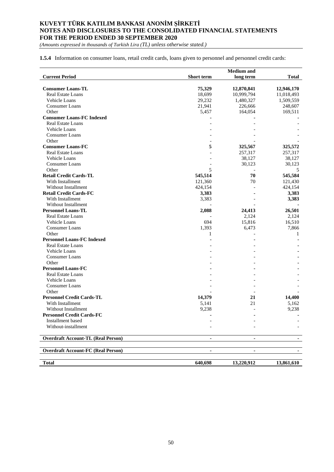*(Amounts expressed in thousands of Turkish Lira (TL) unless otherwise stated.)*

**1.5.4** Information on consumer loans, retail credit cards, loans given to personnel and personnel credit cards:

|                                           |                   | <b>Medium</b> and |              |
|-------------------------------------------|-------------------|-------------------|--------------|
| <b>Current Period</b>                     | <b>Short</b> term | long term         | <b>Total</b> |
|                                           |                   |                   |              |
| <b>Consumer Loans-TL</b>                  | 75,329            | 12,870,841        | 12,946,170   |
| Real Estate Loans                         | 18,699            | 10,999,794        | 11,018,493   |
| Vehicle Loans                             | 29,232            | 1,480,327         | 1,509,559    |
| Consumer Loans                            | 21,941            | 226,666           | 248,607      |
| Other                                     | 5,457             | 164,054           | 169,511      |
| <b>Consumer Loans-FC Indexed</b>          |                   |                   |              |
| Real Estate Loans                         |                   |                   |              |
| Vehicle Loans                             |                   |                   |              |
| Consumer Loans                            |                   |                   |              |
| Other                                     |                   |                   |              |
| <b>Consumer Loans-FC</b>                  | 5                 | 325,567           | 325,572      |
| Real Estate Loans                         |                   | 257,317           | 257,317      |
| Vehicle Loans                             |                   | 38,127            | 38,127       |
| Consumer Loans                            |                   | 30,123            | 30,123       |
| Other                                     | 5                 |                   | 5            |
| <b>Retail Credit Cards-TL</b>             | 545,514           | 70                | 545,584      |
| With Installment                          | 121,360           | 70                | 121,430      |
| Without Installment                       | 424,154           |                   | 424,154      |
| <b>Retail Credit Cards-FC</b>             | 3,383             |                   | 3,383        |
| With Installment                          | 3,383             |                   | 3,383        |
| Without Installment                       |                   |                   |              |
| <b>Personnel Loans-TL</b>                 | 2,088             | 24,413            | 26,501       |
| <b>Real Estate Loans</b>                  |                   | 2,124             | 2,124        |
| Vehicle Loans                             | 694               | 15,816            | 16,510       |
| Consumer Loans                            | 1,393             | 6,473             | 7,866        |
| Other                                     | 1                 |                   | 1            |
| <b>Personnel Loans-FC Indexed</b>         |                   |                   |              |
|                                           |                   |                   |              |
| Real Estate Loans                         |                   |                   |              |
| Vehicle Loans                             |                   |                   |              |
| Consumer Loans                            |                   |                   |              |
| Other                                     |                   |                   |              |
| <b>Personnel Loans-FC</b>                 |                   |                   |              |
| Real Estate Loans                         |                   |                   |              |
| <b>Vehicle Loans</b>                      |                   |                   |              |
| Consumer Loans                            |                   |                   |              |
| Other                                     |                   |                   |              |
| <b>Personnel Credit Cards-TL</b>          | 14,379            | 21                | 14,400       |
| With Installment                          | 5,141             | 21                | 5,162        |
| Without Installment                       | 9,238             |                   | 9,238        |
| <b>Personnel Credit Cards-FC</b>          |                   | $\blacksquare$    |              |
| Installment based                         |                   |                   |              |
| Without-installment                       |                   |                   |              |
| <b>Overdraft Account-TL (Real Person)</b> |                   |                   |              |
| <b>Overdraft Account-FC (Real Person)</b> | ۰                 | $\blacksquare$    | н.           |
| <b>Total</b>                              | 640,698           | 13,220,912        | 13,861,610   |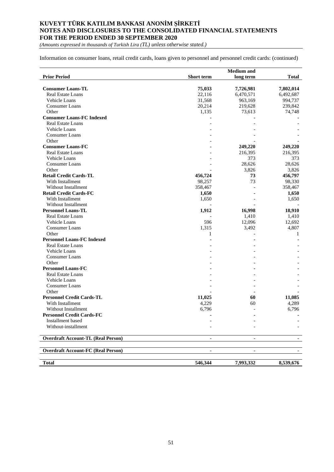*(Amounts expressed in thousands of Turkish Lira (TL) unless otherwise stated.)*

Information on consumer loans, retail credit cards, loans given to personnel and personnel credit cards: (continued)

|                                           |                          | <b>Medium</b> and        |                          |
|-------------------------------------------|--------------------------|--------------------------|--------------------------|
| <b>Prior Period</b>                       | <b>Short term</b>        | long term                | <b>Total</b>             |
|                                           |                          |                          |                          |
| <b>Consumer Loans-TL</b>                  | 75,033                   | 7,726,981                | 7,802,014                |
| Real Estate Loans                         | 22,116                   | 6,470,571                | 6,492,687                |
| Vehicle Loans                             | 31,568                   | 963,169                  | 994,737                  |
| <b>Consumer Loans</b>                     | 20,214                   | 219,628                  | 239,842                  |
| Other                                     | 1,135                    | 73,613                   | 74,748                   |
| <b>Consumer Loans-FC Indexed</b>          |                          |                          |                          |
| <b>Real Estate Loans</b>                  |                          |                          |                          |
| Vehicle Loans                             |                          |                          |                          |
| <b>Consumer Loans</b>                     |                          |                          |                          |
| Other                                     |                          |                          |                          |
| <b>Consumer Loans-FC</b>                  |                          | 249,220                  | 249,220                  |
| Real Estate Loans                         |                          | 216,395                  | 216,395                  |
| Vehicle Loans                             |                          | 373                      | 373                      |
| Consumer Loans                            |                          | 28,626                   | 28,626                   |
| Other                                     |                          | 3,826                    | 3,826                    |
| <b>Retail Credit Cards-TL</b>             | 456,724                  | 73                       | 456,797                  |
| With Installment                          | 98,257                   | 73                       | 98,330                   |
| Without Installment                       | 358,467                  |                          | 358,467                  |
| <b>Retail Credit Cards-FC</b>             | 1,650                    |                          | 1,650                    |
| With Installment                          | 1,650                    |                          | 1,650                    |
| <b>Without Installment</b>                |                          |                          |                          |
| <b>Personnel Loans-TL</b>                 | 1,912                    | 16,998                   | 18,910                   |
| Real Estate Loans                         |                          | 1,410                    | 1,410                    |
| Vehicle Loans                             | 596                      | 12,096                   | 12,692                   |
| <b>Consumer Loans</b>                     | 1,315                    | 3,492                    | 4,807                    |
| Other                                     | 1                        |                          | 1                        |
| <b>Personnel Loans-FC Indexed</b>         |                          |                          |                          |
| <b>Real Estate Loans</b>                  |                          |                          |                          |
| Vehicle Loans                             |                          |                          |                          |
| <b>Consumer Loans</b>                     |                          |                          |                          |
| Other                                     |                          |                          |                          |
| <b>Personnel Loans-FC</b>                 |                          |                          |                          |
| Real Estate Loans                         |                          |                          |                          |
| Vehicle Loans                             |                          |                          |                          |
| <b>Consumer Loans</b>                     |                          |                          |                          |
| Other                                     |                          |                          |                          |
| <b>Personnel Credit Cards-TL</b>          | 11,025                   | 60                       | 11,085                   |
| With Installment                          | 4,229                    | 60                       | 4,289                    |
| <b>Without Installment</b>                | 6,796                    |                          | 6,796                    |
| <b>Personnel Credit Cards-FC</b>          |                          |                          |                          |
| Installment based                         |                          |                          |                          |
| Without-installment                       |                          |                          |                          |
| <b>Overdraft Account-TL (Real Person)</b> |                          |                          |                          |
|                                           |                          |                          |                          |
| <b>Overdraft Account-FC (Real Person)</b> | $\overline{\phantom{a}}$ | $\overline{\phantom{a}}$ | $\overline{\phantom{a}}$ |
| <b>Total</b>                              | 546,344                  | 7,993,332                | 8,539,676                |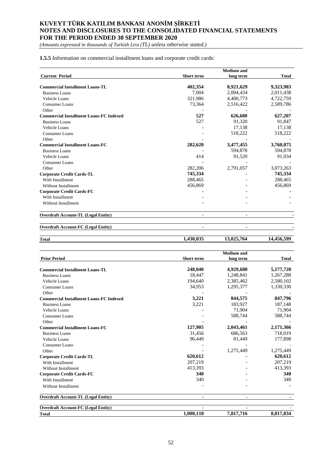*(Amounts expressed in thousands of Turkish Lira (TL) unless otherwise stated.)*

**1.5.5** Information on commercial installment loans and corporate credit cards:

|                                                |                   | <b>Medium</b> and |              |
|------------------------------------------------|-------------------|-------------------|--------------|
| <b>Current Period</b>                          | <b>Short</b> term | long term         | <b>Total</b> |
| <b>Commercial Installment Loans-TL</b>         | 402,354           | 8,921,629         | 9,323,983    |
| <b>Business Loans</b>                          | 7,004             | 2,004,434         | 2,011,438    |
| Vehicle Loans                                  | 321,986           | 4,400,773         | 4,722,759    |
| Consumer Loans                                 | 73,364            | 2,516,422         | 2,589,786    |
| Other                                          |                   |                   |              |
| <b>Commercial Installment Loans-FC Indexed</b> | 527               | 626,680           | 627,207      |
| <b>Business Loans</b>                          | 527               | 91.320            | 91,847       |
| Vehicle Loans                                  |                   | 17,138            | 17,138       |
| Consumer Loans                                 |                   | 518,222           | 518,222      |
| Other                                          |                   |                   |              |
| <b>Commercial Installment Loans-FC</b>         | 282,620           | 3,477,455         | 3,760,075    |
| <b>Business Loans</b>                          |                   | 594,878           | 594,878      |
| Vehicle Loans                                  | 414               | 91,520            | 91,934       |
| Consumer Loans                                 |                   |                   |              |
| Other                                          | 282,206           | 2,791,057         | 3,073,263    |
| <b>Corporate Credit Cards-TL</b>               | 745,334           |                   | 745,334      |
| With Installment                               | 288,465           |                   | 288,465      |
| Without Installment                            | 456,869           |                   | 456,869      |
| <b>Corporate Credit Cards-FC</b>               |                   |                   |              |
| With Installment                               |                   |                   |              |
| <b>Without Installment</b>                     |                   |                   |              |
| <b>Overdraft Account-TL (Legal Entity)</b>     |                   |                   |              |
| <b>Overdraft Account-FC (Legal Entity)</b>     |                   |                   |              |

| 420 Q25<br>10 |              |          |                                          |
|---------------|--------------|----------|------------------------------------------|
| 1.0.J.        | <b>Total</b> | .025.764 | 500<br>15 <i>.</i><br>$\Delta$<br>- 30.3 |

|                                                |                   | <b>Medium</b> and |              |
|------------------------------------------------|-------------------|-------------------|--------------|
| <b>Prior Period</b>                            | <b>Short</b> term | long term         | <b>Total</b> |
| <b>Commercial Installment Loans-TL</b>         | 248,040           | 4,929,680         | 5,177,720    |
| <b>Business Loans</b>                          | 18.447            | 1,248,841         | 1,267,288    |
| Vehicle Loans                                  | 194.640           | 2,385,462         | 2,580,102    |
| Consumer Loans                                 | 34,953            | 1,295,377         | 1,330,330    |
| Other                                          |                   |                   |              |
| <b>Commercial Installment Loans-FC Indexed</b> | 3,221             | 844,575           | 847,796      |
| <b>Business Loans</b>                          | 3,221             | 183.927           | 187,148      |
| Vehicle Loans                                  |                   | 71,904            | 71,904       |
| Consumer Loans                                 |                   | 588,744           | 588,744      |
| Other                                          |                   |                   |              |
| <b>Commercial Installment Loans-FC</b>         | 127,905           | 2,043,461         | 2,171,366    |
| <b>Business Loans</b>                          | 31,456            | 686.563           | 718,019      |
| Vehicle Loans                                  | 96,449            | 81,449            | 177,898      |
| Consumer Loans                                 |                   |                   |              |
| Other                                          |                   | 1,275,449         | 1,275,449    |
| <b>Corporate Credit Cards-TL</b>               | 620,612           |                   | 620,612      |
| With Installment                               | 207,219           |                   | 207,219      |
| Without Installment                            | 413.393           |                   | 413.393      |
| <b>Corporate Credit Cards-FC</b>               | 340               |                   | 340          |
| With Installment                               | 340               |                   | 340          |
| Without Installment                            |                   |                   |              |
| <b>Overdraft Account-TL (Legal Entity)</b>     |                   | $\blacksquare$    |              |
| <b>Overdraft Account-FC (Legal Entity)</b>     |                   |                   |              |
| <b>Total</b>                                   | 1,000,118         | 7,817,716         | 8,817,834    |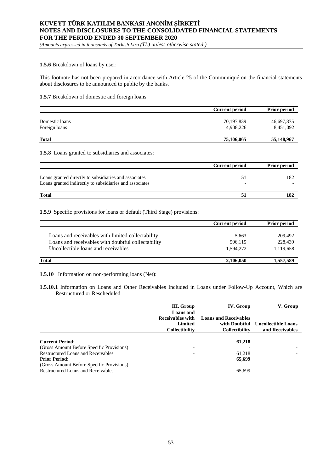*(Amounts expressed in thousands of Turkish Lira (TL) unless otherwise stated.)*

#### **1.5.6** Breakdown of loans by user:

This footnote has not been prepared in accordance with Article 25 of the Communiqué on the financial statements about disclosures to be announced to public by the banks.

## **1.5.7** Breakdown of domestic and foreign loans:

|                                 | <b>Current period</b>   | <b>Prior period</b>     |
|---------------------------------|-------------------------|-------------------------|
| Domestic loans<br>Foreign loans | 70,197,839<br>4.908.226 | 46,697,875<br>8,451,092 |
| <b>Total</b>                    | 75,106,065              | 55,148,967              |

#### **1.5.8** Loans granted to subsidiaries and associates:

|                                                                                                                  | <b>Current period</b> | <b>Prior period</b> |
|------------------------------------------------------------------------------------------------------------------|-----------------------|---------------------|
| Loans granted directly to subsidiaries and associates<br>Loans granted indirectly to subsidiaries and associates |                       | 182                 |
| <b>Total</b>                                                                                                     |                       | 182                 |

### **1.5.9** Specific provisions for loans or default (Third Stage) provisions:

|                                                    | <b>Current period</b> | <b>Prior period</b> |
|----------------------------------------------------|-----------------------|---------------------|
|                                                    |                       |                     |
| Loans and receivables with limited collectability  | 5,663                 | 209,492             |
| Loans and receivables with doubtful collectability | 506,115               | 228,439             |
| Uncollectible loans and receivables                | 1.594.272             | 1,119,658           |
| Total                                              | 2,106,050             | 1,557,589           |

**1.5.10** Information on non-performing loans (Net):

**1.5.10.1** Information on Loans and Other Receivables Included in Loans under Follow-Up Account, Which are Restructured or Rescheduled

|                                           | III. Group            | IV. Group                    | V. Group                   |
|-------------------------------------------|-----------------------|------------------------------|----------------------------|
|                                           | <b>Loans</b> and      |                              |                            |
|                                           | Receivables with      | <b>Loans and Receivables</b> |                            |
|                                           | Limited               | with Doubtful                | <b>Uncollectible Loans</b> |
|                                           | <b>Collectibility</b> | <b>Collectibility</b>        | and Receivables            |
| <b>Current Period:</b>                    |                       | 61,218                       |                            |
| (Gross Amount Before Specific Provisions) |                       |                              |                            |
| <b>Restructured Loans and Receivables</b> |                       | 61.218                       |                            |
| <b>Prior Period:</b>                      |                       | 65,699                       |                            |
| (Gross Amount Before Specific Provisions) |                       |                              |                            |
| <b>Restructured Loans and Receivables</b> |                       | 65.699                       |                            |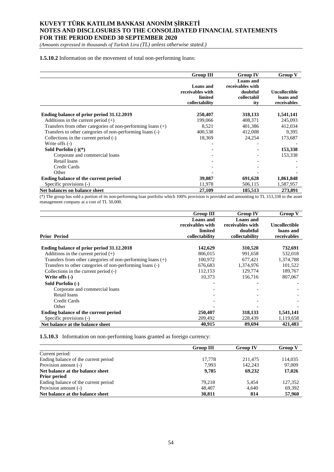*(Amounts expressed in thousands of Turkish Lira (TL) unless otherwise stated.)*

### **1.5.10.2** Information on the movement of total non-performing loans:

|                                                               | <b>Group III</b>                                                  | Group IV                                                        | Group V                                          |
|---------------------------------------------------------------|-------------------------------------------------------------------|-----------------------------------------------------------------|--------------------------------------------------|
|                                                               | <b>Loans</b> and<br>receivables with<br>limited<br>collectability | Loans and<br>receivables with<br>doubtful<br>collectabil<br>ity | <b>Uncollectible</b><br>loans and<br>receivables |
|                                                               |                                                                   |                                                                 |                                                  |
| Ending balance of prior period 31.12.2019                     | 250,407                                                           | 318,133                                                         | 1,541,141                                        |
| Additions in the current period $(+)$                         | 199,066                                                           | 408,371                                                         | 245,093                                          |
| Transfers from other categories of non-performing loans $(+)$ | 8,521                                                             | 401,386                                                         | 412,034                                          |
| Transfers to other categories of non-performing loans (-)     | 400,538                                                           | 412,008                                                         | 9,395                                            |
| Collections in the current period (-)                         | 18,369                                                            | 24,254                                                          | 173,687                                          |
| Write offs (-)                                                |                                                                   |                                                                 |                                                  |
| Sold Porfolio $(-)(*)$                                        |                                                                   |                                                                 | 153,338                                          |
| Corporate and commercial loans                                |                                                                   |                                                                 | 153,338                                          |
| Retail loans                                                  |                                                                   |                                                                 |                                                  |
| Credit Cards                                                  |                                                                   |                                                                 |                                                  |
| Other                                                         |                                                                   |                                                                 |                                                  |
| Ending balance of the current period                          | 39,087                                                            | 691,628                                                         | 1,861,848                                        |
| Specific provisions (-)                                       | 11,978                                                            | 506,115                                                         | 1,587,957                                        |
| Net balances on balance sheet                                 | 27,109                                                            | 185,513                                                         | 273,891                                          |

(\*) The group has sold a portion of its non-performing loan portfolio which 100% provision is provided and amounting to TL 153,338 to the asset management company at a cost of TL 50,000.

|                                                               | <b>Group III</b> | <b>Group IV</b>  | <b>Group V</b>       |
|---------------------------------------------------------------|------------------|------------------|----------------------|
|                                                               | <b>Loans</b> and | Loans and        |                      |
|                                                               | receivables with | receivables with | <b>Uncollectible</b> |
|                                                               | limited          | doubtful         | loans and            |
| <b>Prior Period</b>                                           | collectability   | collectability   | receivables          |
|                                                               |                  |                  |                      |
| Ending balance of prior period 31.12.2018                     | 142,629          | 310,520          | 732,691              |
| Additions in the current period $(+)$                         | 806.015          | 991,658          | 532,018              |
| Transfers from other categories of non-performing loans $(+)$ | 100,972          | 677,421          | 1,374,788            |
| Transfers to other categories of non-performing loans (-)     | 676,683          | 1,374,976        | 101,522              |
| Collections in the current period (-)                         | 112,153          | 129,774          | 189,767              |
| Write offs $(-)$                                              | 10,373           | 156,716          | 807,067              |
| Sold Porfolio (-)                                             |                  |                  |                      |
| Corporate and commercial loans                                |                  |                  |                      |
| Retail loans                                                  |                  |                  |                      |
| <b>Credit Cards</b>                                           |                  |                  |                      |
| Other                                                         |                  |                  |                      |
| Ending balance of the current period                          | 250,407          | 318,133          | 1,541,141            |
| Specific provisions (-)                                       | 209,492          | 228,439          | 1,119,658            |
| Net balance at the balance sheet                              | 40,915           | 89,694           | 421.483              |

**1.5.10.3** Information on non-performing loans granted as foreign currency:

|                                      | <b>Group III</b> | <b>Group IV</b> | <b>Group V</b> |
|--------------------------------------|------------------|-----------------|----------------|
| Current period:                      |                  |                 |                |
| Ending balance of the current period | 17.778           | 211.475         | 114,035        |
| Provision amount (-)                 | 7.993            | 142,243         | 97,009         |
| Net balance at the balance sheet     | 9.785            | 69.232          | 17,026         |
| <b>Prior period</b>                  |                  |                 |                |
| Ending balance of the current period | 79.218           | 5.454           | 127,352        |
| Provision amount (-)                 | 48,407           | 4.640           | 69,392         |
| Net balance at the balance sheet     | 30,811           | 814             | 57,960         |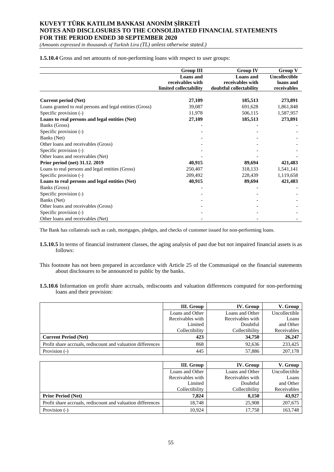*(Amounts expressed in thousands of Turkish Lira (TL) unless otherwise stated.)*

### **1.5.10.4** Gross and net amounts of non-performing loans with respect to user groups:

|                                                          | <b>Group III</b>       | <b>Group IV</b>         | <b>Group V</b>       |
|----------------------------------------------------------|------------------------|-------------------------|----------------------|
|                                                          | <b>Loans</b> and       | <b>Loans</b> and        | <b>Uncollectible</b> |
|                                                          | receivables with       | receivables with        | loans and            |
|                                                          | limited collectability | doubtful collectability | receivables          |
|                                                          |                        |                         |                      |
| <b>Current period (Net)</b>                              | 27,109                 | 185,513                 | 273,891              |
| Loans granted to real persons and legal entities (Gross) | 39,087                 | 691,628                 | 1,861,848            |
| Specific provision (-)                                   | 11,978                 | 506,115                 | 1,587,957            |
| Loans to real persons and legal entities (Net)           | 27,109                 | 185,513                 | 273,891              |
| Banks (Gross)                                            |                        |                         |                      |
| Specific provision (-)                                   |                        |                         |                      |
| Banks (Net)                                              |                        |                         |                      |
| Other loans and receivables (Gross)                      |                        |                         |                      |
| Specific provision (-)                                   |                        |                         |                      |
| Other loans and receivables (Net)                        |                        |                         |                      |
| Prior period (net) 31.12. 2019                           | 40,915                 | 89,694                  | 421,483              |
| Loans to real persons and legal entities (Gross)         | 250,407                | 318,133                 | 1,541,141            |
| Specific provision (-)                                   | 209,492                | 228,439                 | 1,119,658            |
| Loans to real persons and legal entities (Net)           | 40,915                 | 89,694                  | 421,483              |
| Banks (Gross)                                            |                        |                         |                      |
| Specific provision (-)                                   |                        |                         |                      |
| Banks (Net)                                              |                        |                         |                      |
| Other loans and receivables (Gross)                      |                        |                         |                      |
| Specific provision (-)                                   |                        |                         |                      |
| Other loans and receivables (Net)                        |                        |                         |                      |

The Bank has collaterals such as cash, mortgages, pledges, and checks of customer issued for non-performing loans.

- **1.5.10.5** In terms of financial instrument classes, the aging analysis of past due but not impaired financial assets is as follows:
- This footnote has not been prepared in accordance with Article 25 of the Communiqué on the financial statements about disclosures to be announced to public by the banks.
- **1.5.10.6** Information on profit share accruals, rediscounts and valuation differences computed for non-performing loans and their provision:

|                                                             | III. Group       | IV. Group        | V. Group      |
|-------------------------------------------------------------|------------------|------------------|---------------|
|                                                             | Loans and Other  | Loans and Other  | Uncollectible |
|                                                             | Receivables with | Receivables with | Loans         |
|                                                             | Limited          | Doubtful         | and Other     |
|                                                             | Collectibility   | Collectibility   | Receivables   |
| <b>Current Period (Net)</b>                                 | 423              | 34,750           | 26,247        |
| Profit share accruals, rediscount and valuation differences | 868              | 92.636           | 233,425       |
| Provision (-)                                               | 445              | 57,886           | 207,178       |

|                                                             | III. Group       | IV. Group        | V. Group      |
|-------------------------------------------------------------|------------------|------------------|---------------|
|                                                             | Loans and Other  | Loans and Other  | Uncollectible |
|                                                             | Receivables with | Receivables with | Loans         |
|                                                             | Limited          | Doubtful         | and Other     |
|                                                             | Collectibility   | Collectibility   | Receivables   |
| <b>Prior Period (Net)</b>                                   | 7.824            | 8.150            | 43,927        |
| Profit share accruals, rediscount and valuation differences | 18.748           | 25,908           | 207,675       |
| Provision (-)                                               | 10.924           | 17.758           | 163,748       |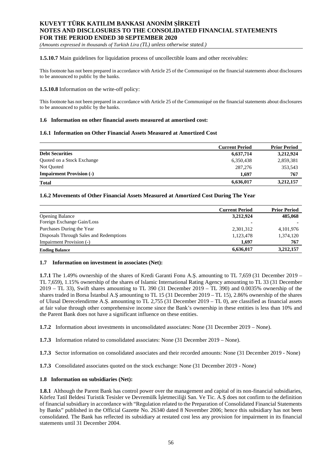*(Amounts expressed in thousands of Turkish Lira (TL) unless otherwise stated.)*

**1.5.10.7** Main guidelines for liquidation process of uncollectible loans and other receivables:

This footnote has not been prepared in accordance with Article 25 of the Communiqué on the financial statements about disclosures to be announced to public by the banks.

## **1.5.10.8** Information on the write-off policy:

This footnote has not been prepared in accordance with Article 25 of the Communiqué on the financial statements about disclosures to be announced to public by the banks.

### **1.6 Information on other financial assets measured at amortised cost:**

### **1.6.1 Information on Other Financial Assets Measured at Amortized Cost**

|                                 | <b>Current Period</b> | <b>Prior Period</b> |
|---------------------------------|-----------------------|---------------------|
| <b>Debt Securities</b>          | 6,637,714             | 3,212,924           |
| Quoted on a Stock Exchange      | 6,350,438             | 2,859,381           |
| Not Quoted                      | 287,276               | 353,543             |
| <b>Impairment Provision (-)</b> | 1.697                 | 767                 |
| <b>Total</b>                    | 6,636,017             | 3,212,157           |

### **1.6.2 Movements of Other Financial Assets Measured at Amortized Cost During The Year**

|                                         | <b>Current Period</b> | <b>Prior Period</b> |
|-----------------------------------------|-----------------------|---------------------|
| <b>Opening Balance</b>                  | 3,212,924             | 485,068             |
| Foreign Exchange Gain/Loss              | ۰                     |                     |
| Purchases During the Year               | 2,301,312             | 4, 101, 976         |
| Disposals Through Sales and Redemptions | 1,123,478             | 1,374,120           |
| Impairment Provision (-)                | 1.697                 | 767                 |
| <b>Ending Balance</b>                   | 6,636,017             | 3,212,157           |

#### **1.7 Information on investment in associates (Net):**

**1.7.1** The 1.49% ownership of the shares of Kredi Garanti Fonu A.Ş. amounting to TL 7,659 (31 December 2019 – TL 7,659), 1.15% ownership of the shares of Islamic International Rating Agency amounting to TL 33 (31 December 2019 – TL 33), Swift shares amounting to TL 390 (31 December 2019 – TL 390) and 0.0035% ownership of the shares traded in Borsa İstanbul A.Ş amounting to TL 15 (31 December 2019 – TL 15), 2.86% ownership of the shares of Ulusal Derecelendirme A.Ş. amounting to TL 2,755 (31 December 2019 – TL 0), are classified as financial assets at fair value through other comprehensive income since the Bank's ownership in these entities is less than 10% and the Parent Bank does not have a significant influence on these entities.

- **1.7.2** Information about investments in unconsolidated associates: None (31 December 2019 None).
- **1.7.3** Information related to consolidated associates: None (31 December 2019 None).
- **1.7.3** Sector information on consolidated associates and their recorded amounts: None (31 December 2019 None)
- **1.7.3** Consolidated associates quoted on the stock exchange: None (31 December 2019 None)

### **1.8 Information on subsidiaries (Net):**

**1.8.1** Although the Parent Bank has control power over the management and capital of its non-financial subsidiaries, Körfez Tatil Beldesi Turistik Tesisler ve Devremülk İşletmeciliği San. Ve Tic. A.Ş does not confirm to the definition of financial subsidiary in accordance with "Regulation related to the Preparation of Consolidated Financial Statements by Banks" published in the Official Gazette No. 26340 dated 8 November 2006; hence this subsidiary has not been consolidated. The Bank has reflected its subsidiary at restated cost less any provision for impairment in its financial statements until 31 December 2004.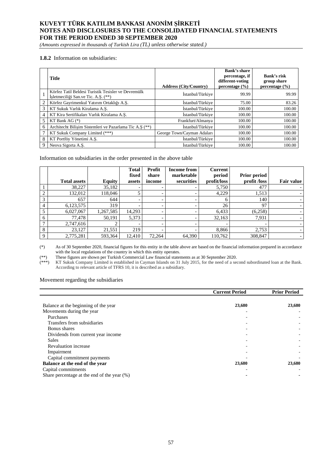*(Amounts expressed in thousands of Turkish Lira (TL) unless otherwise stated.)*

### **1.8.2** Information on subsidiaries:

|   | <b>Title</b>                                                                               | <b>Address (City/Country)</b> | Bank's share<br>percentage, if<br>different-voting<br>percentage $(\% )$ | Bank's risk<br>group share<br>percentage $(\% )$ |
|---|--------------------------------------------------------------------------------------------|-------------------------------|--------------------------------------------------------------------------|--------------------------------------------------|
|   | Körfez Tatil Beldesi Turistik Tesisler ve Devremülk<br>Isletmeciliği San.ve Tic. A.S. (**) | İstanbul/Türkiye              | 99.99                                                                    | 99.99                                            |
| 2 | Körfez Gayrimenkul Yatırım Ortaklığı A.S.                                                  | İstanbul/Türkive              | 75.00                                                                    | 83.26                                            |
| 3 | KT Sukuk Varlık Kiralama A.S.                                                              | İstanbul/Türkive              | 100.00                                                                   | 100.00                                           |
| 4 | KT Kira Sertifikaları Varlık Kiralama A.S.                                                 | İstanbul/Türkive              | 100.00                                                                   | 100.00                                           |
|   | KT Bank AG $(*)$                                                                           | Frankfurt/Almanya             | 100.00                                                                   | 100.00                                           |
| 6 | Architecht Bilișim Sistemleri ve Pazarlama Tic A.Ş (**)                                    | İstanbul/Türkive              | 100.00                                                                   | 100.00                                           |
|   | KT Sukuk Company Limited (***)                                                             | George Town/Cayman Adaları    | 100.00                                                                   | 100.00                                           |
| 8 | KT Portföy Yönetimi A.Ş.                                                                   | İstanbul/Türkiye              | 100.00                                                                   | 100.00                                           |
| 9 | Neova Sigorta A.S.                                                                         | İstanbul/Türkive              | 100.00                                                                   | 100.00                                           |

Information on subsidiaries in the order presented in the above table

|              |                     |           | <b>Total</b>             | Profit                   | <b>Income from</b>       | Current     |                     |                          |
|--------------|---------------------|-----------|--------------------------|--------------------------|--------------------------|-------------|---------------------|--------------------------|
|              |                     |           | fixed                    | share                    | marketable               | period      | <b>Prior period</b> |                          |
|              | <b>Total assets</b> | Equity    | assets                   | income                   | securities               | profit/loss | profit /loss        | Fair value               |
|              | 38,227              | 35,182    |                          |                          |                          | 5,750       | 477                 |                          |
| $\bigcap$    | 132,012             | 118,046   |                          | $\overline{\phantom{0}}$ | -                        | 4,229       | 1,513               | $\overline{\phantom{0}}$ |
| 3            | 657                 | 644       | $\overline{\phantom{0}}$ |                          | -                        | h           | 140                 | $\overline{\phantom{0}}$ |
| 4            | 6,123,575           | 319       |                          |                          |                          | 26          | 97                  |                          |
| 5            | 6,027,067           | 1,267,585 | 14,293                   |                          |                          | 6,433       | (6,258)             |                          |
| 6            | 77,478              | 50,191    | 5,373                    |                          |                          | 32,163      | 7,931               |                          |
| $\mathbf{r}$ | 2,747,616           |           | $\overline{\phantom{a}}$ |                          | $\overline{\phantom{0}}$ |             |                     | $\overline{\phantom{0}}$ |
| 8            | 23,127              | 21,551    | 219                      |                          |                          | 8,866       | 2,753               | $\overline{\phantom{0}}$ |
| $\Omega$     | 2,775,281           | 593,364   | 12,410                   | 72,264                   | 64,390                   | 110,762     | 308,847             | $\overline{\phantom{a}}$ |

(\*) As of 30 September 2020, financial figures for this entity in the table above are based on the financial information prepared in accordance with the local regulations of the country in which this entity operates.

(\*\*) These figures are shown per Turkish Commercial Law financial statements as at 30 September 2020.

(\*\*\*) KT Sukuk Company Limited is established in Cayman Islands on 31 July 2015, for the need of a second subordinated loan at the Bank. According to relevant article of TFRS 10, it is described as a subsidiary.

### Movement regarding the subsidiaries

|                                             | <b>Current Period</b> | <b>Prior Period</b> |
|---------------------------------------------|-----------------------|---------------------|
|                                             |                       |                     |
| Balance at the beginning of the year        | 23,680                | 23,680              |
| Movements during the year                   |                       |                     |
| Purchases                                   |                       |                     |
| Transfers from subsidiaries                 |                       |                     |
| Bonus shares                                |                       |                     |
| Dividends from current year income          |                       |                     |
| <b>Sales</b>                                |                       |                     |
| <b>Revaluation increase</b>                 |                       |                     |
| Impairment                                  |                       |                     |
| Capital commitment payments                 |                       |                     |
| Balance at the end of the year              | 23,680                | 23,680              |
| Capital commitments                         |                       |                     |
| Share percentage at the end of the year (%) |                       |                     |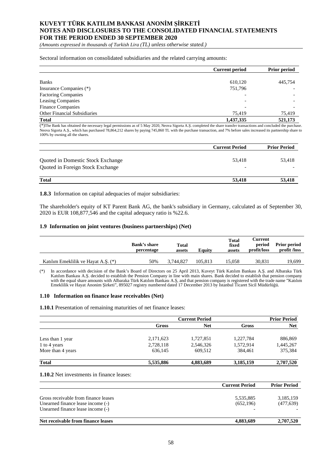*(Amounts expressed in thousands of Turkish Lira (TL) unless otherwise stated.)*

#### Sectoral information on consolidated subsidiaries and the related carrying amounts:

| <b>Current period</b> | <b>Prior period</b> |
|-----------------------|---------------------|
|                       |                     |
| 610,120               | 445,754             |
| 751,796               |                     |
|                       |                     |
|                       |                     |
|                       |                     |
| 75,419                | 75,419              |
| 1,437,335             | 521,173             |
|                       |                     |

(\*)The Bank has obtained the necessary legal permissions as of 5 May 2020, Neova Sigorta A.Ş. completed the share transfer transactions and concluded the purchase. Neova Sigorta A.Ş., which has purchased 78,864,212 shares by paying 745,860 TL with the purchase transaction, and 7% before sales increased its partnership share to 100% by owning all the shares.

|                                                                       | <b>Current Period</b> | <b>Prior Period</b> |
|-----------------------------------------------------------------------|-----------------------|---------------------|
| Quoted in Domestic Stock Exchange<br>Quoted in Foreign Stock Exchange | 53.418                | 53.418              |
| <b>Total</b>                                                          | 53,418                | 53,418              |

**1.8.3** Information on capital adequacies of major subsidiaries:

The shareholder's equity of KT Parent Bank AG, the bank's subsidiary in Germany, calculated as of September 30, 2020 is EUR 108,877,546 and the capital adequacy ratio is %22.6.

#### **1.9 Information on joint ventures (business partnerships) (Net)**

|                                     | <b>Bank's share</b><br>percentage | <b>Total</b><br>assets | Equity  | <b>Total</b><br>fixed<br>assets | Current<br>period<br>profit/loss | <b>Prior period</b><br>profit /loss |
|-------------------------------------|-----------------------------------|------------------------|---------|---------------------------------|----------------------------------|-------------------------------------|
| Katılım Emeklilik ve Hayat A.S. (*) | 50%                               | 3.744.827              | 105.813 | 15.058                          | 30.831                           | 19,699                              |

(\*) In accordance with decision of the Bank's Board of Directors on 25 April 2013, Kuveyt Türk Katılım Bankası A.Ş. and Albaraka Türk Katılım Bankası A.Ş. decided to establish the Pension Company in line with main shares. Bank decided to establish that pension company with the equal share amounts with Albaraka Türk Katılım Bankası A.Ş, and that pension company is registered with the trade name "Katılım Emeklilik ve Hayat Anonim Şirketi", 895027 registry numbered dated 17 December 2013 by İstanbul Ticaret Sicil Müdürlüğü.

#### **1.10 Information on finance lease receivables (Net)**

**1.10.1** Presentation of remaining maturities of net finance leases:

|                   | <b>Current Period</b> | <b>Prior Period</b> |           |            |
|-------------------|-----------------------|---------------------|-----------|------------|
|                   | Gross                 | <b>Net</b>          | Gross     | <b>Net</b> |
| Less than 1 year  | 2,171,623             | 1,727,851           | 1,227,784 | 886,869    |
| 1 to 4 years      | 2,728,118             | 2,546,326           | 1,572,914 | 1,445,267  |
| More than 4 years | 636,145               | 609,512             | 384.461   | 375,384    |
| <b>Total</b>      | 5,535,886             | 4,883,689           | 3,185,159 | 2,707,520  |

**1.10.2** Net investments in finance leases:

|                                                                                                                | <b>Current Period</b>   | <b>Prior Period</b>     |
|----------------------------------------------------------------------------------------------------------------|-------------------------|-------------------------|
| Gross receivable from finance leases<br>Unearned finance lease income (-)<br>Unearned finance lease income (-) | 5,535,885<br>(652, 196) | 3,185,159<br>(477, 639) |
| Net receivable from finance leases                                                                             | 4,883,689               | 2,707,520               |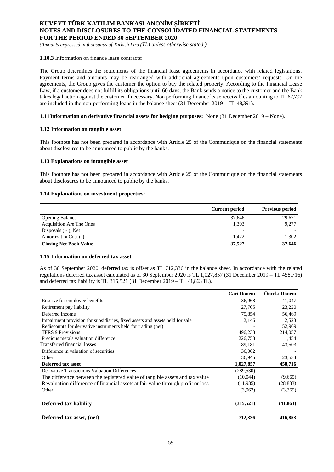*(Amounts expressed in thousands of Turkish Lira (TL) unless otherwise stated.)*

### **1.10.3** Information on finance lease contracts:

The Group determines the settlements of the financial lease agreements in accordance with related legislations. Payment terms and amounts may be rearranged with additional agreements upon customers' requests. On the agreements, the Group gives the customer the option to buy the related property. According to the Financial Lease Law, if a customer does not fulfill its obligations until 60 days, the Bank sends a notice to the customer and the Bank takes legal action against the customer if necessary. Non performing finance lease receivables amounting to TL 67,797 are included in the non-performing loans in the balance sheet (31 December 2019 – TL 48,391).

### **1.11Information on derivative financial assets for hedging purposes:** None (31 December 2019 – None).

#### **1.12 Information on tangible asset**

This footnote has not been prepared in accordance with Article 25 of the Communiqué on the financial statements about disclosures to be announced to public by the banks.

#### **1.13 Explanations on intangible asset**

This footnote has not been prepared in accordance with Article 25 of the Communiqué on the financial statements about disclosures to be announced to public by the banks.

### **1.14 Explanations on investment properties:**

|                               | <b>Current period</b> | <b>Previous period</b> |
|-------------------------------|-----------------------|------------------------|
| <b>Opening Balance</b>        | 37,646                | 29,671                 |
| Acquisition Are The Ones      | 1.303                 | 9,277                  |
| Disposals $(-)$ , Net         | ۰                     |                        |
| AmortizationCost (-)          | 1.422                 | 1,302                  |
| <b>Closing Net Book Value</b> | 37.527                | 37,646                 |

### **1.15 Information on deferred tax asset**

As of 30 September 2020, deferred tax is offset as TL 712,336 in the balance sheet. In accordance with the related regulations deferred tax asset calculated as of 30 September 2020 is TL 1,027,857 (31 December 2019 – TL 458,716) and deferred tax liability is TL 315,521 (31 December 2019 – TL 41,863TL).

|                                                                                 | Cari Dönem | Önceki Dönem |
|---------------------------------------------------------------------------------|------------|--------------|
| Reserve for employee benefits                                                   | 36,968     | 41,047       |
| Retirement pay liability                                                        | 27,705     | 23,220       |
| Deferred income                                                                 | 75,854     | 56,469       |
| Impairment provision for subsidiaries, fixed assets and assets held for sale    | 2,146      | 2,523        |
| Rediscounts for derivative instruments held for trading (net)                   |            | 52,909       |
| <b>TFRS 9 Provisions</b>                                                        | 496,238    | 214,057      |
| Precious metals valuation difference                                            | 226,758    | 1,454        |
| Transferred financial losses                                                    | 89,181     | 43,503       |
| Difference in valuation of securities                                           | 36,062     |              |
| Other                                                                           | 36,945     | 23,534       |
| Deferred tax asset                                                              | 1,027,857  | 458,716      |
| <b>Derivative Transactions Valuation Differences</b>                            | (289, 530) |              |
| The difference between the registered value of tangible assets and tax value    | (10,044)   | (9,665)      |
| Revaluation difference of financial assets at fair value through profit or loss | (11,985)   | (28, 833)    |
| Other                                                                           | (3,962)    | (3,365)      |
| <b>Deferred tax liability</b>                                                   | (315, 521) | (41, 863)    |
| Deferred tax asset, (net)                                                       | 712,336    | 416,853      |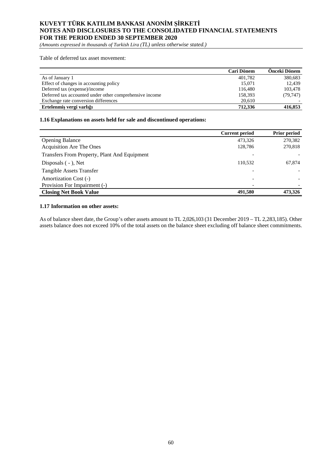*(Amounts expressed in thousands of Turkish Lira (TL) unless otherwise stated.)*

Table of deferred tax asset movement:

|                                                         | Cari Dönem | <b>Onceki Dönem</b> |
|---------------------------------------------------------|------------|---------------------|
| As of January 1                                         | 401.782    | 380,683             |
| Effect of changes in accounting policy                  | 15.071     | 12.439              |
| Deferred tax (expense)/income                           | 116,480    | 103.478             |
| Deferred tax accounted under other comprehensive income | 158.393    | (79, 747)           |
| Exchange rate conversion differences                    | 20,610     |                     |
| Ertelenmis vergi varlığı                                | 712,336    | 416,853             |

## **1.16 Explanations on assets held for sale and discontinued operations:**

|                                              | <b>Current period</b> | Prior period |
|----------------------------------------------|-----------------------|--------------|
| <b>Opening Balance</b>                       | 473,326               | 270,382      |
| <b>Acquisition Are The Ones</b>              | 128,786               | 270,818      |
| Transfers From Property, Plant And Equipment |                       |              |
| Disposals $(-)$ , Net                        | 110.532               | 67,874       |
| <b>Tangible Assets Transfer</b>              |                       |              |
| Amortization Cost (-)                        |                       |              |
| Provision For Impairment (-)                 |                       |              |
| <b>Closing Net Book Value</b>                | 491.580               | 473,326      |

### **1.17 Information on other assets:**

As of balance sheet date, the Group's other assets amount to TL 2,026,103 (31 December 2019 – TL 2,283,185). Other assets balance does not exceed 10% of the total assets on the balance sheet excluding off balance sheet commitments.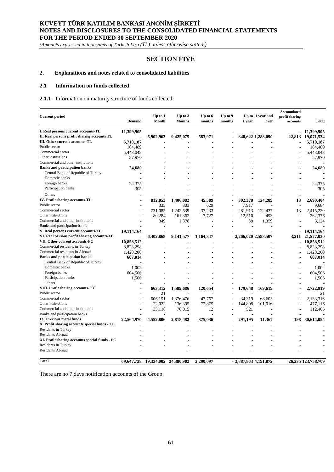*(Amounts expressed in thousands of Turkish Lira (TL) unless otherwise stated.)*

## **SECTION FIVE**

## **2. Explanations and notes related to consolidated liabilities**

### **2.1 Information on funds collected**

#### **2.1.1** Information on maturity structure of funds collected:

|                                                |               |             |               |           |         |                        |                   | <b>Accumulated</b>       |                    |
|------------------------------------------------|---------------|-------------|---------------|-----------|---------|------------------------|-------------------|--------------------------|--------------------|
| <b>Current period</b>                          |               | $Up$ to $1$ | Up to $3$     | Up to 6   | Up to 9 |                        | Up to 1 year and  | profit sharing           |                    |
|                                                | <b>Demand</b> | Month       | <b>Months</b> | months    | months  | 1 year                 | over              | accounts                 | <b>Total</b>       |
| I. Real persons current accounts-TL            | 11,399,905    |             |               |           |         |                        |                   |                          | $-11,399,905$      |
| II. Real persons profit sharing accounts TL    |               | 6,902,963   | 9,425,075     | 583,971   |         |                        | 848,622 1,288,090 |                          | 22,813 19,071,534  |
| III. Other current accounts-TL                 | 5,710,187     |             |               |           |         |                        |                   |                          | 5,710,187          |
| Public sector                                  | 184,489       |             |               |           |         |                        |                   |                          | 184,489            |
| Commercial sector                              | 5,443,048     |             |               |           |         |                        |                   |                          | 5,443,048          |
| Other institutions                             | 57,970        |             |               |           |         |                        |                   |                          | 57.970             |
| Commercial and other institutions              |               |             |               |           |         |                        |                   |                          |                    |
| <b>Banks and participation banks</b>           | 24,680        |             |               |           |         |                        |                   |                          | 24,680             |
| Central Bank of Republic of Turkey             |               |             |               |           |         |                        |                   |                          |                    |
| Domestic banks                                 |               |             |               |           |         |                        |                   |                          |                    |
| Foreign banks                                  | 24,375        |             |               |           |         |                        |                   |                          | 24,375             |
| Participation banks                            | 305           |             |               |           |         |                        |                   |                          | 305                |
|                                                |               |             |               |           |         |                        |                   |                          |                    |
| Others                                         |               |             |               |           |         |                        |                   |                          |                    |
| IV. Profit sharing accounts-TL                 |               | 812,053     | 1,406,082     | 45,589    |         | 302,378                | 124,289           | 13                       | 2.690.404          |
| Public sector                                  |               | 335         | 803           | 629       | L,      | 7,917                  |                   | $\overline{\phantom{a}}$ | 9.684              |
| Commercial sector                              |               | 731.085     | 1,242,539     | 37,233    |         | 281,913                | 122,437           | 13                       | 2,415,220          |
| Other institutions                             |               | 80,284      | 161,362       | 7,727     | L       | 12,510                 | 493               | L.                       | 262,376            |
| Commercial and other institutions              |               | 349         | 1,378         |           |         | 38                     | 1,359             |                          | 3,124              |
| Banks and participation banks                  |               |             |               |           |         |                        |                   |                          |                    |
| V. Real persons current accounts-FC            | 19,114,164    |             |               |           |         |                        |                   |                          | 19.114.164         |
| VI. Real persons profit sharing accounts-FC    |               | 6,402,868   | 9,141,577     | 1,164,847 |         | 2,266,020 2,598,507    |                   |                          | 3,211 21,577,030   |
| VII. Other current accounts-FC                 | 10,858,512    |             |               |           |         |                        |                   |                          | 10,858,512         |
| Commercial residents in Turkey                 | 8,823,298     |             |               |           |         |                        |                   |                          | 8,823,298          |
| Commercial residents in Abroad                 | 1,428,200     |             |               |           |         |                        |                   |                          | 1,428,200          |
| <b>Banks and participation banks</b>           | 607,014       |             |               |           |         |                        |                   |                          | 607,014            |
| Central Bank of Republic of Turkey             |               |             |               |           |         |                        |                   |                          |                    |
| Domestic banks                                 | 1,002         |             |               |           |         |                        |                   |                          | 1,002              |
| Foreign banks                                  | 604,506       |             |               |           |         |                        |                   |                          | 604,506            |
| Participation banks                            | 1,506         |             |               |           |         |                        |                   |                          | 1,506              |
| Others                                         |               |             |               |           |         |                        |                   |                          |                    |
| VIII. Profit sharing accounts- FC              |               | 663,312     | 1,589,686     | 120,654   |         | 179,648                | 169,619           |                          | 2,722,919          |
| Public sector                                  |               | 21          |               |           |         |                        |                   |                          | 21                 |
| Commercial sector                              |               | 606.151     | 1,376,476     | 47,767    |         | 34,319                 | 68.603            |                          | 2.133.316          |
| Other institutions                             |               | 22,022      | 136,395       | 72,875    |         | 144,808                | 101,016           |                          | 477,116            |
| Commercial and other institutions              |               | 35.118      | 76.815        | 12        |         | 521                    |                   |                          | 112,466            |
| Banks and participation banks                  |               |             |               | ÷         |         |                        |                   |                          |                    |
| IX. Precious metal funds                       | 22,564,970    | 4,552,806   | 2,818,482     | 375,036   |         | 291,195                | 11,367            | 198                      | 30,614,054         |
| X. Profit sharing accounts special funds - TL  |               |             |               |           |         |                        |                   |                          |                    |
| Residents in Turkey                            |               |             |               |           |         |                        |                   |                          |                    |
| <b>Residents Abroad</b>                        |               |             |               |           |         |                        |                   |                          |                    |
| XI. Profit sharing accounts special funds - FC |               |             |               |           |         |                        |                   |                          |                    |
| Residents in Turkey                            |               |             |               |           |         |                        |                   |                          |                    |
| <b>Residents Abroad</b>                        |               |             |               |           |         |                        |                   |                          |                    |
| Total                                          | 69,647,738    | 19,334,002  | 24,380,902    | 2,290,097 |         | $-3,887,863$ 4,191,872 |                   |                          | 26,235 123,758,709 |
|                                                |               |             |               |           |         |                        |                   |                          |                    |

There are no 7 days notification accounts of the Group.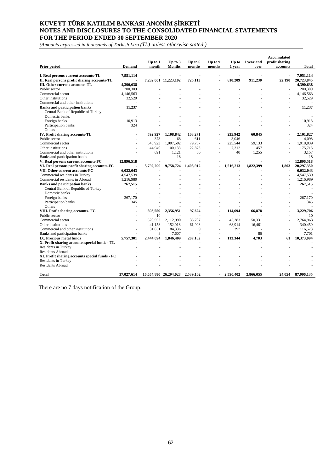*(Amounts expressed in thousands of Turkish Lira (TL) unless otherwise stated.)*

| Prior period                                   | <b>Demand</b> | Up to $1$<br>month | Up to $3$<br>Months   | Up to $6$<br>months | $Up$ to $9$<br>months    | 1 year    | Up to 1 year and<br>over | <b>Accumulated</b><br>profit sharing<br>accounts | <b>Total</b> |
|------------------------------------------------|---------------|--------------------|-----------------------|---------------------|--------------------------|-----------|--------------------------|--------------------------------------------------|--------------|
|                                                |               |                    |                       |                     |                          |           |                          |                                                  |              |
| I. Real persons current accounts-TL            | 7,951,114     |                    |                       |                     |                          |           |                          |                                                  | 7.951.114    |
| II. Real persons profit sharing accounts-TL    |               |                    | 7,232,001 11,223,102  | 725,113             |                          | 610,209   | 911,230                  | 22,190                                           | 20,723,845   |
| III. Other current accounts-TL                 | 4,390,638     |                    |                       |                     |                          |           |                          |                                                  | 4,390,638    |
| Public sector                                  | 200,309       |                    |                       |                     |                          |           |                          |                                                  | 200,309      |
| Commercial sector                              | 4,146,563     |                    |                       |                     |                          |           |                          |                                                  | 4,146,563    |
| Other institutions                             | 32,529        |                    |                       |                     |                          |           |                          |                                                  | 32,529       |
| Commercial and other institutions              |               |                    |                       |                     |                          |           |                          |                                                  |              |
| <b>Banks and participation banks</b>           | 11,237        |                    |                       |                     |                          |           |                          |                                                  | 11,237       |
| Central Bank of Republic of Turkey             |               |                    |                       |                     |                          |           |                          |                                                  |              |
| Domestic banks                                 |               |                    |                       |                     |                          |           |                          |                                                  |              |
| Foreign banks                                  | 10,913        |                    |                       |                     |                          |           |                          |                                                  | 10,913       |
| Participation banks                            | 324           |                    |                       |                     |                          |           |                          |                                                  | 324          |
| Others                                         |               |                    |                       |                     |                          |           |                          |                                                  |              |
| IV. Profit sharing accounts-TL                 |               | 592.927            | 1,108,842             | 103,271             |                          | 235,942   | 60,845                   |                                                  | 2,101,827    |
| Public sector                                  |               | 373                | 68                    | 611                 | ÷,                       | 3,046     |                          |                                                  | 4.098        |
| Commercial sector                              |               | 546.923            | 1,007,502             | 79.737              | ÷                        | 225,544   | 59,133                   |                                                  | 1,918,839    |
| Other institutions                             |               | 44.940             | 100,133               | 22.873              |                          | 7.312     | 457                      |                                                  | 175,715      |
| Commercial and other institutions              |               | 691                | 1,121                 | 50                  | $\overline{a}$           | 40        | 1,255                    |                                                  | 3,157        |
| Banks and participation banks                  |               |                    | 18                    |                     |                          | ÷         |                          |                                                  | 18           |
| V. Real persons current accounts-FC            | 12,896,518    |                    |                       |                     |                          |           |                          |                                                  | 12,896,518   |
| VI. Real persons profit sharing accounts-FC    |               | 5,792,299          | 9,758,724             | 1,405,912           |                          | 1,516,213 | 1,822,399                | 1.803                                            | 20,297,350   |
| VII. Other current accounts-FC                 | 6.032.043     |                    |                       |                     |                          |           |                          |                                                  | 6.032.043    |
| Commercial residents in Turkey                 | 4,547,539     |                    |                       |                     |                          |           |                          |                                                  | 4,547,539    |
| Commercial residents in Abroad                 | 1.216.989     |                    |                       |                     |                          |           |                          |                                                  | 1,216,989    |
| <b>Banks and participation banks</b>           | 267,515       |                    |                       |                     |                          |           |                          |                                                  | 267,515      |
| Central Bank of Republic of Turkey             |               |                    |                       |                     |                          |           |                          |                                                  |              |
| Domestic banks                                 |               |                    |                       |                     |                          |           |                          |                                                  |              |
| Foreign banks                                  | 267,170       |                    |                       |                     |                          |           |                          |                                                  | 267,170      |
| Participation banks                            | 345           |                    |                       |                     |                          |           |                          |                                                  | 345          |
| Others                                         |               |                    |                       |                     |                          |           |                          |                                                  |              |
| VIII. Profit sharing accounts- FC              |               | 593.559            | 2,356,951             | 97.624              | $\blacksquare$           | 114.694   | 66.878                   |                                                  | 3.229.706    |
| Public sector                                  |               | 10                 |                       |                     |                          |           |                          |                                                  | 10           |
| Commercial sector                              |               | 520.552            | 2,112,990             | 35,707              | $\overline{a}$           | 45.383    | 50.331                   |                                                  | 2.764.963    |
| Other institutions                             |               | 41,158             | 152,018               | 61,908              | $\overline{\phantom{a}}$ | 68,914    | 16,461                   |                                                  | 340,459      |
| Commercial and other institutions              |               | 31.831             | 84.336                | 9                   | ÷,                       | 397       |                          |                                                  | 116.573      |
| Banks and participation banks                  |               | 8                  | 7,607                 |                     |                          |           | 86                       |                                                  | 7,701        |
| IX. Precious metal funds                       | 5,757,301     | 2,444,094          | 1,846,409             | 207,182             | $\blacksquare$           | 113,344   | 4,703                    | 61                                               | 10,373,094   |
| X. Profit sharing accounts special funds - TL  |               |                    |                       |                     |                          |           |                          |                                                  |              |
| Residents in Turkey                            |               |                    |                       |                     |                          |           |                          |                                                  |              |
| Residents Abroad                               |               |                    |                       |                     |                          |           |                          |                                                  |              |
| XI. Profit sharing accounts special funds - FC |               |                    |                       |                     |                          |           |                          |                                                  |              |
| Residents in Turkey                            |               |                    |                       |                     |                          |           |                          |                                                  |              |
| <b>Residents Abroad</b>                        |               |                    |                       |                     |                          |           |                          |                                                  |              |
|                                                |               |                    |                       |                     |                          |           |                          |                                                  |              |
| Total                                          | 37,027,614    |                    | 16,654,880 26,294,028 | 2,539,102           |                          | 2,590,402 | 2,866,055                | 24,054                                           | 87,996,135   |

There are no 7 days notification of the Group.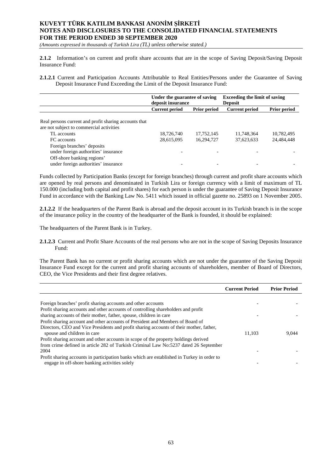*(Amounts expressed in thousands of Turkish Lira (TL) unless otherwise stated.)*

**2.1.2** Information's on current and profit share accounts that are in the scope of Saving Deposit/Saving Deposit Insurance Fund:

**2.1.2.1** Current and Participation Accounts Attributable to Real Entities/Persons under the Guarantee of Saving Deposit Insurance Fund Exceeding the Limit of the Deposit Insurance Fund:

|                                                                                                   | Under the guarantee of saving<br>deposit insurance |            | <b>Exceeding the limit of saving</b><br><b>Deposit</b> |                     |  |
|---------------------------------------------------------------------------------------------------|----------------------------------------------------|------------|--------------------------------------------------------|---------------------|--|
|                                                                                                   | <b>Current period</b><br><b>Prior period</b>       |            | <b>Current period</b>                                  | <b>Prior period</b> |  |
| Real persons current and profit sharing accounts that<br>are not subject to commercial activities |                                                    |            |                                                        |                     |  |
| TL accounts                                                                                       | 18,726,740                                         | 17,752,145 | 11,748,364                                             | 10,782,495          |  |
| FC accounts                                                                                       | 28,615,095                                         | 16,294,727 | 37,623,633                                             | 24,484,448          |  |
| Foreign branches' deposits<br>under foreign authorities' insurance<br>Off-shore banking regions'  |                                                    |            |                                                        |                     |  |
| under foreign authorities' insurance                                                              |                                                    |            |                                                        |                     |  |

Funds collected by Participation Banks (except for foreign branches) through current and profit share accounts which are opened by real persons and denominated in Turkish Lira or foreign currency with a limit of maximum of TL 150.000 (including both capital and profit shares) for each person is under the guarantee of Saving Deposit Insurance Fund in accordance with the Banking Law No. 5411 which issued in official gazette no. 25893 on 1 November 2005.

**2.1.2.2** If the headquarters of the Parent Bank is abroad and the deposit account in its Turkish branch is in the scope of the insurance policy in the country of the headquarter of the Bank is founded, it should be explained:

The headquarters of the Parent Bank is in Turkey.

**2.1.2.3** Current and Profit Share Accounts of the real persons who are not in the scope of Saving Deposits Insurance Fund:

The Parent Bank has no current or profit sharing accounts which are not under the guarantee of the Saving Deposit Insurance Fund except for the current and profit sharing accounts of shareholders, member of Board of Directors, CEO, the Vice Presidents and their first degree relatives.

|                                                                                                                                                                                                                                                                                                 | <b>Current Period</b> | <b>Prior Period</b> |
|-------------------------------------------------------------------------------------------------------------------------------------------------------------------------------------------------------------------------------------------------------------------------------------------------|-----------------------|---------------------|
| Foreign branches' profit sharing accounts and other accounts<br>Profit sharing accounts and other accounts of controlling shareholders and profit<br>sharing accounts of their mother, father, spouse, children in care                                                                         |                       |                     |
| Profit sharing account and other accounts of President and Members of Board of<br>Directors, CEO and Vice Presidents and profit sharing accounts of their mother, father,<br>spouse and children in care<br>Profit sharing account and other accounts in scope of the property holdings derived | 11.103                | 9.044               |
| from crime defined in article 282 of Turkish Criminal Law No:5237 dated 26 September<br>2004<br>Profit sharing accounts in participation banks which are established in Turkey in order to<br>engage in off-shore banking activities solely                                                     |                       |                     |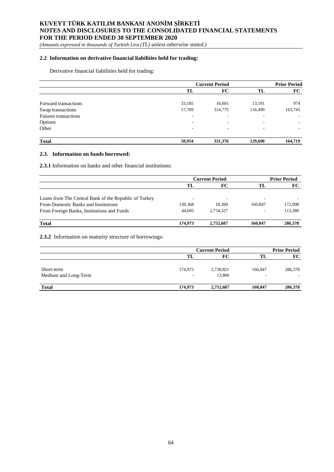*(Amounts expressed in thousands of Turkish Lira (TL) unless otherwise stated.)*

## **2.2 Information on derivative financial liabilities held for trading:**

Derivative financial liabilities held for trading:

|                             |        | <b>Current Period</b>    |         | <b>Prior Period</b> |
|-----------------------------|--------|--------------------------|---------|---------------------|
|                             | TL     | FC                       | TL      | FC                  |
| Forward transactions        | 33,185 | 16,601                   | 13,191  | 974                 |
| Swap transactions           | 17,769 | 314,775                  | 116,499 | 163,745             |
| <b>Futures transactions</b> | ۰      | $\overline{\phantom{a}}$ |         |                     |
| Options                     | ۰      | $\overline{\phantom{a}}$ | ۰       |                     |
| Other                       | ۰      | $\overline{\phantom{a}}$ | ٠       | ۰.                  |
| <b>Total</b>                | 50,954 | 331,376                  | 129,690 | 164,719             |

#### **2.3. Information on funds borrowed:**

**2.3.1** Information on banks and other financial institutions:

|                                                       | <b>Current Period</b> |           |         | <b>Prior Period</b> |
|-------------------------------------------------------|-----------------------|-----------|---------|---------------------|
|                                                       | TL                    | FC        | TL      | <b>FC</b>           |
|                                                       |                       |           |         |                     |
| Loans from The Central Bank of the Republic of Turkey | ۰                     | ۰         | -       |                     |
| From Domestic Banks and Institutions                  | 130,368               | 18.360    | 160.847 | 172,998             |
| From Foreign Banks, Institutions and Funds            | 44,605                | 2.734.327 | -       | 113,380             |
|                                                       |                       |           |         |                     |
| <b>Total</b>                                          | 174.973               | 2,752,687 | 160.847 | 286,378             |

**2.3.2** Information on maturity structure of borrowings:

|                                    | <b>Current Period</b>               |                     |              | <b>Prior Period</b> |  |
|------------------------------------|-------------------------------------|---------------------|--------------|---------------------|--|
|                                    | TL                                  | FС                  | TL           | FC                  |  |
| Short-term<br>Medium and Long-Term | 174,973<br>$\overline{\phantom{a}}$ | 2,738,821<br>13,866 | 160,847<br>٠ | 286,378             |  |
| <b>Total</b>                       | 174,973                             | 2,752,687           | 160,847      | 286,378             |  |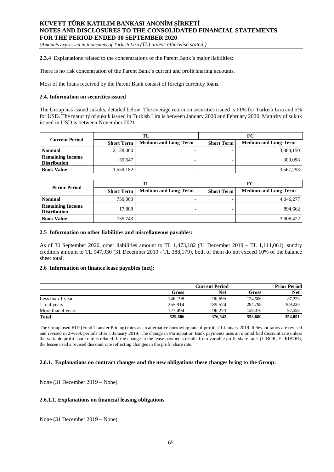*(Amounts expressed in thousands of Turkish Lira (TL) unless otherwise stated.)*

**2.3.4** Explanations related to the concentrations of the Parent Bank's major liabilities:

There is no risk concentration of the Parent Bank's current and profit sharing accounts.

Most of the loans received by the Parent Bank consist of foreign currency loans.

### **2.4. Information on securities issued**

The Group has issued sukuks, detailed below. The average return on securities issued is 11% for Turkish Lira and 5% for USD. The maturity of sukuk issued in Turkish Lira is between January 2020 and February 2020; Maturity of sukuk issued in USD is between November 2021.

| <b>Current Period</b>                          | TL                |                             | FC                |                             |
|------------------------------------------------|-------------------|-----------------------------|-------------------|-----------------------------|
|                                                | <b>Short Term</b> | <b>Medium and Long-Term</b> | <b>Short Term</b> | <b>Medium and Long-Term</b> |
| <b>Nominal</b>                                 | 2,128,000         |                             |                   | 3,888,150                   |
| <b>Remaining Income</b><br><b>Distribution</b> | 55.647            |                             |                   | 300,098                     |
| <b>Book Value</b>                              | 1,559,182         |                             |                   | 3,567,293                   |

|                                                | TL                |                             | FC                |                             |
|------------------------------------------------|-------------------|-----------------------------|-------------------|-----------------------------|
| <b>Perior Period</b>                           | <b>Short Term</b> | <b>Medium and Long-Term</b> | <b>Short Term</b> | <b>Medium and Long-Term</b> |
| <b>Nominal</b>                                 | 750,000           |                             |                   | 4,046,277                   |
| <b>Remaining Income</b><br><b>Distribution</b> | 17.808            |                             |                   | 894.662                     |
| <b>Book Value</b>                              | 735,743           |                             |                   | 3,906,422                   |

#### **2.5 Information on other liabilities and miscellaneous payables:**

As of 30 September 2020, other liabilities amount to TL 1,473,182 (31 December 2019 – TL 1,111,061), sundry creditors amount to TL 947,930 (31 December 2019 - TL 388,179), both of them do not exceed 10% of the balance sheet total.

#### **2.6 Information on finance lease payables (net):**

|                   |         | <b>Current Period</b> |         | <b>Prior Period</b> |
|-------------------|---------|-----------------------|---------|---------------------|
|                   | Gross   | Net                   | Gross   | <b>Net</b>          |
| Less than 1 year  | 146.198 | 90.695                | 124,506 | 87,233              |
| 1 to 4 years      | 255,914 | 189,574               | 294.798 | 169,220             |
| More than 4 years | 127.494 | 96.273                | 139,376 | 97,598              |
| <b>Total</b>      | 529,606 | 376,542               | 558,680 | 354,051             |

The Group used FTP (Fund Transfer Pricing) rates as an alternative borrowing rate of profit at 1 January 2019. Relevant ratios are revised and revised in 2-week periods after 1 January 2019. The change in Participation Bank payments uses an unmodified discount rate unless the variable profit share rate is related. If the change in the lease payments results from variable profit share rates (LIBOR, EURIBOR), the lessee used a revised discount rate reflecting changes in the profit share rate.

### **2.6.1. Explanations on contract changes and the new obligations these changes bring to the Group:**

None (31 December 2019 – None).

### **2.6.1.1. Explanations on financial leasing obligations**

None (31 December 2019 – None).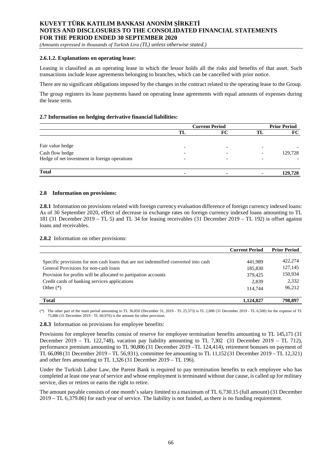*(Amounts expressed in thousands of Turkish Lira (TL) unless otherwise stated.)*

### **2.6.1.2. Explanations on operating lease:**

Leasing is classified as an operating lease in which the lessor holds all the risks and benefits of that asset. Such transactions include lease agreements belonging to branches, which can be cancelled with prior notice.

There are no significant obligations imposed by the changes in the contract related to the operating lease to the Group.

The group registers its lease payments based on operating lease agreements with equal amounts of expenses during the lease term.

### **2.7 Information on hedging derivative financial liabilities:**

|                                               | <b>Current Period</b> |    | <b>Prior Period</b> |  |
|-----------------------------------------------|-----------------------|----|---------------------|--|
|                                               | TL                    | FC | FC                  |  |
|                                               |                       |    |                     |  |
| Fair value hedge                              |                       |    |                     |  |
| Cash flow hedge                               |                       |    | 129,728             |  |
| Hedge of net investment in foreign operations |                       |    |                     |  |
|                                               |                       |    |                     |  |
| <b>Total</b>                                  |                       |    | 129,728             |  |

#### **2.8 Information on provisions:**

**2.8.1** Information on provisions related with foreign currency evaluation difference of foreign currency indexed loans: As of 30 September 2020, effect of decrease in exchange rates on foreign currency indexed loans amounting to TL 181 (31 December 2019 – TL 5) and TL 34 for leasing receivables (31 December 2019 – TL 192) is offset against loans and receivables.

**2.8.2** Information on other provisions:

|                                                                                     | <b>Current Period</b> | <b>Prior Period</b> |
|-------------------------------------------------------------------------------------|-----------------------|---------------------|
|                                                                                     |                       |                     |
| Specific provisions for non cash loans that are not indemnified converted into cash | 441.989               | 422,274             |
| General Provisions for non-cash loans                                               | 185,830               | 127,145             |
| Provision for profits will be allocated to partipation accounts                     | 379.425               | 150,934             |
| Credit cards of banking services applications                                       | 2,839                 | 2,332               |
| Other $(*)$                                                                         | 114,744               | 96,212              |
|                                                                                     |                       |                     |
| <b>Total</b>                                                                        | 1.124.827             | 798.897             |

(\*) The other part of the main period amounting to TL 36,850 (December 31, 2019 - TL 25,573) is TL 2,008 (31 December 2019 - TL 6,500) for the expense of TL 75,886 (31 December 2019 - TL 60,976) is the amount for other provision.

**2.8.3** Information on provisions for employee benefits:

Provisions for employee benefits consist of reserve for employee termination benefits amounting to TL 145,171 (31 December 2019 – TL 122,748), vacation pay liability amounting to TL 7,302 (31 December 2019 – TL 712), performance premium amounting to TL 90,806 (31 December 2019 –TL 124,414), retirement bonuses on payment of TL 66,098 (31 December 2019 – TL 56,931), committee fee amounting to TL 11,152 (31 December 2019 – TL 12,321) and other fees amounting to TL 1,326 (31 December 2019 – TL 196).

Under the Turkish Labor Law, the Parent Bank is required to pay termination benefits to each employee who has completed at least one year of service and whose employment is terminated without due cause, is called up for military service, dies or retires or earns the right to retire.

The amount payable consists of one month's salary limited to a maximum of TL 6,730.15 (full amount) (31 December 2019 – TL 6,379.86) for each year of service. The liability is not funded, as there is no funding requirement.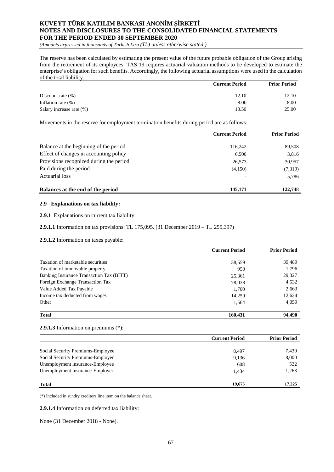*(Amounts expressed in thousands of Turkish Lira (TL) unless otherwise stated.)*

The reserve has been calculated by estimating the present value of the future probable obligation of the Group arising from the retirement of its employees. TAS 19 requires actuarial valuation methods to be developed to estimate the enterprise's obligation for such benefits. Accordingly, the following actuarial assumptions were used in the calculation of the total liability.

|                          | <b>Current Period</b> | <b>Prior Period</b> |  |
|--------------------------|-----------------------|---------------------|--|
|                          |                       |                     |  |
| Discount rate $(\%)$     | 12.10                 | 12.10               |  |
| Inflation rate $(\%)$    | 8.00                  | 8.00                |  |
| Salary increase rate (%) | 13.50                 | 25.00               |  |

Movements in the reserve for employment termination benefits during period are as follows:

|                                         | <b>Current Period</b> | <b>Prior Period</b> |
|-----------------------------------------|-----------------------|---------------------|
|                                         |                       |                     |
| Balance at the beginning of the period  | 116,242               | 89,508              |
| Effect of changes in accounting policy  | 6,506                 | 3,816               |
| Provisions recognized during the period | 26,573                | 30,957              |
| Paid during the period                  | (4,150)               | (7,319)             |
| Actuarial loss                          |                       | 5,786               |
| Balances at the end of the period       | 145,171               | 122.748             |

## **2.9 Explanations on tax liability:**

**2.9.1** Explanations on current tax liability:

**2.9.1.1** Information on tax provisions: TL 175,095. (31 December 2019 – TL 255,397)

**2.9.1.2** Information on taxes payable:

|                                          | <b>Current Period</b> | <b>Prior Period</b> |
|------------------------------------------|-----------------------|---------------------|
|                                          |                       |                     |
| Taxation of marketable securities        | 38,559                | 39,489              |
| Taxation of immovable property           | 950                   | 1,796               |
| Banking Insurance Transaction Tax (BITT) | 25,361                | 29,327              |
| Foreign Exchange Transaction Tax         | 78,038                | 4,532               |
| Value Added Tax Payable                  | 1,700                 | 2,663               |
| Income tax deducted from wages           | 14.259                | 12,624              |
| Other                                    | 1,564                 | 4,059               |
| <b>Total</b>                             | 160.431               | 94.490              |

## **2.9.1.3** Information on premiums (\*):

|                                   | <b>Current Period</b> | <b>Prior Period</b> |
|-----------------------------------|-----------------------|---------------------|
|                                   |                       |                     |
| Social Security Premiums-Employee | 8,497                 | 7,430               |
| Social Security Premiums-Employer | 9,136                 | 8,000               |
| Unemployment insurance-Employee   | 608                   | 532                 |
| Unemployment insurance-Employer   | 1.434                 | 1,263               |
| <b>Total</b>                      | 19.675                | 17,225              |

(\*) Included in sundry creditors line item on the balance sheet.

**2.9.1.4** Information on deferred tax liability:

None (31 December 2018 - None).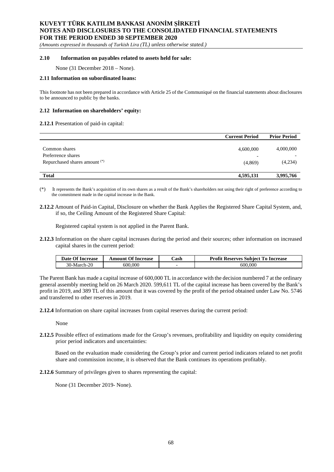*(Amounts expressed in thousands of Turkish Lira (TL) unless otherwise stated.)*

## **2.10 Information on payables related to assets held for sale:**

None (31 December 2018 – None).

#### **2.11 Information on subordinated loans:**

This footnote has not been prepared in accordance with Article 25 of the Communiqué on the financial statements about disclosures to be announced to public by the banks.

### **2.12 Information on shareholders' equity:**

### **2.12.1** Presentation of paid-in capital:

|                                                                      | <b>Current Period</b>                            | <b>Prior Period</b>  |
|----------------------------------------------------------------------|--------------------------------------------------|----------------------|
| Common shares<br>Preferrence shares<br>Repurchased shares amount (*) | 4,600,000<br>$\overline{\phantom{0}}$<br>(4,869) | 4,000,000<br>(4,234) |
| <b>Total</b>                                                         | 4,595,131                                        | 3,995,766            |

(\*) It represents the Bank's acquisition of its own shares as a result of the Bank's shareholders not using their right of preference according to the commitment made in the capital increase in the Bank.

**2.12.2** Amount of Paid-in Capital, Disclosure on whether the Bank Applies the Registered Share Capital System, and, if so, the Ceiling Amount of the Registered Share Capital:

Registered capital system is not applied in the Parent Bank.

**2.12.3** Information on the share capital increases during the period and their sources; other information on increased capital shares in the current period:

| Date Of Increase | <b>Amount Of Increase</b> | Cash | <b>Profit Reserves Subject To Increase</b> |
|------------------|---------------------------|------|--------------------------------------------|
| 30-March-20      | 600,000                   |      | 600,000                                    |

The Parent Bank has made a capital increase of 600,000 TL in accordance with the decision numbered 7 at the ordinary general assembly meeting held on 26 March 2020. 599,611 TL of the capital increase has been covered by the Bank's profit in 2019, and 389 TL of this amount that it was covered by the profit of the period obtained under Law No. 5746 and transferred to other reserves in 2019.

**2.12.4** Information on share capital increases from capital reserves during the current period:

None

**2.12.5** Possible effect of estimations made for the Group's revenues, profitability and liquidity on equity considering prior period indicators and uncertainties:

Based on the evaluation made considering the Group's prior and current period indicators related to net profit share and commission income, it is observed that the Bank continues its operations profitably.

**2.12.6** Summary of privileges given to shares representing the capital:

None (31 December 2019- None).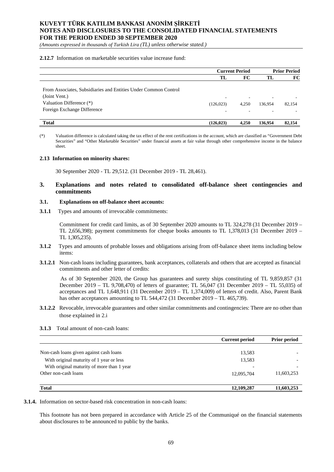*(Amounts expressed in thousands of Turkish Lira (TL) unless otherwise stated.)*

#### **2.12.7** Information on marketable securities value increase fund:

|                                                                                                                                             | <b>Current Period</b>                  |       | <b>Prior Period</b> |        |
|---------------------------------------------------------------------------------------------------------------------------------------------|----------------------------------------|-------|---------------------|--------|
|                                                                                                                                             | TL                                     | FC    | TL                  | FC     |
| From Associates, Subsidiaries and Entities Under Common Control<br>(Joint Vent.)<br>Valuation Difference (*)<br>Foreign Exchange Difference | $\overline{\phantom{a}}$<br>(126, 023) | 4.250 | ۰<br>136.954        | 82,154 |
| <b>Total</b>                                                                                                                                | (126.023)                              | 4.250 | 136,954             | 82,154 |

(\*) Valuation difference is calculated taking the tax effect of the rent certifications in the account, which are classified as "Government Debt Securities" and "Other Marketable Securities" under financial assets at fair value through other comprehensive income in the balance sheet.

#### **2.13 Information on minority shares:**

30 September 2020 - TL 29,512. (31 December 2019 - TL 28,461).

## **3. Explanations and notes related to consolidated off-balance sheet contingencies and commitments**

#### **3.1. Explanations on off-balance sheet accounts:**

**3.1.1** Types and amounts of irrevocable commitments:

Commitment for credit card limits, as of 30 September 2020 amounts to TL 324,278 (31 December 2019 – TL 2,656,398); payment commitments for cheque books amounts to TL 1,378,013 (31 December 2019 – TL 1,305,235).

- **3.1.2** Types and amounts of probable losses and obligations arising from off-balance sheet items including below items:
- **3.1.2.1** Non-cash loans including guarantees, bank acceptances, collaterals and others that are accepted as financial commitments and other letter of credits:

As of 30 September 2020, the Group has guarantees and surety ships constituting of TL 9,859,857 (31 December 2019 – TL 9,708,470) of letters of guarantee; TL 56,047 (31 December 2019 – TL 55,035) of acceptances and TL 1,648,911 (31 December 2019 – TL 1,374,009) of letters of credit. Also, Parent Bank has other acceptances amounting to TL 544,472 (31 December 2019 – TL 465,739).

- **3.1.2.2** Revocable, irrevocable guarantees and other similar commitments and contingencies: There are no other than those explained in 2.i
- **3.1.3** Total amount of non-cash loans:

|                                            | <b>Current period</b> | <b>Prior period</b>      |
|--------------------------------------------|-----------------------|--------------------------|
|                                            |                       |                          |
| Non-cash loans given against cash loans    | 13,583                |                          |
| With original maturity of 1 year or less   | 13,583                |                          |
| With original maturity of more than 1 year |                       | $\overline{\phantom{0}}$ |
| Other non-cash loans                       | 12,095,704            | 11,603,253               |
| <b>Total</b>                               | 12,109,287            | 11,603,253               |

**3.1.4.** Information on sector-based risk concentration in non-cash loans:

This footnote has not been prepared in accordance with Article 25 of the Communiqué on the financial statements about disclosures to be announced to public by the banks.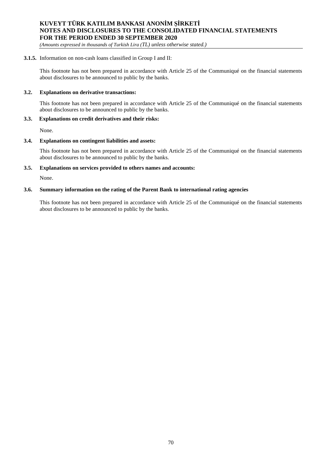*(Amounts expressed in thousands of Turkish Lira (TL) unless otherwise stated.)*

## **3.1.5.** Information on non-cash loans classified in Group I and II:

This footnote has not been prepared in accordance with Article 25 of the Communiqué on the financial statements about disclosures to be announced to public by the banks.

### **3.2. Explanations on derivative transactions:**

This footnote has not been prepared in accordance with Article 25 of the Communiqué on the financial statements about disclosures to be announced to public by the banks.

### **3.3. Explanations on credit derivatives and their risks:**

None.

## **3.4. Explanations on contingent liabilities and assets:**

This footnote has not been prepared in accordance with Article 25 of the Communiqué on the financial statements about disclosures to be announced to public by the banks.

## **3.5. Explanations on services provided to others names and accounts:**

None.

## **3.6. Summary information on the rating of the Parent Bank to international rating agencies**

This footnote has not been prepared in accordance with Article 25 of the Communiqué on the financial statements about disclosures to be announced to public by the banks.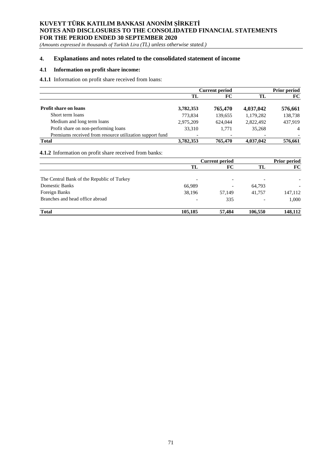*(Amounts expressed in thousands of Turkish Lira (TL) unless otherwise stated.)*

## **4. Explanations and notes related to the consolidated statement of income**

## **4.1 Information on profit share income:**

**4.1.1** Information on profit share received from loans:

|                                                          | <b>Current period</b> |         |                          | <b>Prior period</b> |  |
|----------------------------------------------------------|-----------------------|---------|--------------------------|---------------------|--|
|                                                          | TL                    | FC.     | TL                       | FC                  |  |
| <b>Profit share on loans</b>                             | 3,782,353             | 765,470 | 4,037,042                | 576,661             |  |
| Short term loans                                         | 773.834               | 139,655 | 1,179,282                | 138,738             |  |
| Medium and long term loans                               | 2,975,209             | 624,044 | 2,822,492                | 437.919             |  |
| Profit share on non-performing loans                     | 33.310                | 1.771   | 35,268                   | $\overline{4}$      |  |
| Premiums received from resource utilization support fund |                       |         | $\overline{\phantom{0}}$ |                     |  |
| <b>Total</b>                                             | 3,782,353             | 765,470 | 4,037,042                | 576,661             |  |

**4.1.2** Information on profit share received from banks:

|                                            | <b>Current period</b> |        |         | <b>Prior period</b>      |  |
|--------------------------------------------|-----------------------|--------|---------|--------------------------|--|
|                                            | TL                    | FC     | TL      | FC                       |  |
| The Central Bank of the Republic of Turkey |                       |        |         |                          |  |
| <b>Domestic Banks</b>                      | 66,989                |        | 64,793  | $\overline{\phantom{0}}$ |  |
| Foreign Banks                              | 38.196                | 57.149 | 41.757  | 147,112                  |  |
| Branches and head office abroad            |                       | 335    |         | 1,000                    |  |
| <b>Total</b>                               | 105,185               | 57,484 | 106.550 | 148.112                  |  |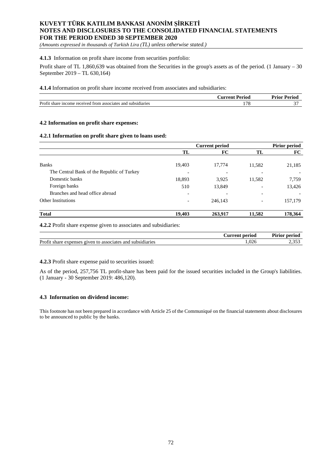*(Amounts expressed in thousands of Turkish Lira (TL) unless otherwise stated.)*

## **4.1.3** Information on profit share income from securities portfolio:

Profit share of TL 1,860,639 was obtained from the Securities in the group's assets as of the period. (1 January  $-30$ September 2019 – TL 630,164)

**4.1.4** Information on profit share income received from associates and subsidiaries:

|                                                               | ∴urrent<br>Period | <b>Prior Period</b> |
|---------------------------------------------------------------|-------------------|---------------------|
| Profit share income received from associates and subsidiaries | $. -.$            |                     |

## **4.2 Information on profit share expenses:**

## **4.2.1 Information on profit share given to loans used:**

|                                            | <b>Current period</b>    |         | <b>Pirior period</b> |         |
|--------------------------------------------|--------------------------|---------|----------------------|---------|
|                                            | TL                       | FC      | TL                   | FC      |
|                                            |                          |         |                      |         |
| <b>Banks</b>                               | 19,403                   | 17,774  | 11,582               | 21,185  |
| The Central Bank of the Republic of Turkey |                          |         |                      |         |
| Domestic banks                             | 18,893                   | 3,925   | 11,582               | 7,759   |
| Foreign banks                              | 510                      | 13,849  |                      | 13,426  |
| Branches and head office abroad            | $\overline{\phantom{0}}$ |         |                      |         |
| Other Institutions                         | $\overline{\phantom{a}}$ | 246,143 |                      | 157,179 |
| <b>Total</b>                               | 19,403                   | 263,917 | 11,582               | 178,364 |

**4.2.2** Profit share expense given to associates and subsidiaries:

|                                                                                  | period<br>Aurrent<br>∵u. | $\sim$<br>r irior period |
|----------------------------------------------------------------------------------|--------------------------|--------------------------|
| Prof.<br>and<br>. subsidiaries<br>associates<br>$01V\theta n$<br>share<br>menses | $\sim$<br>,U20           | .                        |

## **4.2.3** Profit share expense paid to securities issued:

As of the period, 257,756 TL profit-share has been paid for the issued securities included in the Group's liabilities. (1 January - 30 September 2019: 486,120).

## **4.3 Information on dividend income:**

This footnote has not been prepared in accordance with Article 25 of the Communiqué on the financial statements about disclosures to be announced to public by the banks.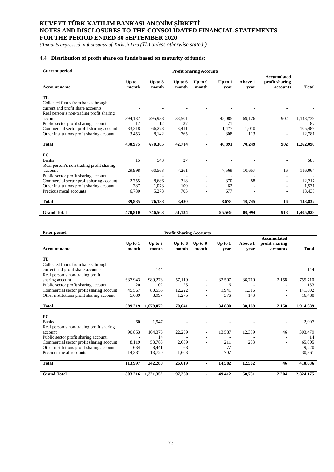*(Amounts expressed in thousands of Turkish Lira (TL) unless otherwise stated.)*

## **4.4 Distribution of profit share on funds based on maturity of funds:**

| <b>Current period</b>                     | <b>Profit Sharing Accounts</b> |                    |                    |                  |                   |                 |                                                  |              |
|-------------------------------------------|--------------------------------|--------------------|--------------------|------------------|-------------------|-----------------|--------------------------------------------------|--------------|
| <b>Account name</b>                       | Up to $1$<br>month             | Up to $3$<br>month | Up to $6$<br>month | Up to 9<br>month | Up to $1$<br>vear | Above 1<br>vear | <b>Accumulated</b><br>profit sharing<br>accounts | <b>Total</b> |
| TL                                        |                                |                    |                    |                  |                   |                 |                                                  |              |
| Collected funds from banks through        |                                |                    |                    |                  |                   |                 |                                                  |              |
| current and profit share accounts         |                                |                    |                    |                  |                   |                 |                                                  |              |
| Real person's non-trading profit sharing  |                                |                    |                    |                  |                   |                 |                                                  |              |
| account                                   | 394.187                        | 595.938            | 38,501             |                  | 45.085            | 69,126          | 902                                              | 1,143,739    |
| Public sector profit sharing account      | 17                             | 12                 | 37                 |                  | 21                |                 |                                                  | 87           |
| Commercial sector profit sharing account  | 33,318                         | 66.273             | 3.411              |                  | 1.477             | 1,010           |                                                  | 105,489      |
| Other institutions profit sharing account | 3,453                          | 8,142              | 765                |                  | 308               | 113             |                                                  | 12,781       |
| <b>Total</b>                              | 430,975                        | 670,365            | 42,714             |                  | 46,891            | 70,249          | 902                                              | 1,262,096    |
|                                           |                                |                    |                    |                  |                   |                 |                                                  |              |
| FC                                        |                                |                    |                    |                  |                   |                 |                                                  |              |
| <b>Banks</b>                              | 15                             | 543                | 27                 |                  |                   |                 |                                                  | 585          |
| Real person's non-trading profit sharing  |                                |                    |                    |                  |                   |                 |                                                  |              |
| account                                   | 29,998                         | 60,563             | 7,261              |                  | 7,569             | 10,657          | 16                                               | 116,064      |
| Public sector profit sharing account      |                                |                    |                    |                  |                   |                 |                                                  |              |
| Commercial sector profit sharing account  | 2,755                          | 8.686              | 318                |                  | 370               | 88              |                                                  | 12,217       |
| Other institutions profit sharing account | 287                            | 1,073              | 109                |                  | 62                |                 |                                                  | 1,531        |
| Precious metal accounts                   | 6,780                          | 5,273              | 705                |                  | 677               |                 |                                                  | 13,435       |
| <b>Total</b>                              | 39,835                         | 76,138             | 8,420              |                  | 8,678             | 10,745          | 16                                               | 143,832      |
|                                           |                                |                    |                    |                  |                   |                 |                                                  |              |
| <b>Grand Total</b>                        | 470,810                        | 746,503            | 51,134             |                  | 55,569            | 80,994          | 918                                              | 1,405,928    |

| Prior period                              |                    |                    | <b>Profit Sharing Accounts</b> |                          |                   |                 |                                                  |              |
|-------------------------------------------|--------------------|--------------------|--------------------------------|--------------------------|-------------------|-----------------|--------------------------------------------------|--------------|
| <b>Account name</b>                       | Up to $1$<br>month | Up to $3$<br>month | Up to $6$<br>month             | Up to 9<br>month         | Up to $1$<br>vear | Above 1<br>vear | <b>Accumulated</b><br>profit sharing<br>accounts | <b>Total</b> |
| TL                                        |                    |                    |                                |                          |                   |                 |                                                  |              |
| Collected funds from banks through        |                    |                    |                                |                          |                   |                 |                                                  |              |
| current and profit share accounts         |                    | 144                |                                |                          |                   |                 |                                                  | 144          |
| Real person's non-trading profit          |                    |                    |                                |                          |                   |                 |                                                  |              |
| sharing account                           | 637,943            | 989,273            | 57,119                         |                          | 32,507            | 36,710          | 2,158                                            | 1,755,710    |
| Public sector profit sharing account      | 20                 | 102                | 25                             |                          | 6                 |                 |                                                  | 153          |
| Commercial sector profit sharing account  | 45,567             | 80,556             | 12,222                         |                          | 1.941             | 1,316           | ۰                                                | 141.602      |
| Other institutions profit sharing account | 5,689              | 8,997              | 1,275                          |                          | 376               | 143             |                                                  | 16,480       |
| <b>Total</b>                              | 689,219            | 1,079,072          | 70,641                         |                          | 34,830            | 38,169          | 2,158                                            | 1,914,089    |
|                                           |                    |                    |                                |                          |                   |                 |                                                  |              |
| FC                                        |                    |                    |                                |                          |                   |                 |                                                  |              |
| <b>Banks</b>                              | 60                 | 1.947              |                                |                          |                   |                 |                                                  | 2,007        |
| Real person's non-trading profit sharing  |                    |                    |                                |                          |                   |                 |                                                  |              |
| account                                   | 90,853             | 164,375            | 22,259                         |                          | 13,587            | 12,359          | 46                                               | 303,479      |
| Public sector profit sharing account.     |                    | 14                 |                                |                          |                   |                 |                                                  | 14           |
| Commercial sector profit sharing account  | 8,119              | 53,783             | 2.689                          |                          | 211               | 203             |                                                  | 65,005       |
| Other institutions profit sharing account | 634                | 8.441              | 68                             |                          | 77                |                 |                                                  | 9,220        |
| Precious metal accounts                   | 14,331             | 13,720             | 1,603                          |                          | 707               |                 | ÷                                                | 30,361       |
| <b>Total</b>                              | 113,997            | 242,280            | 26,619                         | $\overline{\phantom{0}}$ | 14,582            | 12,562          | 46                                               | 410,086      |
| <b>Grand Total</b>                        | 803,216            | 1,321,352          | 97,260                         |                          | 49,412            | 50,731          | 2,204                                            | 2,324,175    |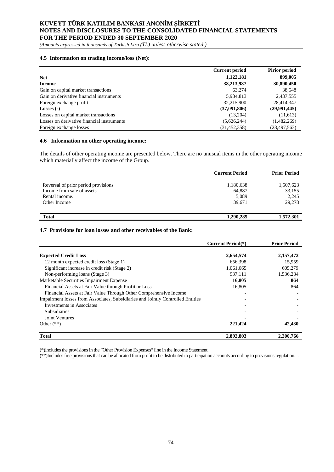*(Amounts expressed in thousands of Turkish Lira (TL) unless otherwise stated.)*

## **4.5 Information on trading income/loss (Net):**

|                                            | <b>Current period</b> | <b>Pirior period</b> |
|--------------------------------------------|-----------------------|----------------------|
| <b>Net</b>                                 | 1,122,181             | 899,005              |
| <b>Income</b>                              | 38,213,987            | 30,890,450           |
| Gain on capital market transactions        | 63.274                | 38,548               |
| Gain on derivative financial instruments   | 5,934,813             | 2,437,555            |
| Foreign exchange profit                    | 32,215,900            | 28,414,347           |
| Losses $(-)$                               | (37,091,806)          | (29,991,445)         |
| Losses on capital market transactions      | (13,204)              | (11,613)             |
| Losses on derivative financial instruments | (5,626,244)           | (1,482,269)          |
| Foreign exchange losses                    | (31, 452, 358)        | (28, 497, 563)       |

#### **4.6 Information on other operating income:**

The details of other operating income are presented below. There are no unusual items in the other operating income which materially affect the income of the Group.

|                                     | <b>Current Period</b> | <b>Prior Period</b> |
|-------------------------------------|-----------------------|---------------------|
|                                     |                       |                     |
| Reversal of prior period provisions | 1,180,638             | 1,507,623           |
| Income from sale of assets          | 64,887                | 33,155              |
| Rental income.                      | 5,089                 | 2,245               |
| Other Income                        | 39.671                | 29,278              |
|                                     |                       |                     |
| <b>Total</b>                        | 1,290,285             | 1,572,301           |

## **4.7 Provisions for loan losses and other receivables of the Bank:**

|                                                                                 | <b>Current Period</b> <sup>(*)</sup> | <b>Prior Period</b> |
|---------------------------------------------------------------------------------|--------------------------------------|---------------------|
| <b>Expected Credit Loss</b>                                                     | 2,654,574                            | 2,157,472           |
| 12 month expected credit loss (Stage 1)                                         | 656,398                              | 15,959              |
| Significant increase in credit risk (Stage 2)                                   | 1,061,065                            | 605,279             |
| Non-performing loans (Stage 3)                                                  | 937.111                              | 1,536,234           |
| Marketable Securities Impairment Expense                                        | 16,805                               | 864                 |
| Financial Assets at Fair Value through Profit or Loss                           | 16,805                               | 864                 |
| Financial Assets at Fair Value Through Other Comprehensive Income               |                                      |                     |
| Impairment losses from Associates, Subsidiaries and Jointly Controlled Entities |                                      |                     |
| Investments in Associates                                                       |                                      |                     |
| <b>Subsidiaries</b>                                                             |                                      |                     |
| Joint Ventures                                                                  |                                      |                     |
| Other $(**)$                                                                    | 221,424                              | 42,430              |
| <b>Total</b>                                                                    | 2,892,803                            | 2,200,766           |

(\*)Includesthe provisions in the "Other Provision Expenses" line in the Income Statement.

(\*\*)Includesfree provisions that can be allocated from profit to be distributed to participation accounts according to provisions regulation. .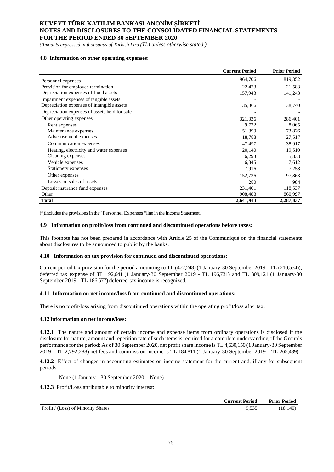*(Amounts expressed in thousands of Turkish Lira (TL) unless otherwise stated.)*

## **4.8 Information on other operating expenses:**

|                                               | <b>Current Period</b> | <b>Prior Period</b> |
|-----------------------------------------------|-----------------------|---------------------|
| Personnel expenses                            | 964,706               | 819,352             |
| Provision for employee termination            | 22,423                | 21,583              |
| Depreciation expenses of fixed assets         | 157,943               | 141,243             |
| Impairment expenses of tangible assets        |                       |                     |
| Depreciation expenses of intangible assets    | 35,366                | 38,740              |
| Depreciation expenses of assets held for sale |                       |                     |
| Other operating expenses                      | 321,336               | 286,401             |
| Rent expenses                                 | 9,722                 | 8,065               |
| Maintenance expenses                          | 51,399                | 73,826              |
| Advertisement expenses                        | 18,788                | 27,517              |
| Communication expenses                        | 47,497                | 38,917              |
| Heating, electricity and water expenses       | 20,140                | 19,510              |
| Cleaning expenses                             | 6,293                 | 5,833               |
| Vehicle expenses                              | 6,845                 | 7,612               |
| Stationery expenses                           | 7,916                 | 7,258               |
| Other expenses                                | 152,736               | 97,863              |
| Losses on sales of assets                     | 280                   | 984                 |
| Deposit insurance fund expenses               | 231,401               | 118,537             |
| Other                                         | 908,488               | 860,997             |
| <b>Total</b>                                  | 2,641,943             | 2,287,837           |

(\*)Includes the provisions in the" Personnel Expenses "line in the Income Statement.

#### **4.9 Information on profit/loss from continued and discontinued operations before taxes:**

This footnote has not been prepared in accordance with Article 25 of the Communiqué on the financial statements about disclosures to be announced to public by the banks.

#### **4.10 Information on tax provision for continued and discontinued operations:**

Current period tax provision for the period amounting to TL (472,248) (1 January-30 September 2019 - TL (210,554)), deferred tax expense of TL 192,641 (1 January-30 September 2019 - TL 196,731) and TL 309,121 (1 January-30 September 2019 - TL 186,577) deferred tax income is recognized.

#### **4.11 Information on net income/loss from continued and discontinued operations:**

There is no profit/loss arising from discontinued operations within the operating profit/loss after tax.

#### **4.12Information on net income/loss:**

**4.12.1** The nature and amount of certain income and expense items from ordinary operations is disclosed if the disclosure for nature, amount and repetition rate of such items is required for a complete understanding of the Group's performance for the period: As of 30 September 2020, net profit share income is TL 4,630,150 (1 January-30 September 2019 – TL 2,792,288) net fees and commission income is TL 184,811 (1 January-30 September 2019 – TL 265,439).

**4.12.2** Effect of changes in accounting estimates on income statement for the current and, if any for subsequent periods:

None (1 January - 30 September 2020 – None).

**4.12.3** Profit/Loss attributable to minority interest:

| Aurrent                                       | Period           | <b>Prior Period</b>  |
|-----------------------------------------------|------------------|----------------------|
| Profit<br><b>Shares</b><br>(Loss) of Minority | O 525<br>ے رہے ہ | $.40^{\circ}$<br>18. |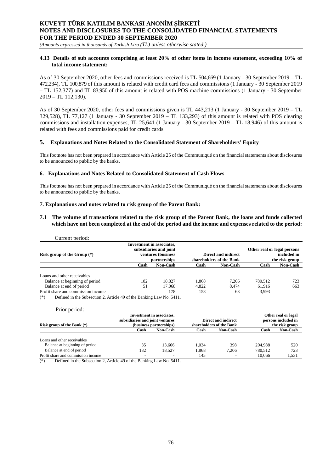*(Amounts expressed in thousands of Turkish Lira (TL) unless otherwise stated.)*

## **4.13 Details of sub accounts comprising at least 20% of other items in income statement, exceeding 10% of total income statement:**

As of 30 September 2020, other fees and commissions received is TL 504,669 (1 January - 30 September 2019 – TL 472,234), TL 100,879 of this amount is related with credit card fees and commissions (1 January - 30 September 2019 – TL 152,377) and TL 83,950 of this amount is related with POS machine commissions (1 January - 30 September 2019 – TL 112,130).

As of 30 September 2020, other fees and commissions given is TL 443,213 (1 January - 30 September 2019 – TL 329,528), TL 77,127 (1 January - 30 September 2019 – TL 133,293) of this amount is related with POS clearing commissions and installation expenses, TL 25,641 (1 January - 30 September 2019 – TL 18,946) of this amount is related with fees and commissions paid for credit cards.

## **5. Explanations and Notes Related to the Consolidated Statement of Shareholders' Equity**

This footnote has not been prepared in accordance with Article 25 of the Communiqué on the financial statements about disclosures to be announced to public by the banks.

## **6. Explanations and Notes Related to Consolidated Statement of Cash Flows**

This footnote has not been prepared in accordance with Article 25 of the Communiqué on the financial statements about disclosures to be announced to public by the banks.

## **7. Explanations and notes related to risk group of the Parent Bank:**

**7.1 The volume of transactions related to the risk group of the Parent Bank, the loans and funds collected which have not been completed at the end of the period and the income and expenses related to the period:**

| Current period:                    |                                                                                                  |                 |       |                                                 |                                                              |                 |
|------------------------------------|--------------------------------------------------------------------------------------------------|-----------------|-------|-------------------------------------------------|--------------------------------------------------------------|-----------------|
| Risk group of the Group $(*)$      | <b>Investment in associates,</b><br>subsidiaries and joint<br>ventures (business<br>partnerships |                 |       | Direct and indirect<br>shareholders of the Bank | Other real or legal persons<br>included in<br>the risk group |                 |
|                                    | Cash                                                                                             | <b>Non-Cash</b> | Cash  | <b>Non-Cash</b>                                 | Cash                                                         | <b>Non-Cash</b> |
| Loans and other receivables        |                                                                                                  |                 |       |                                                 |                                                              |                 |
| Balance at beginning of period     | 182                                                                                              | 18.827          | 1.868 | 7.206                                           | 780,512                                                      | 723             |
| Balance at end of period           | 51                                                                                               | 17,068          | 4.822 | 8.474                                           | 61.916                                                       | 663             |
| Profit share and commission income | ٠                                                                                                | 178             | 158   | 63                                              | 3,993                                                        |                 |

(\*) Defined in the Subsection 2, Article 49 of the Banking Law No. 5411.

|                          |                 | Other real or legal                                                                     |                 |                     |                     |
|--------------------------|-----------------|-----------------------------------------------------------------------------------------|-----------------|---------------------|---------------------|
|                          |                 |                                                                                         |                 |                     | persons included in |
|                          |                 | shareholders of the Bank                                                                |                 | the risk group      |                     |
| Cash                     | <b>Non-Cash</b> | Cash                                                                                    | <b>Non-Cash</b> | Cash                | Non-Cash            |
|                          |                 |                                                                                         |                 |                     |                     |
|                          |                 |                                                                                         |                 |                     |                     |
| 35                       | 13.666          | 1.034                                                                                   | 398             | 204.988             | 520                 |
| 182                      | 18.527          | 1,868                                                                                   | 7,206           | 780.512             | 723                 |
| $\overline{\phantom{a}}$ | ۰               | 145                                                                                     |                 | 10,066              | 1,531               |
|                          |                 | Investment in associates,<br>subsidiaries and joint ventures<br>(business partnerships) |                 | Direct and indirect |                     |

 $\overline{(*)}$  Defined in the Subsection 2, Article 49 of the Banking Law No. 5411.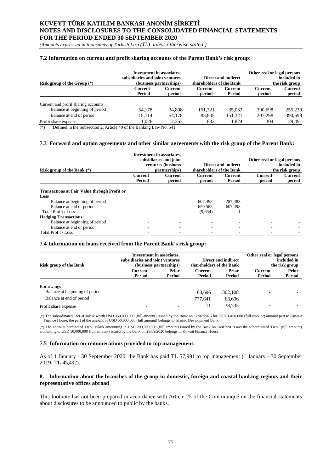*(Amounts expressed in thousands of Turkish Lira (TL) unless otherwise stated.)*

#### **7.2 Information on current and profit sharing accounts of the Parent Bank's risk group:**

| Risk group of the Group $(*)$       | <b>Investment in associates,</b><br>subsidiaries and joint ventures<br>(business partnerships) |                   | shareholders of the Bank | Direct and indirect      | Other real or legal persons<br>included in<br>the risk group |                          |  |
|-------------------------------------|------------------------------------------------------------------------------------------------|-------------------|--------------------------|--------------------------|--------------------------------------------------------------|--------------------------|--|
|                                     | Current<br>Period                                                                              | Current<br>period | Current<br>period        | <b>Current</b><br>Period | <b>Current</b><br>period                                     | <b>Current</b><br>period |  |
| Current and profit sharing accounts |                                                                                                |                   |                          |                          |                                                              |                          |  |
| Balance at beginning of period      | 54.178                                                                                         | 34,808            | 151.321                  | 35,032                   | 390.698                                                      | 255,239                  |  |
| Balance at end of period            | 15.714                                                                                         | 54,178            | 85,835                   | 151,321                  | 207,298                                                      | 390,698                  |  |
| Profit share expense                | 1.026                                                                                          | 2,353             | 832                      | 1.824                    | 304                                                          | 29,491                   |  |

 $(*)$  Defined in the Subsection 2, Article 49 of the Banking Law No. 541

## **7.3 Forward and option agreements and other similar agreements with the risk group of the Parent Bank:**

|                                                     |                | <b>Investment</b> in associates, |                          |                     |                             |                |
|-----------------------------------------------------|----------------|----------------------------------|--------------------------|---------------------|-----------------------------|----------------|
|                                                     |                | subsidiaries and joint           |                          |                     | Other real or legal persons |                |
|                                                     |                | ventures (business               |                          | Direct and indirect |                             | included in    |
| Risk group of the Bank $(*)$                        |                | partnerships)                    | shareholders of the Bank |                     |                             | the risk group |
|                                                     | <b>Current</b> | Current                          | Current                  | Current             | Current                     | <b>Current</b> |
|                                                     | Period         | period                           | period                   | Period              | period                      | period         |
| <b>Transactions at Fair Value through Profit or</b> |                |                                  |                          |                     |                             |                |
| Loss                                                |                |                                  |                          |                     |                             |                |
| Balance at beginning of period                      |                |                                  | 607.498                  | 287.483             |                             |                |
| Balance at end of period                            |                |                                  | 650.588                  | 607,498             |                             |                |
| Total Profit / Loss                                 |                |                                  | (9,654)                  |                     |                             |                |
| <b>Hedging Transactions</b>                         |                |                                  |                          |                     |                             |                |
| Balance at beginning of period                      |                |                                  |                          |                     |                             |                |
| Balance at end of period                            |                |                                  |                          |                     |                             |                |
| Total Profit / Loss                                 |                |                                  |                          |                     |                             |                |

#### **7.4 Information on loans received from the Parent Bank's risk group:**

|                                | <b>Investment in associates,</b>                           |        |                                                 |         | Other real or legal persons   |        |
|--------------------------------|------------------------------------------------------------|--------|-------------------------------------------------|---------|-------------------------------|--------|
|                                | subsidiaries and joint ventures<br>(business partnerships) |        | Direct and indirect<br>shareholders of the Bank |         | included in<br>the risk group |        |
| <b>Risk group of the Bank</b>  |                                                            |        |                                                 |         |                               |        |
|                                | Current                                                    | Prior  | Current                                         | Prior   | Current                       | Prior  |
|                                | Period                                                     | Period | Period                                          | Period  | Period                        | Period |
|                                |                                                            |        |                                                 |         |                               |        |
| <b>Borrowings</b>              |                                                            |        |                                                 |         |                               |        |
| Balance at beginning of period | $\overline{\phantom{0}}$                                   |        | 68.696                                          | 802,108 |                               |        |
| Balance at end of period       | $\overline{\phantom{a}}$                                   |        | 777.641                                         | 68,696  |                               |        |
| Profit share expense           | $\overline{\phantom{0}}$                                   |        | 11                                              | 38.735  |                               |        |

(\*) The subordinated Tier-II sukuk worth USD 350,000,000 (full amount) issued by the Bank on 17/02/2016 for USD 1,450,000 (full amount) amount part to Kuwait Finance House; the part of the amount of USD 50,000,000 (full amount) belongs to Islamic Development Bank.

(\*) The entire subordinated Tier-I sukuk amounting to USD 200,000,000 (full amount) issued by the Bank on 16/07/2019 and the subordinated Tier-I (full amount) amounting to USD 50,000,000 (full amount) issued by the Bank on 28/09/2020 belongs to Kuwait Finance House

#### **7.5 Information on remunerations provided to top management:**

As of 1 January - 30 September 2020, the Bank has paid TL 57,991 to top management (1 January - 30 September 2019- TL 45,492).

## **8. Information about the branches of the group in domestic, foreign and coastal banking regions and their representative offices abroad**

This footnote has not been prepared in accordance with Article 25 of the Communiqué on the financial statements about disclosures to be announced to public by the banks.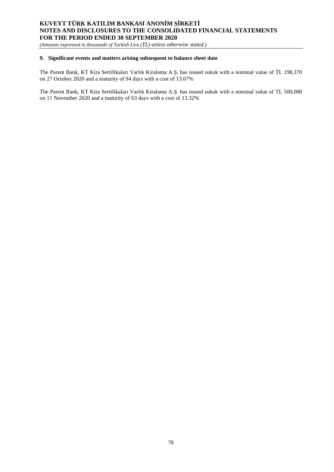*(Amounts expressed in thousands of Turkish Lira (TL) unless otherwise stated.)*

## **9. Significant events and matters arising subsequent to balance sheet date**

The Parent Bank, KT Kira Sertifikaları Varlık Kiralama A.Ş. has issued sukuk with a nominal value of TL 198,370 on 27 October 2020 and a maturity of 94 days with a cost of 13.07%

The Parent Bank, KT Kira Sertifikaları Varlık Kiralama A.Ş. has issued sukuk with a nominal value of TL 500,000 on 11 November 2020 and a maturity of 63 days with a cost of 13.32%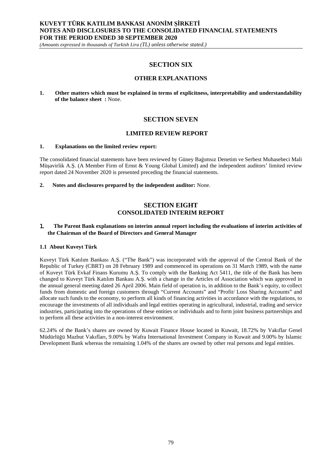*(Amounts expressed in thousands of Turkish Lira (TL) unless otherwise stated.)*

# **SECTION SIX**

## **OTHER EXPLANATIONS**

**1. Other matters which must be explained in terms of explicitness, interpretability and understandability of the balance sheet :** None.

## **SECTION SEVEN**

## **LIMITED REVIEW REPORT**

#### **1. Explanations on the limited review report:**

The consolidated financial statements have been reviewed by Güney Bağımsız Denetim ve Serbest Muhasebeci Mali Müşavirlik A.Ş. (A Member Firm of Ernst & Young Global Limited) and the independent auditors' limited review report dated 24 November 2020 is presented preceding the financial statements.

**2. Notes and disclosures prepared by the independent auditor:** None.

## **SECTION EIGHT CONSOLIDATED INTERIM REPORT**

## 1. **The Parent Bank explanations on interim annual report including the evaluations of interim activities of the Chairman of the Board of Directors and General Manager**

## **1.1 About Kuveyt Türk**

Kuveyt Türk Katılım Bankası A.Ş. ("The Bank") was incorporated with the approval of the Central Bank of the Republic of Turkey (CBRT) on 28 February 1989 and commenced its operations on 31 March 1989, with the name of Kuveyt Türk Evkaf Finans Kurumu A.Ş. To comply with the Banking Act 5411, the title of the Bank has been changed to Kuveyt Türk Katılım Bankası A.Ş. with a change in the Articles of Association which was approved in the annual general meeting dated 26 April 2006. Main field of operation is, in addition to the Bank's equity, to collect funds from domestic and foreign customers through "Current Accounts" and "Profit/ Loss Sharing Accounts" and allocate such funds to the economy, to perform all kinds of financing activities in accordance with the regulations, to encourage the investments of all individuals and legal entities operating in agricultural, industrial, trading and service industries, participating into the operations of these entities or individuals and to form joint business partnerships and to perform all these activities in a non-interest environment.

62.24% of the Bank's shares are owned by Kuwait Finance House located in Kuwait, 18.72% by Vakıflar Genel Müdürlüğü Mazbut Vakıfları, 9.00% by Wafra International Investment Company in Kuwait and 9.00% by Islamic Development Bank whereas the remaining 1.04% of the shares are owned by other real persons and legal entities.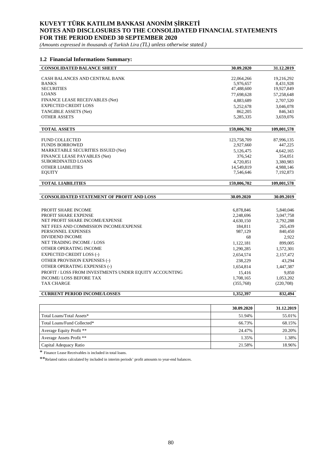*(Amounts expressed in thousands of Turkish Lira (TL) unless otherwise stated.)*

## **1.2 Financial Informations Summary:**

| <b>CONSOLIDATED BALANCE SHEET</b>                | 30.09.2020  | 31.12.2019  |
|--------------------------------------------------|-------------|-------------|
|                                                  |             |             |
| CASH BALANCES AND CENTRAL BANK                   | 22,064,266  | 19,216,292  |
| <b>BANKS</b>                                     | 5,976,657   | 8,431,928   |
| <b>SECURITIES</b>                                | 47,488,600  | 19,927,849  |
| <b>LOANS</b>                                     | 77.698.628  | 57,258,648  |
| FINANCE LEASE RECEIVABLES (Net)                  | 4.883.689   | 2,707,520   |
| <b>EXPECTED CREDIT LOSS</b>                      | 5,252,678   | 3,046,078   |
| TANGIBLE ASSETS (Net)                            | 862,205     | 846,343     |
| <b>OTHER ASSETS</b>                              | 5,285,335   | 3,659,076   |
| <b>TOTAL ASSETS</b>                              | 159,006,702 | 109,001,578 |
|                                                  |             |             |
| <b>FUND COLLECTED</b>                            | 123,758,709 | 87,996,135  |
| <b>FUNDS BORROWED</b>                            | 2,927,660   | 447,225     |
| MARKETABLE SECURITIES ISSUED (Net)               | 5,126,475   | 4,642,165   |
| FINANCE LEASE PAYABLES (Net)                     | 376,542     | 354,051     |
| SUBORDINATED LOANS                               | 4,720,851   | 3,380,983   |
| <b>OTHER LIABILITIES</b>                         | 14.549.819  | 4,988,146   |
| <b>EOUITY</b>                                    | 7.546.646   | 7,192,873   |
| <b>TOTAL LIABILITIES</b>                         | 159,006,702 | 109,001,578 |
|                                                  |             |             |
| <b>CONSOLIDATED STATEMENT OF PROFIT AND LOSS</b> | 30.09.2020  | 30.09.2019  |
|                                                  |             |             |
| PROFIT SHARE INCOME                              | 6,878,846   | 5,840,046   |
| PROFIT SHARE EXPENSE                             | 2,248,696   | 3,047,758   |
| NET PROFIT SHARE INCOME/EXPENSE                  | 4,630,150   | 2,792,288   |
| NET FEES AND COMMISSION INCOME/EXPENSE           | 184.811     | 265,439     |
| PERSONNEL EXPENSES                               | 987,129     | 840,450     |
| <b>DIVIDEND INCOME</b>                           | 68          | 2.922       |

| <b>CURRENT PERIOD INCOME/LOSSES</b>                    | 1.352.397 | 832.494                  |
|--------------------------------------------------------|-----------|--------------------------|
|                                                        |           |                          |
| <b>TAX CHARGE</b>                                      | (355,768) | (220,708)                |
| <b>INCOME/LOSS BEFORE TAX</b>                          | 1.708.165 | 1,053,202                |
| PROFIT / LOSS FROM INVESTMENTS UNDER EQUITY ACCOUNTING | 15.416    | 9.850                    |
| OTHER OPERATING EXPENSES (-)                           | 1,654,814 | 1,447,387                |
| <b>OTHER PROVISION EXPENSES (-)</b>                    | 238,229   | 43.294                   |
| <b>EXPECTED CREDIT LOSS (-)</b>                        | 2,654,574 | 2,157,472                |
| OTHER OPERATING INCOME                                 | 1,290,285 | 1,572,301                |
| NET TRADING INCOME / LOSS                              | 1,122,181 | 899,005                  |
|                                                        | ,,,,      | $\overline{\phantom{a}}$ |

|                             | 30.09.2020 | 31.12.2019 |
|-----------------------------|------------|------------|
| Total Loans/Total Assets*   | 51.94%     | 55.01%     |
| Total Loans/Fund Collected* | 66.73%     | 68.15%     |
| Average Equity Profit **    | 24.47%     | 20.20%     |
| Average Assets Profit **    | 1.35%      | 1.38%      |
| Capital Adequacy Ratio      | 21.58%     | 18.96%     |

\* Finance Lease Receivables is included in total loans.

\*\*Related ratios calculated by included in interim periods' profit amounts to year-end balances.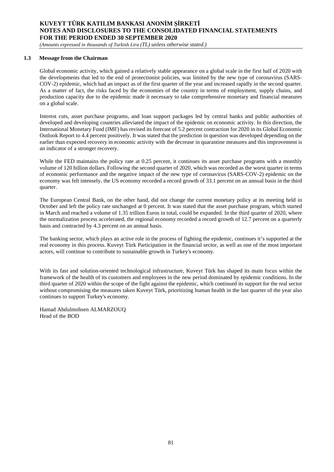*(Amounts expressed in thousands of Turkish Lira (TL) unless otherwise stated.)*

## **1.3 Message from the Chairman**

Global economic activity, which gained a relatively stable appearance on a global scale in the first half of 2020 with the developments that led to the end of protectionist policies, was limited by the new type of coronavirus (SARS-COV-2) epidemic, which had an impact as of the first quarter of the year and increased rapidly in the second quarter. As a matter of fact, the risks faced by the economies of the country in terms of employment, supply chains, and production capacity due to the epidemic made it necessary to take comprehensive monetary and financial measures on a global scale.

Interest cuts, asset purchase programs, and loan support packages led by central banks and public authorities of developed and developing countries alleviated the impact of the epidemic on economic activity. In this direction, the International Monetary Fund (IMF) has revised its forecast of 5.2 percent contraction for 2020 in its Global Economic Outlook Report to 4.4 percent positively. It was stated that the prediction in question was developed depending on the earlier than expected recovery in economic activity with the decrease in quarantine measures and this improvement is an indicator of a stronger recovery.

While the FED maintains the policy rate at 0.25 percent, it continues its asset purchase programs with a monthly volume of 120 billion dollars. Following the second quarter of 2020, which was recorded as the worst quarter in terms of economic performance and the negative impact of the new type of coronavirus (SARS-COV-2) epidemic on the economy was felt intensely, the US economy recorded a record growth of 33.1 percent on an annual basis in the third quarter.

The European Central Bank, on the other hand, did not change the current monetary policy at its meeting held in October and left the policy rate unchanged at 0 percent. It was stated that the asset purchase program, which started in March and reached a volume of 1.35 trillion Euros in total, could be expanded. In the third quarter of 2020, where the normalization process accelerated, the regional economy recorded a record growth of 12.7 percent on a quarterly basis and contracted by 4.3 percent on an annual basis.

The banking sector, which plays an active role in the process of fighting the epidemic, continues it's supported at the real economy in this process. Kuveyt Türk Participation in the financial sector, as well as one of the most important actors, will continue to contribute to sustainable growth in Turkey's economy.

With its fast and solution-oriented technological infrastructure, Kuveyt Türk has shaped its main focus within the framework of the health of its customers and employees in the new period dominated by epidemic conditions. In the third quarter of 2020 within the scope of the fight against the epidemic, which continued its support for the real sector without compromising the measures taken Kuveyt Türk, prioritizing human health in the last quarter of the year also continues to support Turkey's economy.

Hamad Abdulmohsen ALMARZOUQ Head of the BOD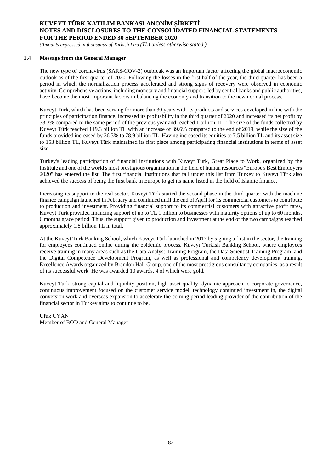*(Amounts expressed in thousands of Turkish Lira (TL) unless otherwise stated.)*

## **1.4 Message from the General Manager**

The new type of coronavirus (SARS-COV-2) outbreak was an important factor affecting the global macroeconomic outlook as of the first quarter of 2020. Following the losses in the first half of the year, the third quarter has been a period in which the normalization process accelerated and strong signs of recovery were observed in economic activity. Comprehensive actions, including monetary and financial support, led by central banks and public authorities, have become the most important factors in balancing the economy and transition to the new normal process.

Kuveyt Türk, which has been serving for more than 30 years with its products and services developed in line with the principles of participation finance, increased its profitability in the third quarter of 2020 and increased its net profit by 33.3% compared to the same period of the previous year and reached 1 billion TL. The size of the funds collected by Kuveyt Türk reached 119.3 billion TL with an increase of 39.6% compared to the end of 2019, while the size of the funds provided increased by 36.3% to 78.9 billion TL. Having increased its equities to 7.5 billion TL and its asset size to 153 billion TL, Kuveyt Türk maintained its first place among participating financial institutions in terms of asset size.

Turkey's leading participation of financial institutions with Kuveyt Türk, Great Place to Work, organized by the Institute and one of the world's most prestigious organization in the field of human resources "Europe's Best Employers 2020" has entered the list. The first financial institutions that fall under this list from Turkey to Kuveyt Türk also achieved the success of being the first bank in Europe to get its name listed in the field of Islamic finance.

Increasing its support to the real sector, Kuveyt Türk started the second phase in the third quarter with the machine finance campaign launched in February and continued until the end of April for its commercial customers to contribute to production and investment. Providing financial support to its commercial customers with attractive profit rates, Kuveyt Türk provided financing support of up to TL 1 billion to businesses with maturity options of up to 60 months, 6 months grace period. Thus, the support given to production and investment at the end of the two campaigns reached approximately 1.8 billion TL in total.

At the Kuveyt Turk Banking School, which Kuveyt Türk launched in 2017 by signing a first in the sector, the training for employees continued online during the epidemic process. Kuveyt Turkish Banking School, where employees receive training in many areas such as the Data Analyst Training Program, the Data Scientist Training Program, and the Digital Competence Development Program, as well as professional and competency development training, Excellence Awards organized by Brandon Hall Group, one of the most prestigious consultancy companies, as a result of its successful work. He was awarded 10 awards, 4 of which were gold.

Kuveyt Turk, strong capital and liquidity position, high asset quality, dynamic approach to corporate governance, continuous improvement focused on the customer service model, technology continued investment in, the digital conversion work and overseas expansion to accelerate the coming period leading provider of the contribution of the financial sector in Turkey aims to continue to be.

Ufuk UYAN Member of BOD and General Manager